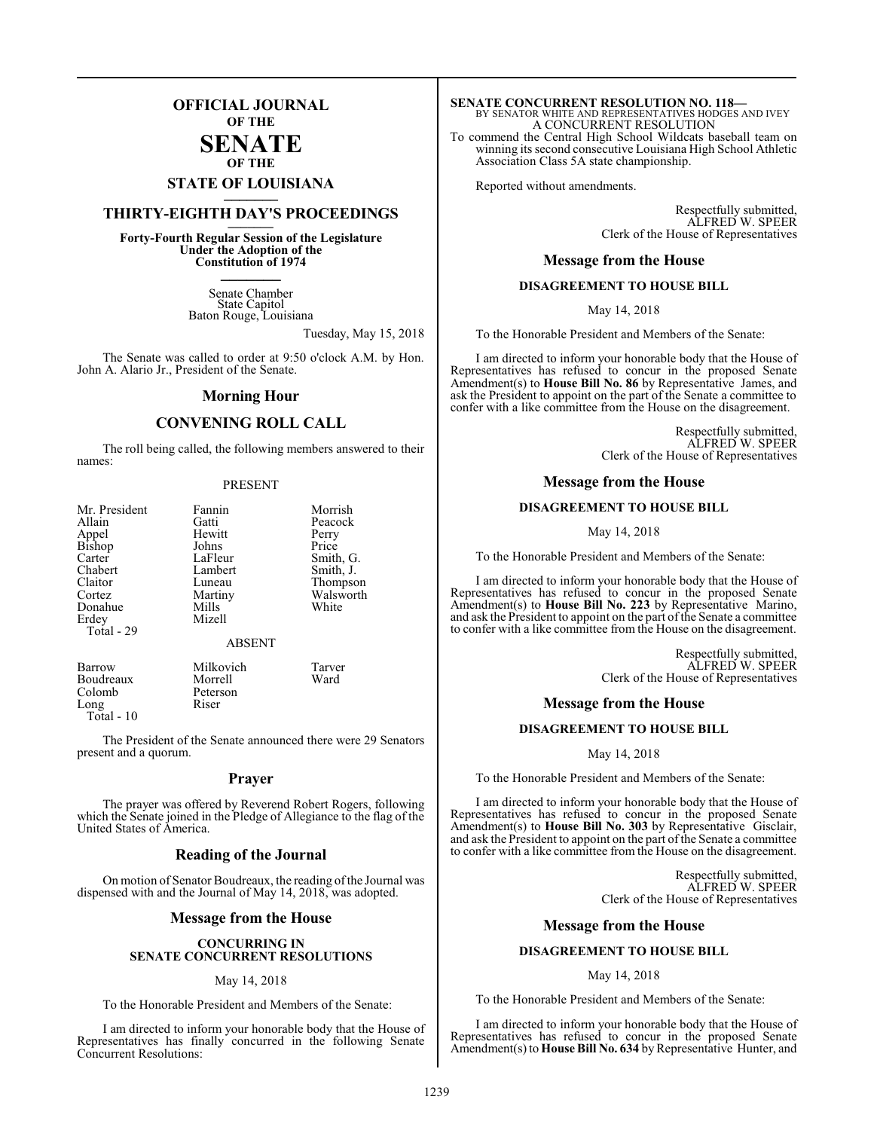# **OFFICIAL JOURNAL OF THE**

# **SENATE OF THE**

# **STATE OF LOUISIANA \_\_\_\_\_\_\_**

# **THIRTY-EIGHTH DAY'S PROCEEDINGS \_\_\_\_\_\_\_**

**Forty-Fourth Regular Session of the Legislature Under the Adoption of the Constitution of 1974 \_\_\_\_\_\_\_**

> Senate Chamber State Capitol Baton Rouge, Louisiana

> > Tuesday, May 15, 2018

The Senate was called to order at 9:50 o'clock A.M. by Hon. John A. Alario Jr., President of the Senate.

# **Morning Hour**

# **CONVENING ROLL CALL**

The roll being called, the following members answered to their names:

## PRESENT

| Mr. President<br>Allain<br>Appel<br>Bishop<br>Carter<br>Chabert<br>Claitor<br>Cortez<br>Donahue<br>Erdey<br>Total - 29 | Fannin<br>Gatti<br>Hewitt<br>Johns<br>LaFleur<br>Lambert<br>Luneau<br>Martiny<br>Mills<br>Mizell | Morrish<br>Peacock<br>Perry<br>Price<br>Smith, G.<br>Smith, J.<br>Thompson<br>Walsworth<br>White |
|------------------------------------------------------------------------------------------------------------------------|--------------------------------------------------------------------------------------------------|--------------------------------------------------------------------------------------------------|
|                                                                                                                        | <b>ABSENT</b>                                                                                    |                                                                                                  |
| Barrow<br>Boudreaux<br>Colomb                                                                                          | Milkovich<br>Morrell<br>Peterson                                                                 | Tarver<br>Ward                                                                                   |

 Total - 10 The President of the Senate announced there were 29 Senators present and a quorum.

Peterson<br>Riser

Long

# **Prayer**

The prayer was offered by Reverend Robert Rogers, following which the Senate joined in the Pledge of Allegiance to the flag of the United States of America.

# **Reading of the Journal**

On motion of Senator Boudreaux, the reading of the Journal was dispensed with and the Journal of May 14, 2018, was adopted.

# **Message from the House**

# **CONCURRING IN SENATE CONCURRENT RESOLUTIONS**

# May 14, 2018

To the Honorable President and Members of the Senate:

I am directed to inform your honorable body that the House of Representatives has finally concurred in the following Senate Concurrent Resolutions:

**SENATE CONCURRENT RESOLUTION NO. 118—**<br>BY SENATOR WHITE AND REPRESENTATIVES HODGES AND IVEY<br>A CONCURRENT RESOLUTION

To commend the Central High School Wildcats baseball team on winning its second consecutive Louisiana High School Athletic Association Class 5A state championship.

Reported without amendments.

Respectfully submitted, ALFRED W. SPEER Clerk of the House of Representatives

# **Message from the House**

# **DISAGREEMENT TO HOUSE BILL**

May 14, 2018

To the Honorable President and Members of the Senate:

I am directed to inform your honorable body that the House of Representatives has refused to concur in the proposed Senate Amendment(s) to **House Bill No. 86** by Representative James, and ask the President to appoint on the part of the Senate a committee to confer with a like committee from the House on the disagreement.

> Respectfully submitted, ALFRED W. SPEER Clerk of the House of Representatives

# **Message from the House**

# **DISAGREEMENT TO HOUSE BILL**

May 14, 2018

To the Honorable President and Members of the Senate:

I am directed to inform your honorable body that the House of Representatives has refused to concur in the proposed Senate Amendment(s) to **House Bill No. 223** by Representative Marino, and ask the President to appoint on the part of the Senate a committee to confer with a like committee from the House on the disagreement.

> Respectfully submitted, ALFRED W. SPEER Clerk of the House of Representatives

# **Message from the House**

# **DISAGREEMENT TO HOUSE BILL**

May 14, 2018

To the Honorable President and Members of the Senate:

I am directed to inform your honorable body that the House of Representatives has refused to concur in the proposed Senate Amendment(s) to **House Bill No. 303** by Representative Gisclair, and ask the President to appoint on the part of the Senate a committee to confer with a like committee from the House on the disagreement.

> Respectfully submitted, ALFRED W. SPEER Clerk of the House of Representatives

# **Message from the House**

# **DISAGREEMENT TO HOUSE BILL**

May 14, 2018

To the Honorable President and Members of the Senate:

I am directed to inform your honorable body that the House of Representatives has refused to concur in the proposed Senate Amendment(s) to **House Bill No. 634** by Representative Hunter, and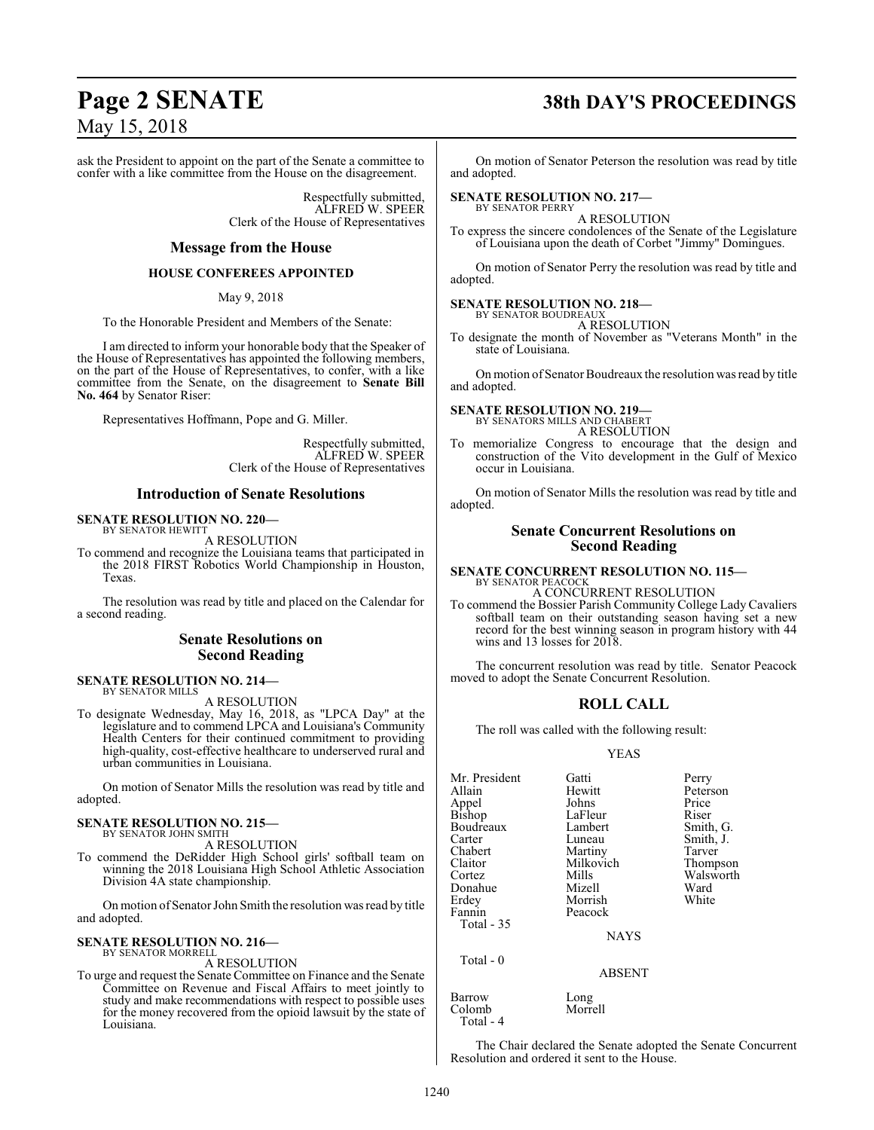# ask the President to appoint on the part of the Senate a committee to confer with a like committee from the House on the disagreement.

Respectfully submitted, ALFRED W. SPEER Clerk of the House of Representatives

# **Message from the House**

# **HOUSE CONFEREES APPOINTED**

May 9, 2018

To the Honorable President and Members of the Senate:

I am directed to inform your honorable body that the Speaker of the House of Representatives has appointed the following members, on the part of the House of Representatives, to confer, with a like committee from the Senate, on the disagreement to **Senate Bill No. 464** by Senator Riser:

Representatives Hoffmann, Pope and G. Miller.

Respectfully submitted, ALFRED W. SPEER Clerk of the House of Representatives

# **Introduction of Senate Resolutions**

**SENATE RESOLUTION NO. 220—**

BY SENATOR HEWITT A RESOLUTION

To commend and recognize the Louisiana teams that participated in the 2018 FIRST Robotics World Championship in Houston, Texas.

The resolution was read by title and placed on the Calendar for a second reading.

# **Senate Resolutions on Second Reading**

### **SENATE RESOLUTION NO. 214—** BY SENATOR MILLS

A RESOLUTION

To designate Wednesday, May 16, 2018, as "LPCA Day" at the legislature and to commend LPCA and Louisiana's Community Health Centers for their continued commitment to providing high-quality, cost-effective healthcare to underserved rural and urban communities in Louisiana.

On motion of Senator Mills the resolution was read by title and adopted.

### **SENATE RESOLUTION NO. 215—** BY SENATOR JOHN SMITH

A RESOLUTION

To commend the DeRidder High School girls' softball team on winning the 2018 Louisiana High School Athletic Association Division 4A state championship.

On motion of Senator John Smith the resolution was read by title and adopted.

### **SENATE RESOLUTION NO. 216—** BY SENATOR MORRELL

A RESOLUTION

To urge and request the Senate Committee on Finance and the Senate Committee on Revenue and Fiscal Affairs to meet jointly to study and make recommendations with respect to possible uses for the money recovered from the opioid lawsuit by the state of Louisiana.

# **Page 2 SENATE 38th DAY'S PROCEEDINGS**

On motion of Senator Peterson the resolution was read by title and adopted.

# **SENATE RESOLUTION NO. 217—** BY SENATOR PERRY

A RESOLUTION

To express the sincere condolences of the Senate of the Legislature of Louisiana upon the death of Corbet "Jimmy" Domingues.

On motion of Senator Perry the resolution was read by title and adopted.

# **SENATE RESOLUTION NO. 218—**

BY SENATOR BOUDREAUX A RESOLUTION

To designate the month of November as "Veterans Month" in the state of Louisiana.

On motion of Senator Boudreaux the resolution was read by title and adopted.

### **SENATE RESOLUTION NO. 219—** BY SENATORS MILLS AND CHABERT

A RESOLUTION

To memorialize Congress to encourage that the design and construction of the Vito development in the Gulf of Mexico occur in Louisiana.

On motion of Senator Mills the resolution was read by title and adopted.

# **Senate Concurrent Resolutions on Second Reading**

# **SENATE CONCURRENT RESOLUTION NO. 115—** BY SENATOR PEACOCK A CONCURRENT RESOLUTION

To commend the Bossier Parish Community College Lady Cavaliers softball team on their outstanding season having set a new record for the best winning season in program history with 44 wins and 13 losses for 2018.

The concurrent resolution was read by title. Senator Peacock moved to adopt the Senate Concurrent Resolution.

# **ROLL CALL**

The roll was called with the following result:

# YEAS

Walsworth<br>Ward

| Mr. President | Gatti       | Perry     |
|---------------|-------------|-----------|
| Allain        | Hewitt      | Peterson  |
| Appel         | Johns       | Price     |
| <b>Bishop</b> | LaFleur     | Riser     |
| Boudreaux     | Lambert     | Smith, G. |
| Carter        | Luneau      | Smith, J. |
| Chabert       | Martiny     | Tarver    |
| Claitor       | Milkovich   | Thompson  |
| Cortez        | Mills       | Walswort  |
| Donahue       | Mizell      | Ward      |
| Erdey         | Morrish     | White     |
| Fannin        | Peacock     |           |
| Total - 35    |             |           |
|               | <b>NAYS</b> |           |
|               |             |           |

Morrell

# ABSENT

| Barrow    | Long |
|-----------|------|
| Colomb    | Morr |
| Total - 4 |      |

Total - 0

The Chair declared the Senate adopted the Senate Concurrent Resolution and ordered it sent to the House.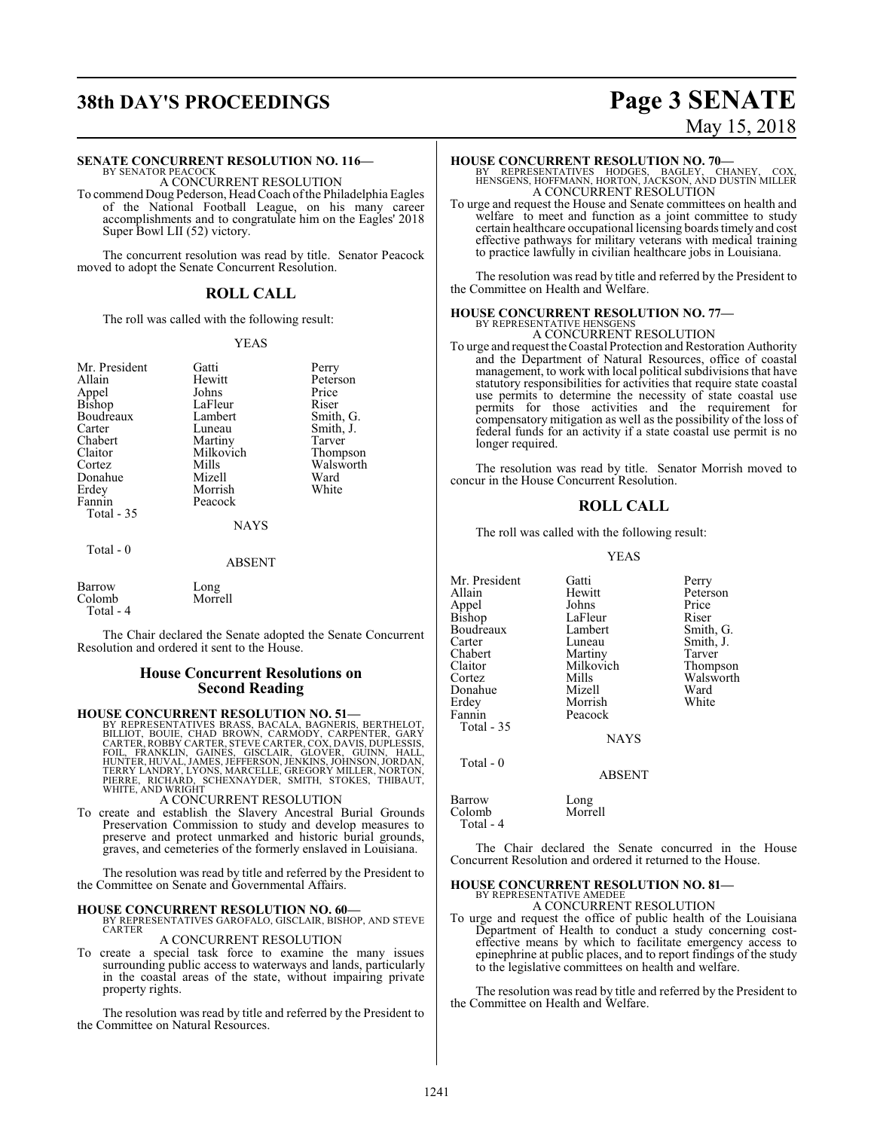# **38th DAY'S PROCEEDINGS Page 3 SENATE**

# **SENATE CONCURRENT RESOLUTION NO. 116—**

BY SENATOR PEACOCK A CONCURRENT RESOLUTION

To commend Doug Pederson, Head Coach of the Philadelphia Eagles of the National Football League, on his many career accomplishments and to congratulate him on the Eagles' 2018 Super Bowl LII (52) victory.

The concurrent resolution was read by title. Senator Peacock moved to adopt the Senate Concurrent Resolution.

# **ROLL CALL**

The roll was called with the following result:

# YEAS

| Mr. President<br>Allain<br>Appel<br><b>Bishop</b><br>Boudreaux<br>Carter | Gatti<br>Hewitt<br>Johns<br>LaFleur<br>Lambert<br>Luneau | Perry<br>Peterson<br>Price<br>Riser<br>Smith, G.<br>Smith, J. |
|--------------------------------------------------------------------------|----------------------------------------------------------|---------------------------------------------------------------|
| Chabert<br>Claitor                                                       | Martiny<br>Milkovich                                     | Tarver<br>Thompson                                            |
| Cortez                                                                   | Mills                                                    | Walsworth                                                     |
| Donahue                                                                  | Mizell                                                   | Ward                                                          |
| Erdey                                                                    | Morrish                                                  | White                                                         |
| Fannin<br>Total - 35                                                     | Peacock                                                  |                                                               |
|                                                                          | <b>NAYS</b>                                              |                                                               |
| Total $-0$                                                               | <b>ABSENT</b>                                            |                                                               |
| Barrow<br>Colomb                                                         | Long<br>Morrell                                          |                                                               |

Colomb Total - 4

The Chair declared the Senate adopted the Senate Concurrent Resolution and ordered it sent to the House.

# **House Concurrent Resolutions on Second Reading**

**HOUSE CONCURRENT RESOLUTION NO. 51—**<br>BY REPRESENTATIVES BRASS, BACALA, BAGNERIS, BERTHELOT,<br>BILLIOT, BOUIE, CHAD BROWN, CARMODY, CARPÉNTER, GARY<br>CARTER, ROBBY CARTER, STEVE CARTER, COX, DAVIS, DUPLESSIS,<br>FOIL, FRANKLIN, G

# A CONCURRENT RESOLUTION

To create and establish the Slavery Ancestral Burial Grounds Preservation Commission to study and develop measures to preserve and protect unmarked and historic burial grounds, graves, and cemeteries of the formerly enslaved in Louisiana.

The resolution was read by title and referred by the President to the Committee on Senate and Governmental Affairs.

# **HOUSE CONCURRENT RESOLUTION NO. 60—**

BY REPRESENTATIVES GAROFALO, GISCLAIR, BISHOP, AND STEVE CARTER

# A CONCURRENT RESOLUTION

To create a special task force to examine the many issues surrounding public access to waterways and lands, particularly in the coastal areas of the state, without impairing private property rights.

The resolution was read by title and referred by the President to the Committee on Natural Resources.

# May 15, 2018

## **HOUSE CONCURRENT RESOLUTION NO. 70—**

BY REPRESENTATIVES HODGES, BAGLEY, CHANEY, COX, HENSGENS, HOFFMANN, HORTON, JACKSON, AND DUSTIN MILLER A CONCURRENT RESOLUTION

To urge and request the House and Senate committees on health and welfare to meet and function as a joint committee to study certain healthcare occupational licensing boards timely and cost effective pathways for military veterans with medical training to practice lawfully in civilian healthcare jobs in Louisiana.

The resolution was read by title and referred by the President to the Committee on Health and Welfare.

### **HOUSE CONCURRENT RESOLUTION NO. 77—** BY REPRESENTATIVE HENSGENS A CONCURRENT RESOLUTION

To urge and request theCoastal Protection and Restoration Authority and the Department of Natural Resources, office of coastal management, to work with local political subdivisions that have statutory responsibilities for activities that require state coastal use permits to determine the necessity of state coastal use permits for those activities and the requirement for compensatory mitigation as well as the possibility of the loss of federal funds for an activity if a state coastal use permit is no longer required.

The resolution was read by title. Senator Morrish moved to concur in the House Concurrent Resolution.

# **ROLL CALL**

The roll was called with the following result:

# YEAS

Mr. President Gatti Perry<br>Allain Peter Hewitt Peterson<br>Johns Price Appel Johns Price<br>Bishop LaFleur Riser LaFleur Riser<br>Lambert Smith, G. Boudreaux Lamber<br>Carter Luneau Carter Luneau Smith, J.<br>
Chabert Martiny Tarver Chabert Martiny<br>Claitor Milkovich Claitor Milkovich Thompson Mills Walsworth<br>
Mizell Ward Donahue Mizell Ward Erdey Morrish<br>Fannin Peacock Peacock Total - 35 **NAYS**  Total - 0 ABSENT Barrow Long<br>Colomb Morrell

Colomb Total - 4

The Chair declared the Senate concurred in the House Concurrent Resolution and ordered it returned to the House.

# **HOUSE CONCURRENT RESOLUTION NO. 81—**

BY REPRESENTATIVE AMEDEE A CONCURRENT RESOLUTION

To urge and request the office of public health of the Louisiana Department of Health to conduct a study concerning costeffective means by which to facilitate emergency access to epinephrine at public places, and to report findings of the study to the legislative committees on health and welfare.

The resolution was read by title and referred by the President to the Committee on Health and Welfare.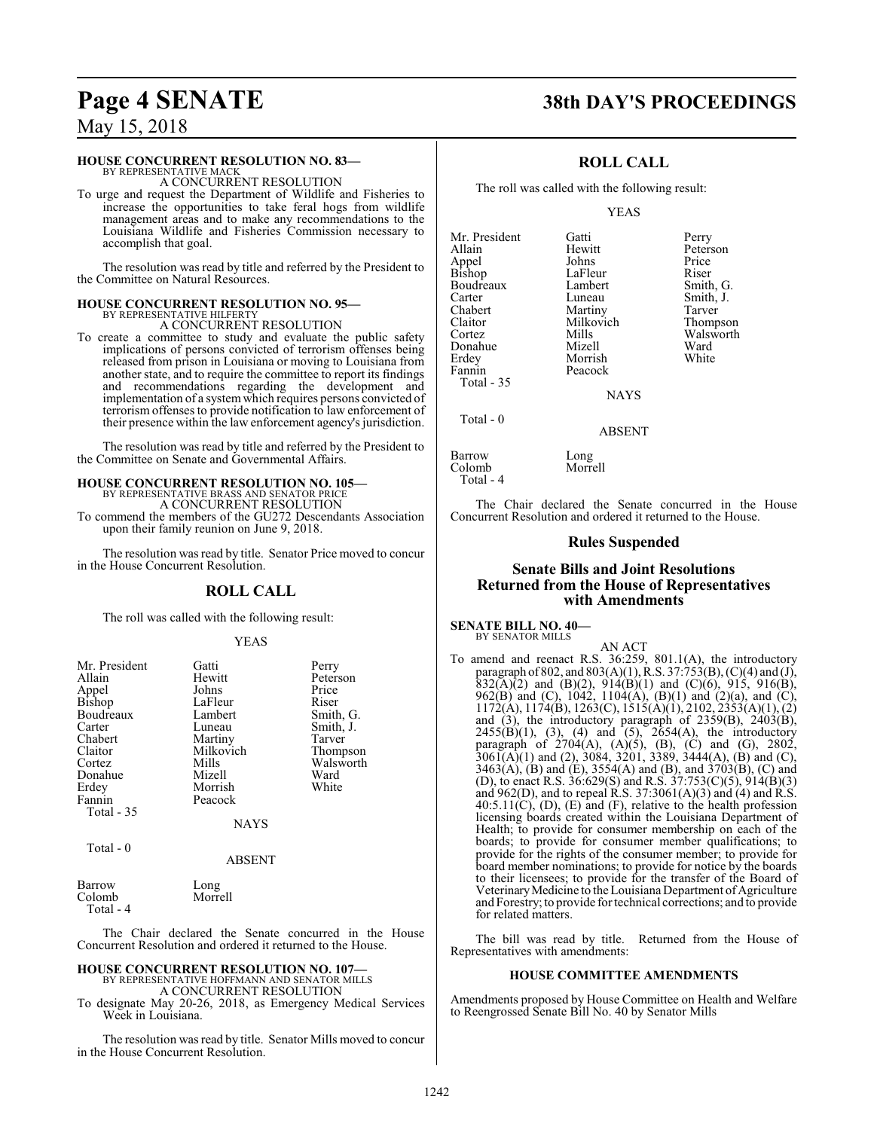# **Page 4 SENATE 38th DAY'S PROCEEDINGS**

# May 15, 2018

# **HOUSE CONCURRENT RESOLUTION NO. 83—**

BY REPRESENTATIVE MACK A CONCURRENT RESOLUTION

To urge and request the Department of Wildlife and Fisheries to increase the opportunities to take feral hogs from wildlife management areas and to make any recommendations to the Louisiana Wildlife and Fisheries Commission necessary to accomplish that goal.

The resolution was read by title and referred by the President to the Committee on Natural Resources.

# **HOUSE CONCURRENT RESOLUTION NO. 95—** BY REPRESENTATIVE HILFERTY

A CONCURRENT RESOLUTION

To create a committee to study and evaluate the public safety implications of persons convicted of terrorism offenses being released from prison in Louisiana or moving to Louisiana from another state, and to require the committee to report its findings and recommendations regarding the development and implementation of a systemwhich requires persons convicted of terrorism offenses to provide notification to law enforcement of their presence within the law enforcement agency's jurisdiction.

The resolution was read by title and referred by the President to the Committee on Senate and Governmental Affairs.

# **HOUSE CONCURRENT RESOLUTION NO. 105—** BY REPRESENTATIVE BRASS AND SENATOR PRICE

A CONCURRENT RESOLUTION

To commend the members of the GU272 Descendants Association upon their family reunion on June 9, 2018.

The resolution was read by title. Senator Price moved to concur in the House Concurrent Resolution.

# **ROLL CALL**

The roll was called with the following result:

# YEAS

| Mr. President<br>Allain<br>Appel<br><b>Bishop</b><br>Boudreaux<br>Carter<br>Chabert<br>Claitor<br>Cortez<br>Donahue<br>Erdey<br>Fannin<br>Total $-35$ | Gatti<br>Hewitt<br>Johns<br>LaFleur<br>Lambert<br>Luneau<br>Martiny<br>Milkovich<br>Mills<br>Mizell<br>Morrish<br>Peacock<br><b>NAYS</b> | Perry<br>Peterson<br>Price<br>Riser<br>Smith, G.<br>Smith, J.<br>Tarver<br>Thompson<br>Walsworth<br>Ward<br>White |
|-------------------------------------------------------------------------------------------------------------------------------------------------------|------------------------------------------------------------------------------------------------------------------------------------------|-------------------------------------------------------------------------------------------------------------------|
| Total - 0                                                                                                                                             | <b>ABSENT</b>                                                                                                                            |                                                                                                                   |

The Chair declared the Senate concurred in the House Concurrent Resolution and ordered it returned to the House.

# **HOUSE CONCURRENT RESOLUTION NO. 107—** BY REPRESENTATIVE HOFFMANN AND SENATOR MILLS

Barrow Long<br>Colomb Morrell

Colomb Total - 4

A CONCURRENT RESOLUTION

To designate May 20-26, 2018, as Emergency Medical Services Week in Louisiana.

The resolution was read by title. Senator Mills moved to concur in the House Concurrent Resolution.

# **ROLL CALL**

The roll was called with the following result:

# YEAS

Mr. President Gatti Perry<br>Allain Peters Hewitt Peters Appel Johns Price Boudreaux Lambert<br>Carter Luneau Chabert Martiny<br>Claitor Milkovich Claitor Milkovich Thompson Donahue Mizell Ward Fannin Peacock Total - 35

Hewitt Peterson<br>
Johns Price Morrish

LaFleur Riser<br>Lambert Smith, G. Luneau Smith, J.<br>Martiny Tarver Mills Walsworth<br>
Mizell Ward

**NAYS** 

# ABSENT

Long<br>Morrell

Barrow<br>Colomb Total - 4

Total - 0

The Chair declared the Senate concurred in the House Concurrent Resolution and ordered it returned to the House.

# **Rules Suspended**

# **Senate Bills and Joint Resolutions Returned from the House of Representatives with Amendments**

### **SENATE BILL NO. 40—** BY SENATOR MILLS

AN ACT To amend and reenact R.S. 36:259, 801.1(A), the introductory paragraph of 802, and 803(A)(1), R.S. 37:753(B), (C)(4) and (J),  $832(A)(2)$  and  $(B)(2)$ ,  $914(B)(1)$  and  $(C)(6)$ ,  $915$ ,  $916(B)$ , 962(B) and (C), 1042, 1104(A), (B)(1) and (2)(a), and (C), 1172(A), 1174(B), 1263(C), 1515(A)(1), 2102, 2353(A)(1), (2) and (3), the introductory paragraph of 2359(B), 2403(B),  $2455(B)(1)$ , (3), (4) and (5),  $2654(A)$ , the introductory paragraph of  $2704(A)$ ,  $(A)(5)$ ,  $(B)$ ,  $(C)$  and  $(G)$ ,  $2802$ ,  $306I(A)(1)$  and (2),  $3084, 3201, 3389, 3444(A), (B)$  and (C), 3463(A), (B) and (E), 3554(A) and (B), and 3703(B), (C) and (D), to enact R.S. 36:629(S) and R.S. 37:753(C)(5), 914(B)(3) and  $962(D)$ , and to repeal R.S.  $37:3061(A)(3)$  and (4) and R.S.  $40:5.11(C)$ , (D), (E) and (F), relative to the health profession licensing boards created within the Louisiana Department of Health; to provide for consumer membership on each of the boards; to provide for consumer member qualifications; to provide for the rights of the consumer member; to provide for board member nominations; to provide for notice by the boards to their licensees; to provide for the transfer of the Board of Veterinary Medicine to the Louisiana Department of Agriculture and Forestry; to provide for technical corrections; and to provide for related matters.

The bill was read by title. Returned from the House of Representatives with amendments:

# **HOUSE COMMITTEE AMENDMENTS**

Amendments proposed by House Committee on Health and Welfare to Reengrossed Senate Bill No. 40 by Senator Mills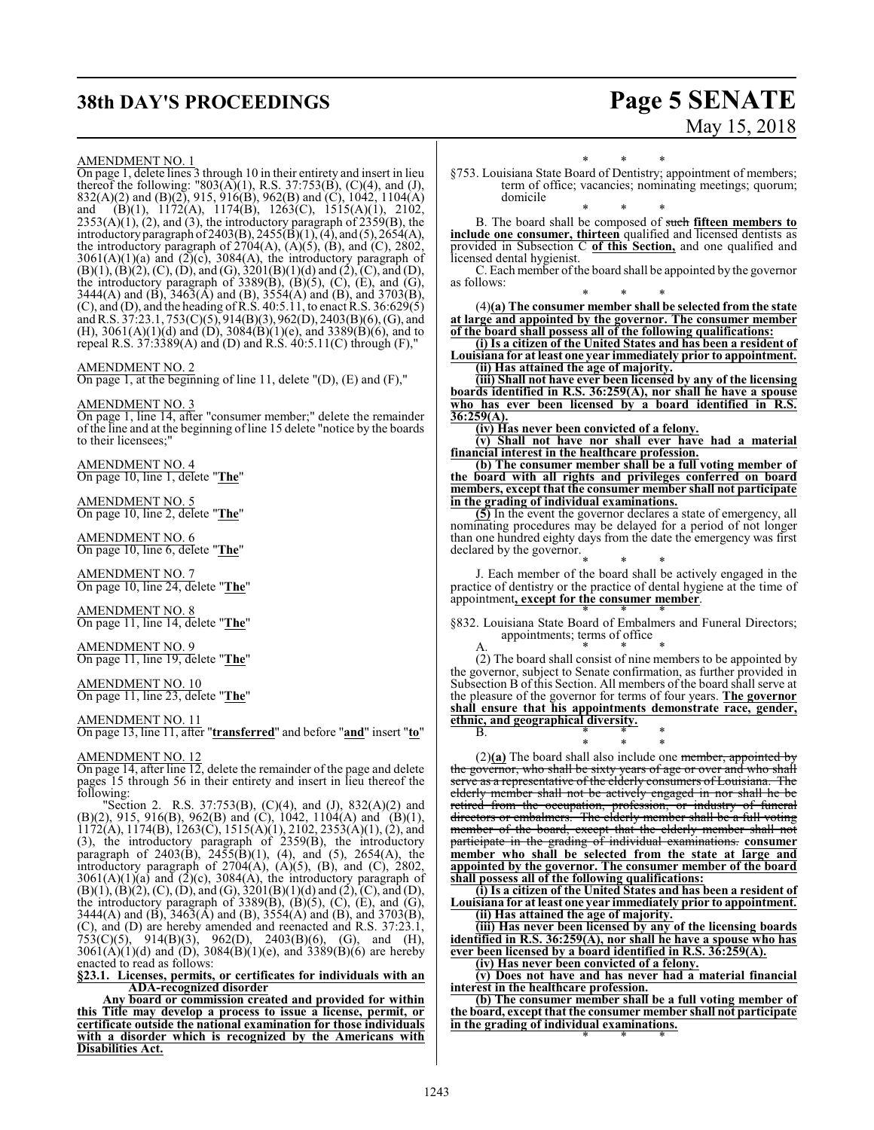# **38th DAY'S PROCEEDINGS Page 5 SENATE**

# May 15, 2018

## AMENDMENT NO. 1

On page 1, delete lines 3 through 10 in their entirety and insert in lieu thereof the following: "803(A)(1), R.S. 37:753(B), (C)(4), and (J), 832(A)(2) and (B)(2), 915, 916(B), 962(B) and (C), 1042, 1104(A) and (B)(1), 1172(A), 1174(B), 1263(C), 1515(A)(1), 2102,  $2353(A)(1)$ ,  $(2)$ , and  $(3)$ , the introductory paragraph of  $2359(B)$ , the introductory paragraph of 2403(B), 2455(B)(1), (4), and (5), 2654(A), the introductory paragraph of  $2704(A)$ ,  $(A)(5)$ ,  $(B)$ , and  $(C)$ ,  $2802$ ,  $3061(A)(1)(a)$  and  $(2)(c)$ ,  $3084(A)$ , the introductory paragraph of  $(B)(1), (B)(2), (C), (D),$  and  $(G), 3201(B)(1)(d)$  and  $(2), (C),$  and  $(D),$ the introductory paragraph of  $3389(B)$ ,  $(B)(5)$ ,  $(C)$ ,  $(E)$ , and  $(G)$ , 3444(A) and (B),  $3463(A)$  and (B),  $3554(A)$  and (B), and  $3703(B)$ ,  $(C)$ , and  $(D)$ , and the heading of R.S. 40:5.11, to enact R.S. 36:629 $(5)$ andR.S. 37:23.1, 753(C)(5), 914(B)(3), 962(D), 2403(B)(6), (G), and (H), 3061(A)(1)(d) and (D), 3084(B)(1)(e), and 3389(B)(6), and to repeal R.S.  $37:3389(A)$  and (D) and R.S.  $40:5.11(C)$  through (F),"

# AMENDMENT NO. 2

On page 1, at the beginning of line 11, delete  $'(D)$ ,  $(E)$  and  $(F)$ ,"

## AMENDMENT NO. 3

On page 1, line 14, after "consumer member;" delete the remainder of the line and at the beginning ofline 15 delete "notice by the boards to their licensees;"

AMENDMENT NO. 4 On page 10, line 1, delete "**The**"

AMENDMENT NO. 5 On page 10, line 2, delete "**The**"

AMENDMENT NO. 6 On page 10, line 6, delete "**The**"

AMENDMENT NO. 7 On page 10, line 24, delete "**The**"

AMENDMENT NO. 8 On page 11, line 14, delete "**The**"

AMENDMENT NO. 9 On page 11, line 19, delete "**The**"

# AMENDMENT NO. 10

On page 11, line 23, delete "**The**"

# AMENDMENT NO. 11

On page 13, line 11, after "**transferred**" and before "**and**" insert "**to**"

AMENDMENT NO. 12

On page 14, after line 12, delete the remainder of the page and delete pages 15 through 56 in their entirety and insert in lieu thereof the following:

"Section 2. R.S. 37:753(B), (C)(4), and (J), 832(A)(2) and  $(B)(2)$ , 915, 916(B), 962(B) and (C), 1042, 1104(A) and (B)(1), 1172(A), 1174(B), 1263(C), 1515(A)(1), 2102, 2353(A)(1), (2), and (3), the introductory paragraph of 2359(B), the introductory paragraph of 2403(B), 2455(B)(1), (4), and (5), 2654(A), the introductory paragraph of  $2704(A)$ ,  $(A)(5)$ ,  $(B)$ , and  $(C)$ ,  $2802$ ,  $3061(A)(1)(a)$  and  $(2)(c)$ ,  $3084(A)$ , the introductory paragraph of  $(B)(1), (B)(2), (C), (D),$  and  $(G), 3201(B)(1)(d)$  and  $(2), (C),$  and  $(D),$ the introductory paragraph of  $3389(B)$ ,  $(B)(5)$ ,  $(C)$ ,  $(E)$ , and  $(G)$ , 3444(A) and (B),  $3463(\text{\AA})$  and (B),  $3554(\text{\AA})$  and (B), and  $3703(\text{\AA})$ , (C), and (D) are hereby amended and reenacted and R.S. 37:23.1,  $753(C)(5)$ ,  $914(B)(3)$ ,  $962(D)$ ,  $2403(B)(6)$ , (G), and (H),  $306\hat{1}(\hat{A})(1)(d)$  and  $\hat{D}$ ,  $3084\hat{B})(1)(e)$ , and  $3389\hat{B})(6)$  are hereby enacted to read as follows:

## **§23.1. Licenses, permits, or certificates for individuals with an ADA-recognized disorder**

**Any board or commission created and provided for within this Title may develop a process to issue a license, permit, or certificate outside the national examination for those individuals with a disorder which is recognized by the Americans with Disabilities Act.**

\* \* \* §753. Louisiana State Board of Dentistry; appointment of members; term of office; vacancies; nominating meetings; quorum; domicile

\* \* \* B. The board shall be composed of such **fifteen members to include one consumer, thirteen** qualified and licensed dentists as provided in Subsection C **of this Section,** and one qualified and licensed dental hygienist.

C. Each member of the board shall be appointed by the governor as follows:

\* \* \* (4)**(a) The consumer member shall be selected from the state at large and appointed by the governor. The consumer member of the board shall possess all of the following qualifications:**

**(i) Is a citizen of the United States and has been a resident of Louisiana for at least one year immediately prior to appointment. (ii) Has attained the age of majority.**

**(iii) Shall not have ever been licensed by any of the licensing boards identified in R.S. 36:259(A), nor shall he have a spouse who has ever been licensed by a board identified in R.S. 36:259(A).**

**(iv) Has never been convicted of a felony.**

**(v) Shall not have nor shall ever have had a material financial interest in the healthcare profession.**

**(b) The consumer member shall be a full voting member of the board with all rights and privileges conferred on board members, except that the consumer member shall not participate in the grading of individual examinations.**

**(5)** In the event the governor declares a state of emergency, all nominating procedures may be delayed for a period of not longer than one hundred eighty days from the date the emergency was first declared by the governor.

\* \* \* J. Each member of the board shall be actively engaged in the practice of dentistry or the practice of dental hygiene at the time of appointment**, except for the consumer member**.

\* \* \* §832. Louisiana State Board of Embalmers and Funeral Directors; appointments; terms of office

A. \* \* \* (2) The board shall consist of nine members to be appointed by the governor, subject to Senate confirmation, as further provided in Subsection B of this Section. All members of the board shall serve at the pleasure of the governor for terms of four years. **The governor shall ensure that his appointments demonstrate race, gender, ethnic, and geographical diversity.** B. \* \* \*

\* \* \* (2)**(a)** The board shall also include one member, appointed by the governor, who shall be sixty years of age or over and who shall serve as a representative of the elderly consumers of Louisiana. The elderly member shall not be actively engaged in nor shall he be retired from the occupation, profession, or industry of funeral directors or embalmers. The elderly member shall be a full voting member of the board, except that the elderly member shall not participate in the grading of individual examinations. **consumer member who shall be selected from the state at large and appointed by the governor. The consumer member of the board shall possess all of the following qualifications:**

**(i) Is a citizen of the United States and has been a resident of Louisiana for at least one year immediately prior to appointment. (ii) Has attained the age of majority.**

**(iii) Has never been licensed by any of the licensing boards identified in R.S. 36:259(A), nor shall he have a spouse who has ever been licensed by a board identified in R.S. 36:259(A).**

**(iv) Has never been convicted of a felony.**

**(v) Does not have and has never had a material financial interest in the healthcare profession.**

**(b) The consumer member shall be a full voting member of the board, except that the consumer member shall not participate in the grading of individual examinations.** \* \* \*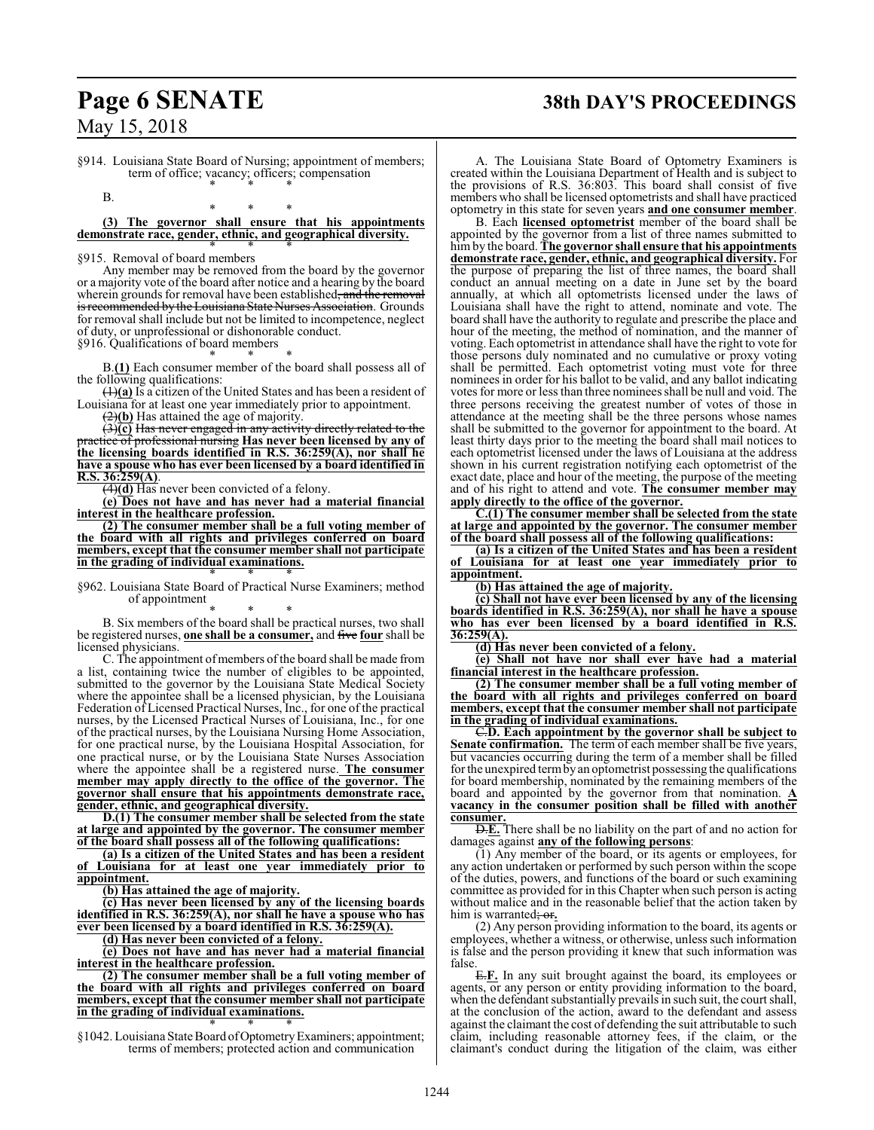# **Page 6 SENATE 38th DAY'S PROCEEDINGS**

§914. Louisiana State Board of Nursing; appointment of members; term of office; vacancy; officers; compensation \* \* \*

B.

\* \* \* **(3) The governor shall ensure that his appointments demonstrate race, gender, ethnic, and geographical diversity.**

\* \* \* §915. Removal of board members

Any member may be removed from the board by the governor or a majority vote of the board after notice and a hearing by the board wherein grounds for removal have been established, and the i<del>s recommended by the Louisiana State Nurses Association</del>. Grounds for removal shall include but not be limited to incompetence, neglect of duty, or unprofessional or dishonorable conduct. §916. Qualifications of board members

\* \* \*

B.**(1)** Each consumer member of the board shall possess all of the following qualifications:

(1)**(a)** Is a citizen of the United States and has been a resident of Louisiana for at least one year immediately prior to appointment.

(2)**(b)** Has attained the age of majority.

(3)**(c)** Has never engaged in any activity directly related to the practice of professional nursing **Has never been licensed by any of the licensing boards identified in R.S. 36:259(A), nor shall he have a spouse who has ever been licensed by a board identified in R.S. 36:259(A)**.

(4)**(d)** Has never been convicted of a felony.

**(e) Does not have and has never had a material financial interest in the healthcare profession.**

**(2) The consumer member shall be a full voting member of the board with all rights and privileges conferred on board members, except that the consumer member shall not participate in the grading of individual examinations.** \* \* \*

§962. Louisiana State Board of Practical Nurse Examiners; method of appointment

\* \* \*

B. Six members of the board shall be practical nurses, two shall be registered nurses, **one shall be a consumer,** and five **four** shall be licensed physicians.

C. The appointment of members of the board shall be made from a list, containing twice the number of eligibles to be appointed, submitted to the governor by the Louisiana State Medical Society where the appointee shall be a licensed physician, by the Louisiana Federation of Licensed Practical Nurses, Inc., for one of the practical nurses, by the Licensed Practical Nurses of Louisiana, Inc., for one of the practical nurses, by the Louisiana Nursing Home Association, for one practical nurse, by the Louisiana Hospital Association, for one practical nurse, or by the Louisiana State Nurses Association where the appointee shall be a registered nurse. **The consumer member may apply directly to the office of the governor. The governor shall ensure that his appointments demonstrate race, gender, ethnic, and geographical diversity.**

**D.(1) The consumer member shall be selected from the state at large and appointed by the governor. The consumer member of the board shall possess all of the following qualifications:**

**(a) Is a citizen of the United States and has been a resident of Louisiana for at least one year immediately prior to appointment.**

**(b) Has attained the age of majority.**

**(c) Has never been licensed by any of the licensing boards identified in R.S. 36:259(A), nor shall he have a spouse who has ever been licensed by a board identified in R.S. 36:259(A).**

**(d) Has never been convicted of a felony.**

**(e) Does not have and has never had a material financial interest in the healthcare profession.**

**(2) The consumer member shall be a full voting member of the board with all rights and privileges conferred on board members, except that the consumer member shall not participate in the grading of individual examinations.** \* \* \*

§1042. Louisiana State Board of Optometry Examiners; appointment; terms of members; protected action and communication

A. The Louisiana State Board of Optometry Examiners is created within the Louisiana Department of Health and is subject to the provisions of R.S. 36:803. This board shall consist of five members who shall be licensed optometrists and shall have practiced optometry in this state for seven years **and one consumer member**.

B. Each **licensed optometrist** member of the board shall be appointed by the governor from a list of three names submitted to him by the board. **The governor shall ensure that his appointments demonstrate race, gender, ethnic, and geographical diversity.** For the purpose of preparing the list of three names, the board shall conduct an annual meeting on a date in June set by the board annually, at which all optometrists licensed under the laws of Louisiana shall have the right to attend, nominate and vote. The board shall have the authority to regulate and prescribe the place and hour of the meeting, the method of nomination, and the manner of voting. Each optometrist in attendance shall have the right to vote for those persons duly nominated and no cumulative or proxy voting shall be permitted. Each optometrist voting must vote for three nominees in order for his ballot to be valid, and any ballot indicating votes for more or less than three nominees shall be null and void. The three persons receiving the greatest number of votes of those in attendance at the meeting shall be the three persons whose names shall be submitted to the governor for appointment to the board. At least thirty days prior to the meeting the board shall mail notices to each optometrist licensed under the laws of Louisiana at the address shown in his current registration notifying each optometrist of the exact date, place and hour of the meeting, the purpose of the meeting and of his right to attend and vote. **The consumer member may apply directly to the office of the governor.**

**C.(1) The consumer member shall be selected from the state at large and appointed by the governor. The consumer member of the board shall possess all of the following qualifications:**

**(a) Is a citizen of the United States and has been a resident of Louisiana for at least one year immediately prior to appointment.**

**(b) Has attained the age of majority.**

**(c) Shall not have ever been licensed by any of the licensing boards identified in R.S. 36:259(A), nor shall he have a spouse who has ever been licensed by a board identified in R.S. 36:259(A).**

**(d) Has never been convicted of a felony.**

**(e) Shall not have nor shall ever have had a material financial interest in the healthcare profession.**

**(2) The consumer member shall be a full voting member of the board with all rights and privileges conferred on board members, except that the consumer member shall not participate in the grading of individual examinations.**

C.**D. Each appointment by the governor shall be subject to Senate confirmation.** The term of each member shall be five years, but vacancies occurring during the term of a member shall be filled for the unexpired termbyan optometrist possessing the qualifications for board membership, nominated by the remaining members of the board and appointed by the governor from that nomination. **A vacancy in the consumer position shall be filled with another consumer.**

D.**E.** There shall be no liability on the part of and no action for damages against **any of the following persons**:

(1) Any member of the board, or its agents or employees, for any action undertaken or performed by such person within the scope of the duties, powers, and functions of the board or such examining committee as provided for in this Chapter when such person is acting without malice and in the reasonable belief that the action taken by him is warranted; or**.**

(2) Any person providing information to the board, its agents or employees, whether a witness, or otherwise, unless such information is false and the person providing it knew that such information was false.

E.**F.** In any suit brought against the board, its employees or agents, or any person or entity providing information to the board, when the defendant substantially prevails in such suit, the court shall, at the conclusion of the action, award to the defendant and assess against the claimant the cost of defending the suit attributable to such claim, including reasonable attorney fees, if the claim, or the claimant's conduct during the litigation of the claim, was either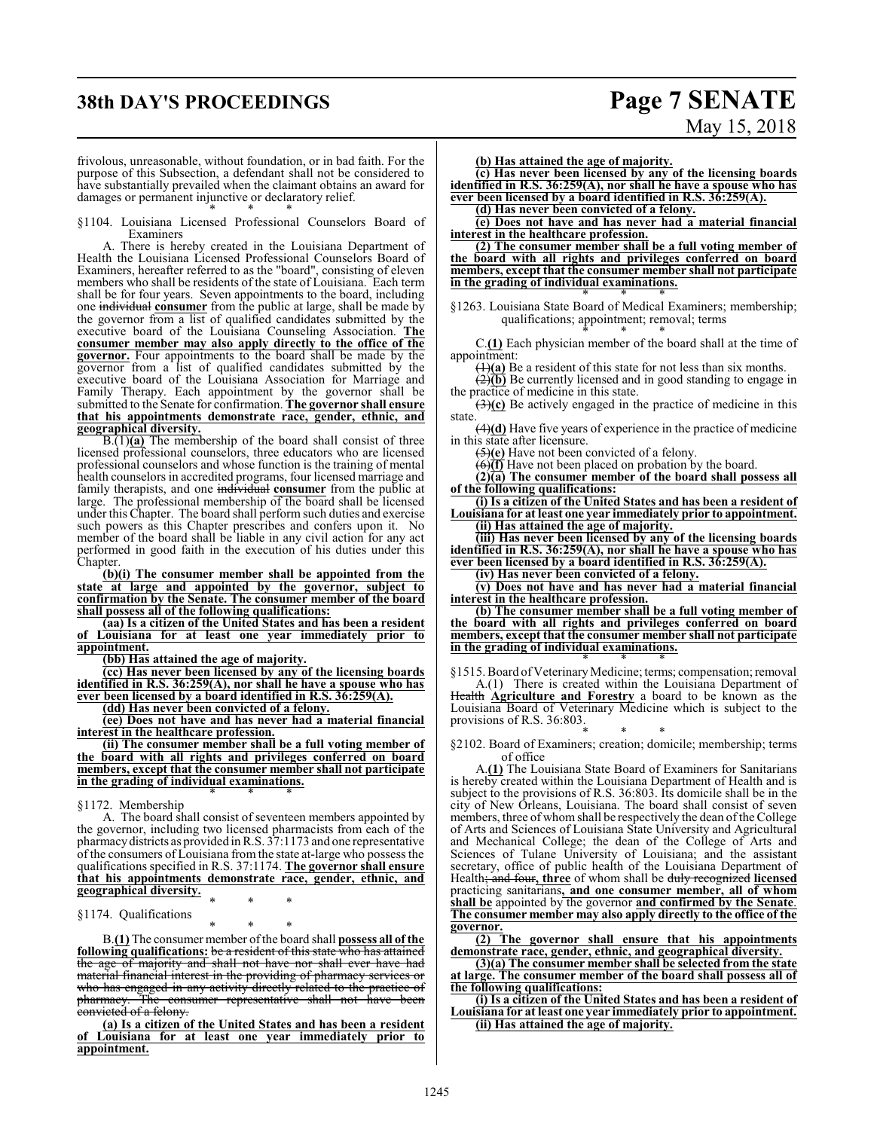# **38th DAY'S PROCEEDINGS Page 7 SENATE**

# May 15, 2018

frivolous, unreasonable, without foundation, or in bad faith. For the purpose of this Subsection, a defendant shall not be considered to have substantially prevailed when the claimant obtains an award for damages or permanent injunctive or declaratory relief.

\* \* \* §1104. Louisiana Licensed Professional Counselors Board of Examiners

A. There is hereby created in the Louisiana Department of Health the Louisiana Licensed Professional Counselors Board of Examiners, hereafter referred to as the "board", consisting of eleven members who shall be residents of the state of Louisiana. Each term shall be for four years. Seven appointments to the board, including one individual **consumer** from the public at large, shall be made by the governor from a list of qualified candidates submitted by the executive board of the Louisiana Counseling Association. **The consumer member may also apply directly to the office of the governor.** Four appointments to the board shall be made by the governor from a list of qualified candidates submitted by the executive board of the Louisiana Association for Marriage and Family Therapy. Each appointment by the governor shall be submitted to the Senate for confirmation. **The governor shall ensure that his appointments demonstrate race, gender, ethnic, and geographical diversity.**

B.(1)**(a)** The membership of the board shall consist of three licensed professional counselors, three educators who are licensed professional counselors and whose function is the training of mental health counselors in accredited programs, four licensed marriage and family therapists, and one individual **consumer** from the public at large. The professional membership of the board shall be licensed under this Chapter. The board shall perform such duties and exercise such powers as this Chapter prescribes and confers upon it. No member of the board shall be liable in any civil action for any act performed in good faith in the execution of his duties under this Chapter.

**(b)(i) The consumer member shall be appointed from the state at large and appointed by the governor, subject to confirmation by the Senate. The consumer member of the board shall possess all of the following qualifications:**

**(aa) Is a citizen of the United States and has been a resident of Louisiana for at least one year immediately prior to appointment.**

**(bb) Has attained the age of majority.**

**(cc) Has never been licensed by any of the licensing boards identified in R.S. 36:259(A), nor shall he have a spouse who has ever been licensed by a board identified in R.S. 36:259(A).**

**(dd) Has never been convicted of a felony.**

**(ee) Does not have and has never had a material financial interest in the healthcare profession.**

**(ii) The consumer member shall be a full voting member of the board with all rights and privileges conferred on board members, except that the consumer member shall not participate in the grading of individual examinations.** \* \* \*

## §1172. Membership

A. The board shall consist of seventeen members appointed by the governor, including two licensed pharmacists from each of the pharmacydistricts as provided inR.S. 37:1173 and one representative of the consumers of Louisiana from the state at-large who possess the qualifications specified in R.S. 37:1174. **The governor shall ensure that his appointments demonstrate race, gender, ethnic, and geographical diversity.**

\* \* \* §1174. Qualifications

\* \* \* B.**(1)** The consumer member ofthe board shall **possess all of the following qualifications:** be a resident of this state who has attained the age of majority and shall not have nor shall ever have had material financial interest in the providing of pharmacy services or who has engaged in any activity directly related to the practice of pharmacy. The consumer representative shall not have been convicted of a felony.

**(a) Is a citizen of the United States and has been a resident of Louisiana for at least one year immediately prior to appointment.**

**(b) Has attained the age of majority.**

**(c) Has never been licensed by any of the licensing boards identified in R.S. 36:259(A), nor shall he have a spouse who has ever been licensed by a board identified in R.S. 36:259(A).** 

**(d) Has never been convicted of a felony.**

**(e) Does not have and has never had a material financial interest in the healthcare profession.**

**(2) The consumer member shall be a full voting member of the board with all rights and privileges conferred on board members, except that the consumer member shall not participate in the grading of individual examinations.** \* \* \*

§1263. Louisiana State Board of Medical Examiners; membership; qualifications; appointment; removal; terms \* \* \*

C.**(1)** Each physician member of the board shall at the time of appointment:

(1)**(a)** Be a resident of this state for not less than six months.

 $\overline{(2)(b)}$  Be currently licensed and in good standing to engage in the practice of medicine in this state.

(3)**(c)** Be actively engaged in the practice of medicine in this state.

(4)**(d)** Have five years of experience in the practice of medicine in this state after licensure.

(5)**(e)** Have not been convicted of a felony.

(6)**(f)** Have not been placed on probation by the board.

 $(2)(\overline{a})$  The consumer member of the board shall possess all **of the following qualifications:**

**(i) Is a citizen of the United States and has been a resident of Louisiana for at least one year immediately prior to appointment. (ii) Has attained the age of majority.**

**(iii) Has never been licensed by any of the licensing boards identified in R.S. 36:259(A), nor shall he have a spouse who has ever been licensed by a board identified in R.S. 36:259(A).**

**(iv) Has never been convicted of a felony.**

**(v) Does not have and has never had a material financial interest in the healthcare profession.**

**(b) The consumer member shall be a full voting member of the board with all rights and privileges conferred on board members, except that the consumer member shall not participate in the grading of individual examinations.**

\* \* \*

§1515. Board of Veterinary Medicine; terms; compensation; removal A.(1) There is created within the Louisiana Department of Health **Agriculture and Forestry** a board to be known as the Louisiana Board of Veterinary Medicine which is subject to the provisions of R.S. 36:803.

\* \* \* §2102. Board of Examiners; creation; domicile; membership; terms of office

A.**(1)** The Louisiana State Board of Examiners for Sanitarians is hereby created within the Louisiana Department of Health and is subject to the provisions of R.S. 36:803. Its domicile shall be in the city of New Orleans, Louisiana. The board shall consist of seven members, three of whom shall be respectively the dean of the College of Arts and Sciences of Louisiana State University and Agricultural and Mechanical College; the dean of the College of Arts and Sciences of Tulane University of Louisiana; and the assistant secretary, office of public health of the Louisiana Department of Health; and four**, three** of whom shall be duly recognized **licensed** practicing sanitarians**, and one consumer member, all of whom shall be** appointed by the governor **and confirmed by the Senate**. **The consumer member may also apply directly to the office of the governor.**

**(2) The governor shall ensure that his appointments demonstrate race, gender, ethnic, and geographical diversity.**

**(3)(a) The consumer member shall be selected from the state at large. The consumer member of the board shall possess all of the following qualifications:**

**(i) Is a citizen of the United States and has been a resident of Louisiana for at least one year immediately prior to appointment. (ii) Has attained the age of majority.**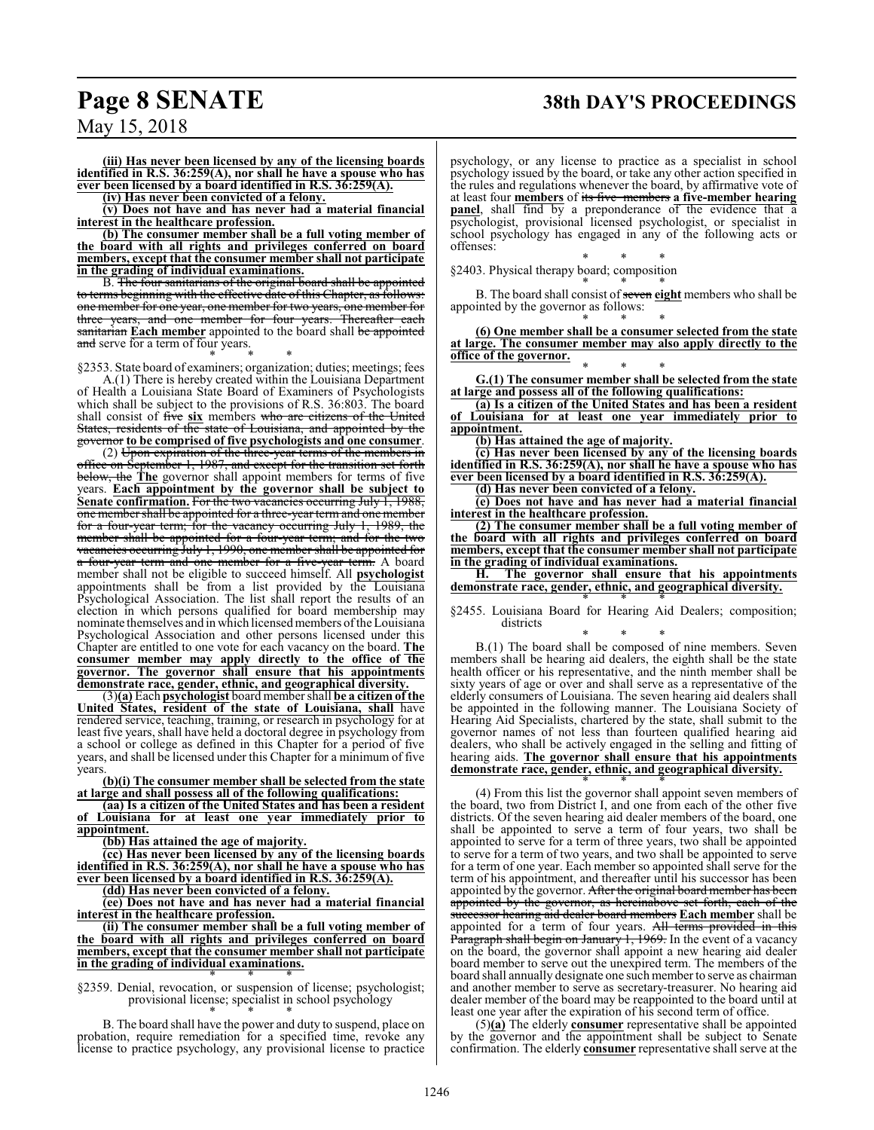# **Page 8 SENATE 38th DAY'S PROCEEDINGS**

**(iii) Has never been licensed by any of the licensing boards identified in R.S. 36:259(A), nor shall he have a spouse who has** ever been licensed by a board identified in R.S. 36:259(A).

**(iv) Has never been convicted of a felony.**

**(v) Does not have and has never had a material financial interest in the healthcare profession.**

**(b) The consumer member shall be a full voting member of the board with all rights and privileges conferred on board members, except that the consumer member shall not participate in the grading of individual examinations.**

B. The four sanitarians of the original board shall be appointed to terms beginning with the effective date of this Chapter, as follows: one member for one year, one member for two years, one member for three years, and one member for four years. Thereafter each three years, and one member for four years. sanitarian **Each member** appointed to the board shall be appointed and serve for a term of four years.

## \* \* \* §2353. State board of examiners; organization; duties; meetings; fees

A.(1) There is hereby created within the Louisiana Department of Health a Louisiana State Board of Examiners of Psychologists which shall be subject to the provisions of R.S. 36:803. The board shall consist of five **six** members who are citizens of the United States, residents of the state of Louisiana, and appointed by the governor **to be comprised of five psychologists and one consumer**.

(2) Upon expiration of the three-year terms of the members in office on September 1, 1987, and except for the transition set forth below, the **The** governor shall appoint members for terms of five years. **Each appointment by the governor shall be subject to** Senate confirmation. For the two vacancies occurring July 1, 1988, one member shall be appointed for a three-year term and one member for a four-year term; for the vacancy occurring July 1, 1989, the member shall be appointed for a four-year term; and for the two vacancies occurring July 1, 1990, one member shall be appointed for a four-year term and one member for a five-year term. A board member shall not be eligible to succeed himself. All **psychologist** appointments shall be from a list provided by the Louisiana Psychological Association. The list shall report the results of an election in which persons qualified for board membership may nominate themselves and in which licensed members of the Louisiana Psychological Association and other persons licensed under this Chapter are entitled to one vote for each vacancy on the board. **The consumer member may apply directly to the office of the governor. The governor shall ensure that his appointments demonstrate race, gender, ethnic, and geographical diversity.**

(3)**(a)** Each **psychologist** board member shall **be a citizen of the United States, resident of the state of Louisiana, shall** have rendered service, teaching, training, or research in psychology for at least five years, shall have held a doctoral degree in psychology from a school or college as defined in this Chapter for a period of five years, and shall be licensed under this Chapter for a minimum of five years.

# **(b)(i) The consumer member shall be selected from the state at large and shall possess all of the following qualifications:**

**(aa) Is a citizen of the United States and has been a resident of Louisiana for at least one year immediately prior to appointment.**

**(bb) Has attained the age of majority.**

**(cc) Has never been licensed by any of the licensing boards identified in R.S. 36:259(A), nor shall he have a spouse who has ever been licensed by a board identified in R.S. 36:259(A).**

**(dd) Has never been convicted of a felony. (ee) Does not have and has never had a material financial**

**interest in the healthcare profession. (ii) The consumer member shall be a full voting member of the board with all rights and privileges conferred on board members, except that the consumer member shall not participate in the grading of individual examinations.**

\* \* \* §2359. Denial, revocation, or suspension of license; psychologist; provisional license; specialist in school psychology

\* \* \* B. The board shall have the power and duty to suspend, place on probation, require remediation for a specified time, revoke any license to practice psychology, any provisional license to practice psychology, or any license to practice as a specialist in school psychology issued by the board, or take any other action specified in the rules and regulations whenever the board, by affirmative vote of at least four **members** of its five members **a five-member hearing panel**, shall find by a preponderance of the evidence that a psychologist, provisional licensed psychologist, or specialist in school psychology has engaged in any of the following acts or offenses:

\* \* \* §2403. Physical therapy board; composition

\* \* \* B. The board shall consist of seven eight members who shall be appointed by the governor as follows:

\* \* \* **(6) One member shall be a consumer selected from the state at large. The consumer member may also apply directly to the office of the governor.**

\* \* \* **G.(1) The consumer member shall be selected from the state at large and possess all of the following qualifications:**

**(a) Is a citizen of the United States and has been a resident of Louisiana for at least one year immediately prior to appointment.**

**(b) Has attained the age of majority.**

**(c) Has never been licensed by any of the licensing boards identified in R.S. 36:259(A), nor shall he have a spouse who has ever been licensed by a board identified in R.S. 36:259(A).**

**(d) Has never been convicted of a felony.**

**(e) Does not have and has never had a material financial interest in the healthcare profession.**

**(2) The consumer member shall be a full voting member of the board with all rights and privileges conferred on board members, except that the consumer member shall not participate in the grading of individual examinations.**

**H. The governor shall ensure that his appointments demonstrate race, gender, ethnic, and geographical diversity.**

\* \* \* §2455. Louisiana Board for Hearing Aid Dealers; composition; districts

\* \* \* B.(1) The board shall be composed of nine members. Seven members shall be hearing aid dealers, the eighth shall be the state health officer or his representative, and the ninth member shall be sixty years of age or over and shall serve as a representative of the elderly consumers of Louisiana. The seven hearing aid dealers shall be appointed in the following manner. The Louisiana Society of Hearing Aid Specialists, chartered by the state, shall submit to the governor names of not less than fourteen qualified hearing aid dealers, who shall be actively engaged in the selling and fitting of hearing aids. **The governor shall ensure that his appointments demonstrate race, gender, ethnic, and geographical diversity.** \* \* \*

(4) From this list the governor shall appoint seven members of the board, two from District I, and one from each of the other five districts. Of the seven hearing aid dealer members of the board, one shall be appointed to serve a term of four years, two shall be appointed to serve for a term of three years, two shall be appointed to serve for a term of two years, and two shall be appointed to serve for a term of one year. Each member so appointed shall serve for the term of his appointment, and thereafter until his successor has been appointed by the governor. After the original board member has been appointed by the governor, as hereinabove set forth, each of the successor hearing aid dealer board members **Each member** shall be appointed for a term of four years. All terms provided in this Paragraph shall begin on January 1, 1969. In the event of a vacancy on the board, the governor shall appoint a new hearing aid dealer board member to serve out the unexpired term. The members of the board shall annually designate one such member to serve as chairman and another member to serve as secretary-treasurer. No hearing aid dealer member of the board may be reappointed to the board until at least one year after the expiration of his second term of office.

(5)**(a)** The elderly **consumer** representative shall be appointed by the governor and the appointment shall be subject to Senate confirmation. The elderly **consumer** representative shall serve at the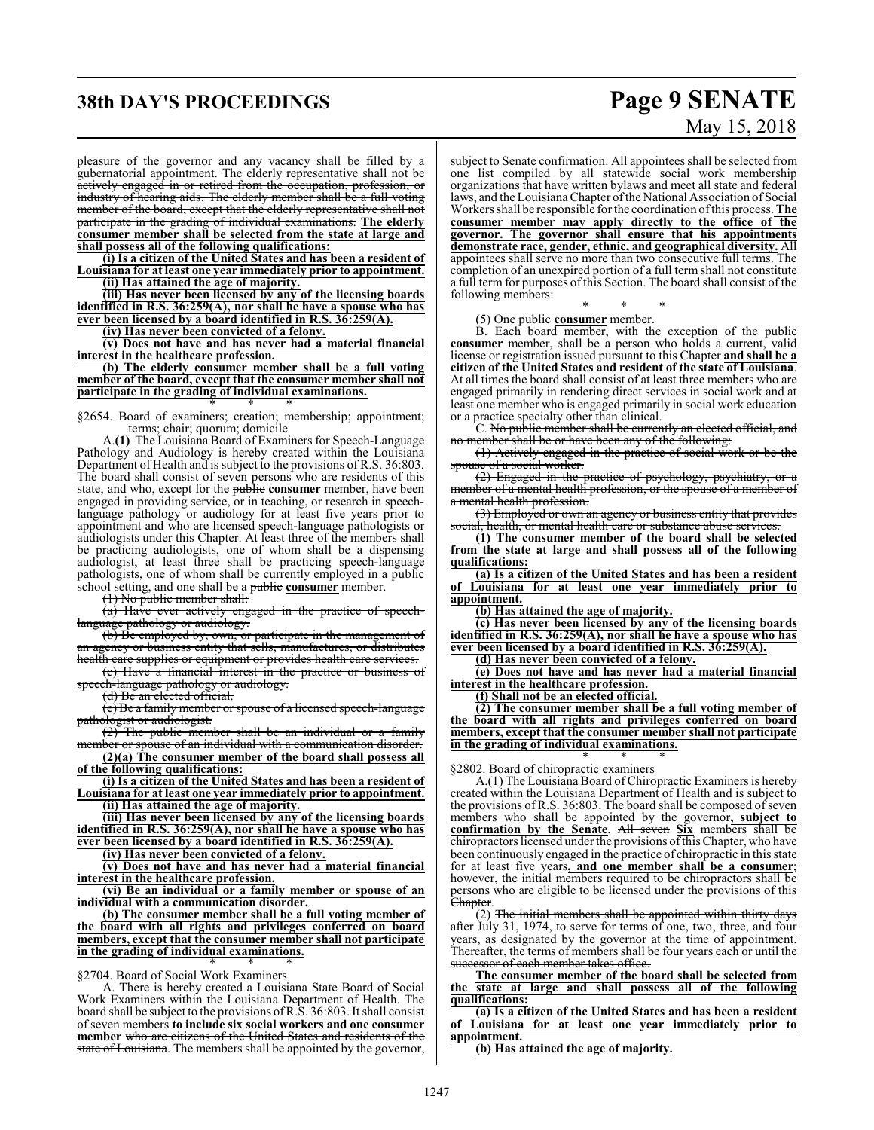# **38th DAY'S PROCEEDINGS Page 9 SENATE**

# May 15, 2018

pleasure of the governor and any vacancy shall be filled by a gubernatorial appointment. The elderly representative shall not be actively engaged in or retired from the occupation, profession, or industry of hearing aids. The elderly member shall be a full voting member of the board, except that the elderly representative shall not participate in the grading of individual examinations. **The elderly consumer member shall be selected from the state at large and shall possess all of the following qualifications:**

**(i) Is a citizen of the United States and has been a resident of Louisiana for at least one year immediately prior to appointment. (ii) Has attained the age of majority.**

**(iii) Has never been licensed by any of the licensing boards identified in R.S. 36:259(A), nor shall he have a spouse who has ever been licensed by a board identified in R.S. 36:259(A).**

**(iv) Has never been convicted of a felony.**

**(v) Does not have and has never had a material financial interest in the healthcare profession.**

**(b) The elderly consumer member shall be a full voting member of the board, except that the consumer member shall not participate in the grading of individual examinations.** \* \* \*

§2654. Board of examiners; creation; membership; appointment; terms; chair; quorum; domicile

A.**(1)** The Louisiana Board of Examiners for Speech-Language Pathology and Audiology is hereby created within the Louisiana Department of Health and is subject to the provisions of R.S. 36:803. The board shall consist of seven persons who are residents of this state, and who, except for the public **consumer** member, have been engaged in providing service, or in teaching, or research in speechlanguage pathology or audiology for at least five years prior to appointment and who are licensed speech-language pathologists or audiologists under this Chapter. At least three of the members shall be practicing audiologists, one of whom shall be a dispensing audiologist, at least three shall be practicing speech-language pathologists, one of whom shall be currently employed in a public school setting, and one shall be a public **consumer** member.

(1) No public member shall:

 $(a)$  Have ever actively engaged in the practice of speechlanguage pathology or audiology.

(b) Be employed by, own, or participate in the management of an agency or business entity that sells, manufactures, or distributes

health care supplies or equipment or provides health care services. (c) Have a financial interest in the practice or business of speech-language pathology or audiology.

(d) Be an elected official.

(e) Be a family member or spouse of a licensed speech-language pathologist or audiologist.

 $(2)$  The public member shall be an individual or a family member or spouse of an individual with a communication disorder

**(2)(a) The consumer member of the board shall possess all of the following qualifications:**

**(i) Is a citizen of the United States and has been a resident of Louisiana for at least one year immediately prior to appointment. (ii) Has attained the age of majority.**

**(iii) Has never been licensed by any of the licensing boards identified in R.S. 36:259(A), nor shall he have a spouse who has ever been licensed by a board identified in R.S. 36:259(A).**

**(iv) Has never been convicted of a felony.**

**(v) Does not have and has never had a material financial interest in the healthcare profession.**

**(vi) Be an individual or a family member or spouse of an individual with a communication disorder.**

**(b) The consumer member shall be a full voting member of the board with all rights and privileges conferred on board members, except that the consumer member shall not participate in the grading of individual examinations.** \* \* \*

§2704. Board of Social Work Examiners

A. There is hereby created a Louisiana State Board of Social Work Examiners within the Louisiana Department of Health. The board shall be subject to the provisions ofR.S. 36:803. It shall consist of seven members **to include six social workers and one consumer member** who are citizens of the United States and residents of the state of Louisiana. The members shall be appointed by the governor,

subject to Senate confirmation. All appointees shall be selected from one list compiled by all statewide social work membership organizations that have written bylaws and meet all state and federal laws, and the Louisiana Chapter of the National Association of Social Workers shall be responsible for the coordination ofthis process.**The consumer member may apply directly to the office of the governor. The governor shall ensure that his appointments demonstrate race, gender, ethnic, and geographical diversity.** All appointees shall serve no more than two consecutive full terms. The completion of an unexpired portion of a full term shall not constitute a full term for purposes of this Section. The board shall consist of the following members:

\* \* \*

(5) One public **consumer** member.

B. Each board member, with the exception of the public **consumer** member, shall be a person who holds a current, valid license or registration issued pursuant to this Chapter **and shall be a citizen of the United States and resident of the state of Louisiana**. At all times the board shall consist of at least three members who are engaged primarily in rendering direct services in social work and at least one member who is engaged primarily in social work education or a practice specialty other than clinical.

C. No public member shall be currently an elected official, and no member shall be or have been any of the following:

(1) Actively engaged in the practice of social work or be the spouse of a social worker.

(2) Engaged in the practice of psychology, psychiatry, or a member of a mental health profession, or the spouse of a member of a mental health profession.

(3) Employed or own an agency or business entity that provides al, health, or mental health care or substance abus

**(1) The consumer member of the board shall be selected from the state at large and shall possess all of the following qualifications:**

**(a) Is a citizen of the United States and has been a resident of Louisiana for at least one year immediately prior to appointment.**

**(b) Has attained the age of majority.**

**(c) Has never been licensed by any of the licensing boards identified in R.S. 36:259(A), nor shall he have a spouse who has ever been licensed by a board identified in R.S. 36:259(A).**

**(d) Has never been convicted of a felony.**

**(e) Does not have and has never had a material financial interest in the healthcare profession.**

**(f) Shall not be an elected official.**

**(2) The consumer member shall be a full voting member of the board with all rights and privileges conferred on board members, except that the consumer member shall not participate in the grading of individual examinations.**

\* \* \* §2802. Board of chiropractic examiners

A.(1) The Louisiana Board of Chiropractic Examiners is hereby created within the Louisiana Department of Health and is subject to the provisions of R.S.  $36:803$ . The board shall be composed of seven members who shall be appointed by the governor**, subject to confirmation by the Senate**. All seven **Six** members shall be chiropractors licensed under the provisions ofthis Chapter, who have been continuously engaged in the practice of chiropractic in this state for at least five years**, and one member shall be a consumer**; however, the initial members required to be chiropractors shall be persons who are eligible to be licensed under the provisions of this Chapter.

(2) The initial members shall be appointed within thirty days after July 31, 1974, to serve for terms of one, two, three, and four years, as designated by the governor at the time of appointment. Thereafter, the terms of members shall be four years each or until the essor of each member takes office

**The consumer member of the board shall be selected from the state at large and shall possess all of the following qualifications:**

**(a) Is a citizen of the United States and has been a resident of Louisiana for at least one year immediately prior to appointment.**

**(b) Has attained the age of majority.**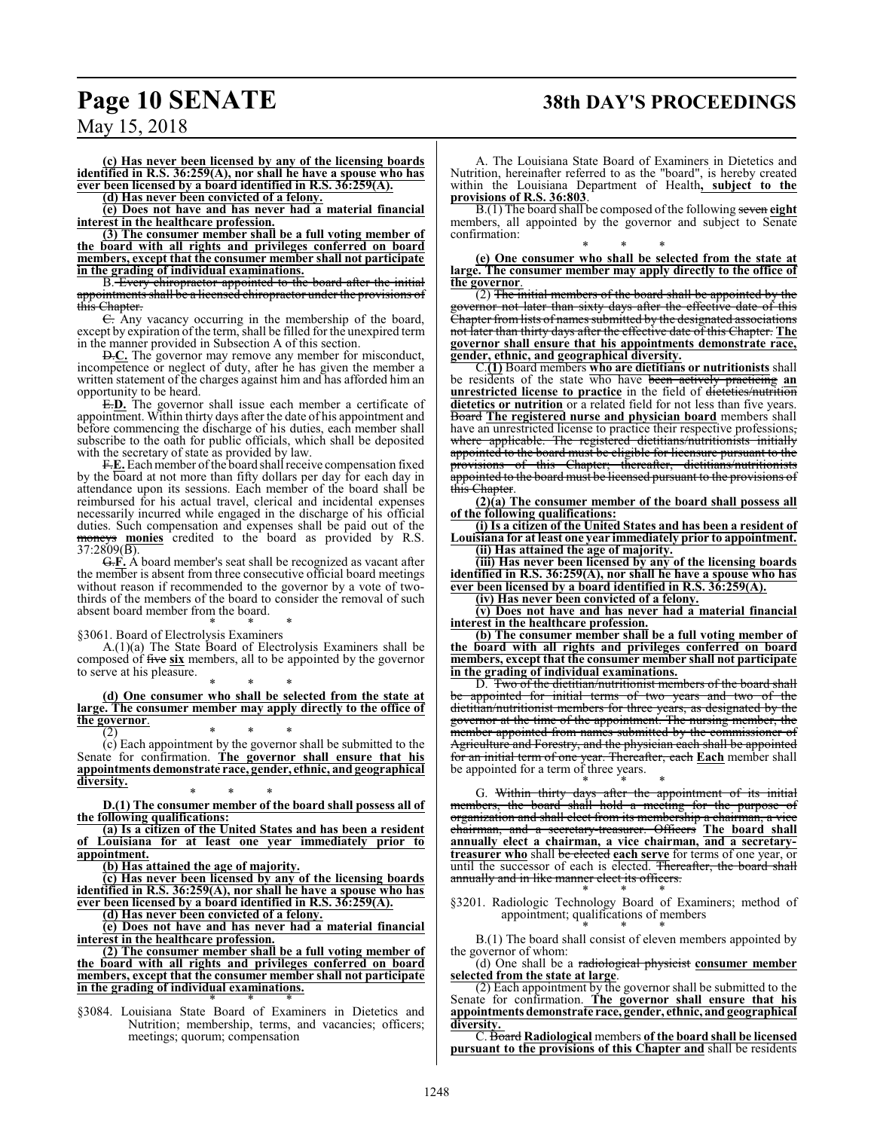# **Page 10 SENATE 38th DAY'S PROCEEDINGS**

May 15, 2018

**(c) Has never been licensed by any of the licensing boards identified in R.S. 36:259(A), nor shall he have a spouse who has** ever been licensed by a board identified in R.S. 36:259(A).

**(d) Has never been convicted of a felony.**

**(e) Does not have and has never had a material financial interest in the healthcare profession.**

**(3) The consumer member shall be a full voting member of the board with all rights and privileges conferred on board members, except that the consumer member shall not participate in the grading of individual examinations.**

B. Every chiropractor appointed to the board after the initial appointments shall be a licensed chiropractor under the provisions of this Chapter.

 $E$ . Any vacancy occurring in the membership of the board, except by expiration of the term, shall be filled for the unexpired term in the manner provided in Subsection A of this section.

D.**C.** The governor may remove any member for misconduct, incompetence or neglect of duty, after he has given the member a written statement of the charges against him and has afforded him an opportunity to be heard.

E.**D.** The governor shall issue each member a certificate of appointment. Within thirty days after the date of his appointment and before commencing the discharge of his duties, each member shall subscribe to the oath for public officials, which shall be deposited with the secretary of state as provided by law.

F.**E.** Eachmember ofthe board shall receive compensation fixed by the board at not more than fifty dollars per day for each day in attendance upon its sessions. Each member of the board shall be reimbursed for his actual travel, clerical and incidental expenses necessarily incurred while engaged in the discharge of his official duties. Such compensation and expenses shall be paid out of the moneys monies credited to the board as provided by R.S.  $37:2809(B)$ .

G.**F.** A board member's seat shall be recognized as vacant after the member is absent from three consecutive official board meetings without reason if recommended to the governor by a vote of twothirds of the members of the board to consider the removal of such absent board member from the board.

\* \* \* §3061. Board of Electrolysis Examiners

A.(1)(a) The State Board of Electrolysis Examiners shall be composed of five **six** members, all to be appointed by the governor to serve at his pleasure. \* \* \*

**(d) One consumer who shall be selected from the state at large. The consumer member may apply directly to the office of the governor**.

(2) \* \* \* (c) Each appointment by the governor shall be submitted to the Senate for confirmation. **The governor shall ensure that his appointments demonstrate race, gender, ethnic, and geographical diversity.**

\* \* \* **D.(1) The consumer member of the board shall possess all of the following qualifications:**

**(a) Is a citizen of the United States and has been a resident of Louisiana for at least one year immediately prior to appointment.**

**(b) Has attained the age of majority.**

**(c) Has never been licensed by any of the licensing boards identified in R.S. 36:259(A), nor shall he have a spouse who has ever been licensed by a board identified in R.S. 36:259(A).**

**(d) Has never been convicted of a felony.**

**(e) Does not have and has never had a material financial interest in the healthcare profession.**

**(2) The consumer member shall be a full voting member of the board with all rights and privileges conferred on board members, except that the consumer member shall not participate in the grading of individual examinations.** \* \* \*

§3084. Louisiana State Board of Examiners in Dietetics and Nutrition; membership, terms, and vacancies; officers; meetings; quorum; compensation

A. The Louisiana State Board of Examiners in Dietetics and Nutrition, hereinafter referred to as the "board", is hereby created within the Louisiana Department of Health**, subject to the provisions of R.S. 36:803**.

B.(1) The board shall be composed of the following seven **eight** members, all appointed by the governor and subject to Senate confirmation:

\* \* \* **(e) One consumer who shall be selected from the state at large. The consumer member may apply directly to the office of the governor**.

(2) The initial members of the board shall be appointed by the overnor not later than sixty days after the effective date of this Chapter fromlists of names submitted by the designated associations not later than thirty days after the effective date of this Chapter. **The governor shall ensure that his appointments demonstrate race, gender, ethnic, and geographical diversity.**

C.**(1)** Board members **who are dietitians or nutritionists** shall be residents of the state who have been actively practicing **an unrestricted license to practice** in the field of dietetics/nutrition **dietetics or nutrition** or a related field for not less than five years. Board **The registered nurse and physician board** members shall have an unrestricted license to practice their respective professions, where applicable. The registered dietitians/nutritionists initially appointed to the board must be eligible for licensure pursuant to the provisions of this Chapter; thereafter, dietitians/nutritionists appointed to the board must be licensed pursuant to the provisions of this Chapter.

**(2)(a) The consumer member of the board shall possess all of the following qualifications:**

**(i) Is a citizen of the United States and has been a resident of Louisiana for at least one year immediately prior to appointment.**

**(ii) Has attained the age of majority. (iii) Has never been licensed by any of the licensing boards identified in R.S. 36:259(A), nor shall he have a spouse who has**

**ever been licensed by a board identified in R.S. 36:259(A).**

**(iv) Has never been convicted of a felony.**

**(v) Does not have and has never had a material financial interest in the healthcare profession.**

**(b) The consumer member shall be a full voting member of the board with all rights and privileges conferred on board members, except that the consumer member shall not participate in the grading of individual examinations.**

D. Two of the dietitian/nutritionist members of the board shall appointed for initial terms of two years and two of the dietitian/nutritionist members for three years, as designated by the governor at the time of the appointment. The nursing member, the member appointed from names submitted by the commissioner of Agriculture and Forestry, and the physician each shall be appointed for an initial term of one year. Thereafter, each **Each** member shall be appointed for a term of three years.

\* \* \* G. Within thirty days after the appointment of its initial G. Within thirty days after the appointment of its initial members, the board shall hold a meeting for the purpose of organization and shall elect from its membership a chairman, a vice chairman, and a secretary-treasurer. Officers **The board shall annually elect a chairman, a vice chairman, and a secretarytreasurer who** shall be elected **each serve** for terms of one year, or until the successor of each is elected. Thereafter, the board shall annually and in like manner elect its officers.

\* \* \* §3201. Radiologic Technology Board of Examiners; method of appointment; qualifications of members

\* \* \* B.(1) The board shall consist of eleven members appointed by the governor of whom:

(d) One shall be a radiological physicist **consumer member selected from the state at large**.

(2) Each appointment by the governor shall be submitted to the Senate for confirmation. **The governor shall ensure that his appointments demonstrate race, gender, ethnic, andgeographical diversity.** 

C. Board **Radiological** members **of the board shall be licensed pursuant to the provisions of this Chapter and** shall be residents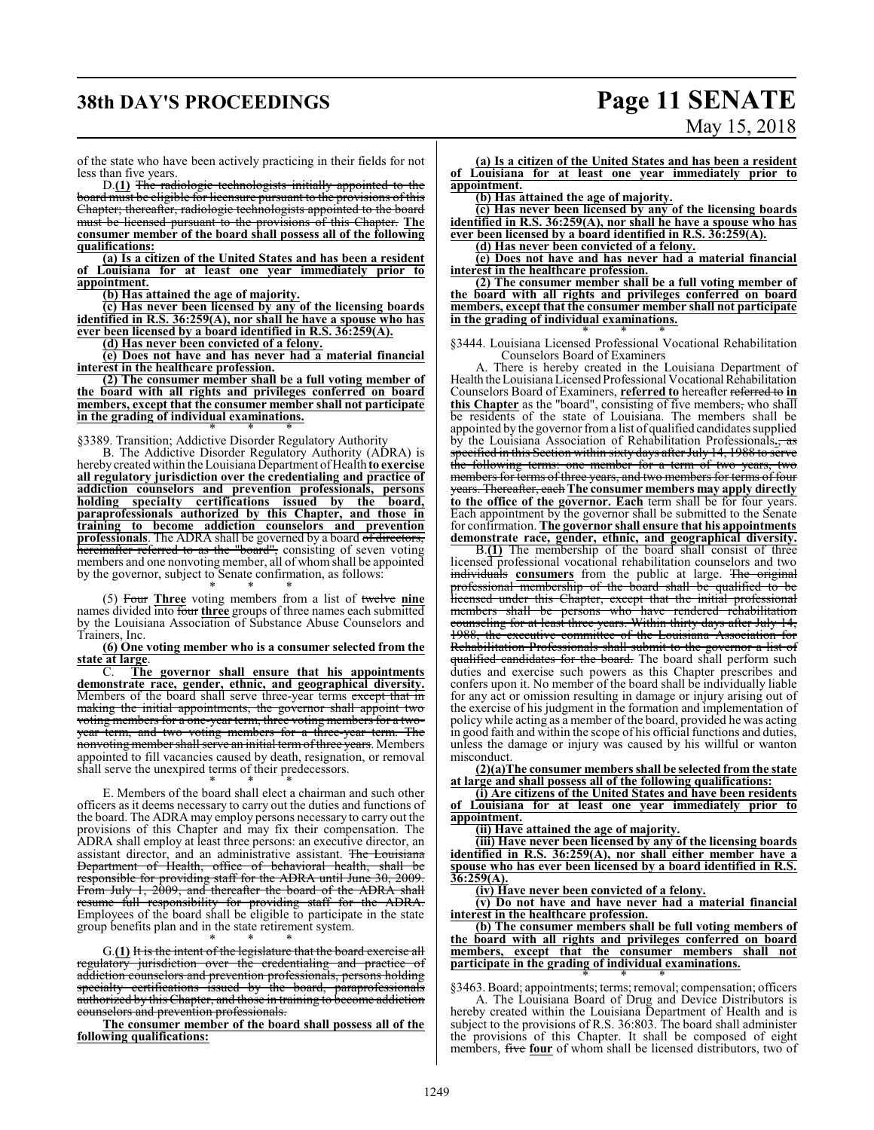# **38th DAY'S PROCEEDINGS Page 11 SENATE**

# May 15, 2018

of the state who have been actively practicing in their fields for not less than five years.

D.**(1)** The radiologic technologists initially appointed to the board must be eligible for licensure pursuant to the provisions of this Chapter; thereafter, radiologic technologists appointed to the board must be licensed pursuant to the provisions of this Chapter. **The consumer member of the board shall possess all of the following qualifications:**

**(a) Is a citizen of the United States and has been a resident of Louisiana for at least one year immediately prior to appointment.**

**(b) Has attained the age of majority.**

**(c) Has never been licensed by any of the licensing boards identified in R.S. 36:259(A), nor shall he have a spouse who has ever been licensed by a board identified in R.S. 36:259(A).**

**(d) Has never been convicted of a felony.**

**(e) Does not have and has never had a material financial interest in the healthcare profession.**

**(2) The consumer member shall be a full voting member of the board with all rights and privileges conferred on board members, except that the consumer member shall not participate in the grading of individual examinations.** \* \* \*

§3389. Transition; Addictive Disorder Regulatory Authority

B. The Addictive Disorder Regulatory Authority (ADRA) is hereby createdwithin the Louisiana Department ofHealth **to exercise all regulatory jurisdiction over the credentialing and practice of addiction counselors and prevention professionals, persons holding specialty certifications issued by the board, paraprofessionals authorized by this Chapter, and those in training to become addiction counselors and prevention professionals**. The ADRA shall be governed by a board of directors, hereinafter referred to as the "board", consisting of seven voting members and one nonvoting member, all of whom shall be appointed by the governor, subject to Senate confirmation, as follows: \* \* \*

(5) Four **Three** voting members from a list of twelve **nine** names divided into four **three** groups of three names each submitted by the Louisiana Association of Substance Abuse Counselors and Trainers, Inc.

**(6) One voting member who is a consumer selected from the** state at large.

The governor shall ensure that his appointments **demonstrate race, gender, ethnic, and geographical diversity.** Members of the board shall serve three-year terms except that in making the initial appointments, the governor shall appoint two voting members for a one-year term, three voting members for a twoyear term, and two voting members for a three-year term. The nonvoting member shall serve an initial term of three years. Members appointed to fill vacancies caused by death, resignation, or removal shall serve the unexpired terms of their predecessors. \* \* \*

E. Members of the board shall elect a chairman and such other officers as it deems necessary to carry out the duties and functions of the board. The ADRA may employ persons necessary to carry out the provisions of this Chapter and may fix their compensation. The ADRA shall employ at least three persons: an executive director, an assistant director, and an administrative assistant. The Louisiana Department of Health, office of behavioral health, shall be responsible for providing staff for the ADRA until June 30, 2009. From July 1, 2009, and thereafter the board of the ADRA shall resume full responsibility for providing staff for the ADRA. Employees of the board shall be eligible to participate in the state group benefits plan and in the state retirement system. \* \* \*

G.**(1)** It is the intent of the legislature that the board exercise all regulatory jurisdiction over the credentialing and practice of addiction counselors and prevention professionals, persons holding specialty certifications issued by the board, paraprofessionals certifications issued by the board, paraprofessionals authorized by this Chapter, and those in training to become addiction counselors and prevention professionals.

**The consumer member of the board shall possess all of the following qualifications:**

**(a) Is a citizen of the United States and has been a resident of Louisiana for at least one year immediately prior to appointment.**

**(b) Has attained the age of majority.**

**(c) Has never been licensed by any of the licensing boards identified in R.S. 36:259(A), nor shall he have a spouse who has ever been licensed by a board identified in R.S. 36:259(A).**

**(d) Has never been convicted of a felony.**

**(e) Does not have and has never had a material financial interest in the healthcare profession.**

**(2) The consumer member shall be a full voting member of the board with all rights and privileges conferred on board members, except that the consumer member shall not participate in the grading of individual examinations.** \* \* \*

§3444. Louisiana Licensed Professional Vocational Rehabilitation Counselors Board of Examiners

A. There is hereby created in the Louisiana Department of Health the Louisiana Licensed Professional Vocational Rehabilitation Counselors Board of Examiners, **referred to** hereafter referred to **in this Chapter** as the "board", consisting of five members, who shall be residents of the state of Louisiana. The members shall be appointed by the governor froma list of qualified candidates supplied by the Louisiana Association of Rehabilitation Professionals**.**, as specified in this Section within sixty days after July 14, 1988 to serve the following terms: one member for a term of two years, two members for terms of three years, and two members for terms of four years. Thereafter, each **The consumer members may apply directly to the office of the governor. Each** term shall be for four years. Each appointment by the governor shall be submitted to the Senate for confirmation. **The governor shall ensure that his appointments demonstrate race, gender, ethnic, and geographical diversity.**

B.**(1)** The membership of the board shall consist of three licensed professional vocational rehabilitation counselors and two individuals **consumers** from the public at large. The original professional membership of the board shall be qualified to be licensed under this Chapter, except that the initial professional members shall be persons who have rendered rehabilitation counseling for at least three years. Within thirty days after July 14, 1988, the executive committee of the Louisiana Association for Rehabilitation Professionals shall submit to the governor a list of qualified candidates for the board. The board shall perform such duties and exercise such powers as this Chapter prescribes and confers upon it. No member of the board shall be individually liable for any act or omission resulting in damage or injury arising out of the exercise of his judgment in the formation and implementation of policy while acting as a member of the board, provided he was acting in good faith and within the scope of his official functions and duties, unless the damage or injury was caused by his willful or wanton misconduct.

**(2)(a)The consumer members shall be selected from the state at large and shall possess all of the following qualifications:**

**(i) Are citizens of the United States and have been residents of Louisiana for at least one year immediately prior to appointment.**

**(ii) Have attained the age of majority.**

**(iii) Have never been licensed by any of the licensing boards identified in R.S. 36:259(A), nor shall either member have a spouse who has ever been licensed by a board identified in R.S. 36:259(A).**

**(iv) Have never been convicted of a felony.**

**(v) Do not have and have never had a material financial interest in the healthcare profession.**

**(b) The consumer members shall be full voting members of the board with all rights and privileges conferred on board members, except that the consumer members shall not participate in the grading of individual examinations.** \* \* \*

§3463. Board; appointments; terms; removal; compensation; officers A. The Louisiana Board of Drug and Device Distributors is hereby created within the Louisiana Department of Health and is subject to the provisions of R.S. 36:803. The board shall administer the provisions of this Chapter. It shall be composed of eight members, five **four** of whom shall be licensed distributors, two of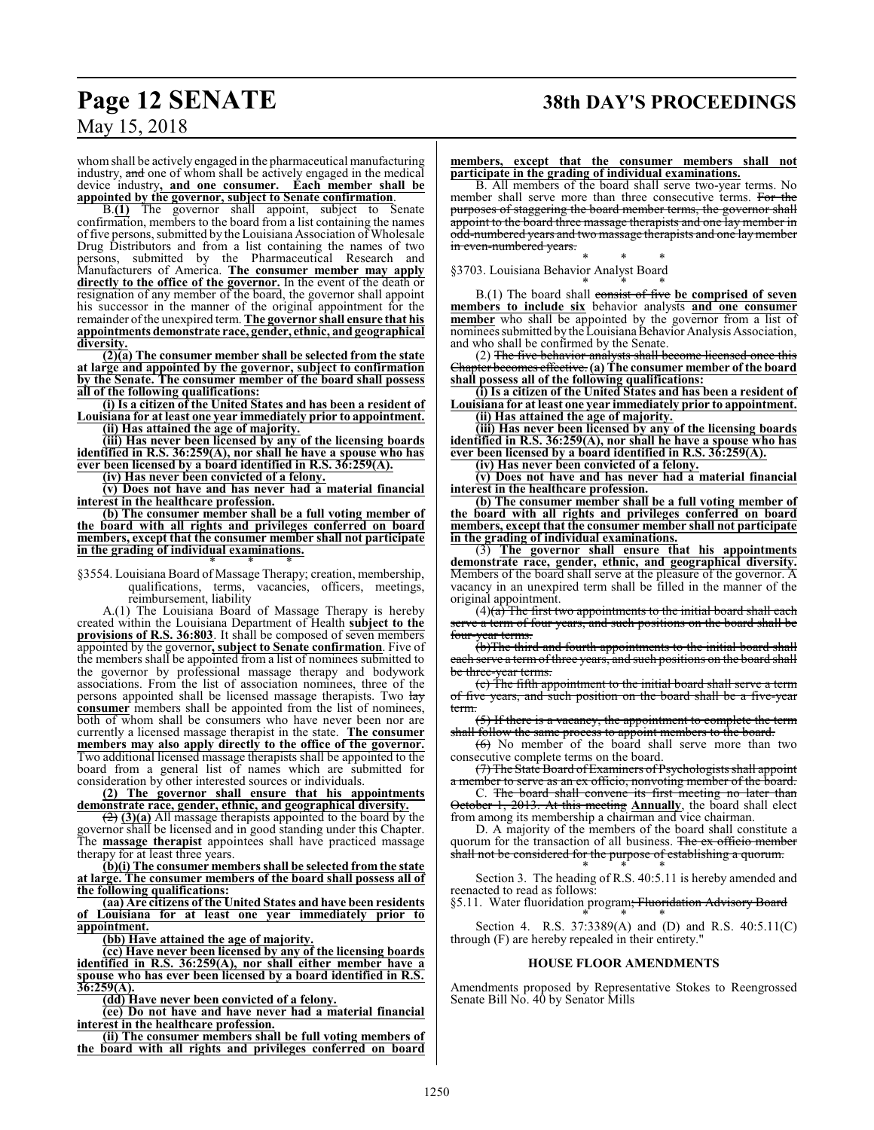# **Page 12 SENATE 38th DAY'S PROCEEDINGS**

whomshall be actively engaged in the pharmaceutical manufacturing industry, and one of whom shall be actively engaged in the medical device industry**, and one consumer. Each member shall be appointed by the governor, subject to Senate confirmation**.

B.**(1)** The governor shall appoint, subject to Senate confirmation, members to the board from a list containing the names offive persons, submitted by the Louisiana Association of Wholesale Drug Distributors and from a list containing the names of two persons, submitted by the Pharmaceutical Research and Manufacturers of America. **The consumer member may apply directly to the office of the governor.** In the event of the death or resignation of any member of the board, the governor shall appoint his successor in the manner of the original appointment for the remainder ofthe unexpired term. **The governor shall ensure that his appointments demonstrate race, gender, ethnic, and geographical diversity.**

**(2)(a) The consumer member shall be selected from the state at large and appointed by the governor, subject to confirmation by the Senate. The consumer member of the board shall possess all of the following qualifications:**

**(i) Is a citizen of the United States and has been a resident of Louisiana for at least one year immediately prior to appointment. (ii) Has attained the age of majority.**

**(iii) Has never been licensed by any of the licensing boards identified in R.S. 36:259(A), nor shall he have a spouse who has ever been licensed by a board identified in R.S. 36:259(A).**

**(iv) Has never been convicted of a felony.**

**(v) Does not have and has never had a material financial interest in the healthcare profession.**

**(b) The consumer member shall be a full voting member of the board with all rights and privileges conferred on board members, except that the consumer member shall not participate in the grading of individual examinations.** \* \* \*

§3554. Louisiana Board of Massage Therapy; creation, membership, qualifications, terms, vacancies, officers, meetings, reimbursement, liability

A.(1) The Louisiana Board of Massage Therapy is hereby created within the Louisiana Department of Health **subject to the provisions of R.S. 36:803**. It shall be composed of seven members appointed by the governor**, subject to Senate confirmation**. Five of the members shall be appointed from a list of nominees submitted to the governor by professional massage therapy and bodywork associations. From the list of association nominees, three of the persons appointed shall be licensed massage therapists. Two lay **consumer** members shall be appointed from the list of nominees, both of whom shall be consumers who have never been nor are currently a licensed massage therapist in the state. **The consumer members may also apply directly to the office of the governor.** Two additional licensed massage therapists shall be appointed to the board from a general list of names which are submitted for consideration by other interested sources or individuals.

**(2) The governor shall ensure that his appointments demonstrate race, gender, ethnic, and geographical diversity.**

(2) **(3)(a)** All massage therapists appointed to the board by the governor shall be licensed and in good standing under this Chapter. The **massage therapist** appointees shall have practiced massage therapy for at least three years.

**(b)(i) The consumer members shall be selected fromthe state at large. The consumer members of the board shall possess all of the following qualifications:**

**(aa) Are citizens of the United States and have been residents of Louisiana for at least one year immediately prior to appointment.**

**(bb) Have attained the age of majority.**

**(cc) Have never been licensed by any of the licensing boards identified in R.S. 36:259(A), nor shall either member have a spouse who has ever been licensed by a board identified in R.S. 36:259(A).**

**(dd) Have never been convicted of a felony.**

**(ee) Do not have and have never had a material financial interest in the healthcare profession.**

**(ii) The consumer members shall be full voting members of the board with all rights and privileges conferred on board**

## **members, except that the consumer members shall not participate in the grading of individual examinations.**

B. All members of the board shall serve two-year terms. No member shall serve more than three consecutive terms. For the purposes of staggering the board member terms, the governor shall appoint to the board three massage therapists and one lay member in odd-numbered years and two massage therapists and one laymember in even-numbered years.

\* \* \* §3703. Louisiana Behavior Analyst Board

\* \* \* B.(1) The board shall consist of five **be comprised of seven members to include six** behavior analysts **and one consumer member** who shall be appointed by the governor from a list of nominees submitted by the Louisiana Behavior Analysis Association, and who shall be confirmed by the Senate.

(2) The five behavior analysts shall become licensed once this Chapter becomes effective. **(a) The consumer member of the board shall possess all of the following qualifications:**

**(i) Is a citizen of the United States and has been a resident of Louisiana for at least one year immediately prior to appointment. (ii) Has attained the age of majority.**

**(iii) Has never been licensed by any of the licensing boards identified in R.S. 36:259(A), nor shall he have a spouse who has ever been licensed by a board identified in R.S. 36:259(A).**

**(iv) Has never been convicted of a felony.**

**(v) Does not have and has never had a material financial interest in the healthcare profession.**

**(b) The consumer member shall be a full voting member of the board with all rights and privileges conferred on board members, except that the consumer member shall not participate in the grading of individual examinations.**

(3) **The governor shall ensure that his appointments demonstrate race, gender, ethnic, and geographical diversity.**  Members of the board shall serve at the pleasure of the governor. A vacancy in an unexpired term shall be filled in the manner of the original appointment.

 $(4)(a)$  The first two appointments to the initial board shall each serve a term of four years, and such positions on the board shall be four-year terms.

(b)The third and fourth appointments to the initial board shall each serve a term of three years, and such positions on the board shall be three-year terms.

(c) The fifth appointment to the initial board shall serve a term of five years, and such position on the board shall be a five-year term.

(5) If there is a vacancy, the appointment to complete the term shall follow the same process to appoint members to the board.

 $(6)$  No member of the board shall serve more than two consecutive complete terms on the board.

(7) The State Board ofExaminers of Psychologists shall appoint a member to serve as an ex officio, nonvoting member of the board.

C. The board shall convene its first meeting no later than October 1, 2013. At this meeting **Annually**, the board shall elect from among its membership a chairman and vice chairman.

D. A majority of the members of the board shall constitute a quorum for the transaction of all business. <del>The ex officio member</del> shall not be considered for the purpose of establishing a quorum.

\* \* \* Section 3. The heading of R.S. 40:5.11 is hereby amended and reenacted to read as follows:

§5.11. Water fluoridation program; Fluoridation Advisory Board \* \* \*

Section 4. R.S. 37:3389(A) and (D) and R.S. 40:5.11(C) through (F) are hereby repealed in their entirety."

# **HOUSE FLOOR AMENDMENTS**

Amendments proposed by Representative Stokes to Reengrossed Senate Bill No. 40 by Senator Mills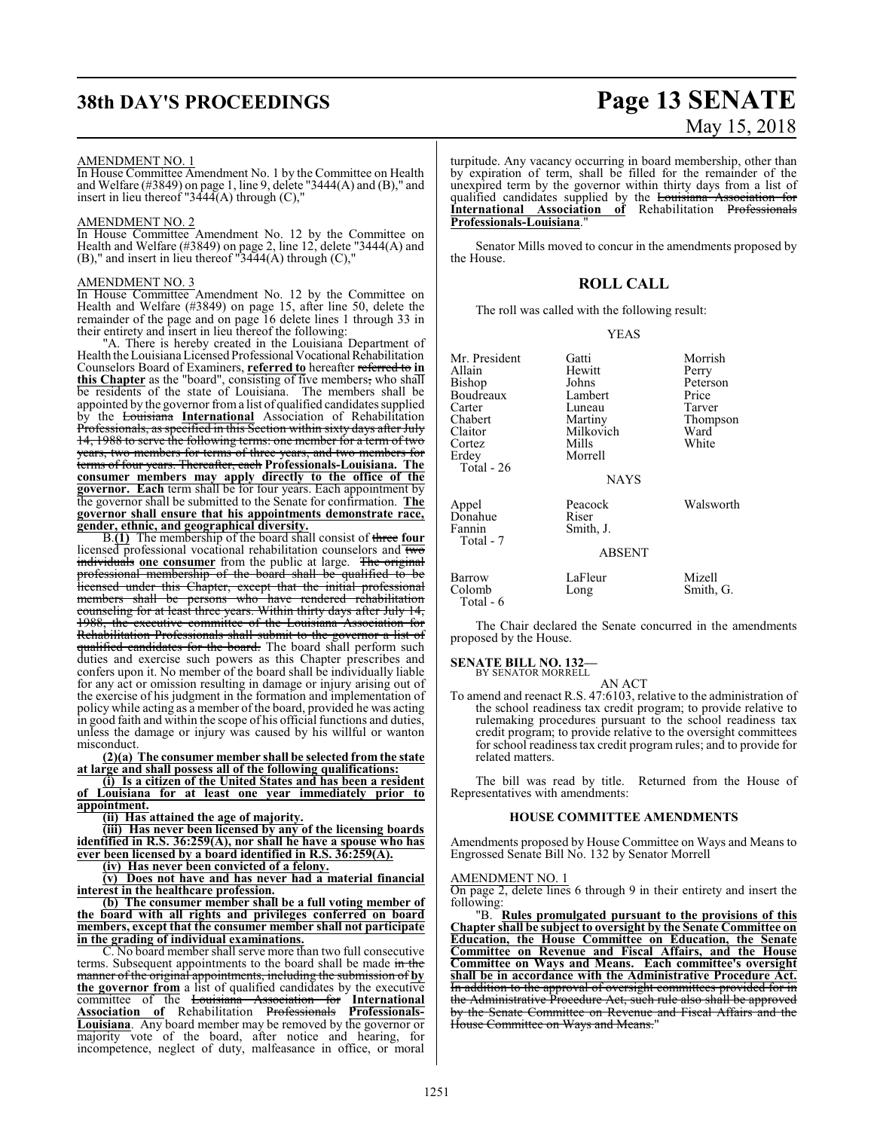# **38th DAY'S PROCEEDINGS Page 13 SENATE**

# May 15, 2018

## AMENDMENT NO. 1

In House Committee Amendment No. 1 by the Committee on Health and Welfare (#3849) on page 1, line 9, delete "3444(A) and (B)," and insert in lieu thereof "3444(A) through  $(C)$ ,"

# AMENDMENT NO. 2

In House Committee Amendment No. 12 by the Committee on Health and Welfare (#3849) on page 2, line 12, delete "3444(A) and  $(B)$ ," and insert in lieu thereof "3444 $(A)$  through  $(C)$ ,"

# AMENDMENT NO. 3

In House Committee Amendment No. 12 by the Committee on Health and Welfare (#3849) on page 15, after line 50, delete the remainder of the page and on page 16 delete lines 1 through 33 in their entirety and insert in lieu thereof the following:

"A. There is hereby created in the Louisiana Department of Health the Louisiana Licensed Professional Vocational Rehabilitation Counselors Board of Examiners, **referred to** hereafter referred to **in this Chapter** as the "board", consisting of five members, who shall be residents of the state of Louisiana. The members shall be appointed by the governor froma list of qualified candidates supplied by the Louisiana **International** Association of Rehabilitation Professionals, as specified in this Section within sixty days after July 14, 1988 to serve the following terms: one member for a term of two years, two members for terms of three years, and two members terms of four years. Thereafter, each **Professionals-Louisiana. The consumer members may apply directly to the office of the governor. Each** term shall be for four years. Each appointment by the governor shall be submitted to the Senate for confirmation. **The governor shall ensure that his appointments demonstrate race, gender, ethnic, and geographical diversity.**

B.**(1)** The membership of the board shall consist of three **four** licensed professional vocational rehabilitation counselors and  $\overline{two}$ individuals **one consumer** from the public at large. The original professional membership of the board shall be qualified to be licensed under this Chapter, except that the initial professional members shall be persons who have rendered rehabilitation counseling for at least three years. Within thirty days after July 14, 1988, the executive committee of the Louisiana Association for Rehabilitation Professionals shall submit to the governor a list of qualified candidates for the board. The board shall perform such duties and exercise such powers as this Chapter prescribes and confers upon it. No member of the board shall be individually liable for any act or omission resulting in damage or injury arising out of the exercise of his judgment in the formation and implementation of policy while acting as a member of the board, provided he was acting in good faith and within the scope of his official functions and duties, unless the damage or injury was caused by his willful or wanton misconduct.

**(2)(a) The consumer member shall be selected from the state at large and shall possess all of the following qualifications:**

**(i) Is a citizen of the United States and has been a resident of Louisiana for at least one year immediately prior to appointment.**

**(ii) Has attained the age of majority.**

**(iii) Has never been licensed by any of the licensing boards identified in R.S. 36:259(A), nor shall he have a spouse who has ever been licensed by a board identified in R.S. 36:259(A).**

**(iv) Has never been convicted of a felony.**

**(v) Does not have and has never had a material financial interest in the healthcare profession.**

**(b) The consumer member shall be a full voting member of the board with all rights and privileges conferred on board members, except that the consumer member shall not participate in the grading of individual examinations.**

C. No board member shall serve more than two full consecutive terms. Subsequent appointments to the board shall be made in the manner of the original appointments, including the submission of **by the governor from** a list of qualified candidates by the executive committee of the Louisiana Association for **International Association of** Rehabilitation Professionals **Professionals-Louisiana**. Any board member may be removed by the governor or majority vote of the board, after notice and hearing, for incompetence, neglect of duty, malfeasance in office, or moral turpitude. Any vacancy occurring in board membership, other than by expiration of term, shall be filled for the remainder of the unexpired term by the governor within thirty days from a list of qualified candidates supplied by the Louisiana Association for **International Association of** Rehabilitation Professionals **Professionals-Louisiana**."

Senator Mills moved to concur in the amendments proposed by the House.

# **ROLL CALL**

The roll was called with the following result:

## YEAS

| Mr. President<br>Allain<br>Bishop<br>Boudreaux<br>Carter<br>Chabert<br>Claitor<br>Cortez<br>Erdey<br>Total - 26 | Gatti<br>Hewitt<br>Johns<br>Lambert<br>Luneau<br>Martiny<br>Milkovich<br>Mills<br>Morrell | Morrish<br>Perry<br>Peterson<br>Price<br>Tarver<br>Thompson<br>Ward<br>White |
|-----------------------------------------------------------------------------------------------------------------|-------------------------------------------------------------------------------------------|------------------------------------------------------------------------------|
|                                                                                                                 | <b>NAYS</b>                                                                               |                                                                              |
| Appel<br>Donahue<br>Fannin<br>Total - 7                                                                         | Peacock<br>Riser<br>Smith, J.<br><b>ABSENT</b>                                            | Walsworth                                                                    |
| Barrow<br>Colomb<br>Total - 6                                                                                   | LaFleur<br>Long                                                                           | Mizell<br>Smith, G.                                                          |

The Chair declared the Senate concurred in the amendments proposed by the House.

**SENATE BILL NO. 132—**

BY SENATOR MORRELL

AN ACT To amend and reenact R.S. 47:6103, relative to the administration of the school readiness tax credit program; to provide relative to rulemaking procedures pursuant to the school readiness tax credit program; to provide relative to the oversight committees for school readiness tax credit program rules; and to provide for related matters.

The bill was read by title. Returned from the House of Representatives with amendments:

# **HOUSE COMMITTEE AMENDMENTS**

Amendments proposed by House Committee on Ways and Means to Engrossed Senate Bill No. 132 by Senator Morrell

# AMENDMENT NO. 1

On page 2, delete lines 6 through 9 in their entirety and insert the following:

"B. **Rules promulgated pursuant to the provisions of this Chapter shall be subject to oversight by the Senate Committee on Education, the House Committee on Education, the Senate Committee on Revenue and Fiscal Affairs, and the House Committee on Ways and Means. Each committee's oversight shall be in accordance with the Administrative Procedure Act.** In addition to the approval of oversight committees provided for in the Administrative Procedure Act, such rule also shall be approved by the Senate Committee on Revenue and Fiscal Affairs and the House Committee on Ways and Means."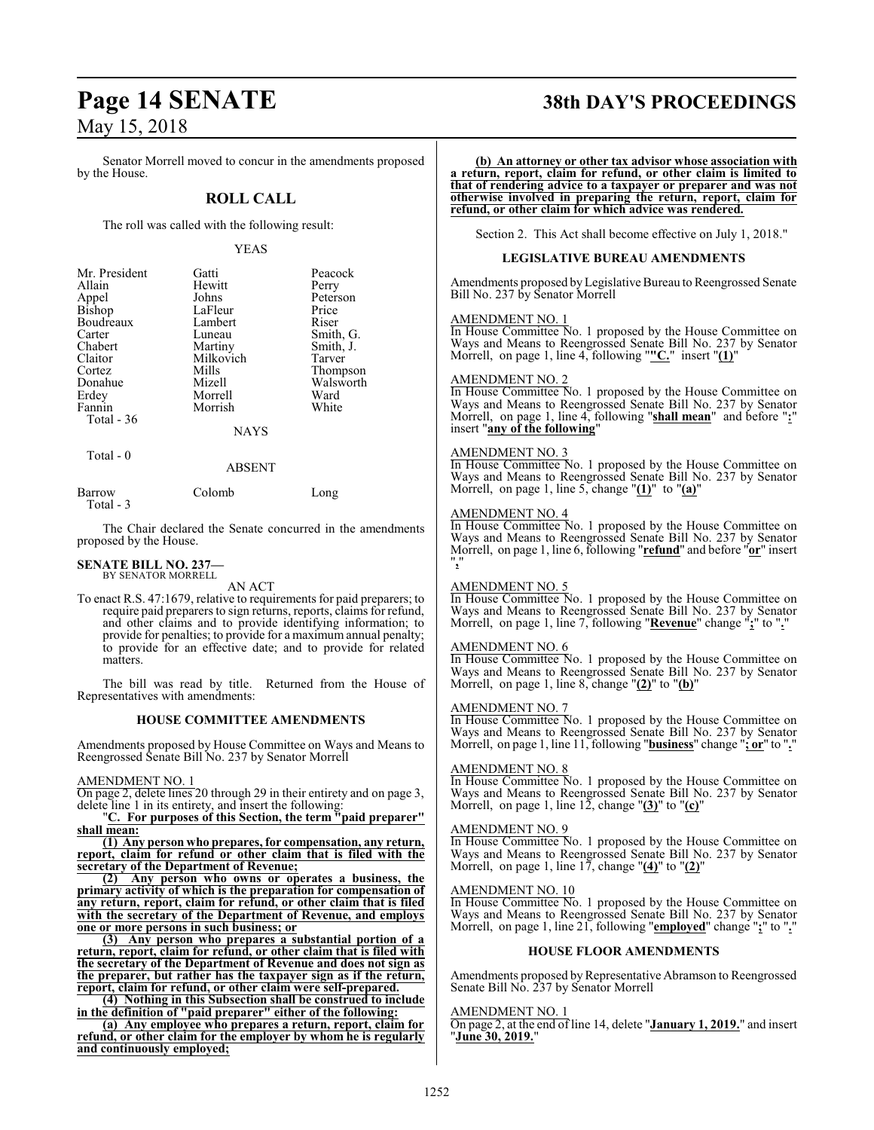Senator Morrell moved to concur in the amendments proposed by the House.

# **ROLL CALL**

The roll was called with the following result:

# YEAS

| Mr. President | Gatti       | Peacock   |
|---------------|-------------|-----------|
| Allain        | Hewitt      | Perry     |
| Appel         | Johns       | Peterson  |
| <b>Bishop</b> | LaFleur     | Price     |
| Boudreaux     | Lambert     | Riser     |
| Carter        | Luneau      | Smith, G. |
| Chabert       | Martiny     | Smith, J. |
| Claitor       | Milkovich   | Tarver    |
| Cortez        | Mills       | Thompson  |
| Donahue       | Mizell      | Walsworth |
| Erdey         | Morrell     | Ward      |
| Fannin        | Morrish     | White     |
| Total - 36    |             |           |
|               | <b>NAYS</b> |           |

Total - 0

ABSENT

| Barrow    | Colomb | Long |
|-----------|--------|------|
| Total - 3 |        |      |

The Chair declared the Senate concurred in the amendments proposed by the House.

### **SENATE BILL NO. 237—** BY SENATOR MORRELL

AN ACT

To enact R.S. 47:1679, relative to requirements for paid preparers; to require paid preparers to sign returns, reports, claims for refund, and other claims and to provide identifying information; to provide for penalties; to provide for a maximum annual penalty; to provide for an effective date; and to provide for related matters.

The bill was read by title. Returned from the House of Representatives with amendments:

# **HOUSE COMMITTEE AMENDMENTS**

Amendments proposed by House Committee on Ways and Means to Reengrossed Senate Bill No. 237 by Senator Morrell

## AMENDMENT NO. 1

On page 2, delete lines 20 through 29 in their entirety and on page 3, delete line 1 in its entirety, and insert the following:

"**C. For purposes of this Section, the term "paid preparer" shall mean:**

**(1) Any person who prepares, for compensation, any return, report, claim for refund or other claim that is filed with the secretary of the Department of Revenue;**

**(2) Any person who owns or operates a business, the primary activity of which is the preparation for compensation of any return, report, claim for refund, or other claim that is filed with the secretary of the Department of Revenue, and employs one or more persons in such business; or**

**(3) Any person who prepares a substantial portion of a return, report, claim for refund, or other claim that is filed with the secretary of the Department of Revenue and does not sign as the preparer, but rather has the taxpayer sign as if the return, report, claim for refund, or other claim were self-prepared.**

**(4) Nothing in this Subsection shall be construed to include in the definition of "paid preparer" either of the following:**

**(a) Any employee who prepares a return, report, claim for refund, or other claim for the employer by whom he is regularly and continuously employed;**

# **Page 14 SENATE 38th DAY'S PROCEEDINGS**

**(b) An attorney or other tax advisor whose association with a return, report, claim for refund, or other claim is limited to that of rendering advice to a taxpayer or preparer and was not otherwise involved in preparing the return, report, claim for refund, or other claim for which advice was rendered.**

Section 2. This Act shall become effective on July 1, 2018."

# **LEGISLATIVE BUREAU AMENDMENTS**

Amendments proposed by Legislative Bureau to Reengrossed Senate Bill No. 237 by Senator Morrell

# AMENDMENT NO. 1

In House Committee No. 1 proposed by the House Committee on Ways and Means to Reengrossed Senate Bill No. 237 by Senator Morrell, on page 1, line 4, following "**"C.**" insert "**(1)**"

## AMENDMENT NO. 2

In House Committee No. 1 proposed by the House Committee on Ways and Means to Reengrossed Senate Bill No. 237 by Senator Morrell, on page 1, line 4, following "**shall mean**" and before "**:**" insert "**any of the following**"

# AMENDMENT NO. 3

In House Committee No. 1 proposed by the House Committee on Ways and Means to Reengrossed Senate Bill No. 237 by Senator Morrell, on page 1, line 5, change "**(1)**" to "**(a)**"

# AMENDMENT NO. 4

In House Committee No. 1 proposed by the House Committee on Ways and Means to Reengrossed Senate Bill No. 237 by Senator Morrell, on page 1, line 6, following "**refund**" and before "**or**" insert "**,**"

# AMENDMENT NO. 5

In House Committee No. 1 proposed by the House Committee on If House Committee For, F proposed Senate Bill No. 237 by Senator<br>Ways and Means to Reengrossed Senate Bill No. 237 by Senator Morrell, on page 1, line 7, following "**Revenue**" change "**;**" to "**.**"

# AMENDMENT NO. 6

In House Committee No. 1 proposed by the House Committee on Ways and Means to Reengrossed Senate Bill No. 237 by Senator Morrell, on page 1, line 8, change "**(2)**" to "**(b)**"

## AMENDMENT NO. 7

In House Committee No. 1 proposed by the House Committee on Ways and Means to Reengrossed Senate Bill No. 237 by Senator Morrell, on page 1, line 11, following "**business**" change "**; or**" to "**.**"

## AMENDMENT NO. 8

In House Committee No. 1 proposed by the House Committee on Ways and Means to Reengrossed Senate Bill No. 237 by Senator Morrell, on page 1, line 12, change "**(3)**" to "**(c)**"

# AMENDMENT NO. 9

In House Committee No. 1 proposed by the House Committee on Ways and Means to Reengrossed Senate Bill No. 237 by Senator Morrell, on page 1, line 17, change "**(4)**" to "**(2)**"

# AMENDMENT NO. 10

In House Committee No. 1 proposed by the House Committee on Ways and Means to Reengrossed Senate Bill No. 237 by Senator Morrell, on page 1, line 21, following "**employed**" change "**;**" to "**.**"

# **HOUSE FLOOR AMENDMENTS**

Amendments proposed by Representative Abramson to Reengrossed Senate Bill No. 237 by Senator Morrell

# AMENDMENT NO. 1

On page 2, at the end of line 14, delete "**January 1, 2019.**" and insert "**June 30, 2019.**"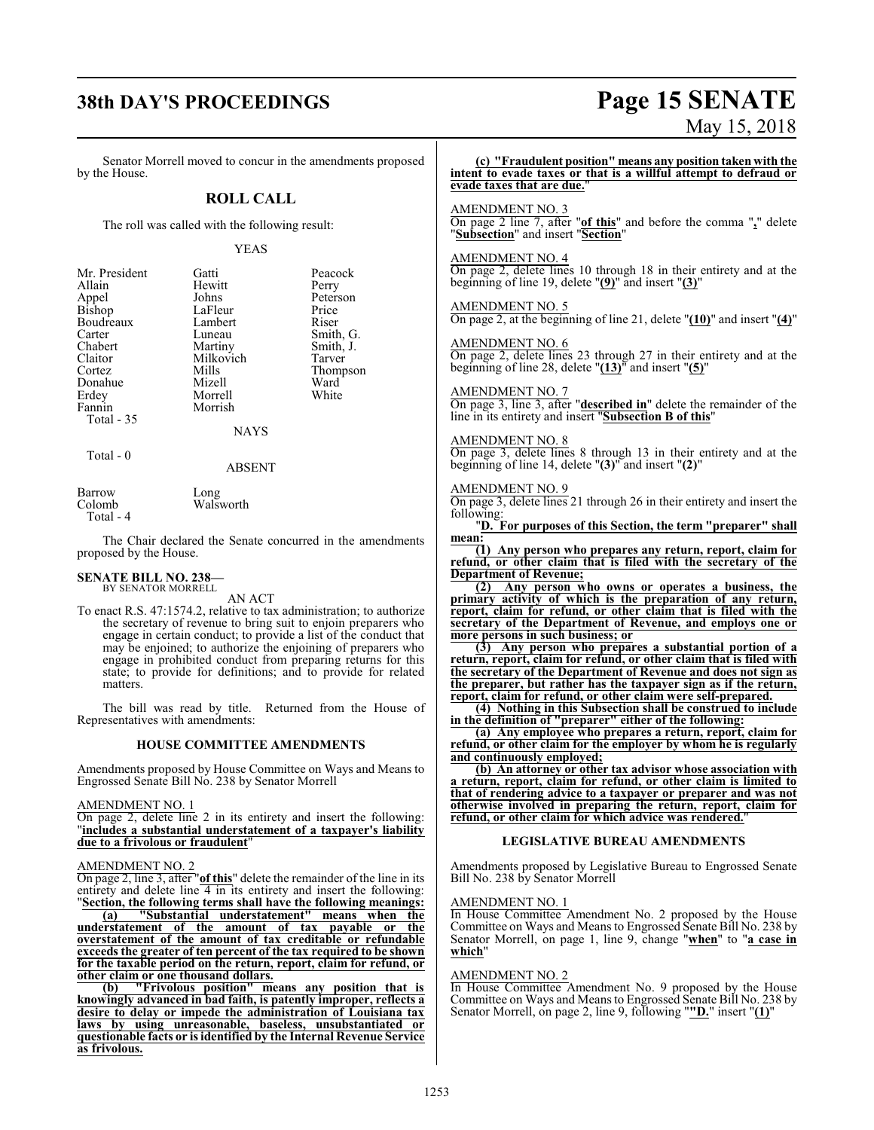# **38th DAY'S PROCEEDINGS Page 15 SENATE**

# May 15, 2018

Senator Morrell moved to concur in the amendments proposed by the House.

# **ROLL CALL**

The roll was called with the following result:

# YEAS

|           | Peacock   |
|-----------|-----------|
| Hewitt    | Perry     |
| Johns     | Peterson  |
| LaFleur   | Price     |
| Lambert   | Riser     |
| Luneau    | Smith, G. |
| Martiny   | Smith, J. |
| Milkovich | Tarver    |
| Mills     | Thompson  |
| Mizell    | Ward      |
| Morrell   | White     |
| Morrish   |           |
|           |           |
| NAYS      |           |
|           | Gatti     |

Total - 0

ABSENT

| Barrow    | Long      |
|-----------|-----------|
| Colomb    | Walsworth |
| Total - 4 |           |

The Chair declared the Senate concurred in the amendments proposed by the House.

# **SENATE BILL NO. 238—** BY SENATOR MORRELL

AN ACT

To enact R.S. 47:1574.2, relative to tax administration; to authorize the secretary of revenue to bring suit to enjoin preparers who engage in certain conduct; to provide a list of the conduct that may be enjoined; to authorize the enjoining of preparers who engage in prohibited conduct from preparing returns for this state; to provide for definitions; and to provide for related matters.

The bill was read by title. Returned from the House of Representatives with amendments:

# **HOUSE COMMITTEE AMENDMENTS**

Amendments proposed by House Committee on Ways and Means to Engrossed Senate Bill No. 238 by Senator Morrell

AMENDMENT NO. 1

On page 2, delete line 2 in its entirety and insert the following: "**includes a substantial understatement of a taxpayer's liability due to a frivolous or fraudulent**"

# AMENDMENT NO. 2

On page 2, line 3, after "**of this**" delete the remainder of the line in its entirety and delete line 4 in its entirety and insert the following: "**Section, the following terms shall have the following meanings:**

**(a) "Substantial understatement" means when the understatement of the amount of tax payable or the overstatement of the amount of tax creditable or refundable exceeds the greater of ten percent of the tax required to be shown for the taxable period on the return, report, claim for refund, or other claim or one thousand dollars.**

**(b) "Frivolous position" means any position that is knowingly advanced in bad faith, is patently improper, reflects a desire to delay or impede the administration of Louisiana tax laws by using unreasonable, baseless, unsubstantiated or questionable facts or is identified by the Internal Revenue Service as frivolous.**

# **(c) "Fraudulent position" means any position taken with the intent to evade taxes or that is a willful attempt to defraud or <u>evade</u>** taxes that are due.

# AMENDMENT NO. 3

On page 2 line 7, after "**of this**" and before the comma "**,**" delete "**Subsection**" and insert "**Section**"

# AMENDMENT NO. 4

On page 2, delete lines 10 through 18 in their entirety and at the beginning of line 19, delete "**(9)**" and insert "**(3)**"

# AMENDMENT NO. 5

On page 2, at the beginning of line 21, delete "**(10)**" and insert "**(4)**"

# AMENDMENT NO. 6 On page 2, delete lines 23 through 27 in their entirety and at the beginning of line 28, delete "**(13)**" and insert "**(5)**"

# AMENDMENT NO. 7

On page 3, line 3, after "**described in**" delete the remainder of the line in its entirety and insert "**Subsection B of this**"

# AMENDMENT NO. 8

On page 3, delete lines 8 through 13 in their entirety and at the beginning of line 14, delete "**(3)**" and insert "**(2)**"

## AMENDMENT NO. 9

On page 3, delete lines 21 through 26 in their entirety and insert the following:

"**D. For purposes of this Section, the term "preparer" shall mean:**

**(1) Any person who prepares any return, report, claim for refund, or other claim that is filed with the secretary of the Department of Revenue;**

**(2) Any person who owns or operates a business, the primary activity of which is the preparation of any return, report, claim for refund, or other claim that is filed with the secretary of the Department of Revenue, and employs one or more persons in such business; or**

**(3) Any person who prepares a substantial portion of a return, report, claim for refund, or other claim that is filed with the secretary of the Department of Revenue and does not sign as the preparer, but rather has the taxpayer sign as if the return, report, claim for refund, or other claim were self-prepared.**

**(4) Nothing in this Subsection shall be construed to include in the definition of "preparer" either of the following:**

**(a) Any employee who prepares a return, report, claim for refund, or other claim for the employer by whom he is regularly and continuously employed;**

**(b) An attorney or other tax advisor whose association with a return, report, claim for refund, or other claim is limited to that of rendering advice to a taxpayer or preparer and was not otherwise involved in preparing the return, report, claim for refund, or other claim for which advice was rendered.**"

# **LEGISLATIVE BUREAU AMENDMENTS**

Amendments proposed by Legislative Bureau to Engrossed Senate Bill No. 238 by Senator Morrell

# AMENDMENT NO. 1

In House Committee Amendment No. 2 proposed by the House Committee on Ways and Means to Engrossed Senate Bill No. 238 by Senator Morrell, on page 1, line 9, change "**when**" to "**a case in which**"

## AMENDMENT NO. 2

In House Committee Amendment No. 9 proposed by the House Committee on Ways and Means to Engrossed Senate Bill No. 238 by Senator Morrell, on page 2, line 9, following "**"D.**" insert "**(1)**"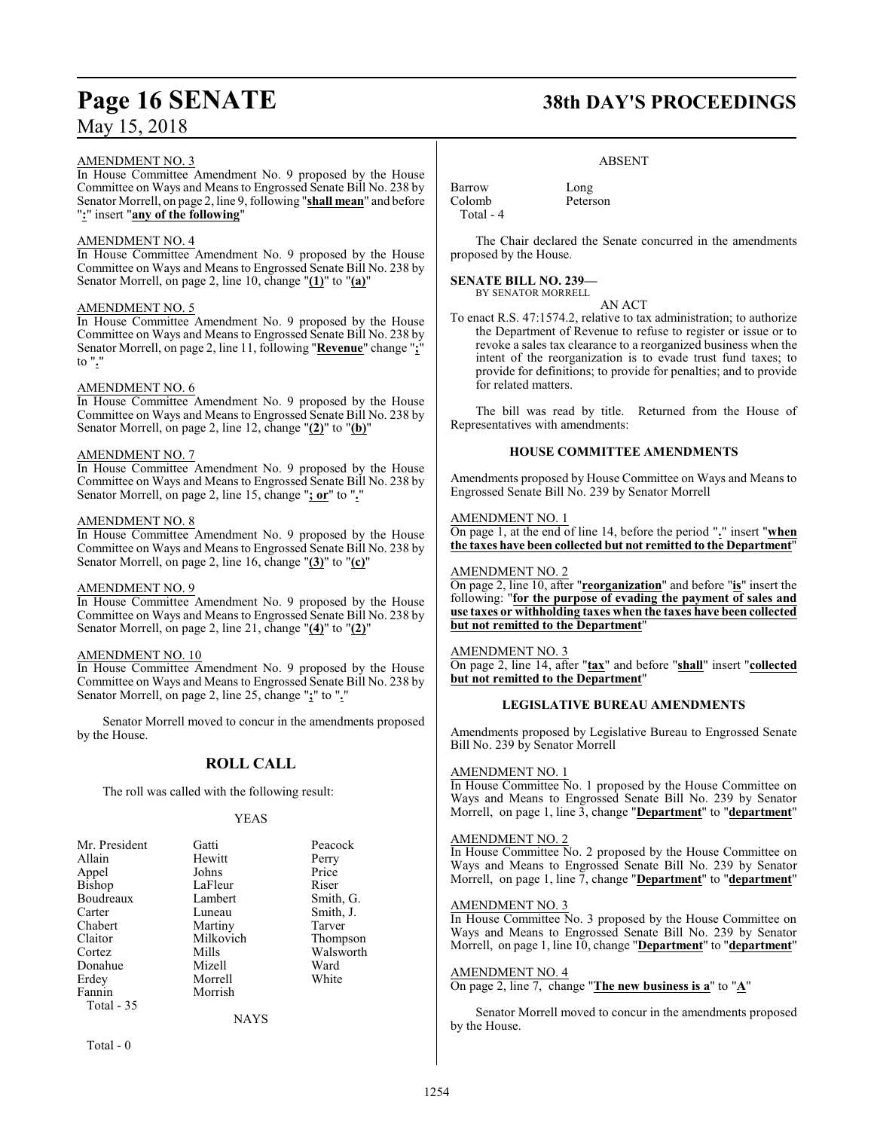# AMENDMENT NO. 3

In House Committee Amendment No. 9 proposed by the House Committee on Ways and Meansto Engrossed Senate Bill No. 238 by Senator Morrell, on page 2, line 9, following "**shall mean**" and before "**:**" insert "**any of the following**"

# AMENDMENT NO. 4

In House Committee Amendment No. 9 proposed by the House Committee on Ways and Meansto Engrossed Senate Bill No. 238 by Senator Morrell, on page 2, line 10, change "**(1)**" to "**(a)**"

# AMENDMENT NO. 5

In House Committee Amendment No. 9 proposed by the House Committee on Ways and Meansto Engrossed Senate Bill No. 238 by Senator Morrell, on page 2, line 11, following "**Revenue**" change "**;**" to "**.**"

# AMENDMENT NO. 6

In House Committee Amendment No. 9 proposed by the House Committee on Ways and Meansto Engrossed Senate Bill No. 238 by Senator Morrell, on page 2, line 12, change "**(2)**" to "**(b)**"

# AMENDMENT NO. 7

In House Committee Amendment No. 9 proposed by the House Committee on Ways and Meansto Engrossed Senate Bill No. 238 by Senator Morrell, on page 2, line 15, change "**; or**" to "**.**"

# AMENDMENT NO. 8

In House Committee Amendment No. 9 proposed by the House Committee on Ways and Means to Engrossed Senate Bill No. 238 by Senator Morrell, on page 2, line 16, change "**(3)**" to "**(c)**"

# AMENDMENT NO. 9

In House Committee Amendment No. 9 proposed by the House Committee on Ways and Meansto Engrossed Senate Bill No. 238 by Senator Morrell, on page 2, line 21, change "**(4)**" to "**(2)**"

# AMENDMENT NO. 10

In House Committee Amendment No. 9 proposed by the House Committee on Ways and Means to Engrossed Senate Bill No. 238 by Senator Morrell, on page 2, line 25, change "**;**" to "**.**"

Senator Morrell moved to concur in the amendments proposed by the House.

# **ROLL CALL**

The roll was called with the following result:

# YEAS

| Mr. President | Gatti     | Peacock   |
|---------------|-----------|-----------|
| Allain        | Hewitt    | Perry     |
| Appel         | Johns     | Price     |
| Bishop        | LaFleur   | Riser     |
| Boudreaux     | Lambert   | Smith, G. |
| Carter        | Luneau    | Smith, J. |
| Chabert       | Martiny   | Tarver    |
| Claitor       | Milkovich | Thompson  |
| Cortez        | Mills     | Walsworth |
| Donahue       | Mizell    | Ward      |
| Erdey         | Morrell   | White     |
| Fannin        | Morrish   |           |
| Total - 35    |           |           |
|               | NAYS      |           |

Total - 0

# **Page 16 SENATE 38th DAY'S PROCEEDINGS**

# ABSENT

Barrow Long<br>Colomb Peters Total - 4

Peterson

The Chair declared the Senate concurred in the amendments proposed by the House.

# **SENATE BILL NO. 239—**

BY SENATOR MORRELL AN ACT

To enact R.S. 47:1574.2, relative to tax administration; to authorize the Department of Revenue to refuse to register or issue or to revoke a sales tax clearance to a reorganized business when the intent of the reorganization is to evade trust fund taxes; to provide for definitions; to provide for penalties; and to provide for related matters.

The bill was read by title. Returned from the House of Representatives with amendments:

# **HOUSE COMMITTEE AMENDMENTS**

Amendments proposed by House Committee on Ways and Means to Engrossed Senate Bill No. 239 by Senator Morrell

# AMENDMENT NO. 1

On page 1, at the end of line 14, before the period "**.**" insert "**when the taxes have been collected but not remitted to the Department**"

# AMENDMENT NO. 2

On page 2, line 10, after "**reorganization**" and before "**is**" insert the following: "**for the purpose of evading the payment of sales and use taxes or withholding taxes when the taxes have been collected but not remitted to the Department**"

# AMENDMENT NO. 3

On page 2, line 14, after "**tax**" and before "**shall**" insert "**collected but not remitted to the Department**"

# **LEGISLATIVE BUREAU AMENDMENTS**

Amendments proposed by Legislative Bureau to Engrossed Senate Bill No. 239 by Senator Morrell

# AMENDMENT NO. 1

In House Committee No. 1 proposed by the House Committee on Ways and Means to Engrossed Senate Bill No. 239 by Senator Morrell, on page 1, line 3, change "**Department**" to "**department**"

# AMENDMENT NO. 2

In House Committee No. 2 proposed by the House Committee on Ways and Means to Engrossed Senate Bill No. 239 by Senator Morrell, on page 1, line 7, change "**Department**" to "**department**"

# AMENDMENT NO. 3

In House Committee No. 3 proposed by the House Committee on Ways and Means to Engrossed Senate Bill No. 239 by Senator Morrell, on page 1, line 10, change "**Department**" to "**department**"

# AMENDMENT NO. 4

On page 2, line 7, change "**The new business is a**" to "**A**"

Senator Morrell moved to concur in the amendments proposed by the House.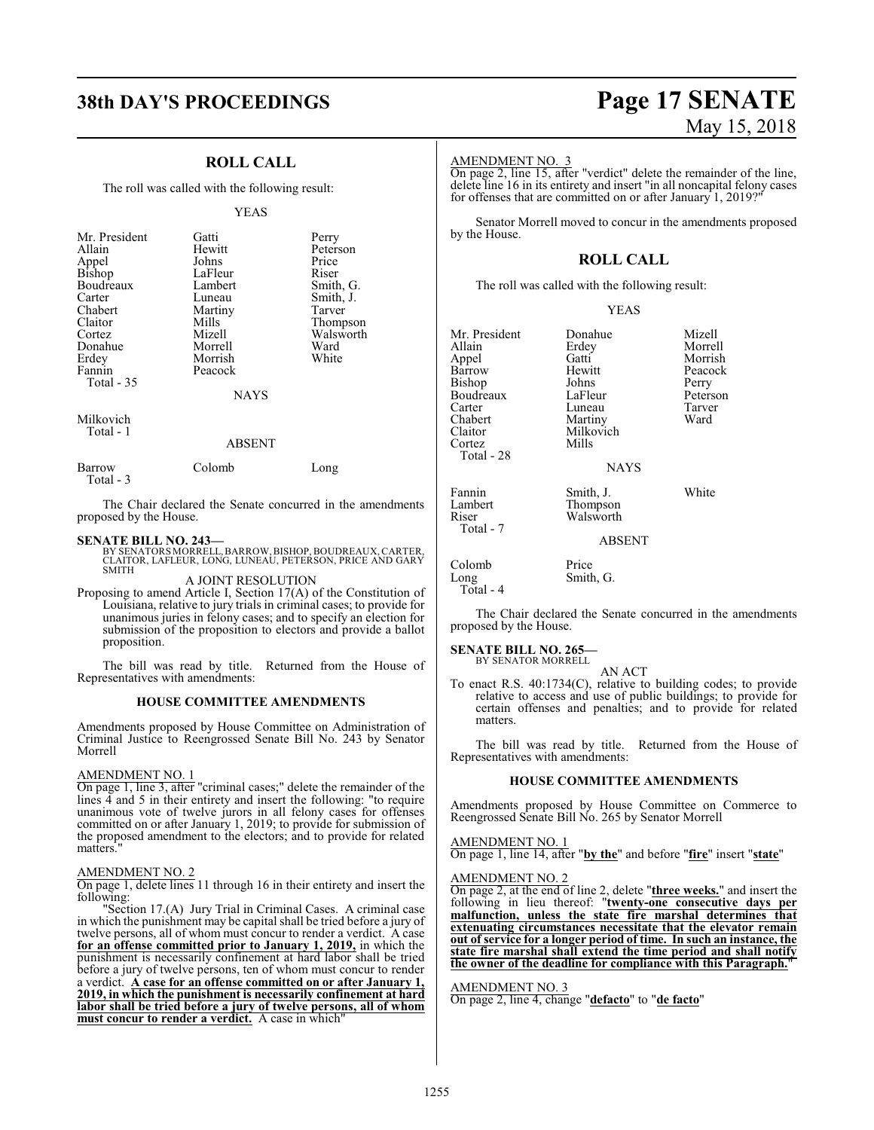# **38th DAY'S PROCEEDINGS Page 17 SENATE**

# **ROLL CALL**

The roll was called with the following result:

### YEAS

| Mr. President<br>Allain<br>Appel<br>Bishop<br>Boudreaux<br>Carter<br>Chabert<br>Claitor<br>Cortez<br>Donahue<br>Erdey<br>Fannin | Gatti<br>Hewitt<br>Johns<br>LaFleur<br>Lambert<br>Luneau<br>Martiny<br>Mills<br>Mizell<br>Morrell<br>Morrish<br>Peacock | Perry<br>Peterson<br>Price<br>Riser<br>Smith, G.<br>Smith, J.<br>Tarver<br>Thompson<br>Walsworth<br>Ward<br>White |
|---------------------------------------------------------------------------------------------------------------------------------|-------------------------------------------------------------------------------------------------------------------------|-------------------------------------------------------------------------------------------------------------------|
| Total - 35                                                                                                                      | <b>NAYS</b>                                                                                                             |                                                                                                                   |

Milkovich Total - 1

# ABSENT

| Barrow    | Colomb | Long |
|-----------|--------|------|
| Total - 3 |        |      |

The Chair declared the Senate concurred in the amendments proposed by the House.

# **SENATE BILL NO. 243—**

BY SENATORS MORRELL, BARROW,BISHOP, BOUDREAUX, CARTER, CLAITOR, LAFLEUR, LONG, LUNEAU, PETERSON, PRICE AND GARY SMITH

# A JOINT RESOLUTION

Proposing to amend Article I, Section 17(A) of the Constitution of Louisiana, relative to jury trials in criminal cases; to provide for unanimous juries in felony cases; and to specify an election for submission of the proposition to electors and provide a ballot proposition.

The bill was read by title. Returned from the House of Representatives with amendments:

# **HOUSE COMMITTEE AMENDMENTS**

Amendments proposed by House Committee on Administration of Criminal Justice to Reengrossed Senate Bill No. 243 by Senator Morrell

# AMENDMENT NO. 1

On page 1, line 3, after "criminal cases;" delete the remainder of the lines 4 and 5 in their entirety and insert the following: "to require unanimous vote of twelve jurors in all felony cases for offenses committed on or after January 1, 2019; to provide for submission of the proposed amendment to the electors; and to provide for related matters."

# AMENDMENT NO. 2

On page 1, delete lines 11 through 16 in their entirety and insert the following:

"Section 17.(A) Jury Trial in Criminal Cases. A criminal case in which the punishment may be capital shall be tried before a jury of twelve persons, all of whom must concur to render a verdict. A case **for an offense committed prior to January 1, 2019,** in which the punishment is necessarily confinement at hard labor shall be tried before a jury of twelve persons, ten of whom must concur to render a verdict. **A case for an offense committed on or after January 1, 2019, in which the punishment is necessarily confinement at hard labor shall be tried before a jury of twelve persons, all of whom must concur to render a verdict.** A case in which"

# May 15, 2018

## AMENDMENT NO. 3

On page 2, line 15, after "verdict" delete the remainder of the line, delete line 16 in its entirety and insert "in all noncapital felony cases" for offenses that are committed on or after January 1, 2019?

Senator Morrell moved to concur in the amendments proposed by the House.

# **ROLL CALL**

The roll was called with the following result:

### YEAS

| Mr. President | Donahue       | Mizell   |
|---------------|---------------|----------|
| Allain        | Erdey         | Morrell  |
| Appel         | Gatti         | Morrish  |
| Barrow        | Hewitt        | Peacock  |
| Bishop        | Johns         | Perry    |
| Boudreaux     | LaFleur       | Peterson |
| Carter        | Luneau        | Tarver   |
| Chabert       | Martiny       | Ward     |
| Claitor       | Milkovich     |          |
| Cortez        | Mills         |          |
| Total - 28    |               |          |
|               | <b>NAYS</b>   |          |
| Fannin        | Smith, J.     | White    |
| Lambert       | Thompson      |          |
| Riser         | Walsworth     |          |
| Total - 7     |               |          |
|               | <b>ABSENT</b> |          |
|               |               |          |

Colomb Price<br>Long Smith Smith, G. Total - 4

The Chair declared the Senate concurred in the amendments proposed by the House.

# **SENATE BILL NO. 265—**

BY SENATOR MORRELL AN ACT

To enact R.S. 40:1734(C), relative to building codes; to provide relative to access and use of public buildings; to provide for certain offenses and penalties; and to provide for related matters.

The bill was read by title. Returned from the House of Representatives with amendments:

# **HOUSE COMMITTEE AMENDMENTS**

Amendments proposed by House Committee on Commerce to Reengrossed Senate Bill No. 265 by Senator Morrell

AMENDMENT NO. 1 On page 1, line 14, after "**by the**" and before "**fire**" insert "**state**"

AMENDMENT NO. 2

On page 2, at the end of line 2, delete "**three weeks.**" and insert the following in lieu thereof: "**twenty-one consecutive days per malfunction, unless the state fire marshal determines that extenuating circumstances necessitate that the elevator remain out of service for a longer period of time. In such an instance, the state fire marshal shall extend the time period and shall notify the owner of the deadline for compliance with this Paragraph.**"

AMENDMENT NO. 3 On page 2, line 4, change "**defacto**" to "**de facto**"

# NAYS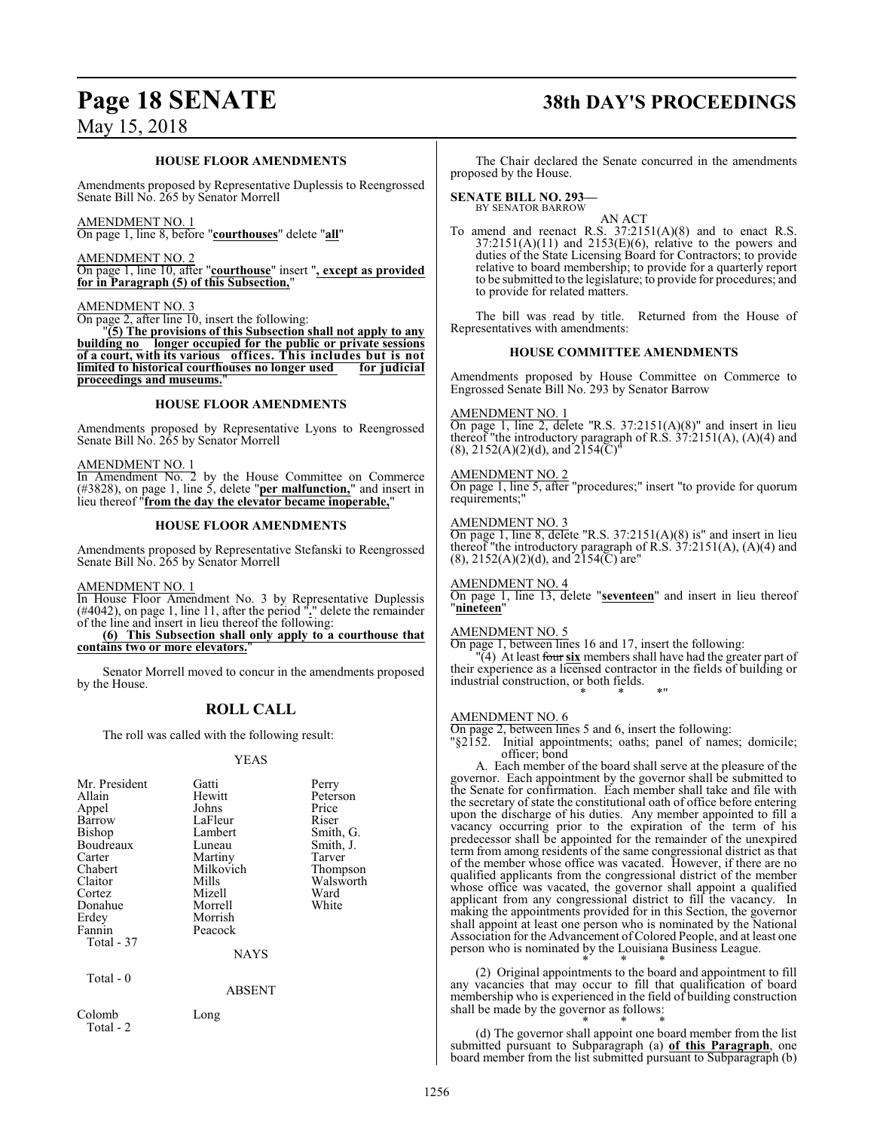# **Page 18 SENATE 38th DAY'S PROCEEDINGS**

# May 15, 2018

# **HOUSE FLOOR AMENDMENTS**

Amendments proposed by Representative Duplessis to Reengrossed Senate Bill No. 265 by Senator Morrell

# AMENDMENT NO. 1

On page 1, line 8, before "**courthouses**" delete "**all**"

# AMENDMENT NO. 2

On page 1, line 10, after "**courthouse**" insert "**, except as provided for in Paragraph (5) of this Subsection,**"

# AMENDMENT NO. 3

On page 2, after line 10, insert the following:

"**(5) The provisions of this Subsection shall not apply to any building no longer occupied for the public or private sessions of a court, with its various offices. This includes but is not limited to historical courthouses no longer used proceedings and museums.**"

# **HOUSE FLOOR AMENDMENTS**

Amendments proposed by Representative Lyons to Reengrossed Senate Bill No. 265 by Senator Morrell

# AMENDMENT NO. 1

In Amendment No. 2 by the House Committee on Commerce (#3828), on page 1, line 5, delete "**per malfunction,**" and insert in lieu thereof "**from the day the elevator became inoperable,**"

# **HOUSE FLOOR AMENDMENTS**

Amendments proposed by Representative Stefanski to Reengrossed Senate Bill No. 265 by Senator Morrell

# AMENDMENT NO. 1

In House Floor Amendment No. 3 by Representative Duplessis (#4042), on page 1, line 11, after the period "**.**" delete the remainder of the line and insert in lieu thereof the following:

**(6) This Subsection shall only apply to a courthouse that contains two or more elevators.**"

Senator Morrell moved to concur in the amendments proposed by the House.

# **ROLL CALL**

The roll was called with the following result:

# YEAS

| Mr. President<br>Allain<br>Appel<br>Barrow<br><b>Bishop</b><br>Boudreaux<br>Carter<br>Chabert<br>Claitor<br>Cortez<br>Donahue<br>Erdey<br>Fannin<br>Total - 37<br>Total - 0 | Gatti<br>Hewitt<br>Johns<br>LaFleur<br>Lambert<br>Luneau<br>Martiny<br>Milkovich<br>Mills<br>Mizell<br>Morrell<br>Morrish<br>Peacock<br><b>NAYS</b><br><b>ABSENT</b> | Perry<br>Peterson<br>Price<br>Riser<br>Smith, G.<br>Smith, J.<br>Tarver<br>Thompson<br>Walsworth<br>Ward<br>White |
|-----------------------------------------------------------------------------------------------------------------------------------------------------------------------------|----------------------------------------------------------------------------------------------------------------------------------------------------------------------|-------------------------------------------------------------------------------------------------------------------|
| Colomb<br>Total - 2                                                                                                                                                         | Long                                                                                                                                                                 |                                                                                                                   |

The Chair declared the Senate concurred in the amendments proposed by the House.

# **SENATE BILL NO. 293—**

BY SENATOR BARROW

AN ACT To amend and reenact R.S. 37:2151(A)(8) and to enact R.S.  $37:2151(A)(11)$  and  $2153(E)(6)$ , relative to the powers and duties of the State Licensing Board for Contractors; to provide relative to board membership; to provide for a quarterly report to be submitted to the legislature; to provide for procedures; and to provide for related matters.

The bill was read by title. Returned from the House of Representatives with amendments:

# **HOUSE COMMITTEE AMENDMENTS**

Amendments proposed by House Committee on Commerce to Engrossed Senate Bill No. 293 by Senator Barrow

# AMENDMENT NO. 1

On page 1, line 2, delete "R.S. 37:2151(A)(8)" and insert in lieu thereof "the introductory paragraph of R.S. 37:2151(A), (A)(4) and  $(8)$ , 2152(A)(2)(d), and 2154(C)<sup>"</sup>

# AMENDMENT NO. 2

On page 1, line 5, after "procedures;" insert "to provide for quorum requirements;"

# AMENDMENT NO. 3

On page 1, line 8, delete "R.S.  $37:2151(A)(8)$  is" and insert in lieu thereof "the introductory paragraph of R.S. 37:2151(A), (A)(4) and (8), 2152(A)(2)(d), and 2154(C) are"

# AMENDMENT NO. 4

On page 1, line 13, delete "**seventeen**" and insert in lieu thereof "**nineteen**"

# AMENDMENT NO. 5

On page 1, between lines 16 and 17, insert the following:

"(4) At least four **six** members shall have had the greater part of their experience as a licensed contractor in the fields of building or industrial construction, or both fields. \* \* \*"

# AMENDMENT NO. 6

On page 2, between lines 5 and 6, insert the following:

"§2152. Initial appointments; oaths; panel of names; domicile; officer; bond

A. Each member of the board shall serve at the pleasure of the governor. Each appointment by the governor shall be submitted to the Senate for confirmation. Each member shall take and file with the secretary of state the constitutional oath of office before entering upon the discharge of his duties. Any member appointed to fill a vacancy occurring prior to the expiration of the term of his predecessor shall be appointed for the remainder of the unexpired term from among residents of the same congressional district as that of the member whose office was vacated. However, if there are no qualified applicants from the congressional district of the member whose office was vacated, the governor shall appoint a qualified applicant from any congressional district to fill the vacancy. In making the appointments provided for in this Section, the governor shall appoint at least one person who is nominated by the National Association for the Advancement of Colored People, and at least one person who is nominated by the Louisiana Business League.

\* \* \* (2) Original appointments to the board and appointment to fill any vacancies that may occur to fill that qualification of board membership who is experienced in the field of building construction shall be made by the governor as follows: \* \* \*

(d) The governor shall appoint one board member from the list submitted pursuant to Subparagraph (a) **of this Paragraph**, one board member from the list submitted pursuant to Subparagraph (b)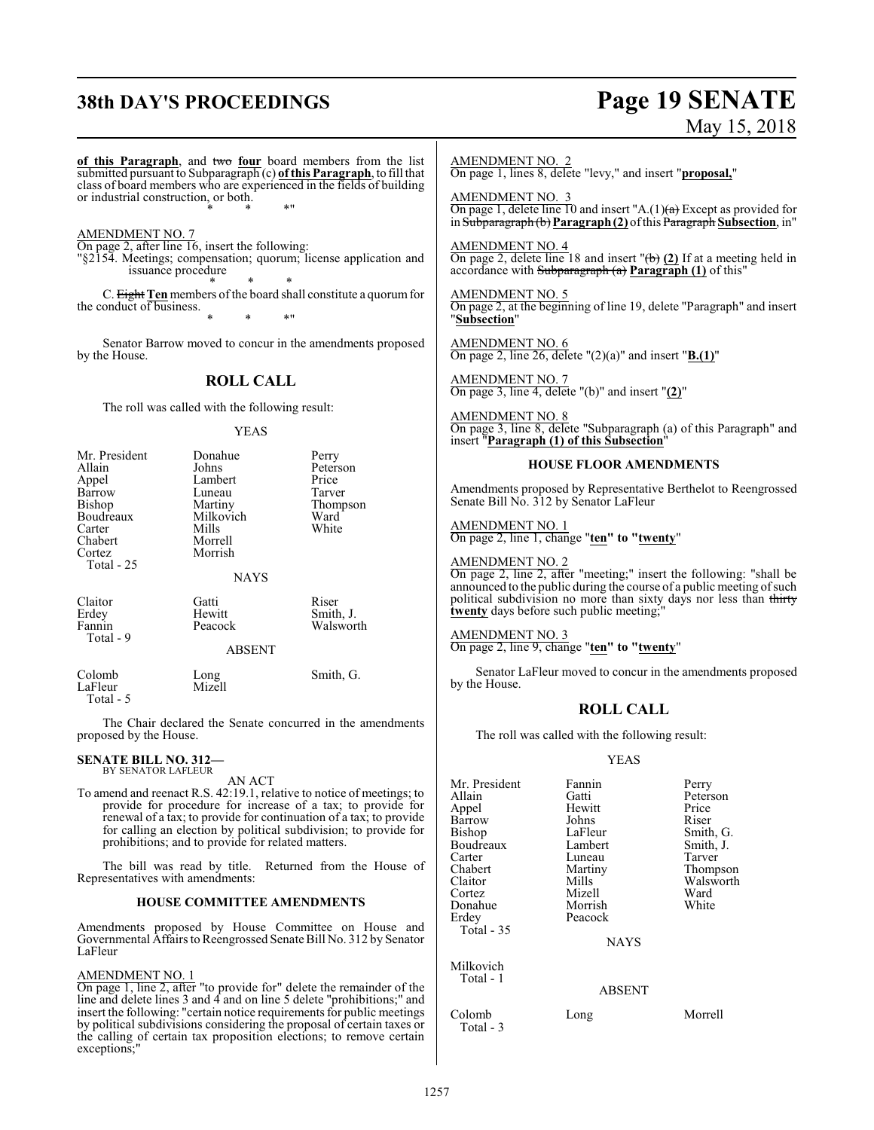# **38th DAY'S PROCEEDINGS Page 19 SENATE**

# May 15, 2018

**of this Paragraph**, and two **four** board members from the list submitted pursuant to Subparagraph (c) **of this Paragraph**, to fill that class of board members who are experienced in the fields of building or industrial construction, or both. \* \* \*"

# AMENDMENT NO. 7

On page 2, after line 16, insert the following:

"§2154. Meetings; compensation; quorum; license application and issuance procedure \* \* \*

C. Eight **Ten** members ofthe board shall constitute a quorumfor the conduct of business. \* \* \*"

Senator Barrow moved to concur in the amendments proposed by the House.

# **ROLL CALL**

The roll was called with the following result:

## YEAS

| Mr. President        | Donahue       | Perry     |
|----------------------|---------------|-----------|
| Allain               | Johns         | Peterson  |
| Appel                | Lambert       | Price     |
| Barrow               | Luneau        | Tarver    |
| <b>Bishop</b>        | Martiny       | Thompson  |
| Boudreaux            | Milkovich     | Ward      |
| Carter               | Mills         | White     |
| Chabert              | Morrell       |           |
| Cortez<br>Total - 25 | Morrish       |           |
|                      | <b>NAYS</b>   |           |
| Claitor              | Gatti         | Riser     |
| Erdey                | Hewitt        | Smith, J. |
| Fannin               | Peacock       | Walsworth |
| Total - 9            |               |           |
|                      | <b>ABSENT</b> |           |
| Colomb               | Long          | Smith, G. |
| LaFleur              | Mizell        |           |
| Total - 5            |               |           |

The Chair declared the Senate concurred in the amendments proposed by the House.

### **SENATE BILL NO. 312—** BY SENATOR LAFLEUR

AN ACT

To amend and reenact R.S. 42:19.1, relative to notice of meetings; to provide for procedure for increase of a tax; to provide for renewal of a tax; to provide for continuation of a tax; to provide for calling an election by political subdivision; to provide for prohibitions; and to provide for related matters.

The bill was read by title. Returned from the House of Representatives with amendments:

# **HOUSE COMMITTEE AMENDMENTS**

Amendments proposed by House Committee on House and Governmental Affairs to Reengrossed Senate Bill No. 312 by Senator LaFleur

# AMENDMENT NO. 1

On page 1, line 2, after "to provide for" delete the remainder of the line and delete lines 3 and 4 and on line 5 delete "prohibitions;" and insert the following: "certain notice requirements for public meetings by political subdivisions considering the proposal of certain taxes or the calling of certain tax proposition elections; to remove certain exceptions;'

AMENDMENT NO. 2 On page 1, lines 8, delete "levy," and insert "**proposal,**"

AMENDMENT NO. 3 On page 1, delete line 10 and insert "A. $(1)(a)$  Except as provided for in Subparagraph (b)**Paragraph(2)** ofthis Paragraph **Subsection**, in"

AMENDMENT NO. 4 On page 2, delete line 18 and insert  $(\theta)$  (2) If at a meeting held in accordance with Subparagraph (a) **Paragraph (1)** of this"

AMENDMENT NO. 5 On page 2, at the beginning of line 19, delete "Paragraph" and insert "**Subsection**"

AMENDMENT NO. 6 On page 2, line 26, delete "(2)(a)" and insert "**B.(1)**"

AMENDMENT NO. 7 On page 3, line 4, delete "(b)" and insert "**(2)**"

AMENDMENT NO. 8 On page 3, line 8, delete "Subparagraph (a) of this Paragraph" and insert "**Paragraph (1) of this Subsection**"

# **HOUSE FLOOR AMENDMENTS**

Amendments proposed by Representative Berthelot to Reengrossed Senate Bill No. 312 by Senator LaFleur

AMENDMENT NO. 1 On page 2, line 1, change "**ten" to "twenty**"

# AMENDMENT NO. 2

On page 2, line 2, after "meeting;" insert the following: "shall be announced to the public during the course of a public meeting of such political subdivision no more than sixty days nor less than thirty **twenty** days before such public meeting;"

# AMENDMENT NO. 3

On page 2, line 9, change "**ten" to "twenty**"

Senator LaFleur moved to concur in the amendments proposed by the House.

# **ROLL CALL**

The roll was called with the following result:

# YEAS

| Mr. President<br>Allain<br>Appel<br>Barrow<br><b>Bishop</b><br>Boudreaux<br>Carter<br>Chabert<br>Claitor<br>Cortez<br>Donahue | Fannin<br>Gatti<br>Hewitt<br>Johns<br>LaFleur<br>Lambert<br>Luneau<br>Martiny<br>Mills<br>Mizell<br>Morrish | Perry<br>Peterson<br>Price<br>Riser<br>Smith, G.<br>Smith, J.<br>Tarver<br>Thompson<br>Walsworth<br>Ward<br>White |
|-------------------------------------------------------------------------------------------------------------------------------|-------------------------------------------------------------------------------------------------------------|-------------------------------------------------------------------------------------------------------------------|
| Erdey<br><b>Total - 35</b>                                                                                                    | Peacock<br><b>NAYS</b>                                                                                      |                                                                                                                   |
| Milkovich<br>Total - 1                                                                                                        | <b>ABSENT</b>                                                                                               |                                                                                                                   |
| Colomb                                                                                                                        | Long                                                                                                        | Morrell                                                                                                           |

Total - 3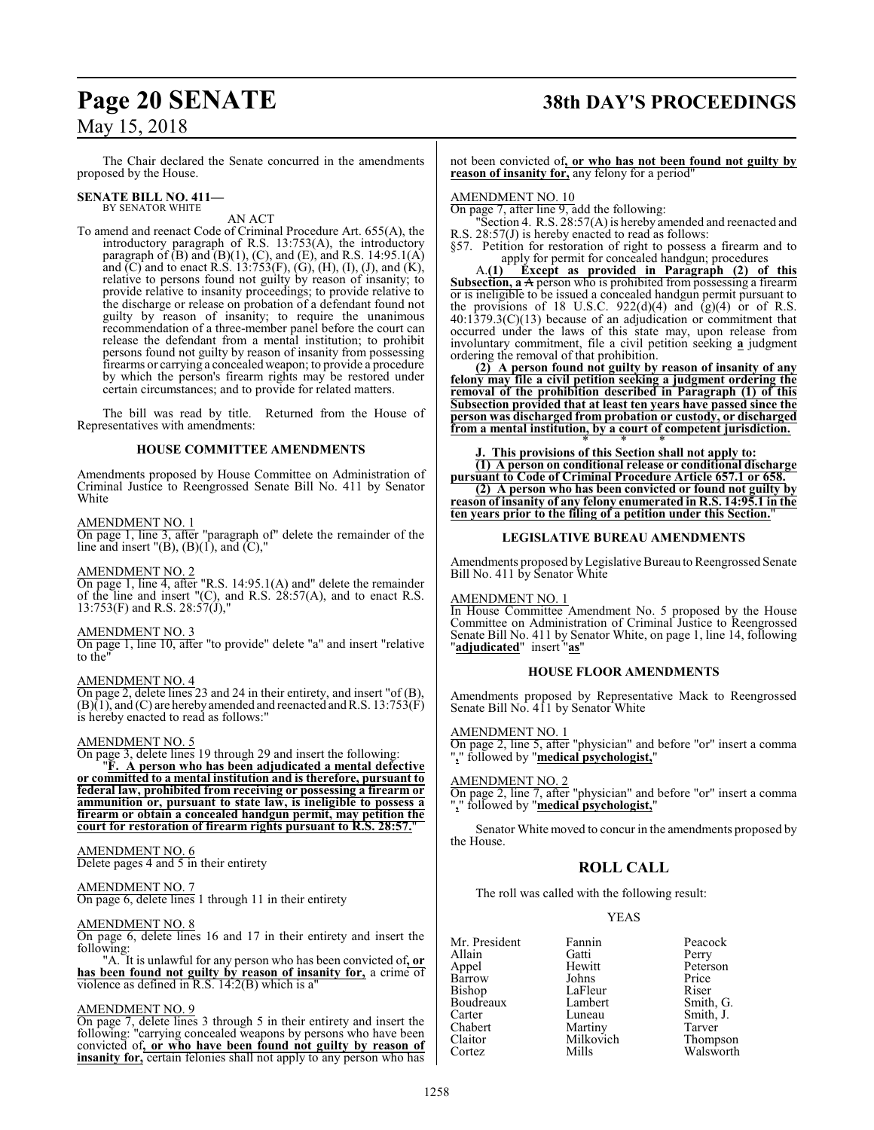# **Page 20 SENATE 38th DAY'S PROCEEDINGS**

The Chair declared the Senate concurred in the amendments proposed by the House.

### **SENATE BILL NO. 411—** BY SENATOR WHITE

AN ACT

To amend and reenact Code of Criminal Procedure Art. 655(A), the introductory paragraph of R.S. 13:753(A), the introductory paragraph of  $(B)$  and  $(B)(1)$ ,  $(C)$ , and  $(E)$ , and R.S. 14:95.1 $(A)$ and (C) and to enact R.S. 13:753(F), (G), (H), (I), (J), and (K), relative to persons found not guilty by reason of insanity; to provide relative to insanity proceedings; to provide relative to the discharge or release on probation of a defendant found not guilty by reason of insanity; to require the unanimous recommendation of a three-member panel before the court can release the defendant from a mental institution; to prohibit persons found not guilty by reason of insanity from possessing firearms or carrying a concealed weapon; to provide a procedure by which the person's firearm rights may be restored under certain circumstances; and to provide for related matters.

The bill was read by title. Returned from the House of Representatives with amendments:

# **HOUSE COMMITTEE AMENDMENTS**

Amendments proposed by House Committee on Administration of Criminal Justice to Reengrossed Senate Bill No. 411 by Senator White

# AMENDMENT NO. 1

On page 1, line 3, after "paragraph of" delete the remainder of the line and insert  $'(B)$ ,  $(B)(1)$ , and  $(C)$ ,"

# AMENDMENT NO. 2

On page 1, line 4, after "R.S. 14:95.1(A) and" delete the remainder of the line and insert  $(C)$ , and R.S.  $28:57(A)$ , and to enact R.S. 13:753(F) and R.S. 28:57(J),"

## AMENDMENT NO. 3

On page 1, line 10, after "to provide" delete "a" and insert "relative to the"

# AMENDMENT NO. 4

On page 2, delete lines 23 and 24 in their entirety, and insert "of (B),  $(B)(1)$ , and  $(C)$  are hereby amended and reenacted and R.S. 13:753 $(F)$ is hereby enacted to read as follows:"

# AMENDMENT NO. 5

On page 3, delete lines 19 through 29 and insert the following: "**F. A person who has been adjudicated a mental defective or committed to a mental institution and is therefore, pursuant to federal law, prohibited from receiving or possessing a firearm or ammunition or, pursuant to state law, is ineligible to possess a firearm or obtain a concealed handgun permit, may petition the court for restoration of firearm rights pursuant to R.S. 28:57.**"

# AMENDMENT NO. 6

Delete pages 4 and 5 in their entirety

# AMENDMENT NO. 7

On page 6, delete lines 1 through 11 in their entirety

## AMENDMENT NO. 8

On page 6, delete lines 16 and 17 in their entirety and insert the following:

"A. It is unlawful for any person who has been convicted of**, or has been found not guilty by reason of insanity for,** a crime of violence as defined in R.S. 14:2(B) which is a"

## AMENDMENT NO. 9

On page 7, delete lines 3 through 5 in their entirety and insert the following: "carrying concealed weapons by persons who have been convicted of**, or who have been found not guilty by reason of insanity** for, certain felonies shall not apply to any person who has not been convicted of**, or who has not been found not guilty by reason of insanity for,** any felony for a period"

# AMENDMENT NO. 10

On page 7, after line 9, add the following:

"Section 4. R.S. 28:57(A) is hereby amended and reenacted and R.S. 28:57(J) is hereby enacted to read as follows:

§57. Petition for restoration of right to possess a firearm and to apply for permit for concealed handgun; procedures

A.**(1) Except as provided in Paragraph (2) of this Subsection, a** A person who is prohibited from possessing a firearm or is ineligible to be issued a concealed handgun permit pursuant to the provisions of 18 U.S.C.  $922(d)(4)$  and  $(g)(4)$  or of R.S. 40:1379.3(C)(13) because of an adjudication or commitment that occurred under the laws of this state may, upon release from involuntary commitment, file a civil petition seeking **a** judgment ordering the removal of that prohibition.

**(2) A person found not guilty by reason of insanity of any felony may file a civil petition seeking a judgment ordering the removal of the prohibition described in Paragraph (1) of this Subsection provided that at least ten years have passed since the person was discharged from probation or custody, or discharged from a mental institution, by a court of competent jurisdiction.**

\* \* \* **J. This provisions of this Section shall not apply to:**

**(1) A person on conditional release or conditional discharge pursuant to Code of Criminal Procedure Article 657.1 or 658.**

**(2) A person who has been convicted or found not guilty by reason of insanity of any felony enumerated in R.S. 14:95.1 in the ten years prior to the filing of a petition under this Section.**"

# **LEGISLATIVE BUREAU AMENDMENTS**

Amendments proposed byLegislative Bureau to Reengrossed Senate Bill No. 411 by Senator White

# AMENDMENT NO. 1

In House Committee Amendment No. 5 proposed by the House Committee on Administration of Criminal Justice to Reengrossed Senate Bill No. 411 by Senator White, on page 1, line 14, following "**adjudicated**" insert "**as**"

# **HOUSE FLOOR AMENDMENTS**

Amendments proposed by Representative Mack to Reengrossed Senate Bill No. 411 by Senator White

# AMENDMENT NO. 1

On page 2, line 5, after "physician" and before "or" insert a comma "**,**" followed by "**medical psychologist,**"

## AMENDMENT NO. 2

On page 2, line 7, after "physician" and before "or" insert a comma "**,**" followed by "**medical psychologist,**"

Senator White moved to concur in the amendments proposed by the House.

# **ROLL CALL**

The roll was called with the following result:

# YEAS

Mr. President Fannin Peacock<br>Allain Gatti Perry Allain Gatti<br>Appel Hewitt Barrow Johns Price<br>Bishop LaFleur Riser Boudreaux Carter Luneau Smith, J.<br>
Chabert Martiny Tarver Chabert Martiny Tarver<br>
Claitor Milkovich Thompson Claitor Milkovich<br>Cortez Mills

Hewitt Peterson<br>Johns Price LaFleur Riser<br>Lambert Smith, G. Walsworth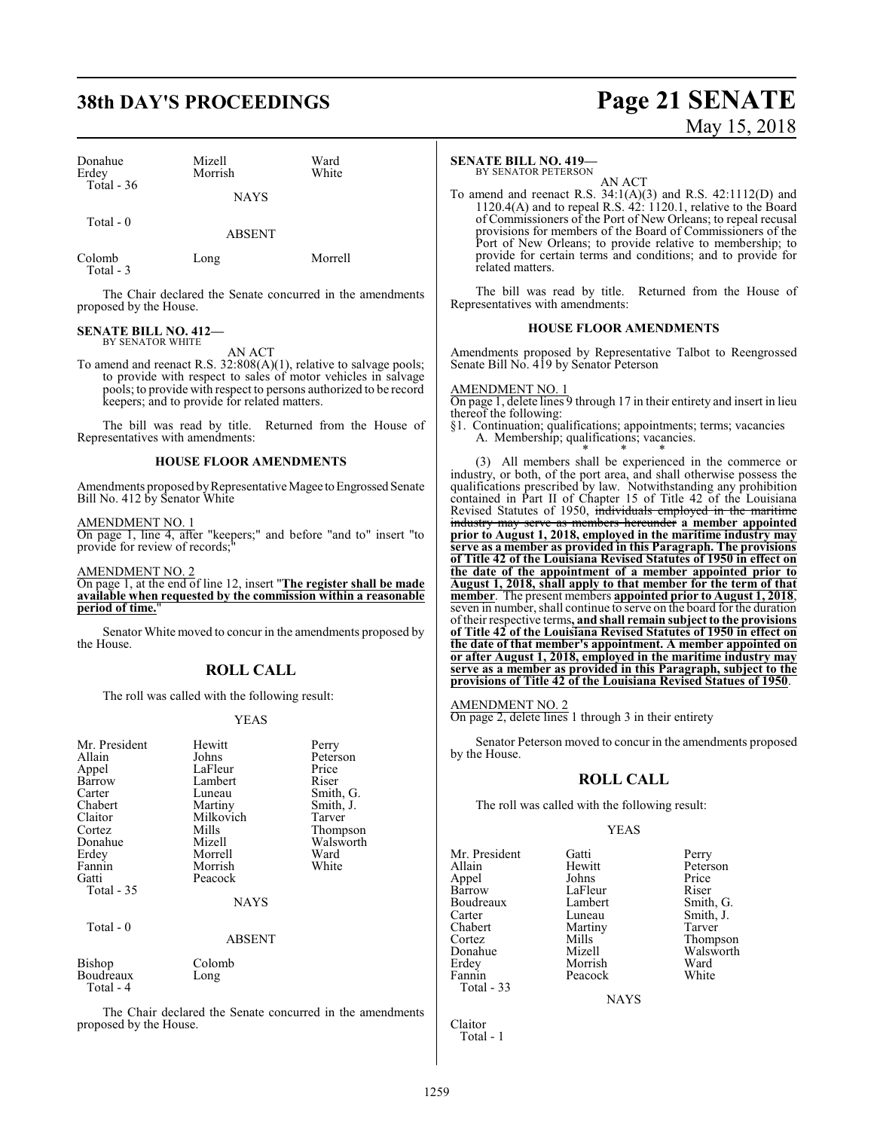# **38th DAY'S PROCEEDINGS Page 21 SENATE**

| Donahue<br>Erdey<br>Total $-36$ | Mizell<br>Morrish | Ward<br>White |  |
|---------------------------------|-------------------|---------------|--|
|                                 | <b>NAYS</b>       |               |  |
| Total $-0$                      | ABSENT            |               |  |

| Colomb    | Long | Morrell |
|-----------|------|---------|
| Total - 3 |      |         |

The Chair declared the Senate concurred in the amendments proposed by the House.

### **SENATE BILL NO. 412—** BY SENATOR WHITE

AN ACT

To amend and reenact R.S. 32:808(A)(1), relative to salvage pools; to provide with respect to sales of motor vehicles in salvage pools; to provide with respect to persons authorized to be record keepers; and to provide for related matters.

The bill was read by title. Returned from the House of Representatives with amendments:

# **HOUSE FLOOR AMENDMENTS**

Amendments proposed by Representative Magee to Engrossed Senate Bill No. 412 by Senator White

# AMENDMENT NO. 1

On page 1, line 4, after "keepers;" and before "and to" insert "to provide for review of records;

AMENDMENT NO. 2

On page 1, at the end of line 12, insert "**The register shall be made available when requested by the commission within a reasonable period of time.** 

Senator White moved to concur in the amendments proposed by the House.

# **ROLL CALL**

The roll was called with the following result:

# YEAS

| Mr. President<br>Allain<br>Appel<br>Barrow<br>Carter<br>Chabert<br>Claitor<br>Cortez<br>Donahue<br>Erdey<br>Fannin<br>Gatti<br>Total - 35<br>Total $-0$ | Hewitt<br>Johns<br>LaFleur<br>Lambert<br>Luneau<br>Martiny<br>Milkovich<br>Mills<br>Mizell<br>Morrell<br>Morrish<br>Peacock<br>NAYS<br>ABSENT | Perry<br>Peterson<br>Price<br>Riser<br>Smith, G.<br>Smith, J.<br>Tarver<br>Thompson<br>Walsworth<br>Ward<br>White |
|---------------------------------------------------------------------------------------------------------------------------------------------------------|-----------------------------------------------------------------------------------------------------------------------------------------------|-------------------------------------------------------------------------------------------------------------------|
| Bishop<br>Boudreaux<br>Total - 4                                                                                                                        | Colomb<br>Long                                                                                                                                |                                                                                                                   |
|                                                                                                                                                         |                                                                                                                                               |                                                                                                                   |

The Chair declared the Senate concurred in the amendments proposed by the House.

# May 15, 2018

# **SENATE BILL NO. 419—**

BY SENATOR PETERSON

AN ACT To amend and reenact R.S. 34:1(A)(3) and R.S. 42:1112(D) and 1120.4(A) and to repeal R.S. 42: 1120.1, relative to the Board of Commissioners of the Port of New Orleans; to repeal recusal provisions for members of the Board of Commissioners of the Port of New Orleans; to provide relative to membership; to provide for certain terms and conditions; and to provide for related matters.

The bill was read by title. Returned from the House of Representatives with amendments:

# **HOUSE FLOOR AMENDMENTS**

Amendments proposed by Representative Talbot to Reengrossed Senate Bill No. 419 by Senator Peterson

# AMENDMENT NO. 1

On page 1, delete lines 9 through 17 in their entirety and insert in lieu thereof the following:

§1. Continuation; qualifications; appointments; terms; vacancies A. Membership; qualifications; vacancies.

\* \* \* (3) All members shall be experienced in the commerce or industry, or both, of the port area, and shall otherwise possess the qualifications prescribed by law. Notwithstanding any prohibition contained in Part II of Chapter 15 of Title 42 of the Louisiana Revised Statutes of 1950, <del>individuals employed in the maritime</del><br>industry may serve as members bereunder a member annointed members hereunder a member appointed **prior to August 1, 2018, employed in the maritime industry may serve as a member as provided in this Paragraph. The provisions of Title 42 of the Louisiana Revised Statutes of 1950 in effect on the date of the appointment of a member appointed prior to August 1, 2018, shall apply to that member for the term of that member**. The present members **appointed prior to August 1, 2018**, seven in number, shall continue to serve on the board for the duration oftheir respective terms**, and shall remain subject to the provisions of Title 42 of the Louisiana Revised Statutes of 1950 in effect on the date of that member's appointment. A member appointed on or after August 1, 2018, employed in the maritime industry may serve as a member as provided in this Paragraph, subject to the provisions of Title 42 of the Louisiana Revised Statues of 1950**.

AMENDMENT NO. 2

On page 2, delete lines 1 through 3 in their entirety

Senator Peterson moved to concur in the amendments proposed by the House.

# **ROLL CALL**

The roll was called with the following result:

# YEAS

| Mr. President | Gatti   | Perry     |
|---------------|---------|-----------|
| Allain        | Hewitt  | Peterson  |
| Appel         | Johns   | Price     |
| Barrow        | LaFleur | Riser     |
| Boudreaux     | Lambert | Smith, G. |
| Carter        | Luneau  | Smith, J. |
| Chabert       | Martiny | Tarver    |
| Cortez        | Mills   | Thompson  |
| Donahue       | Mizell  | Walsworth |
| Erdey         | Morrish | Ward      |
| Fannin        | Peacock | White     |
| Total - 33    |         |           |

**NAYS** 

Claitor Total - 1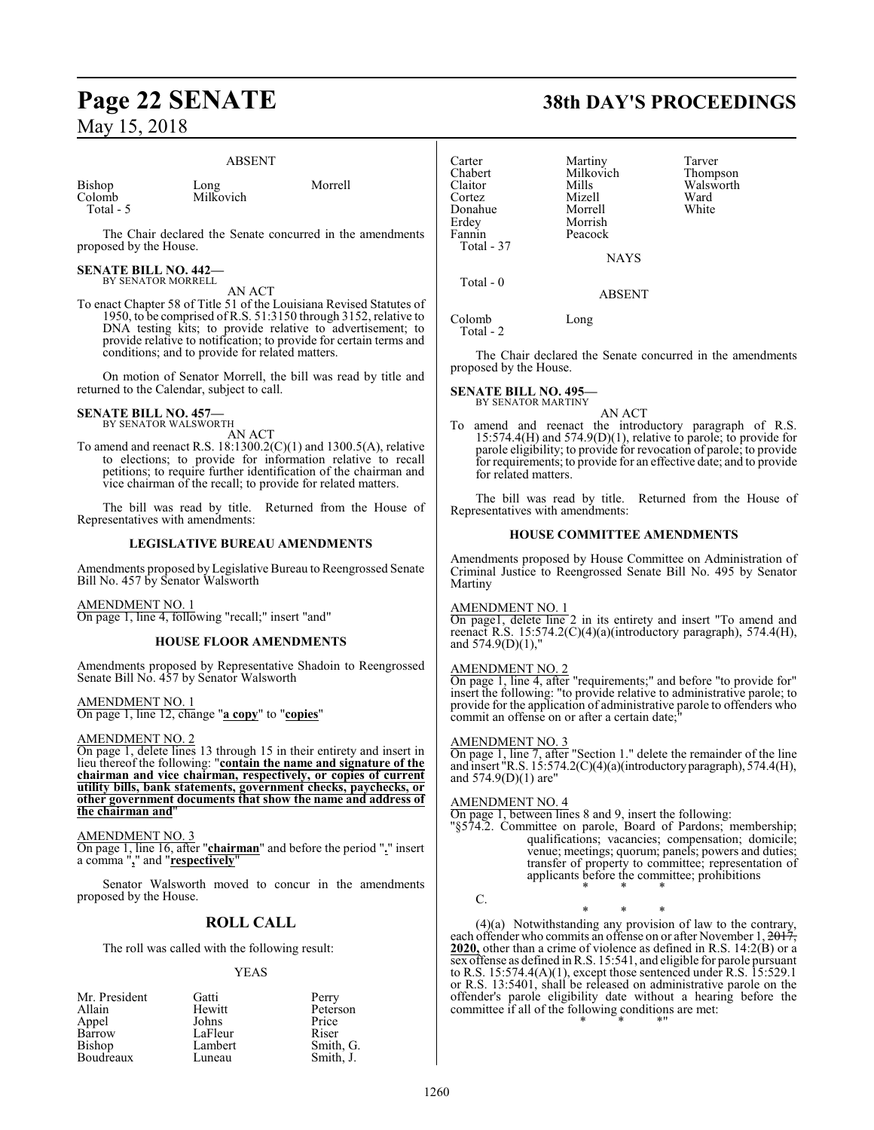# ABSENT

Bishop Long Morrell Total - 5

Milkovich

The Chair declared the Senate concurred in the amendments proposed by the House.

### **SENATE BILL NO. 442—** BY SENATOR MORRELL

AN ACT

To enact Chapter 58 of Title 51 of the Louisiana Revised Statutes of 1950, to be comprised of R.S. 51:3150 through 3152, relative to DNA testing kits; to provide relative to advertisement; to provide relative to notification; to provide for certain terms and conditions; and to provide for related matters.

On motion of Senator Morrell, the bill was read by title and returned to the Calendar, subject to call.

# **SENATE BILL NO. 457—**<br>BY SENATOR WALSWORTH

AN ACT

To amend and reenact R.S. 18:1300.2(C)(1) and 1300.5(A), relative to elections; to provide for information relative to recall petitions; to require further identification of the chairman and vice chairman of the recall; to provide for related matters.

The bill was read by title. Returned from the House of Representatives with amendments:

# **LEGISLATIVE BUREAU AMENDMENTS**

Amendments proposed by Legislative Bureau to Reengrossed Senate Bill No. 457 by Senator Walsworth

# AMENDMENT NO. 1

On page 1, line 4, following "recall;" insert "and"

# **HOUSE FLOOR AMENDMENTS**

Amendments proposed by Representative Shadoin to Reengrossed Senate Bill No. 457 by Senator Walsworth

# AMENDMENT NO. 1 On page 1, line 12, change "**a copy**" to "**copies**"

# AMENDMENT NO. 2

On page 1, delete lines 13 through 15 in their entirety and insert in lieu thereof the following: "**contain the name and signature of the chairman and vice chairman, respectively, or copies of current utility bills, bank statements, government checks, paychecks, or other government documents that show the name and address of the chairman and**"

# AMENDMENT NO. 3

On page 1, line 16, after "**chairman**" and before the period "**.**" insert a comma "**,**" and "**respectively**"

Senator Walsworth moved to concur in the amendments proposed by the House.

# **ROLL CALL**

The roll was called with the following result:

## YEAS

| Mr. President | Gatti   | Perry     |
|---------------|---------|-----------|
| Allain        | Hewitt  | Peterson  |
| Appel         | Johns   | Price     |
| Barrow        | LaFleur | Riser     |
| Bishop        | Lambert | Smith, G. |
| Boudreaux     | Luneau  | Smith, J. |

# **Page 22 SENATE 38th DAY'S PROCEEDINGS**

Thompson Walsworth<br>Ward

| Carter<br>Chabert<br>Claitor<br>Cortez<br>Donahue<br>Erdey<br>Fannin<br>Total - 37 | Martiny<br>Milkovich<br>Mills<br>Mizell<br>Morrell<br>Morrish<br>Peacock<br><b>NAYS</b> | Tarver<br>Thomp<br>Walsw<br>Ward<br>White |
|------------------------------------------------------------------------------------|-----------------------------------------------------------------------------------------|-------------------------------------------|
| Total - 0                                                                          | <b>ABSENT</b>                                                                           |                                           |
| Colomb                                                                             | ong                                                                                     |                                           |

Total - 2

The Chair declared the Senate concurred in the amendments proposed by the House.

# **SENATE BILL NO. 495-**

BY SENATOR MARTINY

AN ACT To amend and reenact the introductory paragraph of R.S. 15:574.4(H) and 574.9(D)(1), relative to parole; to provide for parole eligibility; to provide for revocation of parole; to provide for requirements; to provide for an effective date; and to provide for related matters.

The bill was read by title. Returned from the House of Representatives with amendments:

# **HOUSE COMMITTEE AMENDMENTS**

Amendments proposed by House Committee on Administration of Criminal Justice to Reengrossed Senate Bill No. 495 by Senator Martiny

# AMEND<u>MENT NO. 1</u>

On page1, delete line 2 in its entirety and insert "To amend and reenact R.S. 15:574.2(C)(4)(a)(introductory paragraph), 574.4(H), and 574.9(D)(1),"

# AMENDMENT NO. 2

On page 1, line 4, after "requirements;" and before "to provide for" insert the following: "to provide relative to administrative parole; to provide for the application of administrative parole to offenders who commit an offense on or after a certain date;

# AMENDMENT NO. 3

On page 1, line 7, after "Section 1." delete the remainder of the line and insert "R.S. 15:574.2(C)(4)(a)(introductoryparagraph), 574.4(H), and 574.9(D)(1) are"

# AMENDMENT NO. 4

On page 1, between lines 8 and 9, insert the following:

"§574.2. Committee on parole, Board of Pardons; membership; qualifications; vacancies; compensation; domicile; venue; meetings; quorum; panels; powers and duties; transfer of property to committee; representation of applicants before the committee; prohibitions \* \* \*

C.

\* \* \* (4)(a) Notwithstanding any provision of law to the contrary, each offender who commits an offense on or after November 1, 2017, **2020,** other than a crime of violence as defined in R.S. 14:2(B) or a sex offense as defined in R.S. 15:541, and eligible for parole pursuant to R.S. 15:574.4(A)(1), except those sentenced under R.S. 15:529.1 or R.S. 13:5401, shall be released on administrative parole on the offender's parole eligibility date without a hearing before the committee if all of the following conditions are met: \* \* \*"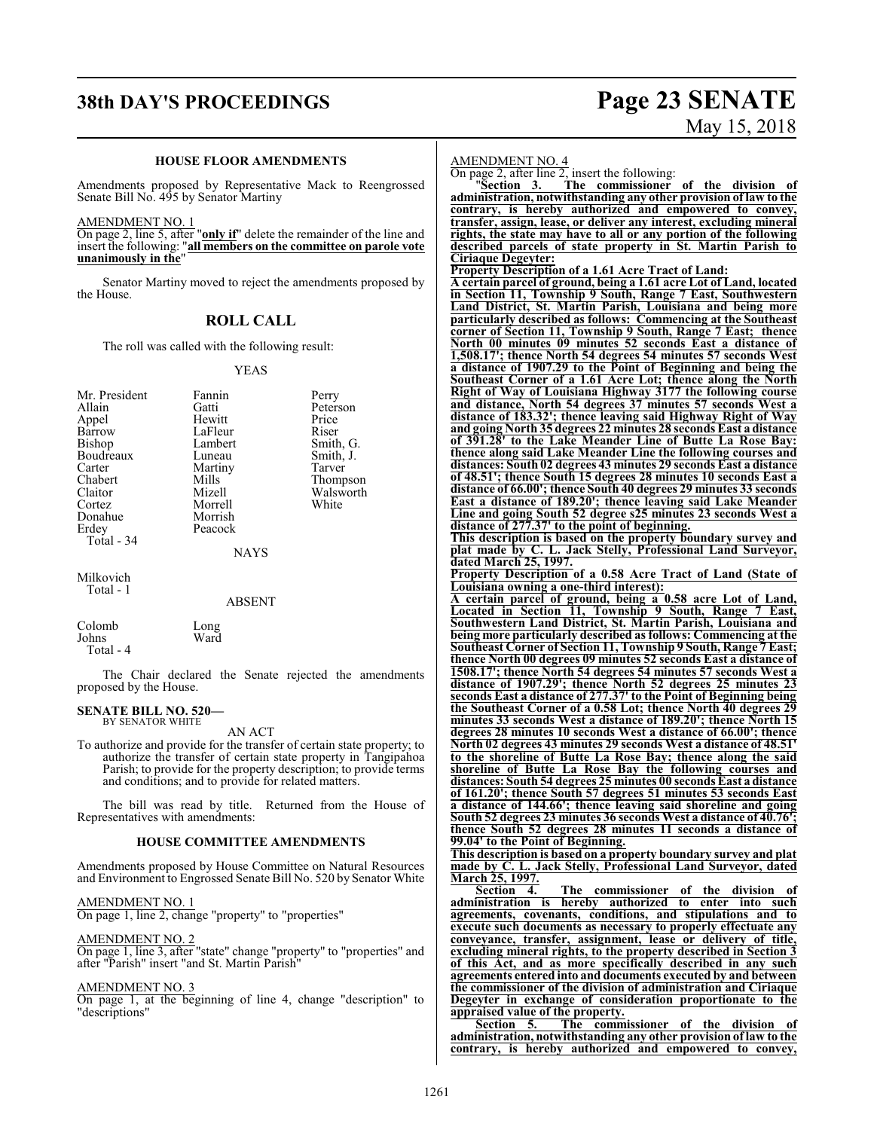# **38th DAY'S PROCEEDINGS Page 23 SENATE**

# **HOUSE FLOOR AMENDMENTS**

Amendments proposed by Representative Mack to Reengrossed Senate Bill No. 495 by Senator Martiny

AMENDMENT NO. 1

On page 2, line 5, after "**only if**" delete the remainder of the line and insert the following: "**all members on the committee on parole vote unanimously in the**"

Senator Martiny moved to reject the amendments proposed by the House.

# **ROLL CALL**

The roll was called with the following result:

### YEAS

| Mr. President<br>Allain<br>Appel<br>Barrow<br>Bishop<br>Boudreaux<br>Carter<br>Chabert<br>Claitor<br>Cortez<br>Donahue<br>Erdey<br>Total - 34 | Fannin<br>Gatti<br>Hewitt<br>LaFleur<br>Lambert<br>Luneau<br>Martiny<br>Mills<br>Mizell<br>Morrell<br>Morrish<br>Peacock<br><b>NAYS</b> | Perry<br>Peterson<br>Price<br>Riser<br>Smith, G.<br>Smith, J.<br>Tarver<br>Thompson<br>Walsworth<br>White |
|-----------------------------------------------------------------------------------------------------------------------------------------------|-----------------------------------------------------------------------------------------------------------------------------------------|-----------------------------------------------------------------------------------------------------------|
| Milkovich<br>Total - 1                                                                                                                        | ARSENT                                                                                                                                  |                                                                                                           |

Colomb Johns Ward Total - 4

The Chair declared the Senate rejected the amendments proposed by the House.

### **SENATE BILL NO. 520—** BY SENATOR WHITE

AN ACT

To authorize and provide for the transfer of certain state property; to authorize the transfer of certain state property in Tangipahoa Parish; to provide for the property description; to provide terms and conditions; and to provide for related matters.

The bill was read by title. Returned from the House of Representatives with amendments:

# **HOUSE COMMITTEE AMENDMENTS**

Amendments proposed by House Committee on Natural Resources and Environment to Engrossed Senate Bill No. 520 by Senator White

# AMENDMENT NO. 1

On page 1, line 2, change "property" to "properties"

# AMENDMENT NO. 2

On page 1, line 3, after "state" change "property" to "properties" and after "Parish" insert "and St. Martin Parish"

## AMENDMENT NO. 3

On page 1, at the beginning of line 4, change "description" to "descriptions"

# May 15, 2018

AMENDMENT NO. 4

On page 2, after line 2, insert the following:

"**Section 3. The commissioner of the division of administration, notwithstanding any other provision of law to the contrary, is hereby authorized and empowered to convey, transfer, assign, lease, or deliver any interest, excluding mineral rights, the state may have to all or any portion of the following described parcels of state property in St. Martin Parish to Ciriaque Degeyter:**

**Property Description of a 1.61 Acre Tract of Land:**

**A certain parcel of ground, being a 1.61 acre Lot of Land, located in Section 11, Township 9 South, Range 7 East, Southwestern Land District, St. Martin Parish, Louisiana and being more particularly described as follows: Commencing at the Southeast corner of Section 11, Township 9 South, Range 7 East; thence North 00 minutes 09 minutes 52 seconds East a distance of 1,508.17'; thence North 54 degrees 54 minutes 57 seconds West a distance of 1907.29 to the Point of Beginning and being the Southeast Corner of a 1.61 Acre Lot; thence along the North Right of Way of Louisiana Highway 3177 the following course and distance, North 54 degrees 37 minutes 57 seconds West a distance of 183.32'; thence leaving said Highway Right of Way and going North 35 degrees 22 minutes 28 seconds East a distance of 391.28' to the Lake Meander Line of Butte La Rose Bay: thence along said Lake Meander Line the following courses and distances: South 02 degrees 43 minutes 29 seconds East a distance of 48.51'; thence South 15 degrees 28 minutes 10 seconds East a distance of 66.00'; thence South 40 degrees 29 minutes 33 seconds East a distance of 189.20'; thence leaving said Lake Meander Line and going South 52 degree s25 minutes 23 seconds West a distance of 277.37' to the point of beginning.**

**This description is based on the property boundary survey and plat made by C. L. Jack Stelly, Professional Land Surveyor, dated March 25, 1997.**

**Property Description of a 0.58 Acre Tract of Land (State of Louisiana owning a one-third interest):**

**A certain parcel of ground, being a 0.58 acre Lot of Land, Located in Section 11, Township 9 South, Range 7 East, Southwestern Land District, St. Martin Parish, Louisiana and being more particularly described as follows: Commencing at the Southeast Corner of Section 11, Township 9 South, Range 7 East; thence North 00 degrees 09 minutes 52 seconds East a distance of 1508.17'; thence North 54 degrees 54 minutes 57 seconds West a distance of 1907.29'; thence North 52 degrees 25 minutes 23 seconds East a distance of 277.37' to the Point of Beginning being the Southeast Corner of a 0.58 Lot; thence North 40 degrees 29 minutes 33 seconds West a distance of 189.20'; thence North 15 degrees 28 minutes 10 seconds West a distance of 66.00'; thence North 02 degrees 43 minutes 29 seconds West a distance of 48.51' to the shoreline of Butte La Rose Bay; thence along the said shoreline of Butte La Rose Bay the following courses and distances: South 54 degrees 25 minutes 00 seconds East a distance of 161.20'; thence South 57 degrees 51 minutes 53 seconds East a distance of 144.66'; thence leaving said shoreline and going South 52 degrees 23 minutes 36 seconds West a distance of 40.76'; thence South 52 degrees 28 minutes 11 seconds a distance of 99.04' to the Point of Beginning.**

**This description is based on a property boundary survey and plat made by C. L. Jack Stelly, Professional Land Surveyor, dated March 25, 1997.**

**Section 4. The commissioner of the division of administration is hereby authorized to enter into such agreements, covenants, conditions, and stipulations and to execute such documents as necessary to properly effectuate any conveyance, transfer, assignment, lease or delivery of title, excluding mineral rights, to the property described in Section 3 of this Act, and as more specifically described in any such agreements entered into and documents executed by and between the commissioner of the division of administration and Ciriaque Degeyter in exchange of consideration proportionate to the appraised value of the property.**

**Section 5. The commissioner of the division of administration, notwithstanding any other provision of law to the contrary, is hereby authorized and empowered to convey,**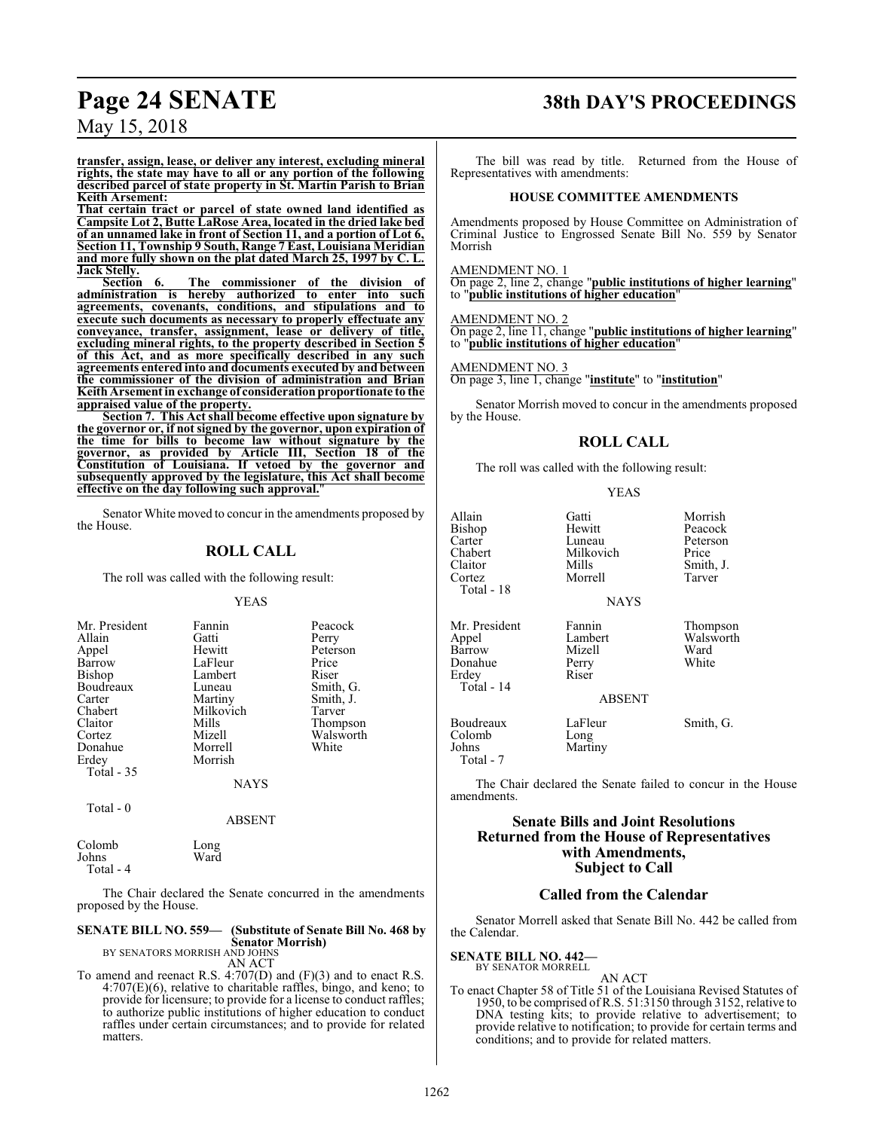# **Page 24 SENATE 38th DAY'S PROCEEDINGS**

May 15, 2018

**transfer, assign, lease, or deliver any interest, excluding mineral rights, the state may have to all or any portion of the following described parcel of state property in St. Martin Parish to Brian Keith Arsement:**

**That certain tract or parcel of state owned land identified as Campsite Lot 2, Butte LaRose Area, located in the dried lake bed of an unnamed lake in front of Section 11, and a portion of Lot 6, Section 11, Township 9 South, Range 7 East, Louisiana Meridian and more fully shown on the plat dated March 25, 1997 by C. L. Jack Stelly.**

**Section 6. The commissioner of the division of administration is hereby authorized to enter into such agreements, covenants, conditions, and stipulations and to execute such documents as necessary to properly effectuate any conveyance, transfer, assignment, lease or delivery of title, excluding mineral rights, to the property described in Section 5 of this Act, and as more specifically described in any such agreements entered into and documents executed by and between the commissioner of the division of administration and Brian Keith Arsement in exchange of considerationproportionate to the appraised value of the property.**

**Section 7. This Act shall become effective upon signature by the governor or, if not signed by the governor, upon expiration of the time for bills to become law without signature by the governor, as provided by Article III, Section 18 of the Constitution of Louisiana. If vetoed by the governor and subsequently approved by the legislature, this Act shall become effective on the day following such approval.**"

Senator White moved to concur in the amendments proposed by the House.

# **ROLL CALL**

The roll was called with the following result:

## YEAS

| Mr. President | Fannin    | Peacock   |
|---------------|-----------|-----------|
| Allain        | Gatti     | Perry     |
| Appel         | Hewitt    | Peterson  |
| Barrow        | LaFleur   | Price     |
| Bishop        | Lambert   | Riser     |
| Boudreaux     | Luneau    | Smith, G. |
| Carter        | Martiny   | Smith, J. |
| Chabert       | Milkovich | Tarver    |
| Claitor       | Mills     | Thompson  |
| Cortez        | Mizell    | Walsworth |
| Donahue       | Morrell   | White     |
| Erdey         | Morrish   |           |
| Total - 35    |           |           |
|               | NAYS      |           |

Total - 0

## ABSENT

| Colomb    | Long |
|-----------|------|
| Johns     | Ward |
| Total - 4 |      |

The Chair declared the Senate concurred in the amendments proposed by the House.

### **SENATE BILL NO. 559— (Substitute of Senate Bill No. 468 by Senator Morrish)** BY SENATORS MORRISH AND JOHNS

AN ACT

To amend and reenact R.S. 4:707(D) and (F)(3) and to enact R.S. 4:707(E)(6), relative to charitable raffles, bingo, and keno; to provide for licensure; to provide for a license to conduct raffles; to authorize public institutions of higher education to conduct raffles under certain circumstances; and to provide for related matters.

The bill was read by title. Returned from the House of Representatives with amendments:

# **HOUSE COMMITTEE AMENDMENTS**

Amendments proposed by House Committee on Administration of Criminal Justice to Engrossed Senate Bill No. 559 by Senator Morrish

## AMENDMENT NO. 1

On page 2, line 2, change "**public institutions of higher learning**" to "**public institutions of higher education**"

# AMENDMENT NO. 2

On page 2, line 11, change "**public institutions of higher learning**" to "**public institutions of higher education**"

# AMENDMENT NO. 3

On page 3, line 1, change "**institute**" to "**institution**"

Senator Morrish moved to concur in the amendments proposed by the House.

# **ROLL CALL**

The roll was called with the following result:

### YEAS

ABSENT

Martiny

| Allain        | Gatti       | Morrish   |
|---------------|-------------|-----------|
| Bishop        | Hewitt      | Peacock   |
| Carter        | Luneau      | Peterson  |
| Chabert       | Milkovich   | Price     |
| Claitor       | Mills       | Smith, J. |
| Cortez        | Morrell     | Tarver    |
| Total - 18    |             |           |
|               | <b>NAYS</b> |           |
| Mr. President | Fannin      | Thompson  |
| Appel         | Lambert     | Walsworth |
| Barrow        | Mizell      | Ward      |

Barrow Mizell Ward<br>
Donahue Perry White Donahue Perry<br>Erdey Riser Erdey Total - 14

Boudreaux LaFleur Smith, G.<br>Colomb Long Colomb<br>Johns Total - 7

The Chair declared the Senate failed to concur in the House amendments.

# **Senate Bills and Joint Resolutions Returned from the House of Representatives with Amendments, Subject to Call**

# **Called from the Calendar**

Senator Morrell asked that Senate Bill No. 442 be called from the Calendar.

# **SENATE BILL NO. 442—**

BY SENATOR MORRELL AN ACT

To enact Chapter 58 of Title 51 of the Louisiana Revised Statutes of 1950, to be comprised of R.S. 51:3150 through 3152, relative to DNA testing kits; to provide relative to advertisement; to provide relative to notification; to provide for certain terms and conditions; and to provide for related matters.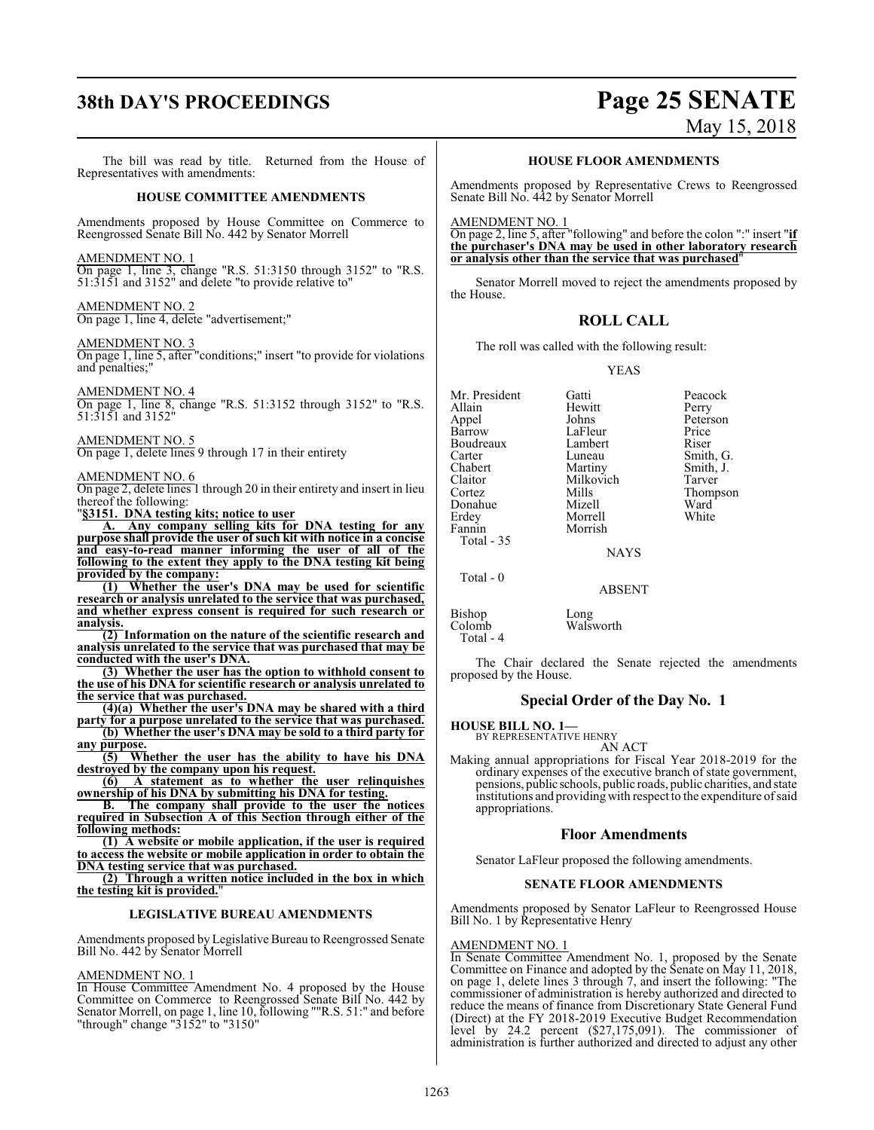# **38th DAY'S PROCEEDINGS Page 25 SENATE**

May 15, 2018

The bill was read by title. Returned from the House of Representatives with amendments:

# **HOUSE COMMITTEE AMENDMENTS**

Amendments proposed by House Committee on Commerce to Reengrossed Senate Bill No. 442 by Senator Morrell

AMENDMENT NO. 1

On page 1, line 3, change "R.S. 51:3150 through 3152" to "R.S. 51:3151 and 3152" and delete "to provide relative to"

AMENDMENT NO. 2 On page 1, line 4, delete "advertisement;"

AMENDMENT NO. 3

On page 1, line 5, after "conditions;" insert "to provide for violations and penalties;"

AMENDMENT NO. 4 On page 1, line 8, change "R.S. 51:3152 through 3152" to "R.S. 51:3151 and 3152"

AMENDMENT NO. 5 On page 1, delete lines 9 through 17 in their entirety

AMENDMENT NO. 6

On page 2, delete lines 1 through 20 in their entirety and insert in lieu thereof the following:

"**§3151. DNA testing kits; notice to user**

**A. Any company selling kits for DNA testing for any purpose shall provide the user of such kit with notice in a concise and easy-to-read manner informing the user of all of the following to the extent they apply to the DNA testing kit being provided by the company:**

**(1) Whether the user's DNA may be used for scientific research or analysis unrelated to the service that was purchased, and whether express consent is required for such research or analysis.**

**(2) Information on the nature of the scientific research and analysis unrelated to the service that was purchased that may be conducted with the user's DNA.**

**(3) Whether the user has the option to withhold consent to the use of his DNA for scientific research or analysis unrelated to the service that was purchased.**

**(4)(a) Whether the user's DNA may be shared with a third party for a purpose unrelated to the service that was purchased. (b) Whether the user's DNA may be sold to a third party for**

**any purpose.**

**(5) Whether the user has the ability to have his DNA destroyed by the company upon his request.**

**(6) A statement as to whether the user relinquishes ownership of his DNA by submitting his DNA for testing.**

**B. The company shall provide to the user the notices required in Subsection A of this Section through either of the following methods:**

**(1) A website or mobile application, if the user is required to access the website or mobile application in order to obtain the DNA testing service that was purchased.**

**(2) Through a written notice included in the box in which the testing kit is provided.**"

# **LEGISLATIVE BUREAU AMENDMENTS**

Amendments proposed by Legislative Bureau to Reengrossed Senate Bill No. 442 by Senator Morrell

# AMENDMENT NO. 1

In House Committee Amendment No. 4 proposed by the House Committee on Commerce to Reengrossed Senate Bill No. 442 by Senator Morrell, on page 1, line 10, following ""R.S. 51:" and before "through" change "3152" to "3150"

# **HOUSE FLOOR AMENDMENTS**

Amendments proposed by Representative Crews to Reengrossed Senate Bill No. 442 by Senator Morrell

AMENDMENT NO. 1

On page 2, line 5, after "following" and before the colon ":" insert "**if the purchaser's DNA may be used in other laboratory research or analysis other than the service that was purchased**"

Senator Morrell moved to reject the amendments proposed by the House.

# **ROLL CALL**

The roll was called with the following result:

YEAS

Mr. President Gatti Peacock Allain Hewitt<br>Appel Johns Boudreaux Lambert<br>Carter Luneau Claitor Milkovich<br>Cortez Mills Fannin Morrish Total - 35

Total - 0

Johns Peterson<br>LaFleur Price Barrow LaFleur Price<br>Boudreaux Lambert Riser Carter Luneau Smith, G. Chabert Martiny Smith, J.<br>Claitor Milkovich Tarver Mills Thompson<br>Mizell Ward Donahue Mizell Ward<br>Erdey Morrell White Morrell

**NAYS** 

ABSENT

Bishop<br>Colomb Long<br>Walsworth Total - 4

The Chair declared the Senate rejected the amendments proposed by the House.

# **Special Order of the Day No. 1**

**HOUSE BILL NO. 1—**

BY REPRESENTATIVE HENRY

AN ACT Making annual appropriations for Fiscal Year 2018-2019 for the ordinary expenses of the executive branch of state government, pensions, public schools, public roads, public charities, and state institutions and providing with respect to the expenditure of said appropriations.

# **Floor Amendments**

Senator LaFleur proposed the following amendments.

# **SENATE FLOOR AMENDMENTS**

Amendments proposed by Senator LaFleur to Reengrossed House Bill No. 1 by Representative Henry

# AMENDMENT NO. 1

In Senate Committee Amendment No. 1, proposed by the Senate Committee on Finance and adopted by the Senate on May 11, 2018, on page 1, delete lines 3 through 7, and insert the following: "The commissioner of administration is hereby authorized and directed to reduce the means of finance from Discretionary State General Fund (Direct) at the FY 2018-2019 Executive Budget Recommendation level by 24.2 percent (\$27,175,091). The commissioner of administration is further authorized and directed to adjust any other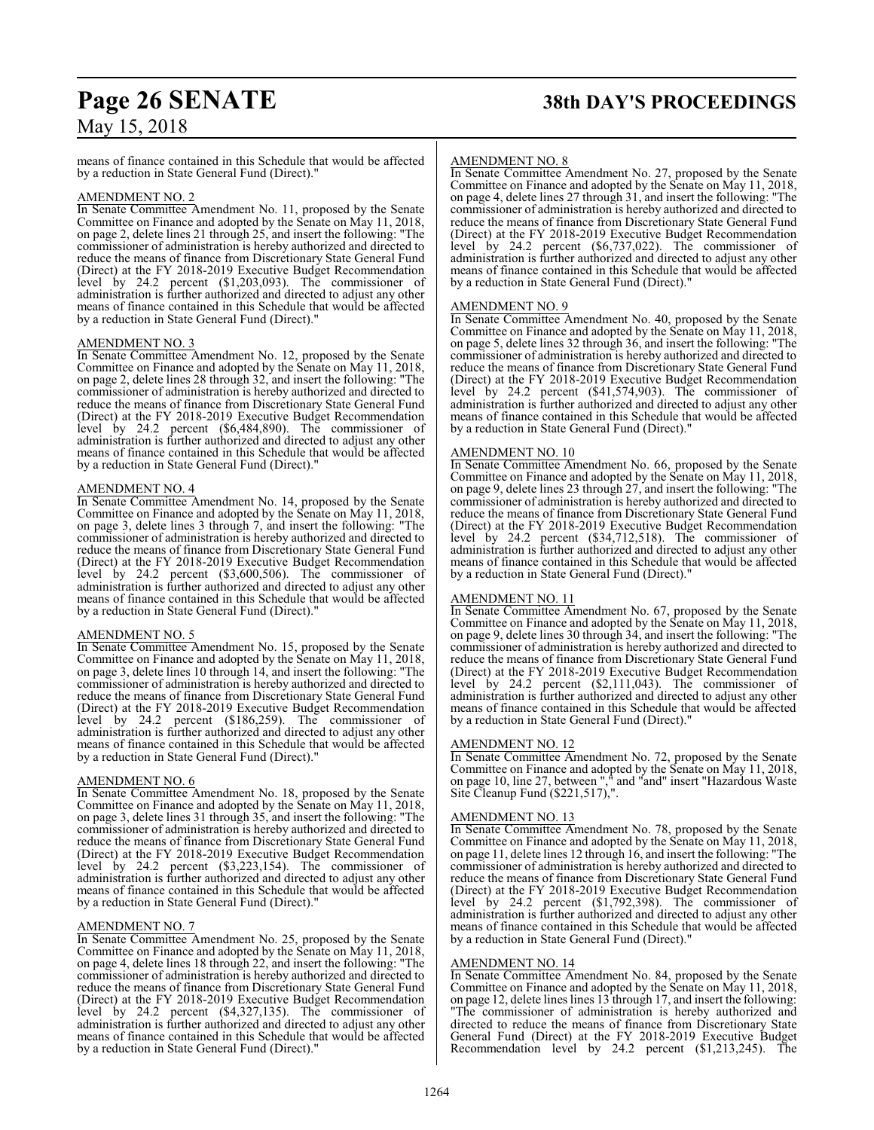# **Page 26 SENATE 38th DAY'S PROCEEDINGS**

means of finance contained in this Schedule that would be affected by a reduction in State General Fund (Direct)."

# AMENDMENT NO. 2

In Senate Committee Amendment No. 11, proposed by the Senate Committee on Finance and adopted by the Senate on May 11, 2018, on page 2, delete lines 21 through 25, and insert the following: "The commissioner of administration is hereby authorized and directed to reduce the means of finance from Discretionary State General Fund (Direct) at the FY 2018-2019 Executive Budget Recommendation level by 24.2 percent (\$1,203,093). The commissioner of administration is further authorized and directed to adjust any other means of finance contained in this Schedule that would be affected by a reduction in State General Fund (Direct)."

# AMENDMENT NO. 3

In Senate Committee Amendment No. 12, proposed by the Senate Committee on Finance and adopted by the Senate on May 11, 2018, on page 2, delete lines 28 through 32, and insert the following: "The commissioner of administration is hereby authorized and directed to reduce the means of finance from Discretionary State General Fund (Direct) at the FY 2018-2019 Executive Budget Recommendation level by 24.2 percent (\$6,484,890). The commissioner of administration is further authorized and directed to adjust any other means of finance contained in this Schedule that would be affected by a reduction in State General Fund (Direct)."

# AMENDMENT NO. 4

In Senate Committee Amendment No. 14, proposed by the Senate Committee on Finance and adopted by the Senate on May 11, 2018, on page 3, delete lines 3 through 7, and insert the following: "The commissioner of administration is hereby authorized and directed to reduce the means of finance from Discretionary State General Fund (Direct) at the FY 2018-2019 Executive Budget Recommendation level by 24.2 percent (\$3,600,506). The commissioner of administration is further authorized and directed to adjust any other means of finance contained in this Schedule that would be affected by a reduction in State General Fund (Direct)."

# AMENDMENT NO. 5

In Senate Committee Amendment No. 15, proposed by the Senate Committee on Finance and adopted by the Senate on May 11, 2018, on page 3, delete lines 10 through 14, and insert the following: "The commissioner of administration is hereby authorized and directed to reduce the means of finance from Discretionary State General Fund (Direct) at the FY 2018-2019 Executive Budget Recommendation level by 24.2 percent (\$186,259). The commissioner of administration is further authorized and directed to adjust any other means of finance contained in this Schedule that would be affected by a reduction in State General Fund (Direct)."

# AMENDMENT NO. 6

In Senate Committee Amendment No. 18, proposed by the Senate Committee on Finance and adopted by the Senate on May 11, 2018, on page 3, delete lines 31 through 35, and insert the following: "The commissioner of administration is hereby authorized and directed to reduce the means of finance from Discretionary State General Fund (Direct) at the FY 2018-2019 Executive Budget Recommendation level by 24.2 percent (\$3,223,154). The commissioner of administration is further authorized and directed to adjust any other means of finance contained in this Schedule that would be affected by a reduction in State General Fund (Direct)."

# AMENDMENT NO. 7

In Senate Committee Amendment No. 25, proposed by the Senate Committee on Finance and adopted by the Senate on May 11, 2018, on page 4, delete lines 18 through 22, and insert the following: "The commissioner of administration is hereby authorized and directed to reduce the means of finance from Discretionary State General Fund (Direct) at the FY 2018-2019 Executive Budget Recommendation level by 24.2 percent (\$4,327,135). The commissioner of administration is further authorized and directed to adjust any other means of finance contained in this Schedule that would be affected by a reduction in State General Fund (Direct)."

# AMENDMENT NO. 8

In Senate Committee Amendment No. 27, proposed by the Senate Committee on Finance and adopted by the Senate on May 11, 2018, on page 4, delete lines 27 through 31, and insert the following: "The commissioner of administration is hereby authorized and directed to reduce the means of finance from Discretionary State General Fund (Direct) at the FY 2018-2019 Executive Budget Recommendation level by 24.2 percent (\$6,737,022). The commissioner of administration is further authorized and directed to adjust any other means of finance contained in this Schedule that would be affected by a reduction in State General Fund (Direct)."

# AMENDMENT NO. 9

In Senate Committee Amendment No. 40, proposed by the Senate Committee on Finance and adopted by the Senate on May 11, 2018, on page 5, delete lines 32 through 36, and insert the following: "The commissioner of administration is hereby authorized and directed to reduce the means of finance from Discretionary State General Fund (Direct) at the FY 2018-2019 Executive Budget Recommendation level by 24.2 percent (\$41,574,903). The commissioner of administration is further authorized and directed to adjust any other means of finance contained in this Schedule that would be affected by a reduction in State General Fund (Direct).'

# AMENDMENT NO. 10

In Senate Committee Amendment No. 66, proposed by the Senate Committee on Finance and adopted by the Senate on May 11, 2018, on page 9, delete lines 23 through 27, and insert the following: "The commissioner of administration is hereby authorized and directed to reduce the means of finance from Discretionary State General Fund (Direct) at the FY 2018-2019 Executive Budget Recommendation level by 24.2 percent (\$34,712,518). The commissioner of administration is further authorized and directed to adjust any other means of finance contained in this Schedule that would be affected by a reduction in State General Fund (Direct)."

# AMENDMENT NO. 11

In Senate Committee Amendment No. 67, proposed by the Senate Committee on Finance and adopted by the Senate on May 11, 2018, on page 9, delete lines 30 through 34, and insert the following: "The commissioner of administration is hereby authorized and directed to reduce the means of finance from Discretionary State General Fund (Direct) at the FY 2018-2019 Executive Budget Recommendation level by 24.2 percent (\$2,111,043). The commissioner of administration is further authorized and directed to adjust any other means of finance contained in this Schedule that would be affected by a reduction in State General Fund (Direct)."

# AMENDMENT NO. 12

In Senate Committee Amendment No. 72, proposed by the Senate Committee on Finance and adopted by the Senate on May 11, 2018, on page 10, line 27, between "," and "and" insert "Hazardous Waste Site Cleanup Fund (\$221,517),".

# AMENDMENT NO. 13

In Senate Committee Amendment No. 78, proposed by the Senate Committee on Finance and adopted by the Senate on May 11, 2018, on page 11, delete lines 12 through 16, and insert the following: "The commissioner of administration is hereby authorized and directed to reduce the means of finance from Discretionary State General Fund (Direct) at the FY 2018-2019 Executive Budget Recommendation level by 24.2 percent (\$1,792,398). The commissioner of administration is further authorized and directed to adjust any other means of finance contained in this Schedule that would be affected by a reduction in State General Fund (Direct)."

# AMENDMENT NO. 14

In Senate Committee Amendment No. 84, proposed by the Senate Committee on Finance and adopted by the Senate on May 11, 2018, on page 12, delete lines lines 13 through 17, and insert the following: "The commissioner of administration is hereby authorized and directed to reduce the means of finance from Discretionary State General Fund (Direct) at the FY 2018-2019 Executive Budget Recommendation level by 24.2 percent (\$1,213,245). The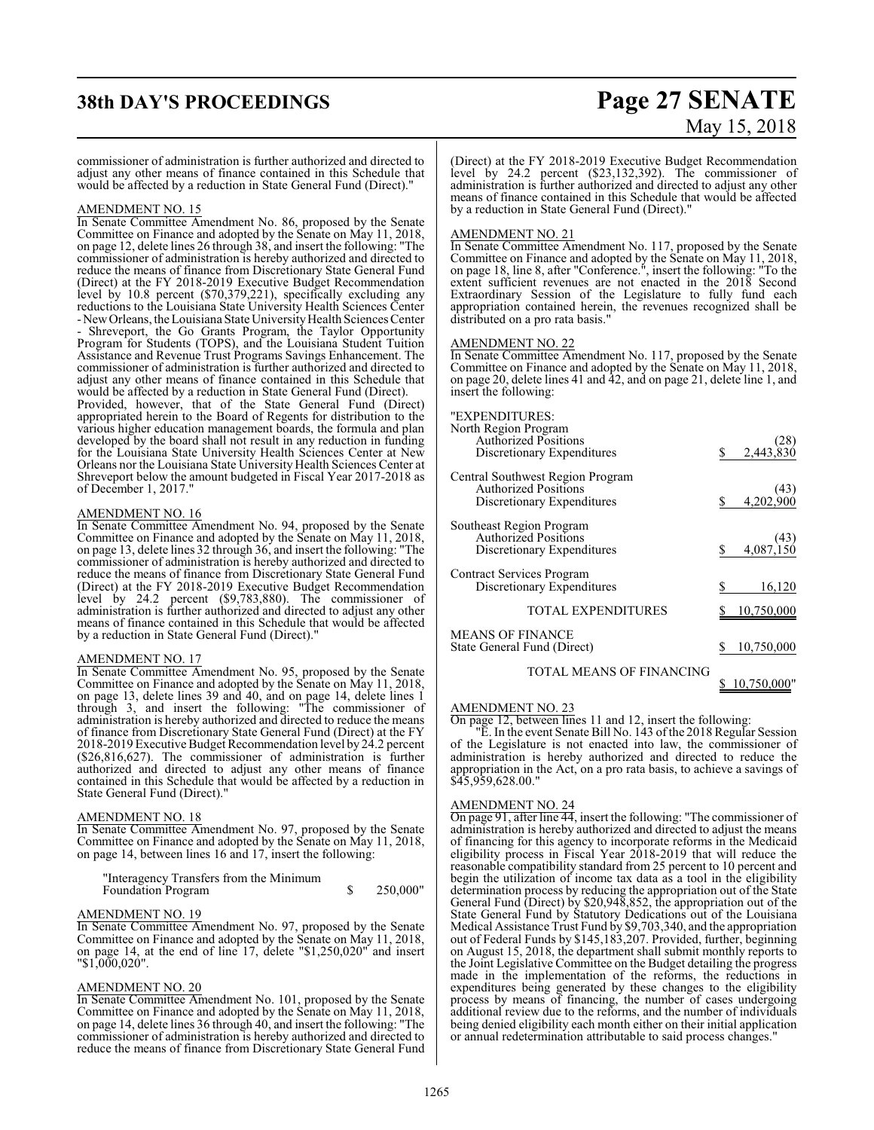# **38th DAY'S PROCEEDINGS Page 27 SENATE**

# May 15, 2018

commissioner of administration is further authorized and directed to adjust any other means of finance contained in this Schedule that would be affected by a reduction in State General Fund (Direct)."

# AMENDMENT NO. 15

In Senate Committee Amendment No. 86, proposed by the Senate Committee on Finance and adopted by the Senate on May 11, 2018, on page 12, delete lines 26 through 38, and insert the following: "The commissioner of administration is hereby authorized and directed to reduce the means of finance from Discretionary State General Fund (Direct) at the FY 2018-2019 Executive Budget Recommendation level by 10.8 percent (\$70,379,221), specifically excluding any reductions to the Louisiana State University Health Sciences Center - New Orleans, the Louisiana State University Health Sciences Center

- Shreveport, the Go Grants Program, the Taylor Opportunity Program for Students (TOPS), and the Louisiana Student Tuition Assistance and Revenue Trust Programs Savings Enhancement. The commissioner of administration is further authorized and directed to adjust any other means of finance contained in this Schedule that would be affected by a reduction in State General Fund (Direct).

Provided, however, that of the State General Fund (Direct) appropriated herein to the Board of Regents for distribution to the various higher education management boards, the formula and plan developed by the board shall not result in any reduction in funding for the Louisiana State University Health Sciences Center at New Orleans nor the Louisiana State University Health Sciences Center at Shreveport below the amount budgeted in Fiscal Year 2017-2018 as of December 1, 2017.

# AMENDMENT NO. 16

In Senate Committee Amendment No. 94, proposed by the Senate Committee on Finance and adopted by the Senate on May 11, 2018, on page 13, delete lines 32 through 36, and insert the following: "The commissioner of administration is hereby authorized and directed to reduce the means of finance from Discretionary State General Fund (Direct) at the FY 2018-2019 Executive Budget Recommendation level by 24.2 percent (\$9,783,880). The commissioner of administration is further authorized and directed to adjust any other means of finance contained in this Schedule that would be affected by a reduction in State General Fund (Direct)."

# AMENDMENT NO. 17

In Senate Committee Amendment No. 95, proposed by the Senate Committee on Finance and adopted by the Senate on May 11, 2018, on page 13, delete lines 39 and 40, and on page 14, delete lines 1 through 3, and insert the following: "The commissioner of administration is hereby authorized and directed to reduce the means of finance from Discretionary State General Fund (Direct) at the FY 2018-2019 Executive Budget Recommendation level by 24.2 percent (\$26,816,627). The commissioner of administration is further authorized and directed to adjust any other means of finance contained in this Schedule that would be affected by a reduction in State General Fund (Direct)."

## AMENDMENT NO. 18

In Senate Committee Amendment No. 97, proposed by the Senate Committee on Finance and adopted by the Senate on May 11, 2018, on page 14, between lines 16 and 17, insert the following:

| "Interagency Transfers from the Minimum |          |
|-----------------------------------------|----------|
| <b>Foundation Program</b>               | 250,000" |

## AMENDMENT NO. 19

In Senate Committee Amendment No. 97, proposed by the Senate Committee on Finance and adopted by the Senate on May 11, 2018, on page 14, at the end of line 17, delete "\$1,250,020" and insert "\$1,000,020".

# AMENDMENT NO. 20

In Senate Committee Amendment No. 101, proposed by the Senate Committee on Finance and adopted by the Senate on May 11, 2018, on page 14, delete lines 36 through 40, and insert the following: "The commissioner of administration is hereby authorized and directed to reduce the means of finance from Discretionary State General Fund

(Direct) at the FY 2018-2019 Executive Budget Recommendation level by 24.2 percent (\$23,132,392). The commissioner of administration is further authorized and directed to adjust any other means of finance contained in this Schedule that would be affected by a reduction in State General Fund (Direct)."

# AMENDMENT NO. 21

In Senate Committee Amendment No. 117, proposed by the Senate Committee on Finance and adopted by the Senate on May 11, 2018, on page 18, line 8, after "Conference.", insert the following: "To the extent sufficient revenues are not enacted in the 2018 Second Extraordinary Session of the Legislature to fully fund each appropriation contained herein, the revenues recognized shall be distributed on a pro rata basis.'

# AMENDMENT NO. 22

In Senate Committee Amendment No. 117, proposed by the Senate Committee on Finance and adopted by the Senate on May 11, 2018, on page 20, delete lines 41 and 42, and on page 21, delete line 1, and insert the following:

| "EXPENDITURES:                                                   |                 |
|------------------------------------------------------------------|-----------------|
| North Region Program                                             |                 |
| Authorized Positions                                             |                 |
| Discretionary Expenditures                                       | 2,443,83        |
| <b>Central Southwest Region Program<br/>Authorized Positions</b> |                 |
| Discretionary Expenditures                                       | 4,202,90        |
| Southeast Region Program                                         |                 |
| Authorized Positions                                             |                 |
| Discretionary Expenditures                                       | \$<br>4,087,150 |
| Contract Services Program                                        |                 |
| Discretionary Expenditures                                       | 16,120          |
| <b>TOTAL EXPENDITURES</b>                                        | 10,750,000      |
|                                                                  |                 |
| <b>MEANS OF FINANCE</b>                                          |                 |
| State General Fund (Direct)                                      | 10,750,000      |
| TOTAL MEANS OF FINANCING                                         |                 |

AMENDMENT NO. 23

On page 12, between lines 11 and 12, insert the following:

"E. In the event Senate Bill No. 143 of the 2018 Regular Session of the Legislature is not enacted into law, the commissioner of administration is hereby authorized and directed to reduce the appropriation in the Act, on a pro rata basis, to achieve a savings of \$45,959,628.00."

\$ 10,750,000"

# AMENDMENT NO. 24

On page 91, after line 44, insert the following: "The commissioner of administration is hereby authorized and directed to adjust the means of financing for this agency to incorporate reforms in the Medicaid eligibility process in Fiscal Year 2018-2019 that will reduce the reasonable compatibility standard from 25 percent to 10 percent and begin the utilization of income tax data as a tool in the eligibility determination process by reducing the appropriation out of the State General Fund (Direct) by \$20,948,852, the appropriation out of the State General Fund by Statutory Dedications out of the Louisiana Medical Assistance Trust Fund by \$9,703,340, and the appropriation out of Federal Funds by \$145,183,207. Provided, further, beginning on August 15, 2018, the department shall submit monthly reports to the Joint Legislative Committee on the Budget detailing the progress made in the implementation of the reforms, the reductions in expenditures being generated by these changes to the eligibility process by means of financing, the number of cases undergoing additional review due to the reforms, and the number of individuals being denied eligibility each month either on their initial application or annual redetermination attributable to said process changes."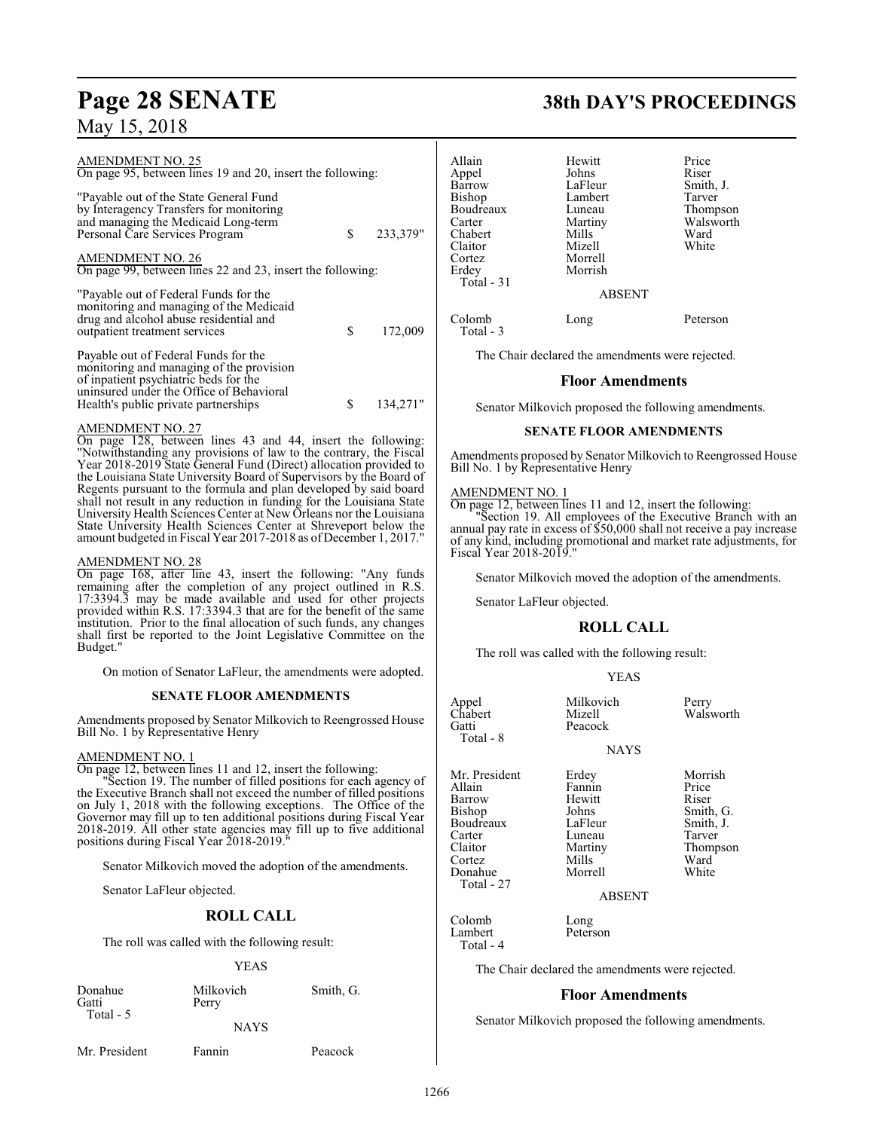| <b>AMENDMENT NO. 25</b><br>On page 95, between lines 19 and 20, insert the following:                                                                                 |    |          |
|-----------------------------------------------------------------------------------------------------------------------------------------------------------------------|----|----------|
| "Payable out of the State General Fund"<br>by Interagency Transfers for monitoring<br>and managing the Medicaid Long-term<br>Personal Care Services Program           | \$ | 233,379" |
| <b>AMENDMENT NO. 26</b><br>On page 99, between lines 22 and 23, insert the following:                                                                                 |    |          |
| "Payable out of Federal Funds for the<br>monitoring and managing of the Medicaid<br>drug and alcohol abuse residential and<br>outpatient treatment services           | S  | 172,009  |
| Payable out of Federal Funds for the<br>monitoring and managing of the provision<br>of inpatient psychiatric beds for the<br>uninsured under the Office of Behavioral |    |          |
| Health's public private partnerships                                                                                                                                  |    | 134,271" |

# AMENDMENT NO. 27

On page 128, between lines 43 and 44, insert the following: "Notwithstanding any provisions of law to the contrary, the Fiscal Year 2018-2019 State General Fund (Direct) allocation provided to the Louisiana State University Board of Supervisors by the Board of Regents pursuant to the formula and plan developed by said board shall not result in any reduction in funding for the Louisiana State University Health Sciences Center at New Orleans nor the Louisiana State University Health Sciences Center at Shreveport below the amount budgeted in Fiscal Year 2017-2018 as of December 1, 2017."

# AMENDMENT NO. 28

On page 168, after line 43, insert the following: "Any funds remaining after the completion of any project outlined in R.S. 17:3394.3 may be made available and used for other projects provided within R.S. 17:3394.3 that are for the benefit of the same institution. Prior to the final allocation of such funds, any changes shall first be reported to the Joint Legislative Committee on the Budget."

On motion of Senator LaFleur, the amendments were adopted.

# **SENATE FLOOR AMENDMENTS**

Amendments proposed by Senator Milkovich to Reengrossed House Bill No. 1 by Representative Henry

# AMENDMENT NO. 1

On page 12, between lines 11 and 12, insert the following:

Section 19. The number of filled positions for each agency of the Executive Branch shall not exceed the number of filled positions on July 1, 2018 with the following exceptions. The Office of the Governor may fill up to ten additional positions during Fiscal Year 2018-2019. All other state agencies may fill up to five additional positions during Fiscal Year 2018-2019."

Senator Milkovich moved the adoption of the amendments.

Senator LaFleur objected.

# **ROLL CALL**

The roll was called with the following result:

# YEAS

| Donahue            | Milkovich   | Smith, G. |
|--------------------|-------------|-----------|
| Gatti<br>Total - 5 | Perry       |           |
|                    | <b>NAYS</b> |           |

Mr. President Fannin Peacock

# **Page 28 SENATE 38th DAY'S PROCEEDINGS**

| Allain<br>Appel<br>Barrow<br>Bishop<br>Boudreaux<br>Carter<br>Chabert<br>Claitor<br>Cortez<br>Erdey<br>Total - 31 | Hewitt<br>Johns<br>LaFleur<br>Lambert<br>Luneau<br>Martiny<br>Mills<br>Mizell<br>Morrell<br>Morrish<br><b>ABSENT</b> | Price<br>Riser<br>Smith, J.<br>Tarver<br>Thompson<br>Walsworth<br>Ward<br>White |
|-------------------------------------------------------------------------------------------------------------------|----------------------------------------------------------------------------------------------------------------------|---------------------------------------------------------------------------------|
| Colomb<br>Total - 3                                                                                               | Long                                                                                                                 | Peterson                                                                        |

The Chair declared the amendments were rejected.

# **Floor Amendments**

Senator Milkovich proposed the following amendments.

# **SENATE FLOOR AMENDMENTS**

Amendments proposed by Senator Milkovich to Reengrossed House Bill No. 1 by Representative Henry

# AMENDMENT NO. 1

On page 12, between lines 11 and 12, insert the following:

"Section 19. All employees of the Executive Branch with an annual pay rate in excess of \$50,000 shall not receive a pay increase of any kind, including promotional and market rate adjustments, for Fiscal Year 2018-2019."

Senator Milkovich moved the adoption of the amendments.

Senator LaFleur objected.

# **ROLL CALL**

The roll was called with the following result:

## YEAS

| Appel<br>Chabert<br>Gatti<br>Total - 8                                                                           | Milkovich<br>Mizell<br>Peacock                                                                          | Perry<br>Walsworth                                                                         |
|------------------------------------------------------------------------------------------------------------------|---------------------------------------------------------------------------------------------------------|--------------------------------------------------------------------------------------------|
|                                                                                                                  | <b>NAYS</b>                                                                                             |                                                                                            |
| Mr. President<br>Allain<br>Barrow<br>Bishop<br>Boudreaux<br>Carter<br>Claitor<br>Cortez<br>Donahue<br>Total - 27 | Erdey<br>Fannin<br>Hewitt<br>Johns<br>LaFleur<br>Luneau<br>Martiny<br>Mills<br>Morrell<br><b>ABSENT</b> | Morrish<br>Price<br>Riser<br>Smith, G.<br>Smith, J.<br>Tarver<br>Thompson<br>Ward<br>White |
| Colomb<br>Lambert<br>Total - 4                                                                                   | Long<br>Peterson                                                                                        |                                                                                            |

The Chair declared the amendments were rejected.

# **Floor Amendments**

Senator Milkovich proposed the following amendments.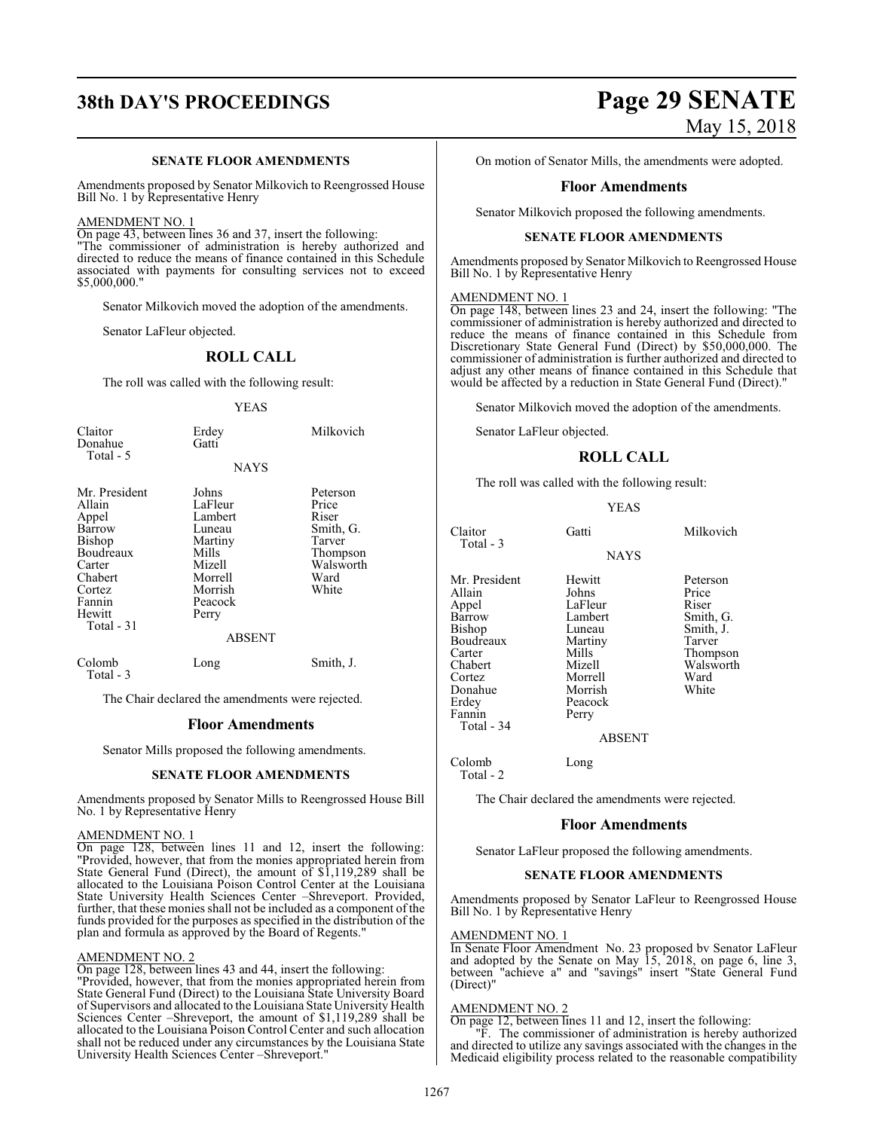# **SENATE FLOOR AMENDMENTS**

Amendments proposed by Senator Milkovich to Reengrossed House Bill No. 1 by Representative Henry

AMENDMENT NO. 1

On page 43, between lines 36 and 37, insert the following: "The commissioner of administration is hereby authorized and directed to reduce the means of finance contained in this Schedule associated with payments for consulting services not to exceed \$5,000,000."

Senator Milkovich moved the adoption of the amendments.

Senator LaFleur objected.

# **ROLL CALL**

The roll was called with the following result:

# YEAS

| Claitor<br>Donahue<br>Total - 5                                                                                                     | Erdey<br>Gatti                                                                                                | Milkovich                                                                                   |
|-------------------------------------------------------------------------------------------------------------------------------------|---------------------------------------------------------------------------------------------------------------|---------------------------------------------------------------------------------------------|
|                                                                                                                                     | <b>NAYS</b>                                                                                                   |                                                                                             |
| Mr. President<br>Allain<br>Appel<br>Barrow<br>Bishop<br>Boudreaux<br>Carter<br>Chabert<br>Cortez<br>Fannin<br>Hewitt<br>Total $-31$ | Johns<br>LaFleur<br>Lambert<br>Luneau<br>Martiny<br>Mills<br>Mizell<br>Morrell<br>Morrish<br>Peacock<br>Perry | Peterson<br>Price<br>Riser<br>Smith, G.<br>Tarver<br>Thompson<br>Walsworth<br>Ward<br>White |
|                                                                                                                                     | <b>ABSENT</b>                                                                                                 |                                                                                             |
| Colomb<br>Total - 3                                                                                                                 | Long                                                                                                          | Smith, J.                                                                                   |

The Chair declared the amendments were rejected.

# **Floor Amendments**

Senator Mills proposed the following amendments.

# **SENATE FLOOR AMENDMENTS**

Amendments proposed by Senator Mills to Reengrossed House Bill No. 1 by Representative Henry

# AMENDMENT NO. 1

On page 128, between lines 11 and 12, insert the following: "Provided, however, that from the monies appropriated herein from State General Fund (Direct), the amount of \$1,119,289 shall be allocated to the Louisiana Poison Control Center at the Louisiana State University Health Sciences Center –Shreveport. Provided, further, that these monies shall not be included as a component of the funds provided for the purposes as specified in the distribution of the plan and formula as approved by the Board of Regents."

# AMENDMENT NO. 2

On page 128, between lines 43 and 44, insert the following: "Provided, however, that from the monies appropriated herein from State General Fund (Direct) to the Louisiana State University Board of Supervisors and allocated to the Louisiana State University Health Sciences Center –Shreveport, the amount of \$1,119,289 shall be allocated to the Louisiana Poison Control Center and such allocation shall not be reduced under any circumstances by the Louisiana State University Health Sciences Center –Shreveport."

# **38th DAY'S PROCEEDINGS Page 29 SENATE** May 15, 2018

On motion of Senator Mills, the amendments were adopted.

# **Floor Amendments**

Senator Milkovich proposed the following amendments.

# **SENATE FLOOR AMENDMENTS**

Amendments proposed by Senator Milkovich to Reengrossed House Bill No. 1 by Representative Henry

# AMENDMENT NO. 1

On page 148, between lines 23 and 24, insert the following: "The commissioner of administration is hereby authorized and directed to reduce the means of finance contained in this Schedule from Discretionary State General Fund (Direct) by \$50,000,000. The commissioner of administration is further authorized and directed to adjust any other means of finance contained in this Schedule that would be affected by a reduction in State General Fund (Direct)."

Senator Milkovich moved the adoption of the amendments.

Senator LaFleur objected.

# **ROLL CALL**

The roll was called with the following result:

## YEAS

| Claitor<br>Total - 3                                                                                                                                       | Gatti                                                                                                                   | Milkovich                                                                                                |
|------------------------------------------------------------------------------------------------------------------------------------------------------------|-------------------------------------------------------------------------------------------------------------------------|----------------------------------------------------------------------------------------------------------|
|                                                                                                                                                            | <b>NAYS</b>                                                                                                             |                                                                                                          |
| Mr. President<br>Allain<br>Appel<br>Barrow<br><b>Bishop</b><br><b>Boudreaux</b><br>Carter<br>Chabert<br>Cortez<br>Donahue<br>Erdey<br>Fannin<br>Total - 34 | Hewitt<br>Johns<br>LaFleur<br>Lambert<br>Luneau<br>Martiny<br>Mills<br>Mizell<br>Morrell<br>Morrish<br>Peacock<br>Perry | Peterson<br>Price<br>Riser<br>Smith, G.<br>Smith, J.<br>Tarver<br>Thompson<br>Walsworth<br>Ward<br>White |
|                                                                                                                                                            | ABSENT                                                                                                                  |                                                                                                          |

Colomb Long

Total - 2

The Chair declared the amendments were rejected.

# **Floor Amendments**

Senator LaFleur proposed the following amendments.

# **SENATE FLOOR AMENDMENTS**

Amendments proposed by Senator LaFleur to Reengrossed House Bill No. 1 by Representative Henry

# AMENDMENT NO. 1

In Senate Floor Amendment No. 23 proposed bv Senator LaFleur and adopted by the Senate on May 15, 2018, on page 6, line 3, between "achieve a" and "savings" insert "State General Fund (Direct)"

# AMENDMENT NO. 2

On page 12, between lines 11 and 12, insert the following:

"F. The commissioner of administration is hereby authorized and directed to utilize any savings associated with the changes in the Medicaid eligibility process related to the reasonable compatibility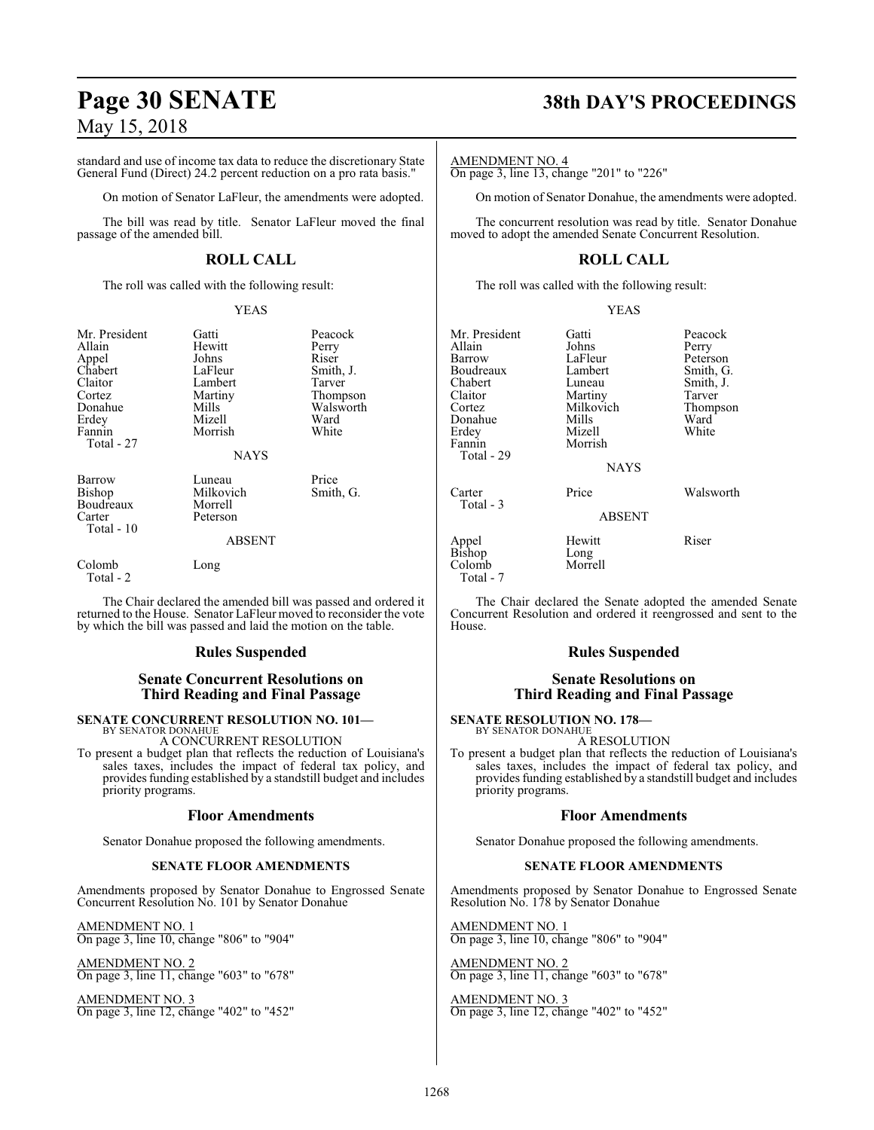standard and use of income tax data to reduce the discretionary State General Fund (Direct) 24.2 percent reduction on a pro rata basis."

On motion of Senator LaFleur, the amendments were adopted.

The bill was read by title. Senator LaFleur moved the final passage of the amended bill.

# **ROLL CALL**

The roll was called with the following result:

## YEAS

| Mr. President<br>Allain<br>Appel<br>Chabert<br>Claitor<br>Cortez<br>Donahue<br>Erdey<br>Fannin<br>Total - 27 | Gatti<br>Hewitt<br>Johns<br>LaFleur<br>Lambert<br>Martiny<br>Mills<br>Mizell<br>Morrish<br><b>NAYS</b> | Peacock<br>Perry<br>Riser<br>Smith, J.<br>Tarver<br>Thompson<br>Walsworth<br>Ward<br>White |
|--------------------------------------------------------------------------------------------------------------|--------------------------------------------------------------------------------------------------------|--------------------------------------------------------------------------------------------|
| <b>Barrow</b><br>Bishop<br>Boudreaux<br>Carter<br>Total - 10                                                 | Luneau<br>Milkovich<br>Morrell<br>Peterson<br><b>ABSENT</b>                                            | Price<br>Smith, G.                                                                         |
| Colomb<br>Total - 2                                                                                          | Long                                                                                                   |                                                                                            |

The Chair declared the amended bill was passed and ordered it returned to the House. Senator LaFleur moved to reconsider the vote by which the bill was passed and laid the motion on the table.

# **Rules Suspended**

# **Senate Concurrent Resolutions on Third Reading and Final Passage**

# **SENATE CONCURRENT RESOLUTION NO. 101—** BY SENATOR DONAHUE

A CONCURRENT RESOLUTION

To present a budget plan that reflects the reduction of Louisiana's sales taxes, includes the impact of federal tax policy, and provides funding established by a standstill budget and includes priority programs.

# **Floor Amendments**

Senator Donahue proposed the following amendments.

# **SENATE FLOOR AMENDMENTS**

Amendments proposed by Senator Donahue to Engrossed Senate Concurrent Resolution No. 101 by Senator Donahue

AMENDMENT NO. 1 On page 3, line 10, change "806" to "904"

AMENDMENT NO. 2 On page 3, line 11, change "603" to "678"

AMENDMENT NO. 3 On page 3, line 12, change "402" to "452"

# **Page 30 SENATE 38th DAY'S PROCEEDINGS**

AMENDMENT NO. 4

On page 3, line 13, change "201" to "226"

On motion of Senator Donahue, the amendments were adopted.

The concurrent resolution was read by title. Senator Donahue moved to adopt the amended Senate Concurrent Resolution.

# **ROLL CALL**

The roll was called with the following result:

| v |  |
|---|--|
|   |  |

| Mr. President       | Gatti         | Peacock   |
|---------------------|---------------|-----------|
| Allain              | Johns         | Perry     |
| Barrow              | LaFleur       | Peterson  |
| Boudreaux           | Lambert       | Smith, G. |
| Chabert             | Luneau        | Smith, J. |
| Claitor             | Martiny       | Tarver    |
| Cortez              | Milkovich     | Thompson  |
| Donahue             | Mills         | Ward      |
| Erdey               | Mizell        | White     |
| Fannin              | Morrish       |           |
| Total - 29          |               |           |
|                     | <b>NAYS</b>   |           |
| Carter<br>Total - 3 | Price         | Walsworth |
|                     | <b>ABSENT</b> |           |
| Appel               | Hewitt        | Riser     |
| <b>Bishop</b>       | Long          |           |
| Colomb              | Morrell       |           |
| Total - 7           |               |           |

The Chair declared the Senate adopted the amended Senate Concurrent Resolution and ordered it reengrossed and sent to the House.

# **Rules Suspended**

# **Senate Resolutions on Third Reading and Final Passage**

# **SENATE RESOLUTION NO. 178—**

BY SENATOR DONAHUE A RESOLUTION

To present a budget plan that reflects the reduction of Louisiana's sales taxes, includes the impact of federal tax policy, and provides funding established by a standstill budget and includes priority programs.

# **Floor Amendments**

Senator Donahue proposed the following amendments.

# **SENATE FLOOR AMENDMENTS**

Amendments proposed by Senator Donahue to Engrossed Senate Resolution No. 178 by Senator Donahue

AMENDMENT NO. 1 On page 3, line 10, change "806" to "904"

AMENDMENT NO. 2 On page 3, line 11, change "603" to "678"

AMENDMENT NO. 3 On page 3, line 12, change "402" to "452"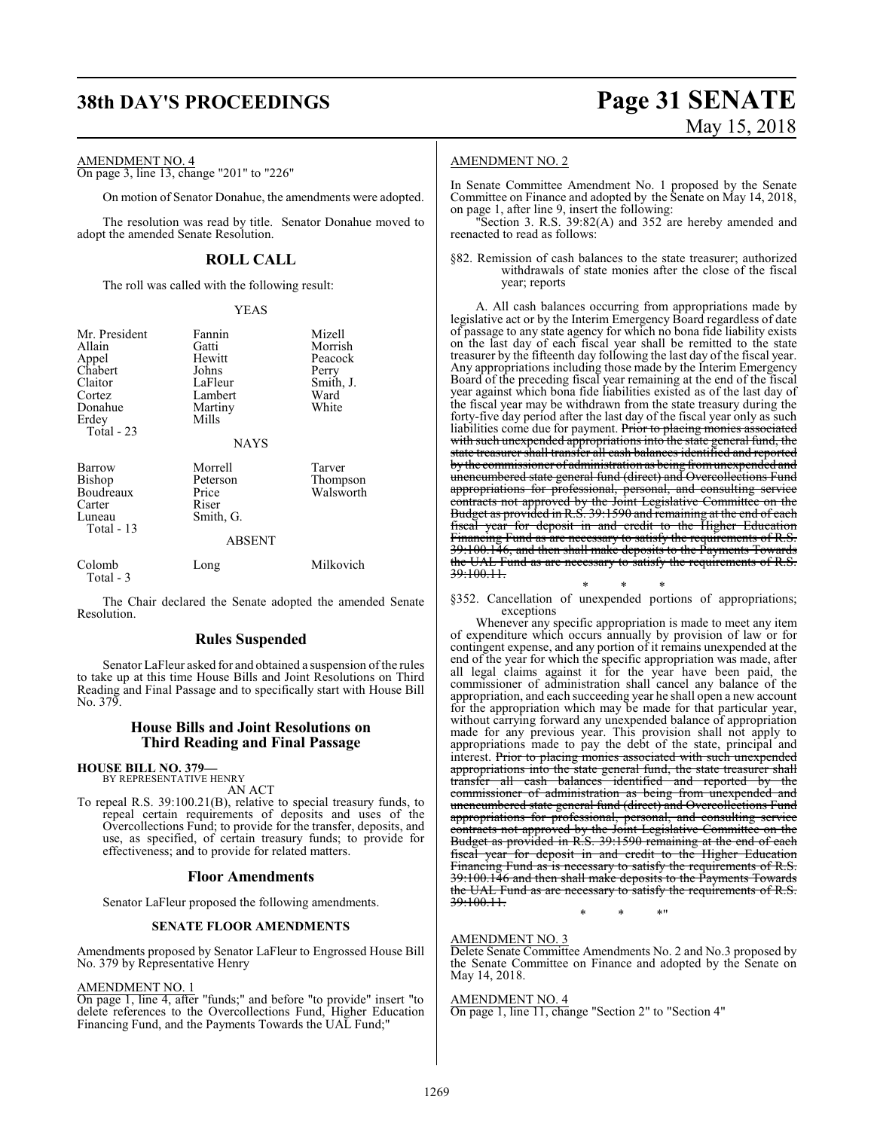# **38th DAY'S PROCEEDINGS Page 31 SENATE**

# AMENDMENT NO. 4

On page 3, line 13, change "201" to "226"

On motion of Senator Donahue, the amendments were adopted.

The resolution was read by title. Senator Donahue moved to adopt the amended Senate Resolution.

# **ROLL CALL**

The roll was called with the following result:

## YEAS

| Mr. President<br>Allain<br>Appel<br>Chabert<br>Claitor<br>Cortez<br>Donahue<br>Erdey | Fannin<br>Gatti<br>Hewitt<br>Johns<br>LaFleur<br>Lambert<br>Martiny<br>Mills | Mizell<br>Morrish<br>Peacock<br>Perry<br>Smith, J.<br>Ward<br>White |
|--------------------------------------------------------------------------------------|------------------------------------------------------------------------------|---------------------------------------------------------------------|
| Total $-23$                                                                          | <b>NAYS</b>                                                                  |                                                                     |
| Barrow<br>Bishop<br>Boudreaux<br>Carter<br>Luneau<br>Total - 13                      | Morrell<br>Peterson<br>Price<br>Riser<br>Smith, G.<br><b>ABSENT</b>          | Tarver<br>Thompson<br>Walsworth                                     |
|                                                                                      |                                                                              |                                                                     |
| Colomb<br>Total - 3                                                                  | Long                                                                         | Milkovich                                                           |

The Chair declared the Senate adopted the amended Senate Resolution.

# **Rules Suspended**

Senator LaFleur asked for and obtained a suspension of the rules to take up at this time House Bills and Joint Resolutions on Third Reading and Final Passage and to specifically start with House Bill No. 379.

# **House Bills and Joint Resolutions on Third Reading and Final Passage**

### **HOUSE BILL NO. 379—** BY REPRESENTATIVE HENRY

AN ACT

To repeal R.S. 39:100.21(B), relative to special treasury funds, to repeal certain requirements of deposits and uses of the Overcollections Fund; to provide for the transfer, deposits, and use, as specified, of certain treasury funds; to provide for effectiveness; and to provide for related matters.

# **Floor Amendments**

Senator LaFleur proposed the following amendments.

# **SENATE FLOOR AMENDMENTS**

Amendments proposed by Senator LaFleur to Engrossed House Bill No. 379 by Representative Henry

# AMENDMENT NO. 1

On page 1, line 4, after "funds;" and before "to provide" insert "to delete references to the Overcollections Fund, Higher Education Financing Fund, and the Payments Towards the UAL Fund;

# May 15, 2018

# AMENDMENT NO. 2

In Senate Committee Amendment No. 1 proposed by the Senate Committee on Finance and adopted by the Senate on May 14, 2018, on page 1, after line 9, insert the following:

"Section 3. R.S. 39:82(A) and 352 are hereby amended and reenacted to read as follows:

§82. Remission of cash balances to the state treasurer; authorized withdrawals of state monies after the close of the fiscal year; reports

A. All cash balances occurring from appropriations made by legislative act or by the Interim Emergency Board regardless of date of passage to any state agency for which no bona fide liability exists on the last day of each fiscal year shall be remitted to the state treasurer by the fifteenth day following the last day of the fiscal year. Any appropriations including those made by the Interim Emergency Board of the preceding fiscal year remaining at the end of the fiscal year against which bona fide liabilities existed as of the last day of the fiscal year may be withdrawn from the state treasury during the forty-five day period after the last day of the fiscal year only as such liabilities come due for payment. Prior to placing monies associated with such unexpended appropriations into the state general fund, the state treasurer shall transfer all cash balances identified and reported bythe commissioner of administration as being fromunexpended and unencumbered state general fund (direct) and Overcollections Fund appropriations for professional, personal, and consulting service contracts not approved by the Joint Legislative Committee on the Budget as provided in R.S. 39:1590 and remaining at the end of each fiscal year for deposit in and credit to the Higher Education Financing Fund as are necessary to satisfy the requirements of R.S. 39:100.146, and then shall make deposits to the Payments Towards the UAL Fund as are necessary to satisfy the requirements of R.S. 39:100.11.

\* \* \* §352. Cancellation of unexpended portions of appropriations; exceptions

Whenever any specific appropriation is made to meet any item of expenditure which occurs annually by provision of law or for contingent expense, and any portion of it remains unexpended at the end of the year for which the specific appropriation was made, after all legal claims against it for the year have been paid, the commissioner of administration shall cancel any balance of the appropriation, and each succeeding year he shall open a new account for the appropriation which may be made for that particular year, without carrying forward any unexpended balance of appropriation made for any previous year. This provision shall not apply to appropriations made to pay the debt of the state, principal and interest. Prior to placing monies associated with such unexpended appropriations into the state general fund, the state treasurer shall<br>transfer all eash balances identified and reported by the transfer all cash balances identified and reported by commissioner of administration as being from unexpended and unencumbered state general fund (direct) and Overcollections Fund appropriations for professional, personal, and consulting service contracts not approved by the Joint Legislative Committee on the Budget as provided in R.S. 39:1590 remaining at the end of each fiscal year for deposit in and credit to the Higher Education Financing Fund as is necessary to satisfy the requirements of R.S. 39:100.146 and then shall make deposits to the Payments Towards the UAL Fund as are necessary to satisfy the requirements of R.S. 39:100.11.

\* \* \*"

# AMENDMENT NO. 3

Delete Senate Committee Amendments No. 2 and No.3 proposed by the Senate Committee on Finance and adopted by the Senate on May 14, 2018.

# AMENDMENT NO. 4

On page 1, line 11, change "Section 2" to "Section 4"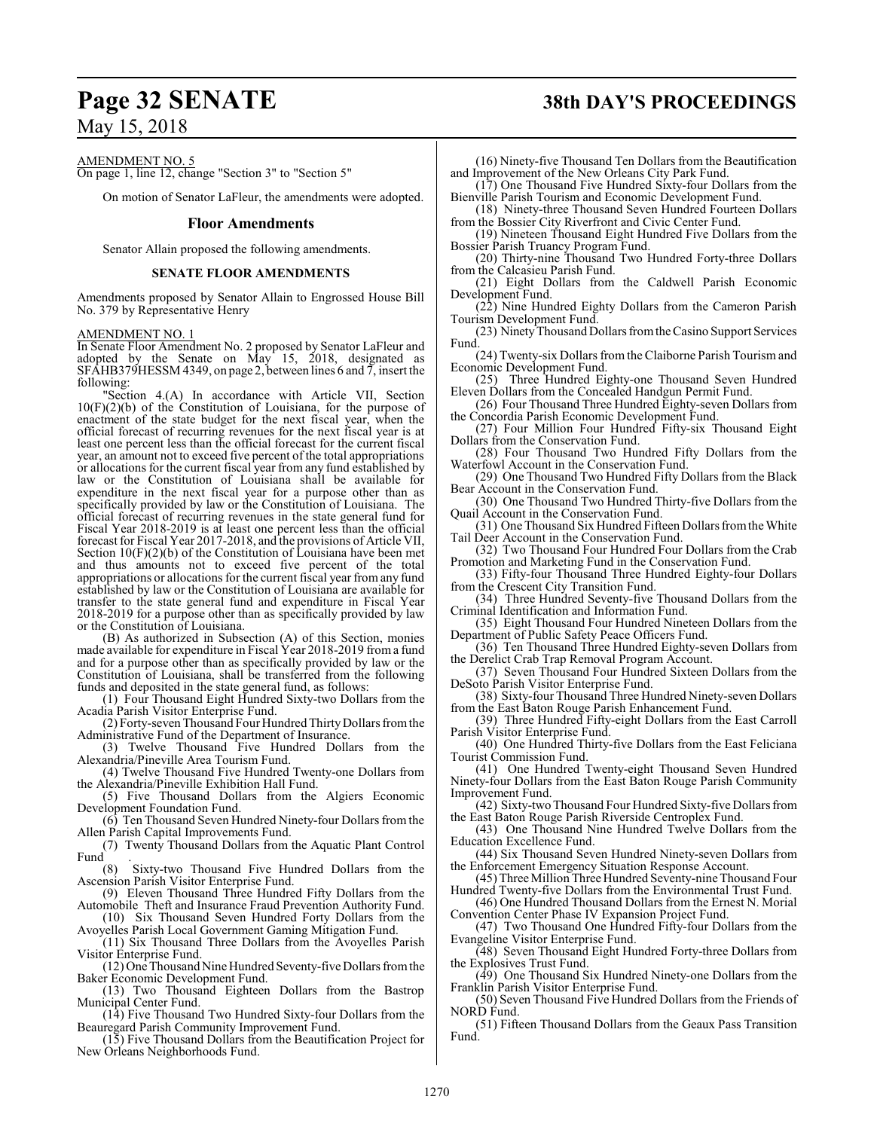# **Page 32 SENATE 38th DAY'S PROCEEDINGS**

May 15, 2018

AMENDMENT NO. 5

On page 1, line 12, change "Section 3" to "Section 5"

On motion of Senator LaFleur, the amendments were adopted.

# **Floor Amendments**

Senator Allain proposed the following amendments.

# **SENATE FLOOR AMENDMENTS**

Amendments proposed by Senator Allain to Engrossed House Bill No. 379 by Representative Henry

## AMENDMENT NO. 1

In Senate Floor Amendment No. 2 proposed by Senator LaFleur and adopted by the Senate on May 15, 2018, designated as SFAHB379HESSM 4349, on page 2, between lines 6 and 7, insert the following:

"Section 4.(A) In accordance with Article VII, Section 10(F)(2)(b) of the Constitution of Louisiana, for the purpose of enactment of the state budget for the next fiscal year, when the official forecast of recurring revenues for the next fiscal year is at least one percent less than the official forecast for the current fiscal year, an amount not to exceed five percent of the total appropriations or allocations for the current fiscal year from any fund established by law or the Constitution of Louisiana shall be available for expenditure in the next fiscal year for a purpose other than as specifically provided by law or the Constitution of Louisiana. The official forecast of recurring revenues in the state general fund for Fiscal Year 2018-2019 is at least one percent less than the official forecast for Fiscal Year 2017-2018, and the provisions of Article VII, Section  $10(F)(2)(b)$  of the Constitution of Louisiana have been met and thus amounts not to exceed five percent of the total appropriations or allocations for the current fiscal year fromany fund established by law or the Constitution of Louisiana are available for transfer to the state general fund and expenditure in Fiscal Year 2018-2019 for a purpose other than as specifically provided by law or the Constitution of Louisiana.

(B) As authorized in Subsection (A) of this Section, monies made available for expenditure in Fiscal Year 2018-2019 froma fund and for a purpose other than as specifically provided by law or the Constitution of Louisiana, shall be transferred from the following funds and deposited in the state general fund, as follows:

(1) Four Thousand Eight Hundred Sixty-two Dollars from the Acadia Parish Visitor Enterprise Fund.

(2) Forty-seven Thousand Four Hundred Thirty Dollars from the Administrative Fund of the Department of Insurance.

(3) Twelve Thousand Five Hundred Dollars from the Alexandria/Pineville Area Tourism Fund.

(4) Twelve Thousand Five Hundred Twenty-one Dollars from the Alexandria/Pineville Exhibition Hall Fund.

(5) Five Thousand Dollars from the Algiers Economic Development Foundation Fund.

(6) Ten Thousand Seven Hundred Ninety-four Dollars from the Allen Parish Capital Improvements Fund.

(7) Twenty Thousand Dollars from the Aquatic Plant Control Fund .

(8) Sixty-two Thousand Five Hundred Dollars from the Ascension Parish Visitor Enterprise Fund.

(9) Eleven Thousand Three Hundred Fifty Dollars from the Automobile Theft and Insurance Fraud Prevention Authority Fund.

(10) Six Thousand Seven Hundred Forty Dollars from the Avoyelles Parish Local Government Gaming Mitigation Fund.

(11) Six Thousand Three Dollars from the Avoyelles Parish Visitor Enterprise Fund.

(12) One Thousand Nine Hundred Seventy-five Dollars fromthe Baker Economic Development Fund.

(13) Two Thousand Eighteen Dollars from the Bastrop Municipal Center Fund.

(14) Five Thousand Two Hundred Sixty-four Dollars from the Beauregard Parish Community Improvement Fund.

(15) Five Thousand Dollars from the Beautification Project for New Orleans Neighborhoods Fund.

(16) Ninety-five Thousand Ten Dollars from the Beautification and Improvement of the New Orleans City Park Fund.

(17) One Thousand Five Hundred Sixty-four Dollars from the Bienville Parish Tourism and Economic Development Fund.

(18) Ninety-three Thousand Seven Hundred Fourteen Dollars from the Bossier City Riverfront and Civic Center Fund.

(19) Nineteen Thousand Eight Hundred Five Dollars from the Bossier Parish Truancy Program Fund.

(20) Thirty-nine Thousand Two Hundred Forty-three Dollars from the Calcasieu Parish Fund.

(21) Eight Dollars from the Caldwell Parish Economic Development Fund.

(22) Nine Hundred Eighty Dollars from the Cameron Parish Tourism Development Fund.

(23) NinetyThousand Dollars fromtheCasino Support Services Fund.

(24) Twenty-six Dollars from the Claiborne Parish Tourism and Economic Development Fund.

(25) Three Hundred Eighty-one Thousand Seven Hundred Eleven Dollars from the Concealed Handgun Permit Fund.

(26) Four Thousand Three Hundred Eighty-seven Dollars from the Concordia Parish Economic Development Fund.

(27) Four Million Four Hundred Fifty-six Thousand Eight Dollars from the Conservation Fund.

(28) Four Thousand Two Hundred Fifty Dollars from the Waterfowl Account in the Conservation Fund.

(29) One Thousand Two Hundred Fifty Dollars from the Black Bear Account in the Conservation Fund.

(30) One Thousand Two Hundred Thirty-five Dollars from the Quail Account in the Conservation Fund.

(31) One Thousand Six Hundred Fifteen Dollars fromthe White Tail Deer Account in the Conservation Fund.

(32) Two Thousand Four Hundred Four Dollars from the Crab Promotion and Marketing Fund in the Conservation Fund.

(33) Fifty-four Thousand Three Hundred Eighty-four Dollars from the Crescent City Transition Fund.

(34) Three Hundred Seventy-five Thousand Dollars from the Criminal Identification and Information Fund.

(35) Eight Thousand Four Hundred Nineteen Dollars from the Department of Public Safety Peace Officers Fund.

(36) Ten Thousand Three Hundred Eighty-seven Dollars from the Derelict Crab Trap Removal Program Account.

(37) Seven Thousand Four Hundred Sixteen Dollars from the DeSoto Parish Visitor Enterprise Fund.

(38) Sixty-four Thousand Three Hundred Ninety-seven Dollars from the East Baton Rouge Parish Enhancement Fund.

(39) Three Hundred Fifty-eight Dollars from the East Carroll Parish Visitor Enterprise Fund.

(40) One Hundred Thirty-five Dollars from the East Feliciana Tourist Commission Fund.

(41) One Hundred Twenty-eight Thousand Seven Hundred Ninety-four Dollars from the East Baton Rouge Parish Community Improvement Fund.

(42) Sixty-two Thousand Four Hundred Sixty-five Dollars from the East Baton Rouge Parish Riverside Centroplex Fund.

(43) One Thousand Nine Hundred Twelve Dollars from the Education Excellence Fund.

(44) Six Thousand Seven Hundred Ninety-seven Dollars from the Enforcement Emergency Situation Response Account.

(45) Three Million Three Hundred Seventy-nine Thousand Four Hundred Twenty-five Dollars from the Environmental Trust Fund.

(46) One Hundred Thousand Dollars from the Ernest N. Morial Convention Center Phase IV Expansion Project Fund.

(47) Two Thousand One Hundred Fifty-four Dollars from the Evangeline Visitor Enterprise Fund.

(48) Seven Thousand Eight Hundred Forty-three Dollars from the Explosives Trust Fund.

(49) One Thousand Six Hundred Ninety-one Dollars from the Franklin Parish Visitor Enterprise Fund.

(50) Seven Thousand Five Hundred Dollars from the Friends of NORD Fund.

(51) Fifteen Thousand Dollars from the Geaux Pass Transition Fund.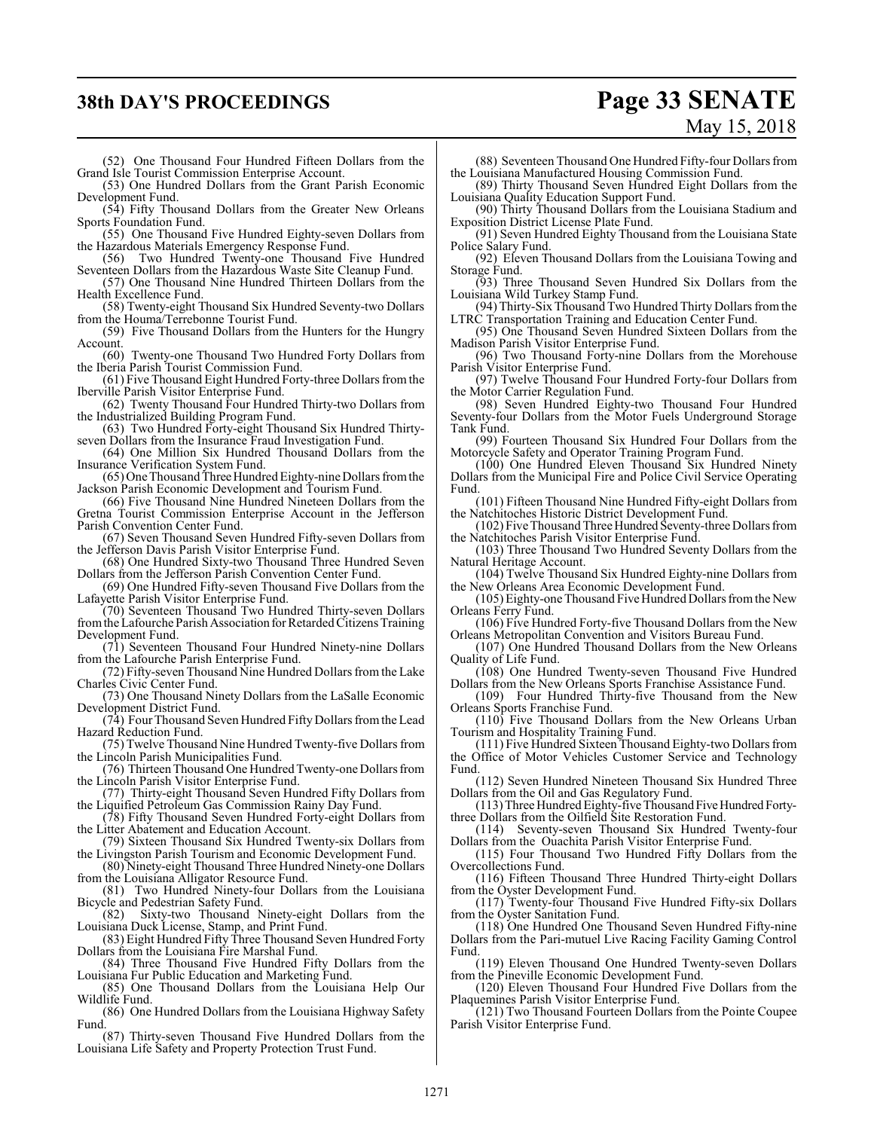# **38th DAY'S PROCEEDINGS Page 33 SENATE**

# May 15, 2018

(52) One Thousand Four Hundred Fifteen Dollars from the Grand Isle Tourist Commission Enterprise Account.

(53) One Hundred Dollars from the Grant Parish Economic Development Fund.

(54) Fifty Thousand Dollars from the Greater New Orleans Sports Foundation Fund.

(55) One Thousand Five Hundred Eighty-seven Dollars from the Hazardous Materials Emergency Response Fund.

(56) Two Hundred Twenty-one Thousand Five Hundred Seventeen Dollars from the Hazardous Waste Site Cleanup Fund.

(57) One Thousand Nine Hundred Thirteen Dollars from the Health Excellence Fund.

(58) Twenty-eight Thousand Six Hundred Seventy-two Dollars from the Houma/Terrebonne Tourist Fund.

(59) Five Thousand Dollars from the Hunters for the Hungry Account.

(60) Twenty-one Thousand Two Hundred Forty Dollars from the Iberia Parish Tourist Commission Fund.

(61) Five Thousand Eight Hundred Forty-three Dollars fromthe Iberville Parish Visitor Enterprise Fund.

(62) Twenty Thousand Four Hundred Thirty-two Dollars from the Industrialized Building Program Fund.

(63) Two Hundred Forty-eight Thousand Six Hundred Thirtyseven Dollars from the Insurance Fraud Investigation Fund.

(64) One Million Six Hundred Thousand Dollars from the Insurance Verification System Fund.

(65) One Thousand Three Hundred Eighty-nine Dollars from the Jackson Parish Economic Development and Tourism Fund.

(66) Five Thousand Nine Hundred Nineteen Dollars from the Gretna Tourist Commission Enterprise Account in the Jefferson Parish Convention Center Fund.

(67) Seven Thousand Seven Hundred Fifty-seven Dollars from the Jefferson Davis Parish Visitor Enterprise Fund.

(68) One Hundred Sixty-two Thousand Three Hundred Seven Dollars from the Jefferson Parish Convention Center Fund.

(69) One Hundred Fifty-seven Thousand Five Dollars from the Lafayette Parish Visitor Enterprise Fund.

(70) Seventeen Thousand Two Hundred Thirty-seven Dollars fromthe Lafourche ParishAssociation for RetardedCitizens Training Development Fund.

(71) Seventeen Thousand Four Hundred Ninety-nine Dollars from the Lafourche Parish Enterprise Fund.

(72) Fifty-seven Thousand Nine Hundred Dollars fromthe Lake Charles Civic Center Fund.

(73) One Thousand Ninety Dollars from the LaSalle Economic Development District Fund.

(74) Four Thousand Seven Hundred FiftyDollars fromthe Lead Hazard Reduction Fund.

(75) Twelve Thousand Nine Hundred Twenty-five Dollars from the Lincoln Parish Municipalities Fund.

(76) Thirteen Thousand One Hundred Twenty-one Dollars from the Lincoln Parish Visitor Enterprise Fund.

(77) Thirty-eight Thousand Seven Hundred Fifty Dollars from the Liquified Petroleum Gas Commission Rainy Day Fund.

(78) Fifty Thousand Seven Hundred Forty-eight Dollars from the Litter Abatement and Education Account.

(79) Sixteen Thousand Six Hundred Twenty-six Dollars from the Livingston Parish Tourism and Economic Development Fund.

(80) Ninety-eight Thousand Three Hundred Ninety-one Dollars from the Louisiana Alligator Resource Fund.

(81) Two Hundred Ninety-four Dollars from the Louisiana

Bicycle and Pedestrian Safety Fund.<br>(82) Sixty-two Thousand N Sixty-two Thousand Ninety-eight Dollars from the Louisiana Duck License, Stamp, and Print Fund.

(83) Eight Hundred Fifty Three Thousand Seven Hundred Forty Dollars from the Louisiana Fire Marshal Fund.

(84) Three Thousand Five Hundred Fifty Dollars from the Louisiana Fur Public Education and Marketing Fund.

(85) One Thousand Dollars from the Louisiana Help Our Wildlife Fund.

(86) One Hundred Dollars from the Louisiana Highway Safety Fund.

(87) Thirty-seven Thousand Five Hundred Dollars from the Louisiana Life Safety and Property Protection Trust Fund.

(88) Seventeen Thousand One Hundred Fifty-four Dollars from the Louisiana Manufactured Housing Commission Fund.

(89) Thirty Thousand Seven Hundred Eight Dollars from the Louisiana Quality Education Support Fund.

(90) Thirty Thousand Dollars from the Louisiana Stadium and Exposition District License Plate Fund.

(91) Seven Hundred Eighty Thousand from the Louisiana State Police Salary Fund.

(92) Eleven Thousand Dollars from the Louisiana Towing and Storage Fund.

(93) Three Thousand Seven Hundred Six Dollars from the Louisiana Wild Turkey Stamp Fund.

(94) Thirty-Six Thousand Two Hundred Thirty Dollars fromthe LTRC Transportation Training and Education Center Fund.

(95) One Thousand Seven Hundred Sixteen Dollars from the Madison Parish Visitor Enterprise Fund.

(96) Two Thousand Forty-nine Dollars from the Morehouse Parish Visitor Enterprise Fund.

(97) Twelve Thousand Four Hundred Forty-four Dollars from the Motor Carrier Regulation Fund.

(98) Seven Hundred Eighty-two Thousand Four Hundred Seventy-four Dollars from the Motor Fuels Underground Storage Tank Fund.

(99) Fourteen Thousand Six Hundred Four Dollars from the Motorcycle Safety and Operator Training Program Fund.

(100) One Hundred Eleven Thousand Six Hundred Ninety Dollars from the Municipal Fire and Police Civil Service Operating Fund.

(101) Fifteen Thousand Nine Hundred Fifty-eight Dollars from the Natchitoches Historic District Development Fund.

(102) FiveThousand Three Hundred Seventy-three Dollars from the Natchitoches Parish Visitor Enterprise Fund.

(103) Three Thousand Two Hundred Seventy Dollars from the Natural Heritage Account.

(104) Twelve Thousand Six Hundred Eighty-nine Dollars from the New Orleans Area Economic Development Fund.

(105) Eighty-one Thousand FiveHundred Dollars fromthe New Orleans Ferry Fund.

(106) Five Hundred Forty-five Thousand Dollars from the New Orleans Metropolitan Convention and Visitors Bureau Fund.

(107) One Hundred Thousand Dollars from the New Orleans Quality of Life Fund.

(108) One Hundred Twenty-seven Thousand Five Hundred Dollars from the New Orleans Sports Franchise Assistance Fund.

(109) Four Hundred Thirty-five Thousand from the New Orleans Sports Franchise Fund.

(110) Five Thousand Dollars from the New Orleans Urban Tourism and Hospitality Training Fund.

(111) Five Hundred Sixteen Thousand Eighty-two Dollars from the Office of Motor Vehicles Customer Service and Technology Fund.

(112) Seven Hundred Nineteen Thousand Six Hundred Three Dollars from the Oil and Gas Regulatory Fund.

(113) Three Hundred Eighty-five Thousand Five Hundred Fortythree Dollars from the Oilfield Site Restoration Fund.

(114) Seventy-seven Thousand Six Hundred Twenty-four Dollars from the Ouachita Parish Visitor Enterprise Fund.

(115) Four Thousand Two Hundred Fifty Dollars from the Overcollections Fund.

(116) Fifteen Thousand Three Hundred Thirty-eight Dollars from the Oyster Development Fund.

(117) Twenty-four Thousand Five Hundred Fifty-six Dollars from the Oyster Sanitation Fund.

(118) One Hundred One Thousand Seven Hundred Fifty-nine Dollars from the Pari-mutuel Live Racing Facility Gaming Control Fund.

(119) Eleven Thousand One Hundred Twenty-seven Dollars from the Pineville Economic Development Fund.

(120) Eleven Thousand Four Hundred Five Dollars from the Plaquemines Parish Visitor Enterprise Fund.

(121) Two Thousand Fourteen Dollars from the Pointe Coupee Parish Visitor Enterprise Fund.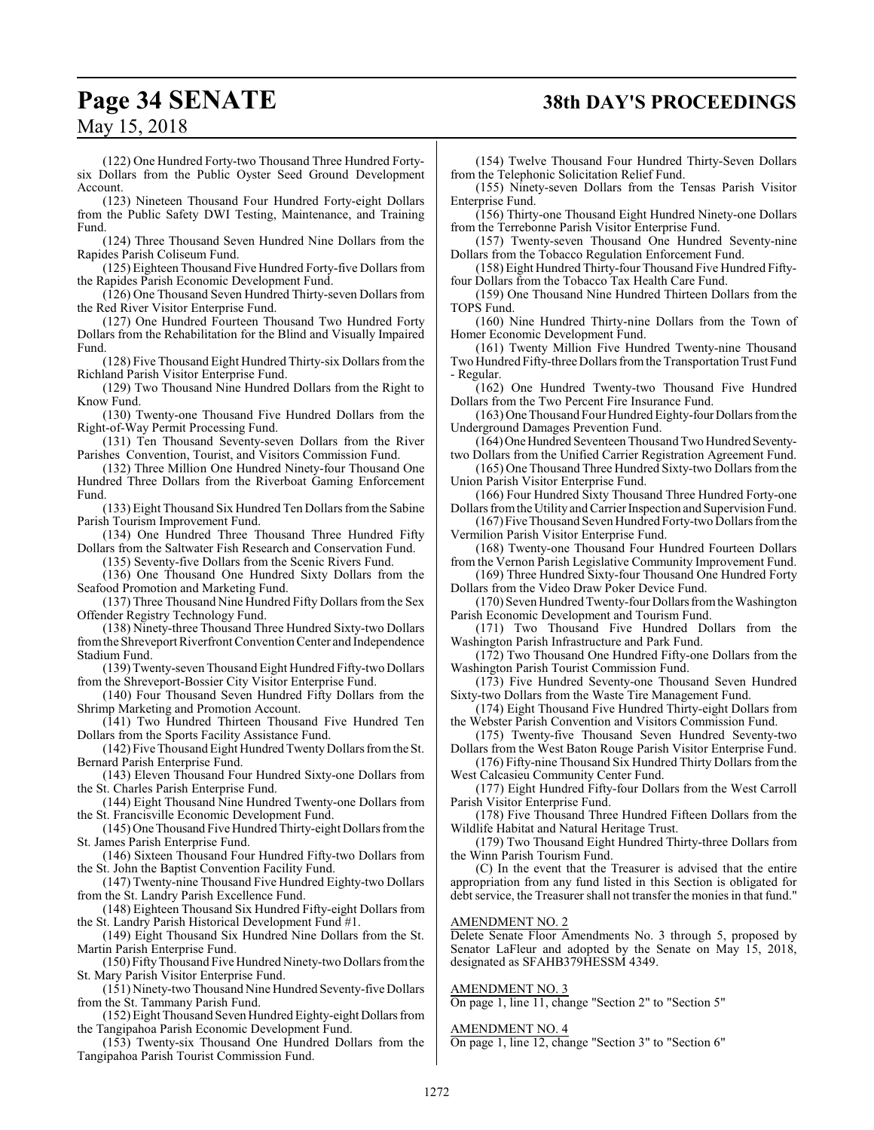# **Page 34 SENATE 38th DAY'S PROCEEDINGS**

# May 15, 2018

(122) One Hundred Forty-two Thousand Three Hundred Fortysix Dollars from the Public Oyster Seed Ground Development Account.

(123) Nineteen Thousand Four Hundred Forty-eight Dollars from the Public Safety DWI Testing, Maintenance, and Training Fund.

(124) Three Thousand Seven Hundred Nine Dollars from the Rapides Parish Coliseum Fund.

(125) Eighteen Thousand Five Hundred Forty-five Dollars from the Rapides Parish Economic Development Fund.

(126) One Thousand Seven Hundred Thirty-seven Dollars from the Red River Visitor Enterprise Fund.

(127) One Hundred Fourteen Thousand Two Hundred Forty Dollars from the Rehabilitation for the Blind and Visually Impaired Fund.

(128) Five Thousand Eight Hundred Thirty-six Dollars fromthe Richland Parish Visitor Enterprise Fund.

(129) Two Thousand Nine Hundred Dollars from the Right to Know Fund.

(130) Twenty-one Thousand Five Hundred Dollars from the Right-of-Way Permit Processing Fund.

(131) Ten Thousand Seventy-seven Dollars from the River Parishes Convention, Tourist, and Visitors Commission Fund.

(132) Three Million One Hundred Ninety-four Thousand One Hundred Three Dollars from the Riverboat Gaming Enforcement Fund.

(133) Eight Thousand Six Hundred Ten Dollars fromthe Sabine Parish Tourism Improvement Fund.

(134) One Hundred Three Thousand Three Hundred Fifty Dollars from the Saltwater Fish Research and Conservation Fund.

(135) Seventy-five Dollars from the Scenic Rivers Fund. (136) One Thousand One Hundred Sixty Dollars from the

Seafood Promotion and Marketing Fund. (137) Three Thousand Nine Hundred Fifty Dollars from the Sex

Offender Registry Technology Fund. (138) Ninety-three Thousand Three Hundred Sixty-two Dollars

from the Shreveport Riverfront Convention Center and Independence Stadium Fund.

(139) Twenty-seven Thousand Eight Hundred Fifty-two Dollars from the Shreveport-Bossier City Visitor Enterprise Fund.

(140) Four Thousand Seven Hundred Fifty Dollars from the Shrimp Marketing and Promotion Account.

(141) Two Hundred Thirteen Thousand Five Hundred Ten Dollars from the Sports Facility Assistance Fund.

(142) Five Thousand Eight Hundred TwentyDollars fromthe St. Bernard Parish Enterprise Fund.

(143) Eleven Thousand Four Hundred Sixty-one Dollars from the St. Charles Parish Enterprise Fund.

(144) Eight Thousand Nine Hundred Twenty-one Dollars from the St. Francisville Economic Development Fund.

(145) OneThousand Five HundredThirty-eight Dollars fromthe St. James Parish Enterprise Fund.

(146) Sixteen Thousand Four Hundred Fifty-two Dollars from the St. John the Baptist Convention Facility Fund.

(147) Twenty-nine Thousand Five Hundred Eighty-two Dollars from the St. Landry Parish Excellence Fund.

(148) Eighteen Thousand Six Hundred Fifty-eight Dollars from the St. Landry Parish Historical Development Fund #1.

(149) Eight Thousand Six Hundred Nine Dollars from the St. Martin Parish Enterprise Fund.

(150) FiftyThousand Five Hundred Ninety-two Dollars fromthe St. Mary Parish Visitor Enterprise Fund.

(151) Ninety-two Thousand Nine Hundred Seventy-five Dollars from the St. Tammany Parish Fund.

(152) Eight Thousand Seven Hundred Eighty-eight Dollars from the Tangipahoa Parish Economic Development Fund.

(153) Twenty-six Thousand One Hundred Dollars from the Tangipahoa Parish Tourist Commission Fund.

(154) Twelve Thousand Four Hundred Thirty-Seven Dollars from the Telephonic Solicitation Relief Fund.

(155) Ninety-seven Dollars from the Tensas Parish Visitor Enterprise Fund.

(156) Thirty-one Thousand Eight Hundred Ninety-one Dollars from the Terrebonne Parish Visitor Enterprise Fund.

(157) Twenty-seven Thousand One Hundred Seventy-nine Dollars from the Tobacco Regulation Enforcement Fund.

(158) Eight Hundred Thirty-four Thousand Five Hundred Fiftyfour Dollars from the Tobacco Tax Health Care Fund.

(159) One Thousand Nine Hundred Thirteen Dollars from the TOPS Fund.

(160) Nine Hundred Thirty-nine Dollars from the Town of Homer Economic Development Fund.

(161) Twenty Million Five Hundred Twenty-nine Thousand Two Hundred Fifty-three Dollars fromthe Transportation Trust Fund - Regular.

(162) One Hundred Twenty-two Thousand Five Hundred Dollars from the Two Percent Fire Insurance Fund.

(163) One Thousand Four Hundred Eighty-four Dollars from the Underground Damages Prevention Fund.

(164) One Hundred Seventeen Thousand Two Hundred Seventytwo Dollars from the Unified Carrier Registration Agreement Fund.

(165) One Thousand Three Hundred Sixty-two Dollars fromthe Union Parish Visitor Enterprise Fund.

(166) Four Hundred Sixty Thousand Three Hundred Forty-one Dollars from the Utility and Carrier Inspection and Supervision Fund.

(167)FiveThousand Seven Hundred Forty-two Dollars fromthe Vermilion Parish Visitor Enterprise Fund.

(168) Twenty-one Thousand Four Hundred Fourteen Dollars from the Vernon Parish Legislative Community Improvement Fund.

(169) Three Hundred Sixty-four Thousand One Hundred Forty Dollars from the Video Draw Poker Device Fund.

(170) Seven Hundred Twenty-four Dollars from the Washington Parish Economic Development and Tourism Fund.

(171) Two Thousand Five Hundred Dollars from the Washington Parish Infrastructure and Park Fund.

(172) Two Thousand One Hundred Fifty-one Dollars from the Washington Parish Tourist Commission Fund.

(173) Five Hundred Seventy-one Thousand Seven Hundred Sixty-two Dollars from the Waste Tire Management Fund.

(174) Eight Thousand Five Hundred Thirty-eight Dollars from the Webster Parish Convention and Visitors Commission Fund.

(175) Twenty-five Thousand Seven Hundred Seventy-two Dollars from the West Baton Rouge Parish Visitor Enterprise Fund.

(176) Fifty-nine Thousand Six Hundred Thirty Dollars from the West Calcasieu Community Center Fund.

(177) Eight Hundred Fifty-four Dollars from the West Carroll Parish Visitor Enterprise Fund.

(178) Five Thousand Three Hundred Fifteen Dollars from the Wildlife Habitat and Natural Heritage Trust.

(179) Two Thousand Eight Hundred Thirty-three Dollars from the Winn Parish Tourism Fund.

(C) In the event that the Treasurer is advised that the entire appropriation from any fund listed in this Section is obligated for debt service, the Treasurer shall not transfer the monies in that fund."

# AMENDMENT NO. 2

Delete Senate Floor Amendments No. 3 through 5, proposed by Senator LaFleur and adopted by the Senate on May 15, 2018, designated as SFAHB379HESSM 4349.

AMENDMENT NO. 3

On page 1, line 11, change "Section 2" to "Section 5"

# AMENDMENT NO. 4

On page 1, line 12, change "Section 3" to "Section 6"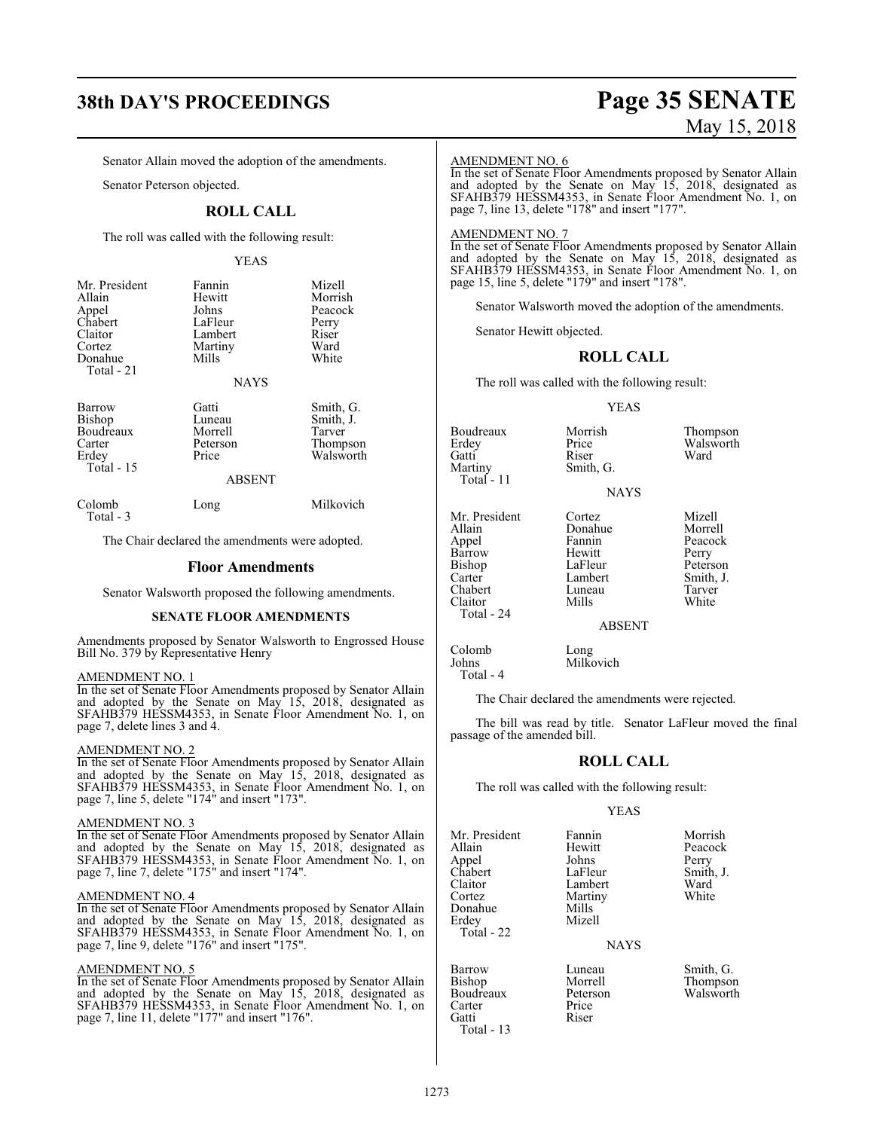# **38th DAY'S PROCEEDINGS Page 35 SENATE**

# May 15, 2018

Senator Allain moved the adoption of the amendments.

# Senator Peterson objected.

# **ROLL CALL**

The roll was called with the following result:

# YEAS

| Mr. President<br>Allain<br>Appel<br>Chabert<br>Claitor<br>Cortez<br>Donahue<br>Total $-21$ | Fannin<br>Hewitt<br>Johns<br>LaFleur<br>Lambert<br>Martiny<br>Mills | Mizell<br>Morrish<br>Peacock<br>Perry<br>Riser<br>Ward<br>White |
|--------------------------------------------------------------------------------------------|---------------------------------------------------------------------|-----------------------------------------------------------------|
|                                                                                            | <b>NAYS</b>                                                         |                                                                 |
| Barrow<br>Bishop<br>Boudreaux<br>Carter<br>Erdey<br>Total - 15                             | Gatti<br>Luneau<br>Morrell<br>Peterson<br>Price                     | Smith, G.<br>Smith, J.<br>Tarver<br>Thompson<br>Walsworth       |

ABSENT

Colomb Long Milkovich

Total - 3

The Chair declared the amendments were adopted.

# **Floor Amendments**

Senator Walsworth proposed the following amendments.

# **SENATE FLOOR AMENDMENTS**

Amendments proposed by Senator Walsworth to Engrossed House Bill No. 379 by Representative Henry

## AMENDMENT NO. 1

In the set of Senate Floor Amendments proposed by Senator Allain and adopted by the Senate on May 15, 2018, designated as SFAHB379 HESSM4353, in Senate Floor Amendment No. 1, on page 7, delete lines 3 and 4.

# AMENDMENT NO. 2

In the set of Senate Floor Amendments proposed by Senator Allain and adopted by the Senate on May 15, 2018, designated as SFAHB379 HESSM4353, in Senate Floor Amendment No. 1, on page 7, line 5, delete "174" and insert "173".

## AMENDMENT NO. 3

In the set of Senate Floor Amendments proposed by Senator Allain and adopted by the Senate on May 15, 2018, designated as SFAHB379 HESSM4353, in Senate Floor Amendment No. 1, on page 7, line 7, delete "175" and insert "174".

# AMENDMENT NO. 4

In the set of Senate Floor Amendments proposed by Senator Allain and adopted by the Senate on May 15, 2018, designated as SFAHB379 HESSM4353, in Senate Floor Amendment No. 1, on page 7, line 9, delete "176" and insert "175".

# AMENDMENT NO. 5

In the set of Senate Floor Amendments proposed by Senator Allain and adopted by the Senate on May 15, 2018, designated as SFAHB379 HESSM4353, in Senate Floor Amendment No. 1, on page 7, line 11, delete "177" and insert "176".

## AMENDMENT NO. 6

In the set of Senate Floor Amendments proposed by Senator Allain and adopted by the Senate on May 15, 2018, designated as SFAHB379 HESSM4353, in Senate Floor Amendment No. 1, on page 7, line 13, delete "178" and insert "177".

# AMENDMENT NO. 7

In the set of Senate Floor Amendments proposed by Senator Allain and adopted by the Senate on May 15, 2018, designated as SFAHB379 HESSM4353, in Senate Floor Amendment No. 1, on page 15, line 5, delete "179" and insert "178".

Senator Walsworth moved the adoption of the amendments.

Senator Hewitt objected.

# **ROLL CALL**

The roll was called with the following result:

# YEAS

| Boudreaux<br>Erdey<br>Gatti<br>Martiny<br>Total $-11$                                              | Morrish<br>Price<br>Riser<br>Smith, G.<br><b>NAYS</b>                                           | Thompson<br>Walsworth<br>Ward                                                     |
|----------------------------------------------------------------------------------------------------|-------------------------------------------------------------------------------------------------|-----------------------------------------------------------------------------------|
| Mr. President<br>Allain<br>Appel<br>Barrow<br>Bishop<br>Carter<br>Chabert<br>Claitor<br>Total - 24 | Cortez<br>Donahue<br>Fannin<br>Hewitt<br>LaFleur<br>Lambert<br>Luneau<br>Mills<br><b>ABSENT</b> | Mizell<br>Morrell<br>Peacock<br>Perry<br>Peterson<br>Smith, J.<br>Tarver<br>White |
| Colomb<br>Johns                                                                                    | Long<br>Milkovich                                                                               |                                                                                   |

The Chair declared the amendments were rejected.

The bill was read by title. Senator LaFleur moved the final passage of the amended bill.

# **ROLL CALL**

The roll was called with the following result:

# YEAS

Mr. President Fannin Morrish<br>Allain Hewitt Peacock Appel Johns<br>Chabert LaFleur Chabert LaFleur Smith, J.<br>Claitor Lambert Ward Claitor Lambert Ward<br>
Cortez Martiny White Donahue Erdey Mizell Total - 22

Total - 4

Hewitt Peacock<br>Johns Perry Martiny<br>Mills

Riser

**NAYS** 

Boudreaux Peters<br>Carter Price Carter<br>Gatti Total - 13

Barrow Luneau Smith, G.<br>Bishop Morrell Thompsor Morrell Thompson<br>Peterson Walsworth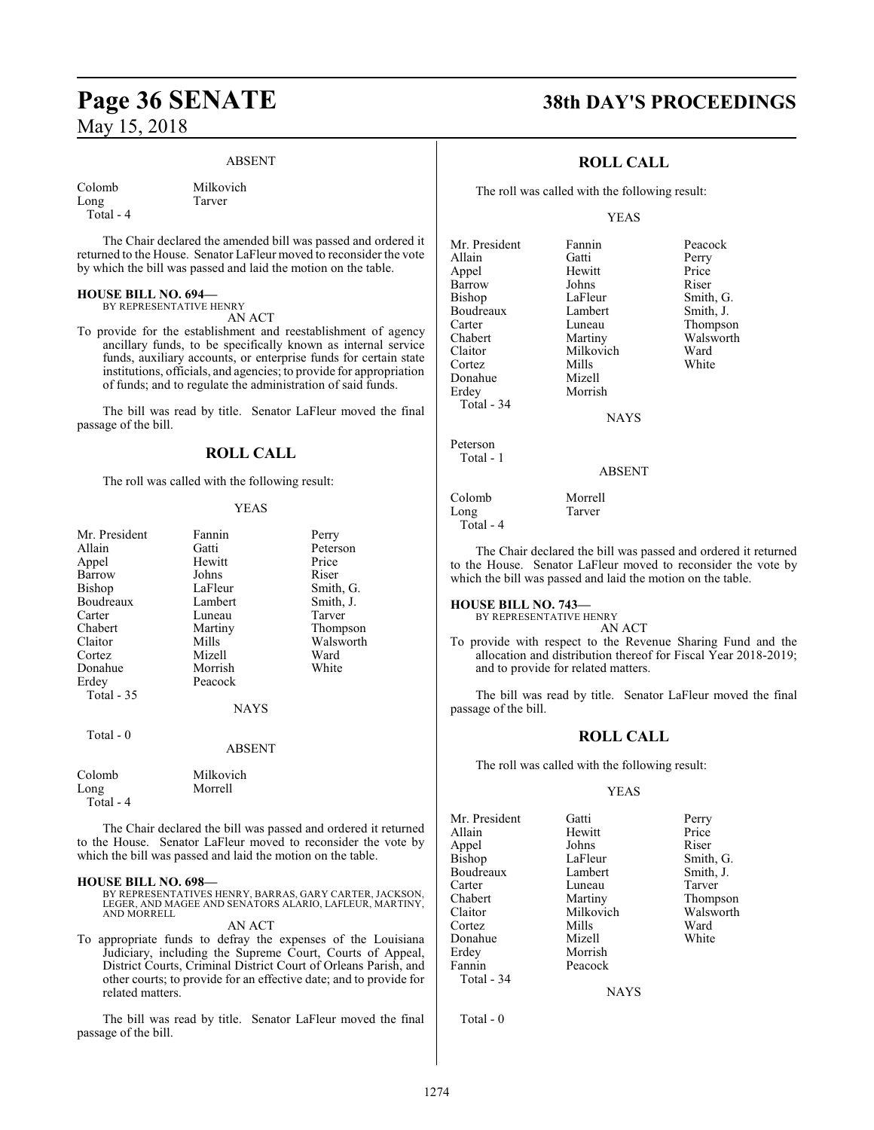# **Page 36 SENATE 38th DAY'S PROCEEDINGS** May 15, 2018

## ABSENT

Colomb Milkovich<br>Long Tarver Long Total - 4

The Chair declared the amended bill was passed and ordered it returned to the House. Senator LaFleur moved to reconsider the vote by which the bill was passed and laid the motion on the table.

### **HOUSE BILL NO. 694—** BY REPRESENTATIVE HENRY

AN ACT

To provide for the establishment and reestablishment of agency ancillary funds, to be specifically known as internal service funds, auxiliary accounts, or enterprise funds for certain state institutions, officials, and agencies; to provide for appropriation of funds; and to regulate the administration of said funds.

The bill was read by title. Senator LaFleur moved the final passage of the bill.

# **ROLL CALL**

The roll was called with the following result:

# YEAS

| Mr. President | Fannin      | Perry     |
|---------------|-------------|-----------|
| Allain        | Gatti       | Peterson  |
| Appel         | Hewitt      | Price     |
| Barrow        | Johns       | Riser     |
| Bishop        | LaFleur     | Smith, G. |
| Boudreaux     | Lambert     | Smith, J. |
| Carter        | Luneau      | Tarver    |
| Chabert       | Martiny     | Thompson  |
| Claitor       | Mills       | Walsworth |
| Cortez        | Mizell      | Ward      |
| Donahue       | Morrish     | White     |
| Erdey         | Peacock     |           |
| Total - 35    |             |           |
|               | <b>NAYS</b> |           |

Total - 0

ABSENT

| Colomb    | Milkovich |
|-----------|-----------|
| Long      | Morrell   |
| Total - 4 |           |

The Chair declared the bill was passed and ordered it returned to the House. Senator LaFleur moved to reconsider the vote by which the bill was passed and laid the motion on the table.

# **HOUSE BILL NO. 698—**

BY REPRESENTATIVES HENRY, BARRAS, GARY CARTER, JACKSON, LEGER, AND MAGEE AND SENATORS ALARIO, LAFLEUR, MARTINY, AND MORRELL

# AN ACT

To appropriate funds to defray the expenses of the Louisiana Judiciary, including the Supreme Court, Courts of Appeal, District Courts, Criminal District Court of Orleans Parish, and other courts; to provide for an effective date; and to provide for related matters.

The bill was read by title. Senator LaFleur moved the final passage of the bill.

# **ROLL CALL**

The roll was called with the following result:

# YEAS

Mr. President Fannin Peacock<br>Allain Gatti Perry Allain Gatti Perry Appel Hewitt Price Barrow Johns Riser<br>Bishop LaFleur Smith Boudreaux Lambert<br>Carter Luneau Carter Luneau Thompson<br>Chabert Martiny Walsworth Chabert Martiny Walsworth<br>
Claitor Milkovich Ward Cortez Mills<br>Donahue Mizell Donahue Erdey Morrish Total - 34

LaFleur Smith, G.<br>Lambert Smith, J. Milkovich Ward<br>
Mills White

NAYS

Peterson Total - 1

# ABSENT

| Colomb    | Morrell |
|-----------|---------|
| Long      | Tarver  |
| Total - 4 |         |

The Chair declared the bill was passed and ordered it returned to the House. Senator LaFleur moved to reconsider the vote by which the bill was passed and laid the motion on the table.

# **HOUSE BILL NO. 743—**

BY REPRESENTATIVE HENRY AN ACT

To provide with respect to the Revenue Sharing Fund and the allocation and distribution thereof for Fiscal Year 2018-2019; and to provide for related matters.

The bill was read by title. Senator LaFleur moved the final passage of the bill.

# **ROLL CALL**

The roll was called with the following result:

# YEAS

| Mr. President | Gatti     | Perry     |
|---------------|-----------|-----------|
| Allain        | Hewitt    | Price     |
| Appel         | Johns     | Riser     |
| Bishop        | LaFleur   | Smith, G. |
| Boudreaux     | Lambert   | Smith, J. |
| Carter        | Luneau    | Tarver    |
| Chabert       | Martiny   | Thompson  |
| Claitor       | Milkovich | Walsworth |
| Cortez        | Mills     | Ward      |
| Donahue       | Mizell    | White     |
| Erdey         | Morrish   |           |
| Fannin        | Peacock   |           |
| Total - 34    |           |           |
|               | NAYS      |           |

Total - 0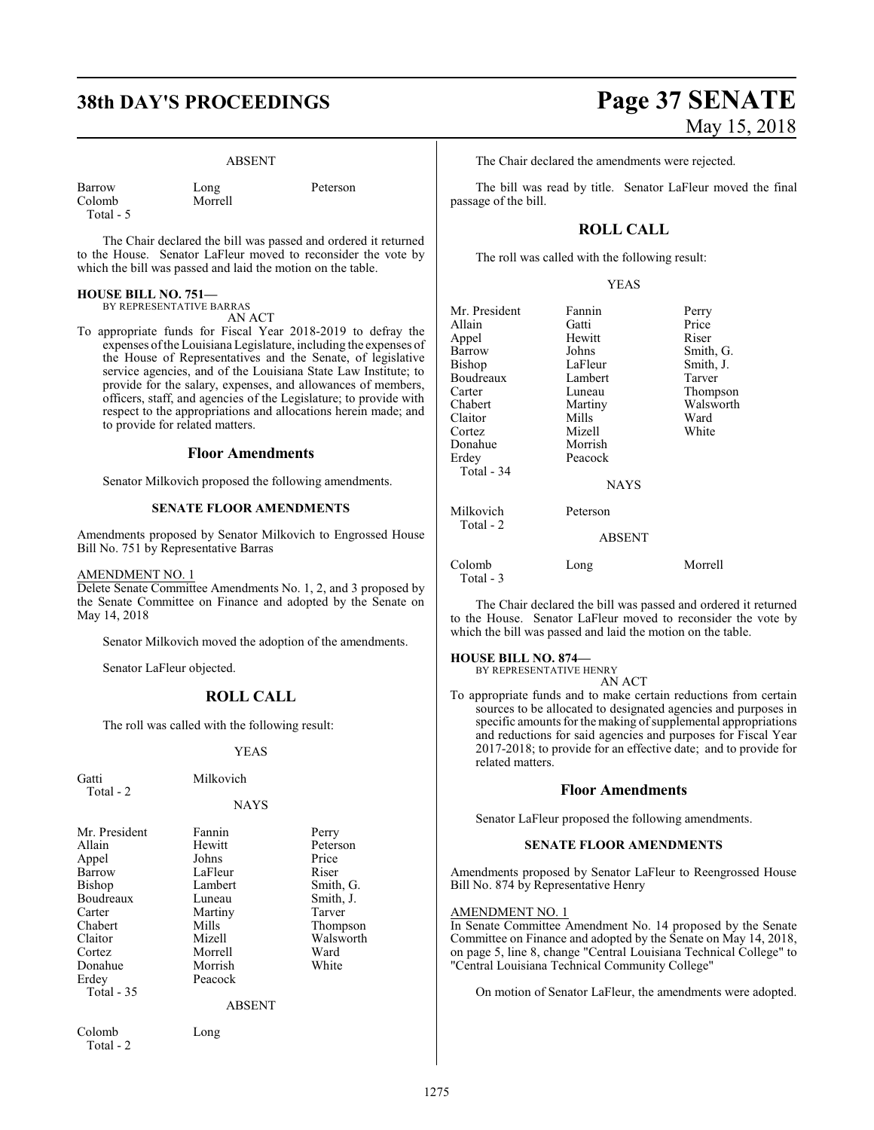# **38th DAY'S PROCEEDINGS Page 37 SENATE**

Morrell

#### ABSENT

| Barrow    |  |
|-----------|--|
| Colomb    |  |
| Total - 5 |  |

Long Peterson

The Chair declared the bill was passed and ordered it returned to the House. Senator LaFleur moved to reconsider the vote by which the bill was passed and laid the motion on the table.

#### **HOUSE BILL NO. 751—**

BY REPRESENTATIVE BARRAS AN ACT

To appropriate funds for Fiscal Year 2018-2019 to defray the expenses ofthe Louisiana Legislature, including the expenses of the House of Representatives and the Senate, of legislative service agencies, and of the Louisiana State Law Institute; to provide for the salary, expenses, and allowances of members, officers, staff, and agencies of the Legislature; to provide with respect to the appropriations and allocations herein made; and to provide for related matters.

#### **Floor Amendments**

Senator Milkovich proposed the following amendments.

#### **SENATE FLOOR AMENDMENTS**

Amendments proposed by Senator Milkovich to Engrossed House Bill No. 751 by Representative Barras

#### AMENDMENT NO. 1

Delete Senate Committee Amendments No. 1, 2, and 3 proposed by the Senate Committee on Finance and adopted by the Senate on May 14, 2018

Senator Milkovich moved the adoption of the amendments.

Senator LaFleur objected.

### **ROLL CALL**

The roll was called with the following result:

#### YEAS

Gatti Milkovich Total - 2

**NAYS** 

| Mr. President | Fannin        | Perry     |
|---------------|---------------|-----------|
| Allain        | Hewitt        | Peterson  |
| Appel         | Johns         | Price     |
| Barrow        | LaFleur       | Riser     |
| Bishop        | Lambert       | Smith, G. |
| Boudreaux     | Luneau        | Smith, J. |
| Carter        | Martiny       | Tarver    |
| Chabert       | Mills         | Thompson  |
| Claitor       | Mizell        | Walsworth |
| Cortez        | Morrell       | Ward      |
| Donahue       | Morrish       | White     |
| Erdey         | Peacock       |           |
| Total $-35$   |               |           |
|               | <b>ABSENT</b> |           |

Colomb Long Total - 2

# May 15, 2018

The Chair declared the amendments were rejected.

The bill was read by title. Senator LaFleur moved the final passage of the bill.

#### **ROLL CALL**

The roll was called with the following result:

YEAS

Mr. President Fannin Perry<br>Allain Gatti Price Allain Gatti Price Appel Hewitt<br>Barrow Johns Barrow Johns Smith, G.<br>Bishop LaFleur Smith, J. LaFleur Smith, J.<br>Lambert Tarver Boudreaux<br>Carter Exerce Exerces Carter Luneau Thompson<br>
Chabert Martiny Walsworth Martiny Walsworth Claitor Mills Ward<br>Cortez Mizell White Cortez Mizell White Donahue Morrish Erdey Peacock Total - 34 **NAYS** Milkovich Peterson Total - 2 ABSENT

| Colomb    | Long | Morrell |
|-----------|------|---------|
| Total - 3 |      |         |

The Chair declared the bill was passed and ordered it returned to the House. Senator LaFleur moved to reconsider the vote by which the bill was passed and laid the motion on the table.

#### **HOUSE BILL NO. 874—**

BY REPRESENTATIVE HENRY

- AN ACT
- To appropriate funds and to make certain reductions from certain sources to be allocated to designated agencies and purposes in specific amounts for the making of supplemental appropriations and reductions for said agencies and purposes for Fiscal Year 2017-2018; to provide for an effective date; and to provide for related matters.

#### **Floor Amendments**

Senator LaFleur proposed the following amendments.

#### **SENATE FLOOR AMENDMENTS**

Amendments proposed by Senator LaFleur to Reengrossed House Bill No. 874 by Representative Henry

#### AMENDMENT NO. 1

In Senate Committee Amendment No. 14 proposed by the Senate Committee on Finance and adopted by the Senate on May 14, 2018, on page 5, line 8, change "Central Louisiana Technical College" to "Central Louisiana Technical Community College"

On motion of Senator LaFleur, the amendments were adopted.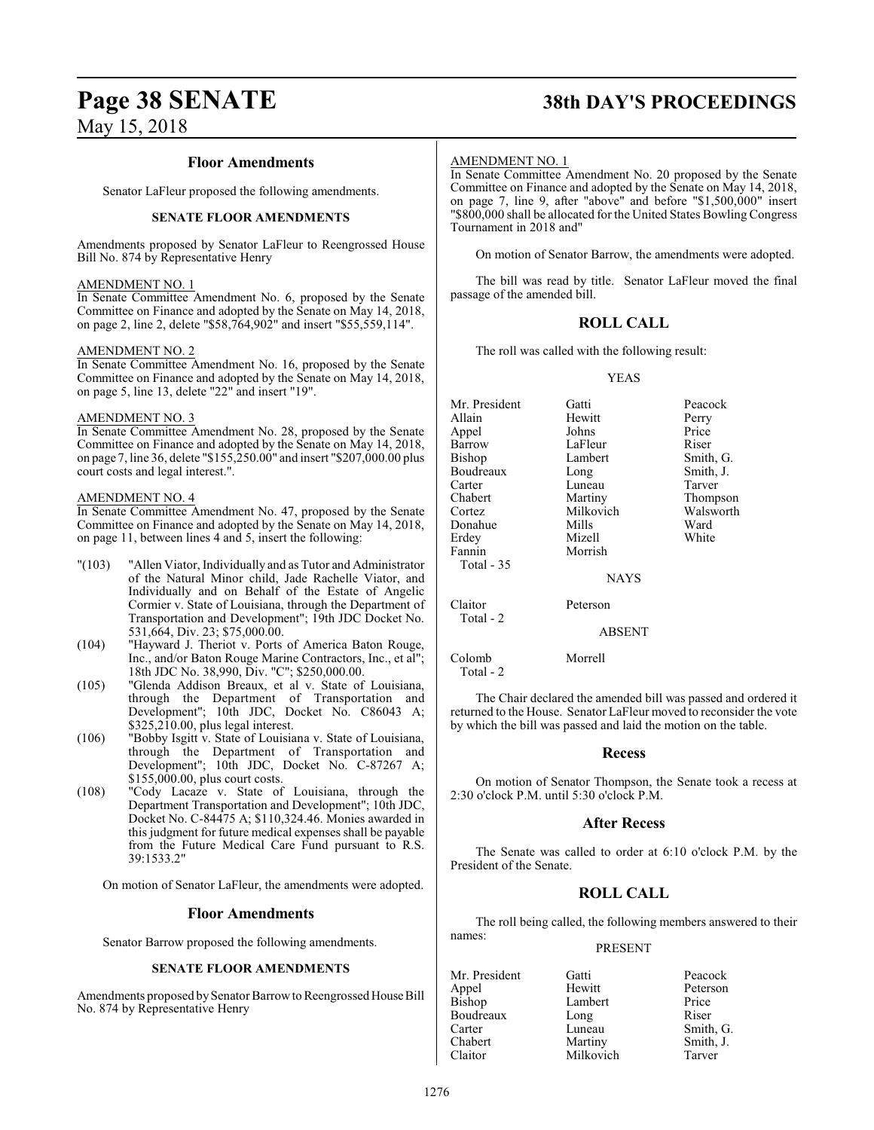### **Floor Amendments**

Senator LaFleur proposed the following amendments.

#### **SENATE FLOOR AMENDMENTS**

Amendments proposed by Senator LaFleur to Reengrossed House Bill No. 874 by Representative Henry

#### AMENDMENT NO. 1

In Senate Committee Amendment No. 6, proposed by the Senate Committee on Finance and adopted by the Senate on May 14, 2018, on page 2, line 2, delete "\$58,764,902" and insert "\$55,559,114".

#### AMENDMENT NO. 2

In Senate Committee Amendment No. 16, proposed by the Senate Committee on Finance and adopted by the Senate on May 14, 2018, on page 5, line 13, delete "22" and insert "19".

#### AMENDMENT NO. 3

In Senate Committee Amendment No. 28, proposed by the Senate Committee on Finance and adopted by the Senate on May 14, 2018, on page 7, line 36, delete "\$155,250.00" and insert "\$207,000.00 plus court costs and legal interest.".

#### AMENDMENT NO. 4

In Senate Committee Amendment No. 47, proposed by the Senate Committee on Finance and adopted by the Senate on May 14, 2018, on page 11, between lines 4 and 5, insert the following:

- "(103) "Allen Viator, Individually and as Tutor and Administrator of the Natural Minor child, Jade Rachelle Viator, and Individually and on Behalf of the Estate of Angelic Cormier v. State of Louisiana, through the Department of Transportation and Development"; 19th JDC Docket No. 531,664, Div. 23; \$75,000.00.
- (104) "Hayward J. Theriot v. Ports of America Baton Rouge, Inc., and/or Baton Rouge Marine Contractors, Inc., et al"; 18th JDC No. 38,990, Div. "C"; \$250,000.00.
- (105) "Glenda Addison Breaux, et al v. State of Louisiana, through the Department of Transportation and Development"; 10th JDC, Docket No. C86043 A; \$325,210.00, plus legal interest.
- (106) "Bobby Isgitt v. State of Louisiana v. State of Louisiana, through the Department of Transportation and Development"; 10th JDC, Docket No. C-87267 A; \$155,000.00, plus court costs.
- (108) "Cody Lacaze v. State of Louisiana, through the Department Transportation and Development"; 10th JDC, Docket No. C-84475 A; \$110,324.46. Monies awarded in this judgment for future medical expenses shall be payable from the Future Medical Care Fund pursuant to R.S. 39:1533.2"

On motion of Senator LaFleur, the amendments were adopted.

#### **Floor Amendments**

Senator Barrow proposed the following amendments.

#### **SENATE FLOOR AMENDMENTS**

Amendments proposed by Senator Barrow to Reengrossed House Bill No. 874 by Representative Henry

# **Page 38 SENATE 38th DAY'S PROCEEDINGS**

#### AMENDMENT NO. 1

In Senate Committee Amendment No. 20 proposed by the Senate Committee on Finance and adopted by the Senate on May 14, 2018, on page 7, line 9, after "above" and before "\$1,500,000" insert "\$800,000 shall be allocated for the United States Bowling Congress Tournament in 2018 and"

On motion of Senator Barrow, the amendments were adopted.

The bill was read by title. Senator LaFleur moved the final passage of the amended bill.

### **ROLL CALL**

The roll was called with the following result:

YEAS

| Mr. President        | Gatti       | Peacock   |
|----------------------|-------------|-----------|
| Allain               | Hewitt      | Perry     |
| Appel                | Johns       | Price     |
| Barrow               | LaFleur     | Riser     |
| Bishop               | Lambert     | Smith, G. |
| Boudreaux            | Long        | Smith, J. |
| Carter               | Luneau      | Tarver    |
| Chabert              | Martiny     | Thompson  |
| Cortez               | Milkovich   | Walsworth |
| Donahue              | Mills       | Ward      |
| Erdey                | Mizell      | White     |
| Fannin               | Morrish     |           |
| Total - 35           |             |           |
|                      | <b>NAYS</b> |           |
| Claitor<br>Total - 2 | Peterson    |           |

ABSENT

Colomb Morrell

Total - 2

The Chair declared the amended bill was passed and ordered it returned to the House. Senator LaFleur moved to reconsider the vote by which the bill was passed and laid the motion on the table.

#### **Recess**

On motion of Senator Thompson, the Senate took a recess at 2:30 o'clock P.M. until 5:30 o'clock P.M.

#### **After Recess**

The Senate was called to order at 6:10 o'clock P.M. by the President of the Senate.

### **ROLL CALL**

The roll being called, the following members answered to their names:

#### PRESENT

Lambert

Milkovich

Appel Hewitt Peterson Boudreaux Long Riser<br>Carter Luneau Smith Chabert Martiny Smith, J.<br>Claitor Milkovich Tarver

Mr. President Gatti Peacock<br>
Annel Hewitt Peterson Carter Luneau Smith, G.<br>
Chabert Martiny Smith, J.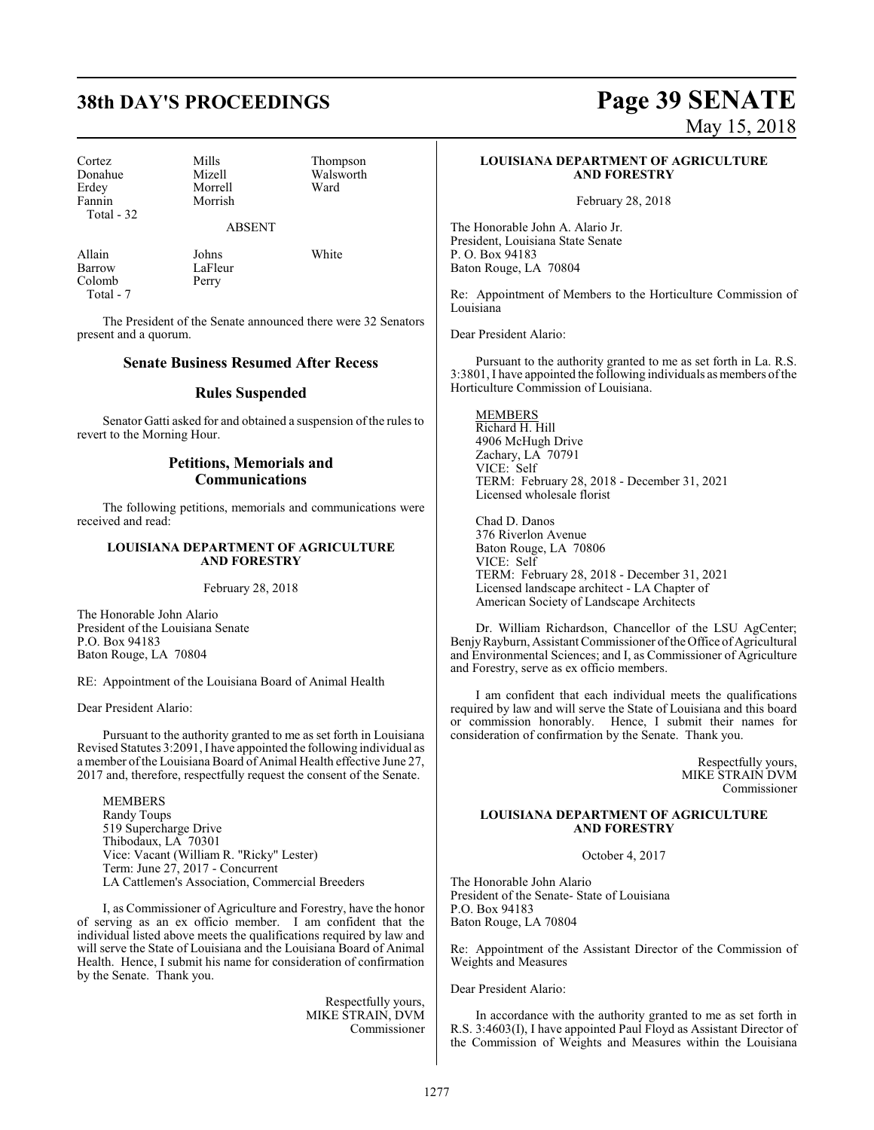| Cortez      | Mills   | Thompson  |
|-------------|---------|-----------|
| Donahue     | Mizell  | Walsworth |
| Erdey       | Morrell | Ward      |
| Fannin      | Morrish |           |
| Total $-32$ |         |           |
|             | ARSENT  |           |

Colomb Total - 7

Allain Johns White<br>Barrow LaFleur White LaFleur<br>Perry

The President of the Senate announced there were 32 Senators present and a quorum.

#### **Senate Business Resumed After Recess**

### **Rules Suspended**

Senator Gatti asked for and obtained a suspension of the rules to revert to the Morning Hour.

### **Petitions, Memorials and Communications**

The following petitions, memorials and communications were received and read:

#### **LOUISIANA DEPARTMENT OF AGRICULTURE AND FORESTRY**

February 28, 2018

The Honorable John Alario President of the Louisiana Senate P.O. Box 94183 Baton Rouge, LA 70804

RE: Appointment of the Louisiana Board of Animal Health

Dear President Alario:

Pursuant to the authority granted to me as set forth in Louisiana Revised Statutes 3:2091, I have appointed the following individual as a member of the Louisiana Board of Animal Health effective June 27, 2017 and, therefore, respectfully request the consent of the Senate.

MEMBERS Randy Toups 519 Supercharge Drive Thibodaux, LA 70301 Vice: Vacant (William R. "Ricky" Lester) Term: June 27, 2017 - Concurrent LA Cattlemen's Association, Commercial Breeders

I, as Commissioner of Agriculture and Forestry, have the honor of serving as an ex officio member. I am confident that the individual listed above meets the qualifications required by law and will serve the State of Louisiana and the Louisiana Board of Animal Health. Hence, I submit his name for consideration of confirmation by the Senate. Thank you.

> Respectfully yours, MIKE STRAIN, DVM Commissioner

# **38th DAY'S PROCEEDINGS Page 39 SENATE** May 15, 2018

#### **LOUISIANA DEPARTMENT OF AGRICULTURE AND FORESTRY**

February 28, 2018

The Honorable John A. Alario Jr. President, Louisiana State Senate P. O. Box 94183 Baton Rouge, LA 70804

Re: Appointment of Members to the Horticulture Commission of Louisiana

Dear President Alario:

Pursuant to the authority granted to me as set forth in La. R.S. 3:3801, I have appointed the following individuals as members ofthe Horticulture Commission of Louisiana.

**MEMBERS** Richard H. Hill 4906 McHugh Drive Zachary, LA 70791 VICE: Self TERM: February 28, 2018 - December 31, 2021 Licensed wholesale florist

Chad D. Danos 376 Riverlon Avenue Baton Rouge, LA 70806 VICE: Self TERM: February 28, 2018 - December 31, 2021 Licensed landscape architect - LA Chapter of American Society of Landscape Architects

Dr. William Richardson, Chancellor of the LSU AgCenter; Benjy Rayburn, Assistant Commissioner of the Office of Agricultural and Environmental Sciences; and I, as Commissioner of Agriculture and Forestry, serve as ex officio members.

I am confident that each individual meets the qualifications required by law and will serve the State of Louisiana and this board or commission honorably. Hence, I submit their names for consideration of confirmation by the Senate. Thank you.

> Respectfully yours, MIKE STRAIN DVM Commissioner

#### **LOUISIANA DEPARTMENT OF AGRICULTURE AND FORESTRY**

October 4, 2017

The Honorable John Alario President of the Senate- State of Louisiana P.O. Box 94183 Baton Rouge, LA 70804

Re: Appointment of the Assistant Director of the Commission of Weights and Measures

Dear President Alario:

In accordance with the authority granted to me as set forth in R.S. 3:4603(I), I have appointed Paul Floyd as Assistant Director of the Commission of Weights and Measures within the Louisiana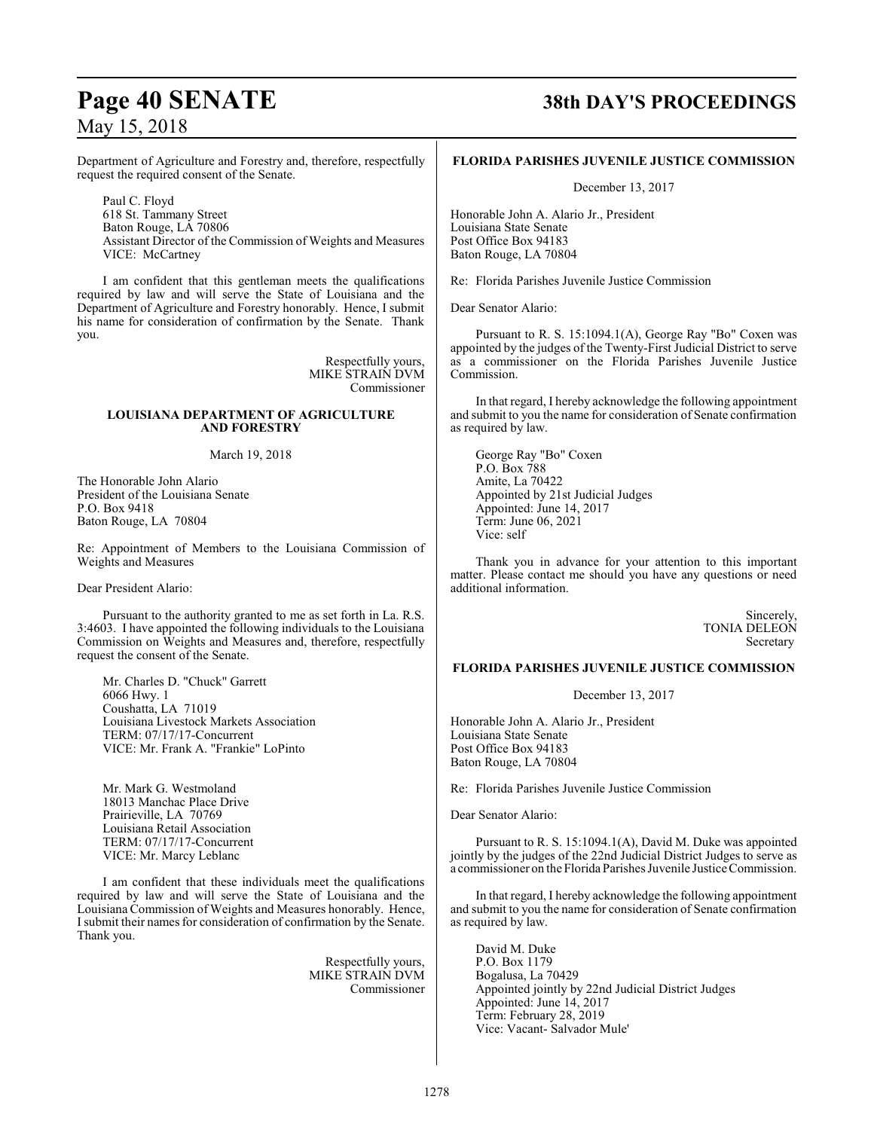# **Page 40 SENATE 38th DAY'S PROCEEDINGS**

Department of Agriculture and Forestry and, therefore, respectfully request the required consent of the Senate.

Paul C. Floyd 618 St. Tammany Street Baton Rouge, LA 70806 Assistant Director of the Commission of Weights and Measures VICE: McCartney

I am confident that this gentleman meets the qualifications required by law and will serve the State of Louisiana and the Department of Agriculture and Forestry honorably. Hence, I submit his name for consideration of confirmation by the Senate. Thank you.

> Respectfully yours, MIKE STRAIN DVM Commissioner

#### **LOUISIANA DEPARTMENT OF AGRICULTURE AND FORESTRY**

March 19, 2018

The Honorable John Alario President of the Louisiana Senate P.O. Box 9418 Baton Rouge, LA 70804

Re: Appointment of Members to the Louisiana Commission of Weights and Measures

Dear President Alario:

Pursuant to the authority granted to me as set forth in La. R.S. 3:4603. I have appointed the following individuals to the Louisiana Commission on Weights and Measures and, therefore, respectfully request the consent of the Senate.

Mr. Charles D. "Chuck" Garrett 6066 Hwy. 1 Coushatta, LA 71019 Louisiana Livestock Markets Association TERM: 07/17/17-Concurrent VICE: Mr. Frank A. "Frankie" LoPinto

Mr. Mark G. Westmoland 18013 Manchac Place Drive Prairieville, LA 70769 Louisiana Retail Association TERM: 07/17/17-Concurrent VICE: Mr. Marcy Leblanc

I am confident that these individuals meet the qualifications required by law and will serve the State of Louisiana and the Louisiana Commission of Weights and Measures honorably. Hence, I submit their names for consideration of confirmation by the Senate. Thank you.

> Respectfully yours, MIKE STRAIN DVM Commissioner

#### **FLORIDA PARISHES JUVENILE JUSTICE COMMISSION**

December 13, 2017

Honorable John A. Alario Jr., President Louisiana State Senate Post Office Box 94183 Baton Rouge, LA 70804

Re: Florida Parishes Juvenile Justice Commission

Dear Senator Alario:

Pursuant to R. S. 15:1094.1(A), George Ray "Bo" Coxen was appointed by the judges of the Twenty-First Judicial District to serve as a commissioner on the Florida Parishes Juvenile Justice Commission.

In that regard, I hereby acknowledge the following appointment and submit to you the name for consideration of Senate confirmation as required by law.

George Ray "Bo" Coxen P.O. Box 788 Amite, La 70422 Appointed by 21st Judicial Judges Appointed: June 14, 2017 Term: June 06, 2021 Vice: self

Thank you in advance for your attention to this important matter. Please contact me should you have any questions or need additional information.

> Sincerely, TONIA DELEON Secretary

#### **FLORIDA PARISHES JUVENILE JUSTICE COMMISSION**

December 13, 2017

Honorable John A. Alario Jr., President Louisiana State Senate Post Office Box 94183 Baton Rouge, LA 70804

Re: Florida Parishes Juvenile Justice Commission

Dear Senator Alario:

Pursuant to R. S. 15:1094.1(A), David M. Duke was appointed jointly by the judges of the 22nd Judicial District Judges to serve as a commissioner on the Florida Parishes Juvenile Justice Commission.

In that regard, I hereby acknowledge the following appointment and submit to you the name for consideration of Senate confirmation as required by law.

David M. Duke P.O. Box 1179 Bogalusa, La 70429 Appointed jointly by 22nd Judicial District Judges Appointed: June 14, 2017 Term: February 28, 2019 Vice: Vacant- Salvador Mule'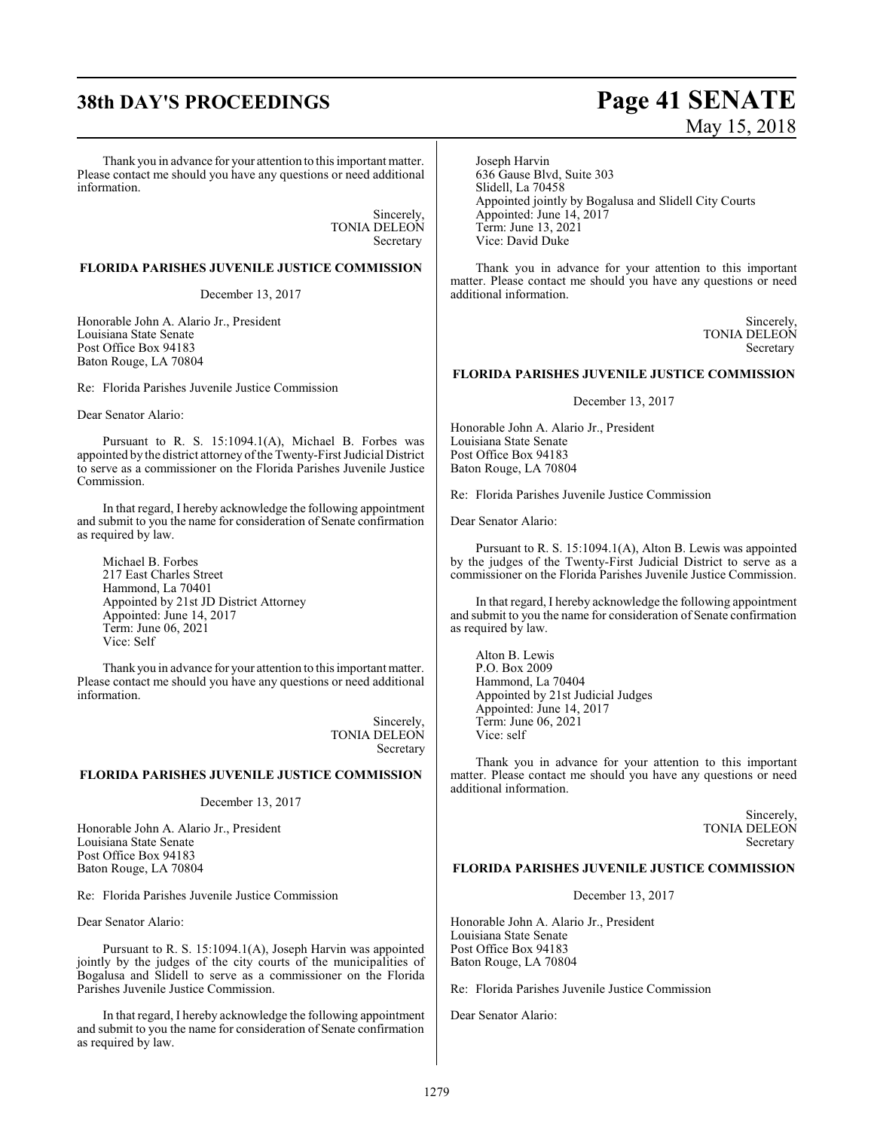# **38th DAY'S PROCEEDINGS Page 41 SENATE**

#### Thank you in advance for your attention to this important matter. Please contact me should you have any questions or need additional information.

Sincerely, TONIA DELEON Secretary

#### **FLORIDA PARISHES JUVENILE JUSTICE COMMISSION**

December 13, 2017

Honorable John A. Alario Jr., President Louisiana State Senate Post Office Box 94183 Baton Rouge, LA 70804

Re: Florida Parishes Juvenile Justice Commission

Dear Senator Alario:

Pursuant to R. S. 15:1094.1(A), Michael B. Forbes was appointed by the district attorney of the Twenty-First Judicial District to serve as a commissioner on the Florida Parishes Juvenile Justice Commission.

In that regard, I hereby acknowledge the following appointment and submit to you the name for consideration of Senate confirmation as required by law.

Michael B. Forbes 217 East Charles Street Hammond, La 70401 Appointed by 21st JD District Attorney Appointed: June 14, 2017 Term: June 06, 2021 Vice: Self

Thank you in advance for your attention to this important matter. Please contact me should you have any questions or need additional information.

> Sincerely, TONIA DELEON Secretary

#### **FLORIDA PARISHES JUVENILE JUSTICE COMMISSION**

December 13, 2017

Honorable John A. Alario Jr., President Louisiana State Senate Post Office Box 94183 Baton Rouge, LA 70804

Re: Florida Parishes Juvenile Justice Commission

Dear Senator Alario:

Pursuant to R. S. 15:1094.1(A), Joseph Harvin was appointed jointly by the judges of the city courts of the municipalities of Bogalusa and Slidell to serve as a commissioner on the Florida Parishes Juvenile Justice Commission.

In that regard, I hereby acknowledge the following appointment and submit to you the name for consideration of Senate confirmation as required by law.

# May 15, 2018

Joseph Harvin 636 Gause Blvd, Suite 303 Slidell, La 70458 Appointed jointly by Bogalusa and Slidell City Courts Appointed: June 14, 2017 Term: June 13, 2021 Vice: David Duke

Thank you in advance for your attention to this important matter. Please contact me should you have any questions or need additional information.

> Sincerely, TONIA DELEON Secretary

#### **FLORIDA PARISHES JUVENILE JUSTICE COMMISSION**

December 13, 2017

Honorable John A. Alario Jr., President Louisiana State Senate Post Office Box 94183 Baton Rouge, LA 70804

Re: Florida Parishes Juvenile Justice Commission

Dear Senator Alario:

Pursuant to R. S. 15:1094.1(A), Alton B. Lewis was appointed by the judges of the Twenty-First Judicial District to serve as a commissioner on the Florida Parishes Juvenile Justice Commission.

In that regard, I hereby acknowledge the following appointment and submit to you the name for consideration of Senate confirmation as required by law.

Alton B. Lewis P.O. Box 2009 Hammond, La 70404 Appointed by 21st Judicial Judges Appointed: June 14, 2017 Term: June 06, 2021 Vice: self

Thank you in advance for your attention to this important matter. Please contact me should you have any questions or need additional information.

> Sincerely, TONIA DELEON Secretary

#### **FLORIDA PARISHES JUVENILE JUSTICE COMMISSION**

December 13, 2017

Honorable John A. Alario Jr., President Louisiana State Senate Post Office Box 94183 Baton Rouge, LA 70804

Re: Florida Parishes Juvenile Justice Commission

Dear Senator Alario: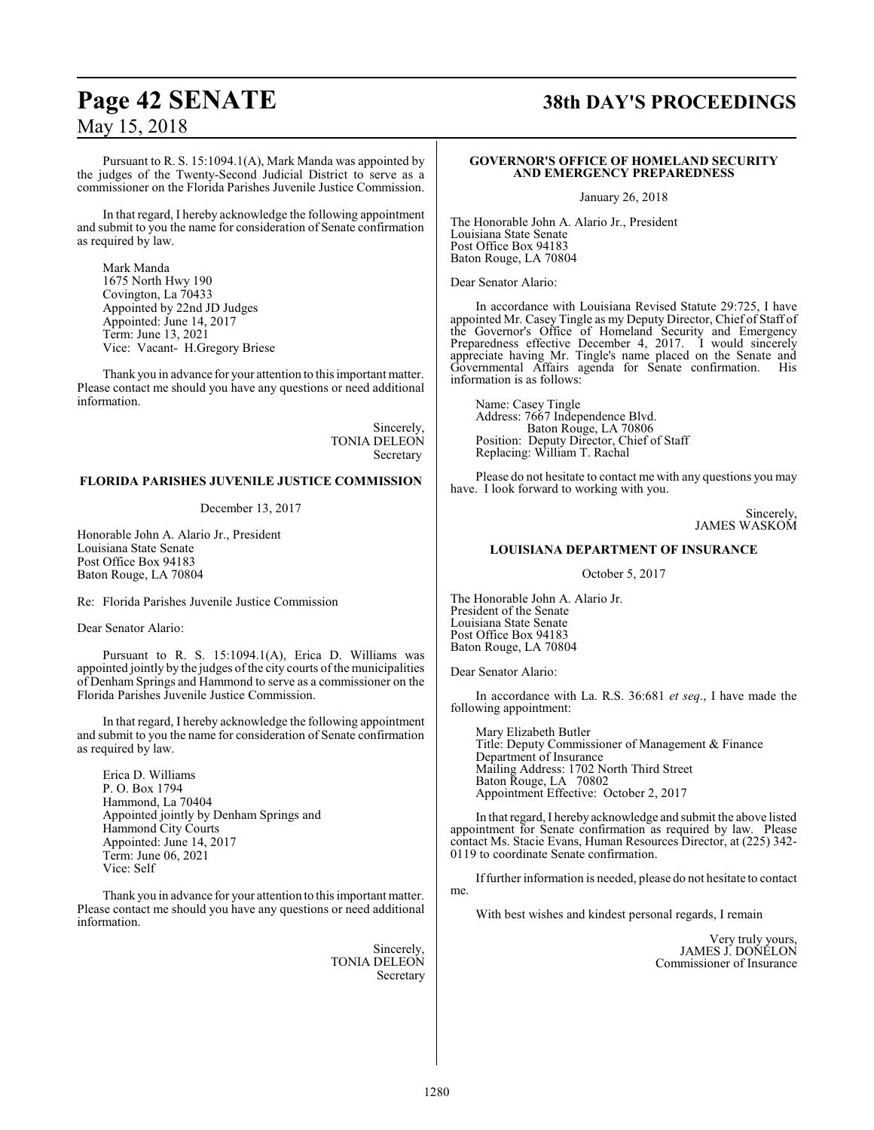# **Page 42 SENATE 38th DAY'S PROCEEDINGS**

Pursuant to R. S. 15:1094.1(A), Mark Manda was appointed by the judges of the Twenty-Second Judicial District to serve as a commissioner on the Florida Parishes Juvenile Justice Commission.

In that regard, I hereby acknowledge the following appointment and submit to you the name for consideration of Senate confirmation as required by law.

Mark Manda 1675 North Hwy 190 Covington, La 70433 Appointed by 22nd JD Judges Appointed: June 14, 2017 Term: June 13, 2021 Vice: Vacant- H.Gregory Briese

Thank you in advance for your attention to this important matter. Please contact me should you have any questions or need additional information.

> Sincerely, TONIA DELEON Secretary

#### **FLORIDA PARISHES JUVENILE JUSTICE COMMISSION**

#### December 13, 2017

Honorable John A. Alario Jr., President Louisiana State Senate Post Office Box 94183 Baton Rouge, LA 70804

Re: Florida Parishes Juvenile Justice Commission

Dear Senator Alario:

Pursuant to R. S. 15:1094.1(A), Erica D. Williams was appointed jointly by the judges ofthe city courts of the municipalities of Denham Springs and Hammond to serve as a commissioner on the Florida Parishes Juvenile Justice Commission.

In that regard, I hereby acknowledge the following appointment and submit to you the name for consideration of Senate confirmation as required by law.

Erica D. Williams P. O. Box 1794 Hammond, La 70404 Appointed jointly by Denham Springs and Hammond City Courts Appointed: June 14, 2017 Term: June 06, 2021 Vice: Self

Thank you in advance for your attention to this important matter. Please contact me should you have any questions or need additional information.

> Sincerely, TONIA DELEON Secretary

#### **GOVERNOR'S OFFICE OF HOMELAND SECURITY AND EMERGENCY PREPAREDNESS**

January 26, 2018

The Honorable John A. Alario Jr., President Louisiana State Senate Post Office Box 94183 Baton Rouge, LA 70804

Dear Senator Alario:

In accordance with Louisiana Revised Statute 29:725, I have appointed Mr. Casey Tingle as my Deputy Director, Chief of Staff of the Governor's Office of Homeland Security and Emergency Preparedness effective December 4, 2017. I would sincerely appreciate having Mr. Tingle's name placed on the Senate and Governmental Affairs agenda for Senate confirmation. information is as follows:

Name: Casey Tingle Address: 7667 Independence Blvd. Baton Rouge, LA 70806 Position: Deputy Director, Chief of Staff Replacing: William T. Rachal

Please do not hesitate to contact me with any questions you may have. I look forward to working with you.

> Sincerely, JAMES WASKOM

#### **LOUISIANA DEPARTMENT OF INSURANCE**

October 5, 2017

The Honorable John A. Alario Jr. President of the Senate Louisiana State Senate Post Office Box 94183 Baton Rouge, LA 70804

Dear Senator Alario:

In accordance with La. R.S. 36:681 *et seq*., I have made the following appointment:

Mary Elizabeth Butler Title: Deputy Commissioner of Management & Finance Department of Insurance Mailing Address: 1702 North Third Street Baton Rouge, LA 70802 Appointment Effective: October 2, 2017

In that regard, I hereby acknowledge and submit the above listed appointment for Senate confirmation as required by law. Please contact Ms. Stacie Evans, Human Resources Director, at (225) 342- 0119 to coordinate Senate confirmation.

Iffurther information is needed, please do not hesitate to contact me.

With best wishes and kindest personal regards, I remain

Very truly yours, JAMES J. DONELON Commissioner of Insurance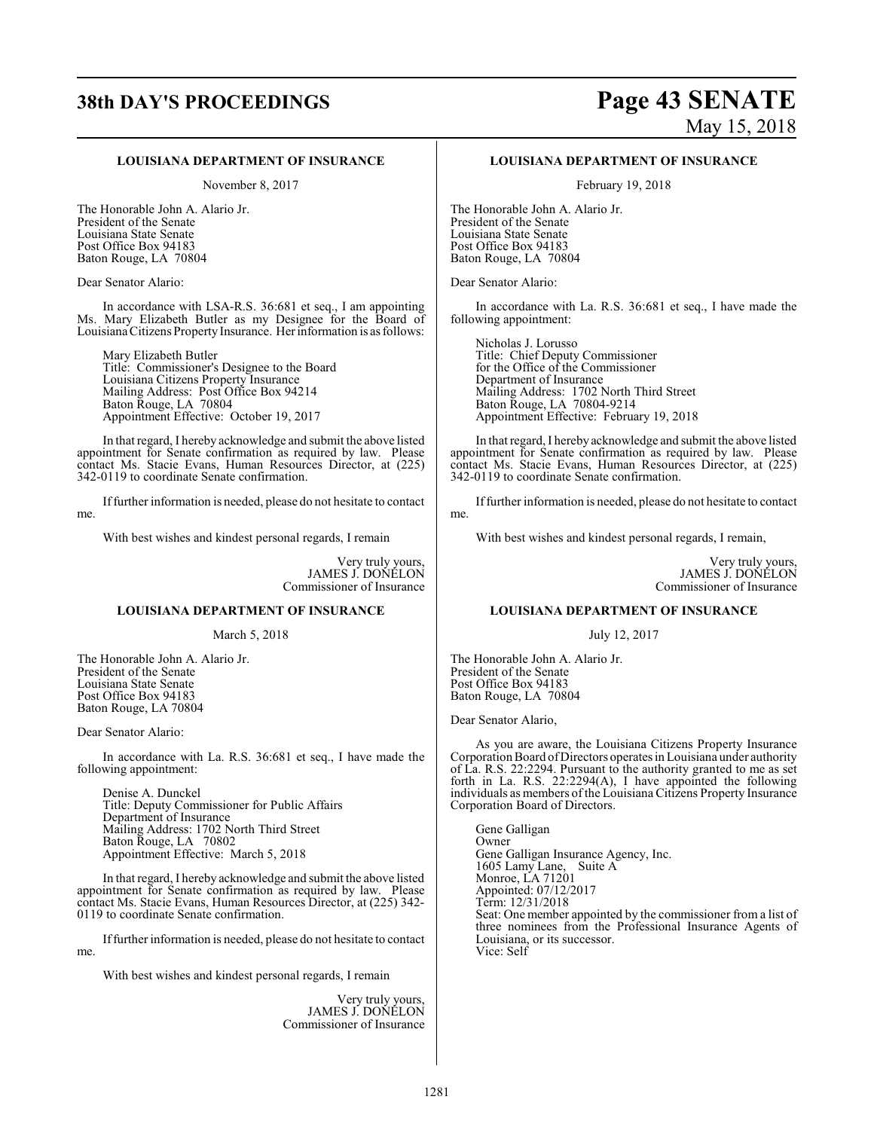# **38th DAY'S PROCEEDINGS Page 43 SENATE** May 15, 2018

#### **LOUISIANA DEPARTMENT OF INSURANCE**

November 8, 2017

The Honorable John A. Alario Jr. President of the Senate Louisiana State Senate Post Office Box 94183 Baton Rouge, LA 70804

Dear Senator Alario:

In accordance with LSA-R.S. 36:681 et seq., I am appointing Ms. Mary Elizabeth Butler as my Designee for the Board of LouisianaCitizens Property Insurance. Her information is as follows:

Mary Elizabeth Butler Title: Commissioner's Designee to the Board Louisiana Citizens Property Insurance Mailing Address: Post Office Box 94214 Baton Rouge, LA 70804 Appointment Effective: October 19, 2017

In that regard, I hereby acknowledge and submit the above listed appointment for Senate confirmation as required by law. Please contact Ms. Stacie Evans, Human Resources Director, at (225) 342-0119 to coordinate Senate confirmation.

Iffurther information is needed, please do not hesitate to contact me.

With best wishes and kindest personal regards, I remain

Very truly yours, JAMES J. DONELON Commissioner of Insurance

#### **LOUISIANA DEPARTMENT OF INSURANCE**

March 5, 2018

The Honorable John A. Alario Jr. President of the Senate Louisiana State Senate Post Office Box 94183 Baton Rouge, LA 70804

Dear Senator Alario:

In accordance with La. R.S. 36:681 et seq., I have made the following appointment:

Denise A. Dunckel Title: Deputy Commissioner for Public Affairs Department of Insurance Mailing Address: 1702 North Third Street Baton Rouge, LA 70802 Appointment Effective: March 5, 2018

In that regard, I hereby acknowledge and submit the above listed appointment for Senate confirmation as required by law. Please contact Ms. Stacie Evans, Human Resources Director, at (225) 342- 0119 to coordinate Senate confirmation.

Iffurther information is needed, please do not hesitate to contact me.

With best wishes and kindest personal regards, I remain

Very truly yours, JAMES J. DONELON Commissioner of Insurance

#### **LOUISIANA DEPARTMENT OF INSURANCE**

February 19, 2018

The Honorable John A. Alario Jr. President of the Senate Louisiana State Senate Post Office Box 94183 Baton Rouge, LA 70804

Dear Senator Alario:

In accordance with La. R.S. 36:681 et seq., I have made the following appointment:

Nicholas J. Lorusso Title: Chief Deputy Commissioner for the Office of the Commissioner Department of Insurance Mailing Address: 1702 North Third Street Baton Rouge, LA 70804-9214 Appointment Effective: February 19, 2018

In that regard, I hereby acknowledge and submit the above listed appointment for Senate confirmation as required by law. Please contact Ms. Stacie Evans, Human Resources Director, at (225) 342-0119 to coordinate Senate confirmation.

Iffurther information is needed, please do not hesitate to contact me.

With best wishes and kindest personal regards, I remain,

Very truly yours, JAMES J. DONELON Commissioner of Insurance

#### **LOUISIANA DEPARTMENT OF INSURANCE**

July 12, 2017

The Honorable John A. Alario Jr. President of the Senate Post Office Box 94183 Baton Rouge, LA 70804

Dear Senator Alario,

As you are aware, the Louisiana Citizens Property Insurance Corporation Board of Directors operates in Louisiana under authority of La. R.S. 22:2294. Pursuant to the authority granted to me as set forth in La. R.S. 22:2294(A), I have appointed the following individuals as members of the Louisiana Citizens Property Insurance Corporation Board of Directors.

Gene Galligan Owner Gene Galligan Insurance Agency, Inc. 1605 Lamy Lane, Suite A Monroe, LA 71201 Appointed: 07/12/2017 Term: 12/31/2018 Seat: One member appointed by the commissioner from a list of three nominees from the Professional Insurance Agents of Louisiana, or its successor. Vice: Self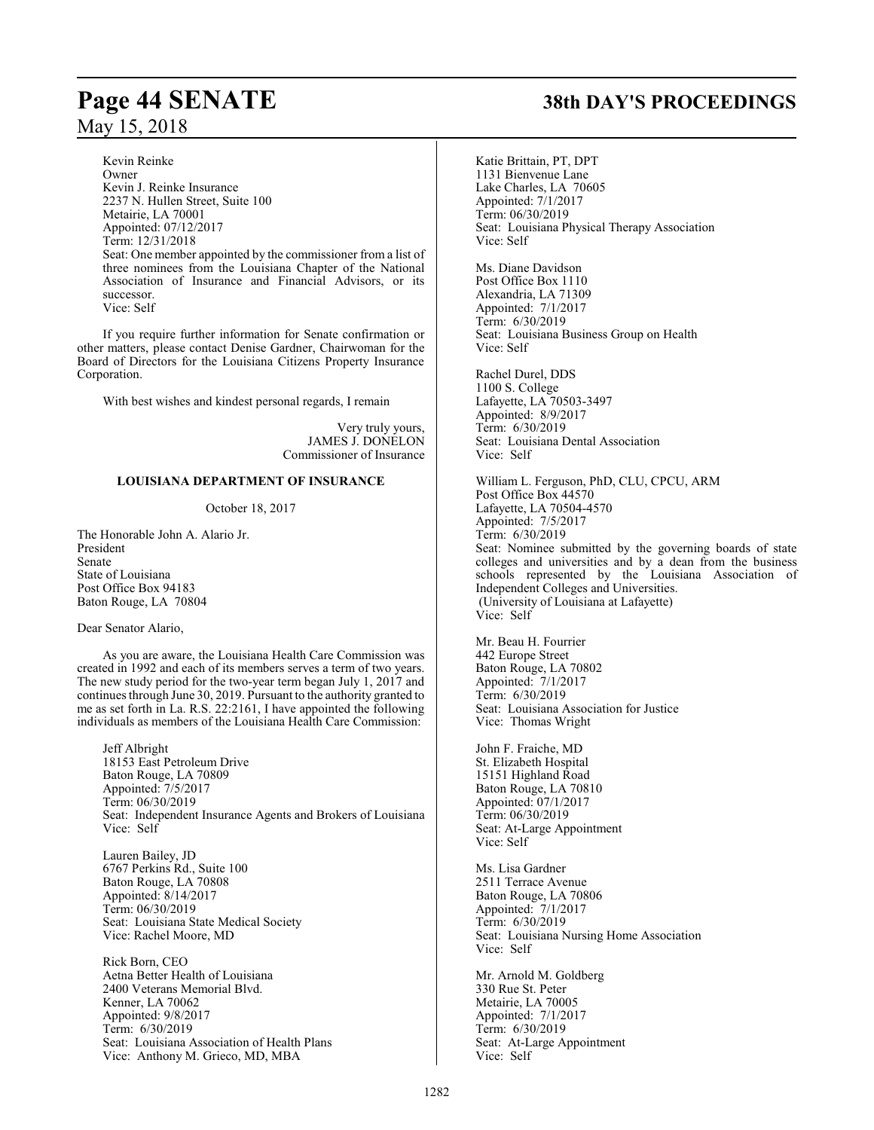# **Page 44 SENATE 38th DAY'S PROCEEDINGS** May 15, 2018

#### Kevin Reinke Owner Kevin J. Reinke Insurance 2237 N. Hullen Street, Suite 100 Metairie, LA 70001 Appointed: 07/12/2017 Term: 12/31/2018 Seat: One member appointed by the commissioner from a list of three nominees from the Louisiana Chapter of the National Association of Insurance and Financial Advisors, or its successor. Vice: Self

If you require further information for Senate confirmation or other matters, please contact Denise Gardner, Chairwoman for the Board of Directors for the Louisiana Citizens Property Insurance Corporation.

With best wishes and kindest personal regards, I remain

Very truly yours, JAMES J. DONELON Commissioner of Insurance

#### **LOUISIANA DEPARTMENT OF INSURANCE**

October 18, 2017

The Honorable John A. Alario Jr. President Senate State of Louisiana Post Office Box 94183 Baton Rouge, LA 70804

Dear Senator Alario,

As you are aware, the Louisiana Health Care Commission was created in 1992 and each of its members serves a term of two years. The new study period for the two-year term began July 1, 2017 and continues through June 30, 2019. Pursuant to the authority granted to me as set forth in La. R.S. 22:2161, I have appointed the following individuals as members of the Louisiana Health Care Commission:

Jeff Albright 18153 East Petroleum Drive Baton Rouge, LA 70809 Appointed: 7/5/2017 Term: 06/30/2019 Seat: Independent Insurance Agents and Brokers of Louisiana Vice: Self

Lauren Bailey, JD 6767 Perkins Rd., Suite 100 Baton Rouge, LA 70808 Appointed: 8/14/2017 Term: 06/30/2019 Seat: Louisiana State Medical Society Vice: Rachel Moore, MD

Rick Born, CEO Aetna Better Health of Louisiana 2400 Veterans Memorial Blvd. Kenner, LA 70062 Appointed: 9/8/2017 Term: 6/30/2019 Seat: Louisiana Association of Health Plans Vice: Anthony M. Grieco, MD, MBA

Katie Brittain, PT, DPT 1131 Bienvenue Lane Lake Charles, LA 70605 Appointed: 7/1/2017 Term: 06/30/2019 Seat: Louisiana Physical Therapy Association Vice: Self

Ms. Diane Davidson Post Office Box 1110 Alexandria, LA 71309 Appointed: 7/1/2017 Term: 6/30/2019 Seat: Louisiana Business Group on Health Vice: Self

Rachel Durel, DDS 1100 S. College Lafayette, LA 70503-3497 Appointed: 8/9/2017 Term: 6/30/2019 Seat: Louisiana Dental Association Vice: Self

William L. Ferguson, PhD, CLU, CPCU, ARM Post Office Box 44570 Lafayette, LA 70504-4570 Appointed: 7/5/2017 Term: 6/30/2019 Seat: Nominee submitted by the governing boards of state colleges and universities and by a dean from the business schools represented by the Louisiana Association of Independent Colleges and Universities. (University of Louisiana at Lafayette) Vice: Self

Mr. Beau H. Fourrier 442 Europe Street Baton Rouge, LA 70802 Appointed: 7/1/2017 Term: 6/30/2019 Seat: Louisiana Association for Justice Vice: Thomas Wright

John F. Fraiche, MD St. Elizabeth Hospital 15151 Highland Road Baton Rouge, LA 70810 Appointed: 07/1/2017 Term: 06/30/2019 Seat: At-Large Appointment Vice: Self

Ms. Lisa Gardner 2511 Terrace Avenue Baton Rouge, LA 70806 Appointed: 7/1/2017 Term: 6/30/2019 Seat: Louisiana Nursing Home Association Vice: Self

Mr. Arnold M. Goldberg 330 Rue St. Peter Metairie, LA 70005 Appointed: 7/1/2017 Term: 6/30/2019 Seat: At-Large Appointment Vice: Self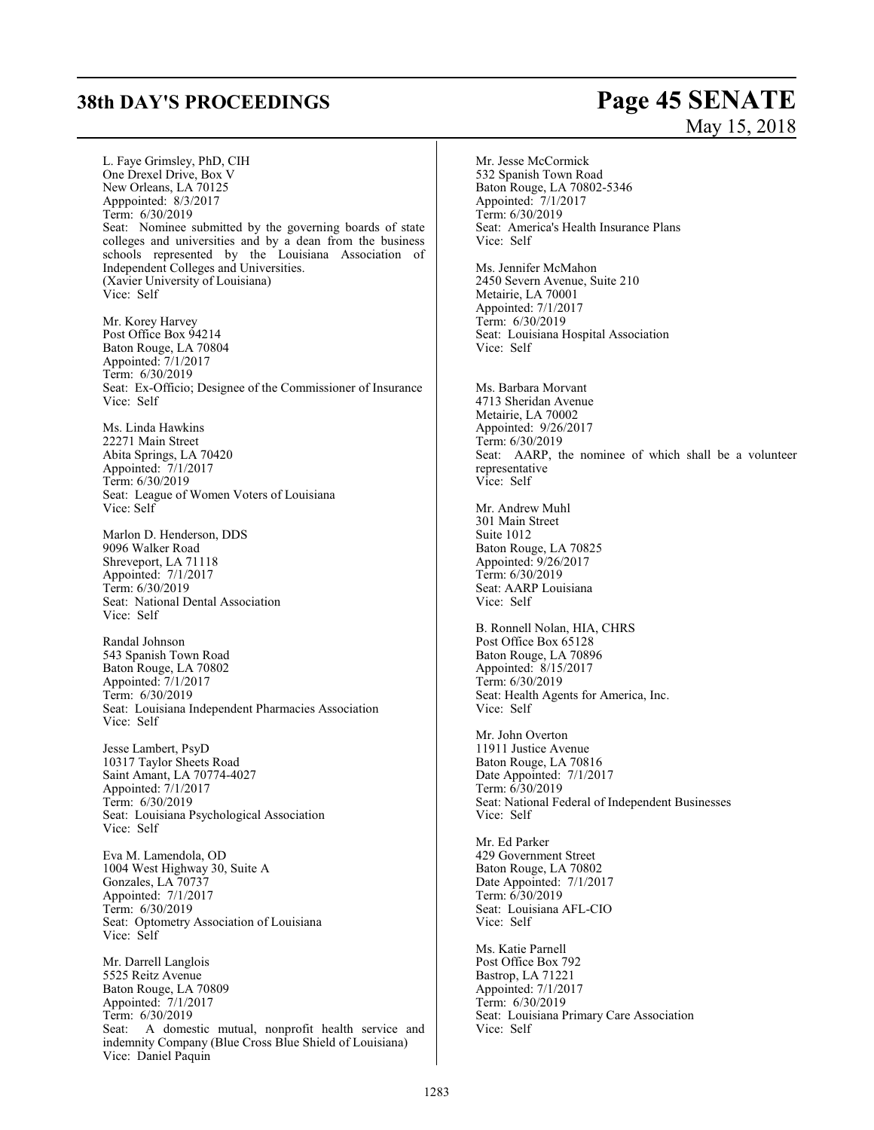# **38th DAY'S PROCEEDINGS Page 45 SENATE**

# May 15, 2018

L. Faye Grimsley, PhD, CIH One Drexel Drive, Box V New Orleans, LA 70125 Apppointed: 8/3/2017 Term: 6/30/2019 Seat: Nominee submitted by the governing boards of state colleges and universities and by a dean from the business schools represented by the Louisiana Association of Independent Colleges and Universities. (Xavier University of Louisiana) Vice: Self Mr. Korey Harvey Post Office Box 94214 Baton Rouge, LA 70804 Appointed: 7/1/2017 Term: 6/30/2019 Seat: Ex-Officio; Designee of the Commissioner of Insurance Vice: Self Ms. Linda Hawkins 22271 Main Street Abita Springs, LA 70420 Appointed: 7/1/2017 Term: 6/30/2019 Seat: League of Women Voters of Louisiana Vice: Self Marlon D. Henderson, DDS 9096 Walker Road Shreveport, LA 71118 Appointed: 7/1/2017 Term: 6/30/2019 Seat: National Dental Association Vice: Self Randal Johnson 543 Spanish Town Road Baton Rouge, LA 70802 Appointed: 7/1/2017 Term: 6/30/2019 Seat: Louisiana Independent Pharmacies Association Vice: Self Jesse Lambert, PsyD 10317 Taylor Sheets Road Saint Amant, LA 70774-4027 Appointed: 7/1/2017 Term: 6/30/2019 Seat: Louisiana Psychological Association Vice: Self Eva M. Lamendola, OD 1004 West Highway 30, Suite A Gonzales, LA 70737 Appointed: 7/1/2017 Term: 6/30/2019 Seat: Optometry Association of Louisiana Vice: Self Mr. Darrell Langlois 5525 Reitz Avenue Baton Rouge, LA 70809 Appointed: 7/1/2017 Term: 6/30/2019 Seat: A domestic mutual, nonprofit health service and indemnity Company (Blue Cross Blue Shield of Louisiana) Vice: Daniel Paquin

Mr. Jesse McCormick 532 Spanish Town Road Baton Rouge, LA 70802-5346 Appointed: 7/1/2017 Term: 6/30/2019 Seat: America's Health Insurance Plans Vice: Self

Ms. Jennifer McMahon 2450 Severn Avenue, Suite 210 Metairie, LA 70001 Appointed: 7/1/2017 Term: 6/30/2019 Seat: Louisiana Hospital Association Vice: Self

Ms. Barbara Morvant 4713 Sheridan Avenue Metairie, LA 70002 Appointed: 9/26/2017 Term: 6/30/2019 Seat: AARP, the nominee of which shall be a volunteer representative Vice: Self

Mr. Andrew Muhl 301 Main Street Suite 1012 Baton Rouge, LA 70825 Appointed: 9/26/2017 Term: 6/30/2019 Seat: AARP Louisiana Vice: Self

B. Ronnell Nolan, HIA, CHRS Post Office Box 65128 Baton Rouge, LA 70896 Appointed: 8/15/2017 Term: 6/30/2019 Seat: Health Agents for America, Inc. Vice: Self

Mr. John Overton 11911 Justice Avenue Baton Rouge, LA 70816 Date Appointed: 7/1/2017 Term: 6/30/2019 Seat: National Federal of Independent Businesses Vice: Self

Mr. Ed Parker 429 Government Street Baton Rouge, LA 70802 Date Appointed: 7/1/2017 Term: 6/30/2019 Seat: Louisiana AFL-CIO Vice: Self

Ms. Katie Parnell Post Office Box 792 Bastrop, LA 71221 Appointed: 7/1/2017 Term: 6/30/2019 Seat: Louisiana Primary Care Association Vice: Self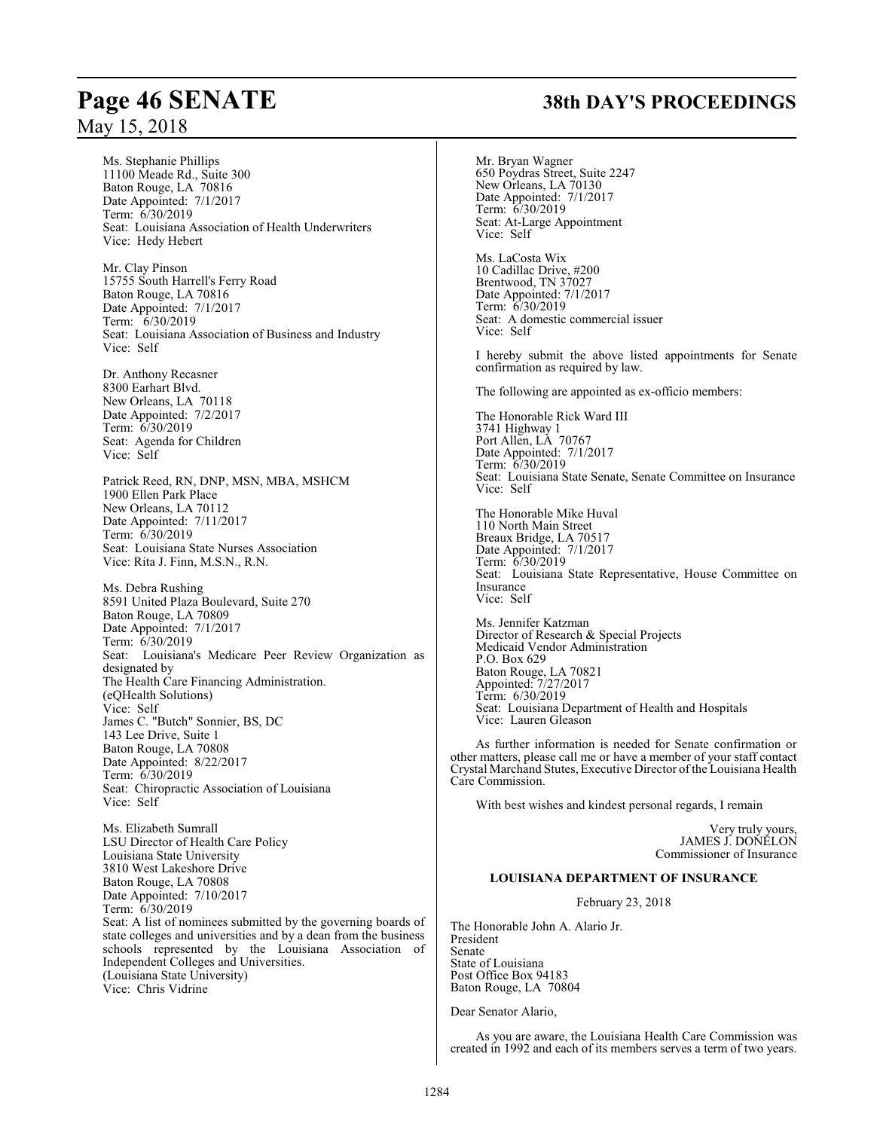Ms. Stephanie Phillips 11100 Meade Rd., Suite 300 Baton Rouge, LA 70816 Date Appointed: 7/1/2017 Term: 6/30/2019 Seat: Louisiana Association of Health Underwriters Vice: Hedy Hebert

Mr. Clay Pinson 15755 South Harrell's Ferry Road Baton Rouge, LA 70816 Date Appointed: 7/1/2017 Term: 6/30/2019 Seat: Louisiana Association of Business and Industry Vice: Self

Dr. Anthony Recasner 8300 Earhart Blvd. New Orleans, LA 70118 Date Appointed: 7/2/2017 Term: 6/30/2019 Seat: Agenda for Children Vice: Self

Patrick Reed, RN, DNP, MSN, MBA, MSHCM 1900 Ellen Park Place New Orleans, LA 70112 Date Appointed: 7/11/2017 Term: 6/30/2019 Seat: Louisiana State Nurses Association Vice: Rita J. Finn, M.S.N., R.N.

Ms. Debra Rushing 8591 United Plaza Boulevard, Suite 270 Baton Rouge, LA 70809 Date Appointed: 7/1/2017 Term: 6/30/2019 Seat: Louisiana's Medicare Peer Review Organization as designated by The Health Care Financing Administration. (eQHealth Solutions) Vice: Self James C. "Butch" Sonnier, BS, DC 143 Lee Drive, Suite 1 Baton Rouge, LA 70808 Date Appointed: 8/22/2017 Term: 6/30/2019 Seat: Chiropractic Association of Louisiana Vice: Self

Ms. Elizabeth Sumrall LSU Director of Health Care Policy Louisiana State University 3810 West Lakeshore Drive Baton Rouge, LA 70808 Date Appointed: 7/10/2017 Term: 6/30/2019 Seat: A list of nominees submitted by the governing boards of state colleges and universities and by a dean from the business schools represented by the Louisiana Association of Independent Colleges and Universities. (Louisiana State University) Vice: Chris Vidrine

# **Page 46 SENATE 38th DAY'S PROCEEDINGS**

Mr. Bryan Wagner 650 Poydras Street, Suite 2247 New Orleans, LA 70130 Date Appointed: 7/1/2017 Term: 6/30/2019 Seat: At-Large Appointment Vice: Self

Ms. LaCosta Wix 10 Cadillac Drive, #200 Brentwood, TN 37027 Date Appointed: 7/1/2017 Term: 6/30/2019 Seat: A domestic commercial issuer Vice: Self

I hereby submit the above listed appointments for Senate confirmation as required by law.

The following are appointed as ex-officio members:

The Honorable Rick Ward III 3741 Highway 1 Port Allen, LA 70767 Date Appointed: 7/1/2017 Term: 6/30/2019 Seat: Louisiana State Senate, Senate Committee on Insurance Vice: Self

The Honorable Mike Huval 110 North Main Street Breaux Bridge, LA 70517 Date Appointed: 7/1/2017 Term: 6/30/2019 Seat: Louisiana State Representative, House Committee on Insurance Vice: Self

Ms. Jennifer Katzman Director of Research & Special Projects Medicaid Vendor Administration P.O. Box 629 Baton Rouge, LA 70821 Appointed: 7/27/2017 Term: 6/30/2019 Seat: Louisiana Department of Health and Hospitals Vice: Lauren Gleason

As further information is needed for Senate confirmation or other matters, please call me or have a member of your staff contact Crystal Marchand Stutes, Executive Director ofthe Louisiana Health Care Commission.

With best wishes and kindest personal regards, I remain

Very truly yours, JAMES J. DONELON Commissioner of Insurance

### **LOUISIANA DEPARTMENT OF INSURANCE**

February 23, 2018

The Honorable John A. Alario Jr. President Senate State of Louisiana Post Office Box 94183 Baton Rouge, LA 70804

Dear Senator Alario,

As you are aware, the Louisiana Health Care Commission was created in 1992 and each of its members serves a term of two years.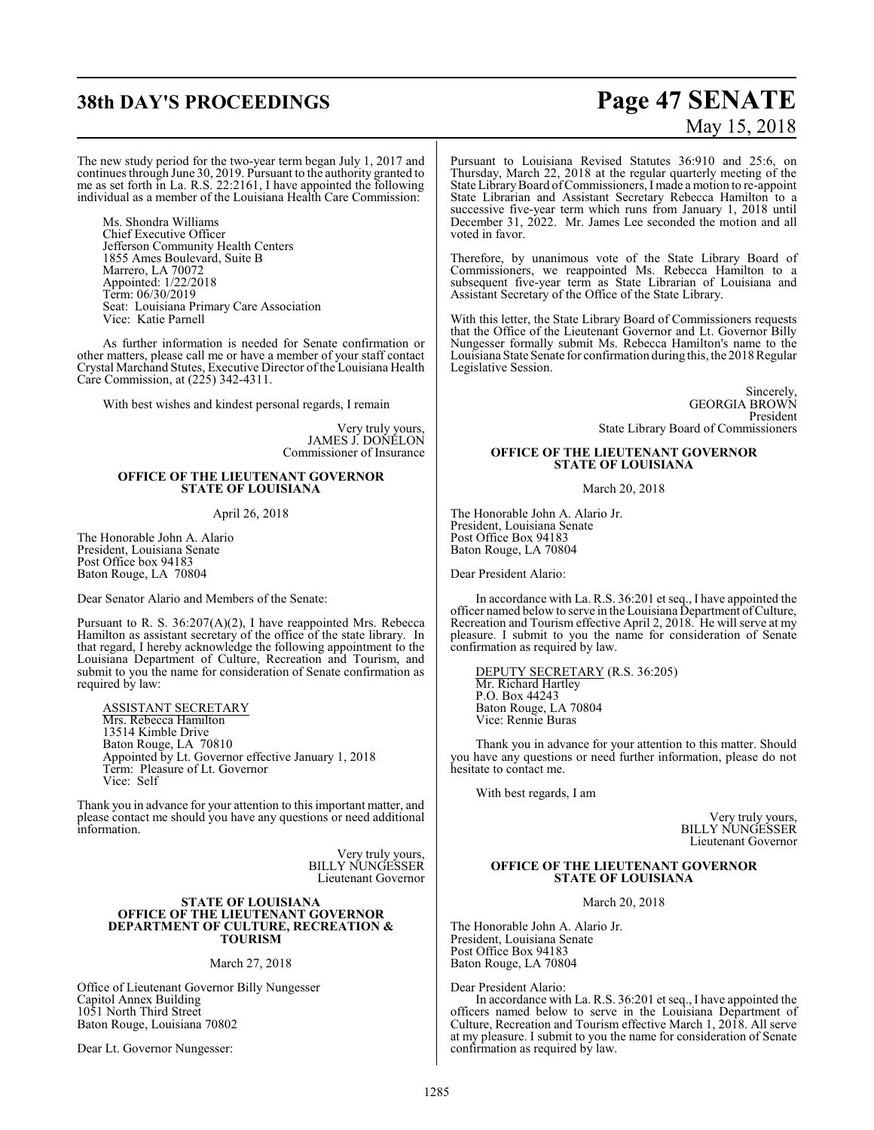# **38th DAY'S PROCEEDINGS Page 47 SENATE** May 15, 2018

The new study period for the two-year term began July 1, 2017 and continues through June 30, 2019. Pursuant to the authority granted to me as set forth in La. R.S. 22:2161, I have appointed the following individual as a member of the Louisiana Health Care Commission:

Ms. Shondra Williams Chief Executive Officer Jefferson Community Health Centers 1855 Ames Boulevard, Suite B Marrero, LA 70072 Appointed: 1/22/2018 Term: 06/30/2019 Seat: Louisiana Primary Care Association Vice: Katie Parnell

As further information is needed for Senate confirmation or other matters, please call me or have a member of your staff contact Crystal Marchand Stutes, Executive Director of the Louisiana Health Care Commission, at (225) 342-4311.

With best wishes and kindest personal regards, I remain

Very truly yours, JAMES J. DONELON Commissioner of Insurance

#### **OFFICE OF THE LIEUTENANT GOVERNOR STATE OF LOUISIANA**

#### April 26, 2018

The Honorable John A. Alario President, Louisiana Senate Post Office box 94183 Baton Rouge, LA 70804

Dear Senator Alario and Members of the Senate:

Pursuant to R. S. 36:207(A)(2), I have reappointed Mrs. Rebecca Hamilton as assistant secretary of the office of the state library. In that regard, I hereby acknowledge the following appointment to the Louisiana Department of Culture, Recreation and Tourism, and submit to you the name for consideration of Senate confirmation as required by law:

ASSISTANT SECRETARY Mrs. Rebecca Hamilton 13514 Kimble Drive Baton Rouge, LA 70810 Appointed by Lt. Governor effective January 1, 2018 Term: Pleasure of Lt. Governor Vice: Self

Thank you in advance for your attention to this important matter, and please contact me should you have any questions or need additional information.

> Very truly yours, BILLY NUNGESSER Lieutenant Governor

#### **STATE OF LOUISIANA OFFICE OF THE LIEUTENANT GOVERNOR DEPARTMENT OF CULTURE, RECREATION & TOURISM**

March 27, 2018

Office of Lieutenant Governor Billy Nungesser Capitol Annex Building 1051 North Third Street Baton Rouge, Louisiana 70802

Dear Lt. Governor Nungesser:

Pursuant to Louisiana Revised Statutes 36:910 and 25:6, on Thursday, March 22, 2018 at the regular quarterly meeting of the State LibraryBoard ofCommissioners, I made a motion to re-appoint State Librarian and Assistant Secretary Rebecca Hamilton to a successive five-year term which runs from January 1, 2018 until December 31, 2022. Mr. James Lee seconded the motion and all voted in favor.

Therefore, by unanimous vote of the State Library Board of Commissioners, we reappointed Ms. Rebecca Hamilton to a subsequent five-year term as State Librarian of Louisiana and Assistant Secretary of the Office of the State Library.

With this letter, the State Library Board of Commissioners requests that the Office of the Lieutenant Governor and Lt. Governor Billy Nungesser formally submit Ms. Rebecca Hamilton's name to the Louisiana State Senate for confirmation during this, the 2018Regular Legislative Session.

> Sincerely, GEORGIA BROWN President State Library Board of Commissioners

#### **OFFICE OF THE LIEUTENANT GOVERNOR STATE OF LOUISIANA**

March 20, 2018

The Honorable John A. Alario Jr. President, Louisiana Senate Post Office Box 94183 Baton Rouge, LA 70804

Dear President Alario:

In accordance with La. R.S. 36:201 et seq., I have appointed the officer named below to serve in the Louisiana Department ofCulture, Recreation and Tourism effective April 2, 2018. He will serve at my pleasure. I submit to you the name for consideration of Senate confirmation as required by law.

DEPUTY SECRETARY (R.S. 36:205) Mr. Richard Hartley P.O. Box 44243 Baton Rouge, LA 70804 Vice: Rennie Buras

Thank you in advance for your attention to this matter. Should you have any questions or need further information, please do not hesitate to contact me.

With best regards, I am

Very truly yours, BILLY NUNGESSER Lieutenant Governor

#### **OFFICE OF THE LIEUTENANT GOVERNOR STATE OF LOUISIANA**

March 20, 2018

The Honorable John A. Alario Jr. President, Louisiana Senate Post Office Box 94183 Baton Rouge, LA 70804

Dear President Alario:

In accordance with La. R.S. 36:201 et seq., I have appointed the officers named below to serve in the Louisiana Department of Culture, Recreation and Tourism effective March 1, 2018. All serve at my pleasure. I submit to you the name for consideration of Senate confirmation as required by law.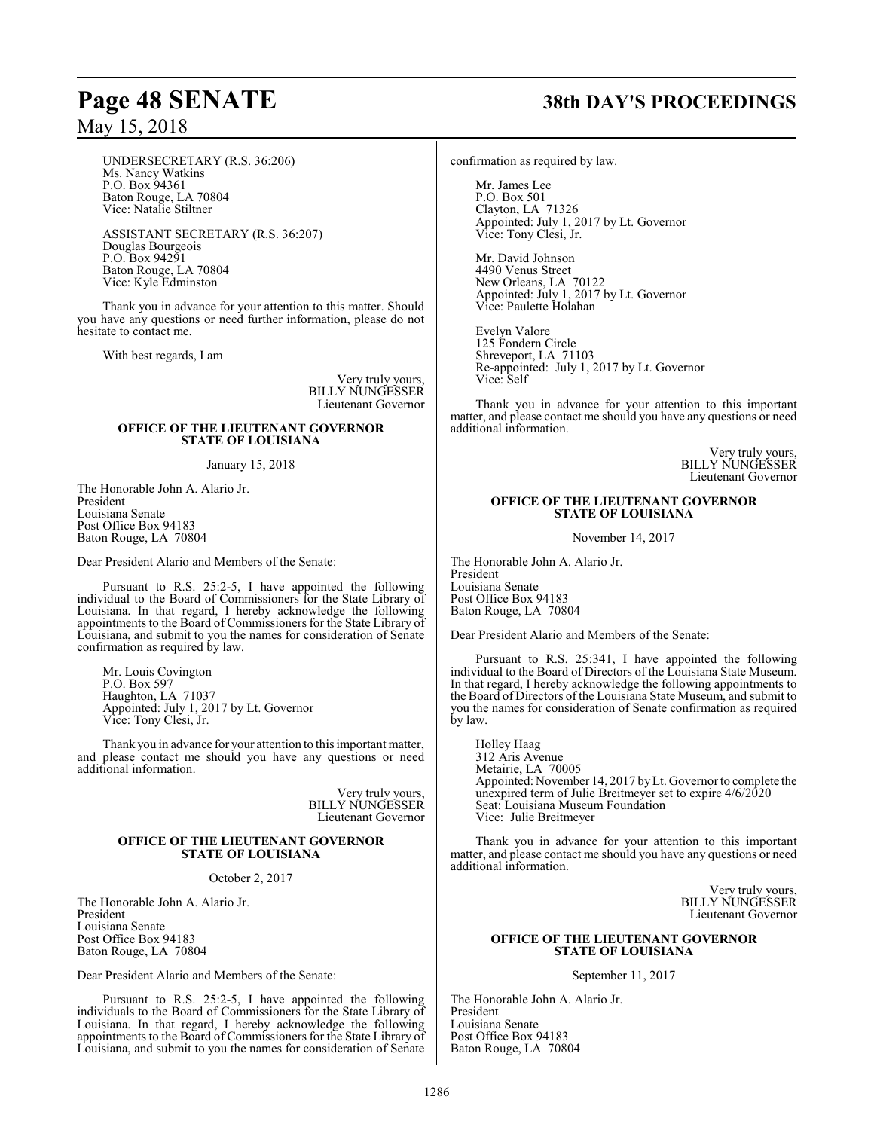UNDERSECRETARY (R.S. 36:206) Ms. Nancy Watkins P.O. Box 94361 Baton Rouge, LA 70804 Vice: Natalie Stiltner

ASSISTANT SECRETARY (R.S. 36:207) Douglas Bourgeois P.O. Box 94291 Baton Rouge, LA 70804 Vice: Kyle Edminston

Thank you in advance for your attention to this matter. Should you have any questions or need further information, please do not hesitate to contact me.

With best regards, I am

Very truly yours, BILLY NUNGESSER Lieutenant Governor

#### **OFFICE OF THE LIEUTENANT GOVERNOR STATE OF LOUISIANA**

January 15, 2018

The Honorable John A. Alario Jr. President Louisiana Senate Post Office Box 94183 Baton Rouge, LA 70804

Dear President Alario and Members of the Senate:

Pursuant to R.S. 25:2-5, I have appointed the following individual to the Board of Commissioners for the State Library of Louisiana. In that regard, I hereby acknowledge the following appointments to the Board of Commissioners for the State Library of Louisiana, and submit to you the names for consideration of Senate confirmation as required by law.

Mr. Louis Covington P.O. Box 597 Haughton, LA 71037 Appointed: July 1, 2017 by Lt. Governor Vice: Tony Clesi, Jr.

Thank you in advance for your attention to this important matter, and please contact me should you have any questions or need additional information.

> Very truly yours, BILLY NUNGESSER Lieutenant Governor

#### **OFFICE OF THE LIEUTENANT GOVERNOR STATE OF LOUISIANA**

October 2, 2017

The Honorable John A. Alario Jr. President Louisiana Senate Post Office Box 94183 Baton Rouge, LA 70804

Dear President Alario and Members of the Senate:

Pursuant to R.S. 25:2-5, I have appointed the following individuals to the Board of Commissioners for the State Library of Louisiana. In that regard, I hereby acknowledge the following appointments to the Board of Commissioners for the State Library of Louisiana, and submit to you the names for consideration of Senate

# **Page 48 SENATE 38th DAY'S PROCEEDINGS**

confirmation as required by law.

Mr. James Lee P.O. Box 501 Clayton, LA 71326 Appointed: July 1, 2017 by Lt. Governor Vice: Tony Clesi, Jr.

Mr. David Johnson 4490 Venus Street New Orleans, LA 70122 Appointed: July 1, 2017 by Lt. Governor Vice: Paulette Holahan

Evelyn Valore 125 Fondern Circle Shreveport, LA 71103 Re-appointed: July 1, 2017 by Lt. Governor Vice: Self

Thank you in advance for your attention to this important matter, and please contact me should you have any questions or need additional information.

> Very truly yours, BILLY NUNGESSER Lieutenant Governor

#### **OFFICE OF THE LIEUTENANT GOVERNOR STATE OF LOUISIANA**

November 14, 2017

The Honorable John A. Alario Jr. President Louisiana Senate Post Office Box 94183 Baton Rouge, LA 70804

Dear President Alario and Members of the Senate:

Pursuant to R.S. 25:341, I have appointed the following individual to the Board of Directors of the Louisiana State Museum. In that regard, I hereby acknowledge the following appointments to the Board of Directors of the Louisiana State Museum, and submit to you the names for consideration of Senate confirmation as required by law.

Holley Haag 312 Aris Avenue Metairie, LA 70005 Appointed: November 14, 2017 by Lt. Governor to complete the unexpired term of Julie Breitmeyer set to expire 4/6/2020 Seat: Louisiana Museum Foundation Vice: Julie Breitmeyer

Thank you in advance for your attention to this important matter, and please contact me should you have any questions or need additional information.

> Very truly yours, BILLY NUNGESSER Lieutenant Governor

#### **OFFICE OF THE LIEUTENANT GOVERNOR STATE OF LOUISIANA**

September 11, 2017

The Honorable John A. Alario Jr. President Louisiana Senate Post Office Box 94183 Baton Rouge, LA 70804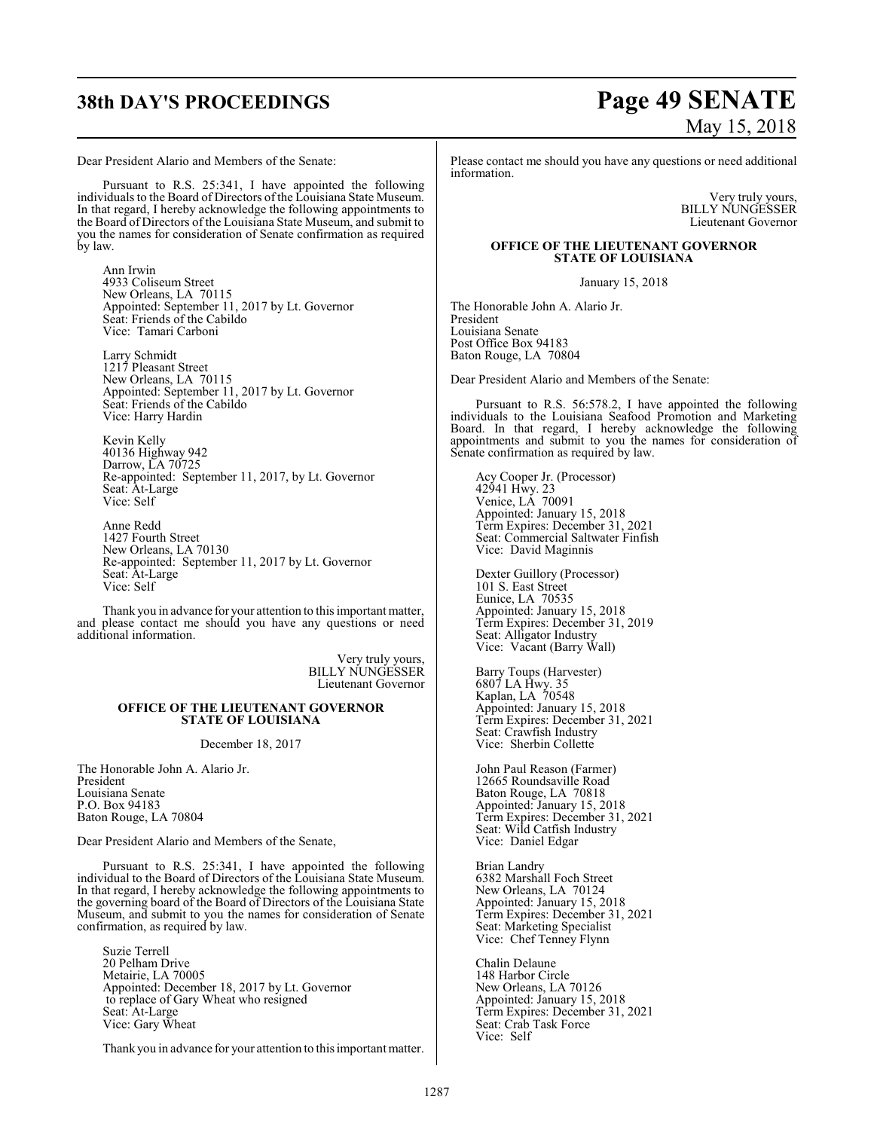Dear President Alario and Members of the Senate:

Pursuant to R.S. 25:341, I have appointed the following individuals to the Board of Directors of the Louisiana State Museum. In that regard, I hereby acknowledge the following appointments to the Board of Directors of the Louisiana State Museum, and submit to you the names for consideration of Senate confirmation as required by law.

Ann Irwin 4933 Coliseum Street New Orleans, LA 70115 Appointed: September 11, 2017 by Lt. Governor Seat: Friends of the Cabildo Vice: Tamari Carboni

Larry Schmidt 1217 Pleasant Street New Orleans, LA 70115 Appointed: September 11, 2017 by Lt. Governor Seat: Friends of the Cabildo Vice: Harry Hardin

Kevin Kelly 40136 Highway 942 Darrow, LA 70725 Re-appointed: September 11, 2017, by Lt. Governor Seat: At-Large Vice: Self

Anne Redd 1427 Fourth Street New Orleans, LA 70130 Re-appointed: September 11, 2017 by Lt. Governor Seat: At-Large Vice: Self

Thank you in advance for your attention to this important matter, and please contact me should you have any questions or need additional information.

> Very truly yours, BILLY NUNGESSER Lieutenant Governor

#### **OFFICE OF THE LIEUTENANT GOVERNOR STATE OF LOUISIANA**

December 18, 2017

The Honorable John A. Alario Jr. President Louisiana Senate P.O. Box 94183 Baton Rouge, LA 70804

Dear President Alario and Members of the Senate,

Pursuant to R.S. 25:341, I have appointed the following individual to the Board of Directors of the Louisiana State Museum. In that regard, I hereby acknowledge the following appointments to the governing board of the Board of Directors of the Louisiana State Museum, and submit to you the names for consideration of Senate confirmation, as required by law.

Suzie Terrell 20 Pelham Drive Metairie, LA 70005 Appointed: December 18, 2017 by Lt. Governor to replace of Gary Wheat who resigned Seat: At-Large Vice: Gary Wheat

Thank you in advance for your attention to this important matter.

# **38th DAY'S PROCEEDINGS Page 49 SENATE** May 15, 2018

Please contact me should you have any questions or need additional information.

> Very truly yours, BILLY NUNGESSER Lieutenant Governor

#### **OFFICE OF THE LIEUTENANT GOVERNOR STATE OF LOUISIANA**

January 15, 2018

The Honorable John A. Alario Jr. President Louisiana Senate Post Office Box 94183 Baton Rouge, LA 70804

Dear President Alario and Members of the Senate:

Pursuant to R.S. 56:578.2, I have appointed the following individuals to the Louisiana Seafood Promotion and Marketing Board. In that regard, I hereby acknowledge the following appointments and submit to you the names for consideration of Senate confirmation as required by law.

Acy Cooper Jr. (Processor) 42941 Hwy. 23 Venice, LA 70091 Appointed: January 15, 2018 Term Expires: December 31, 2021 Seat: Commercial Saltwater Finfish Vice: David Maginnis

Dexter Guillory (Processor) 101 S. East Street Eunice, LA 70535 Appointed: January 15, 2018 Term Expires: December 31, 2019 Seat: Alligator Industry Vice: Vacant (Barry Wall)

Barry Toups (Harvester) 6807 LA Hwy. 35 Kaplan, LA 70548 Appointed: January 15, 2018 Term Expires: December 31, 2021 Seat: Crawfish Industry Vice: Sherbin Collette

John Paul Reason (Farmer) 12665 Roundsaville Road Baton Rouge, LA 70818 Appointed: January 15, 2018 Term Expires: December 31, 2021 Seat: Wild Catfish Industry Vice: Daniel Edgar

Brian Landry 6382 Marshall Foch Street New Orleans, LA 70124 Appointed: January 15, 2018 Term Expires: December 31, 2021 Seat: Marketing Specialist Vice: Chef Tenney Flynn

Chalin Delaune 148 Harbor Circle New Orleans, LA 70126 Appointed: January 15, 2018 Term Expires: December 31, 2021 Seat: Crab Task Force Vice: Self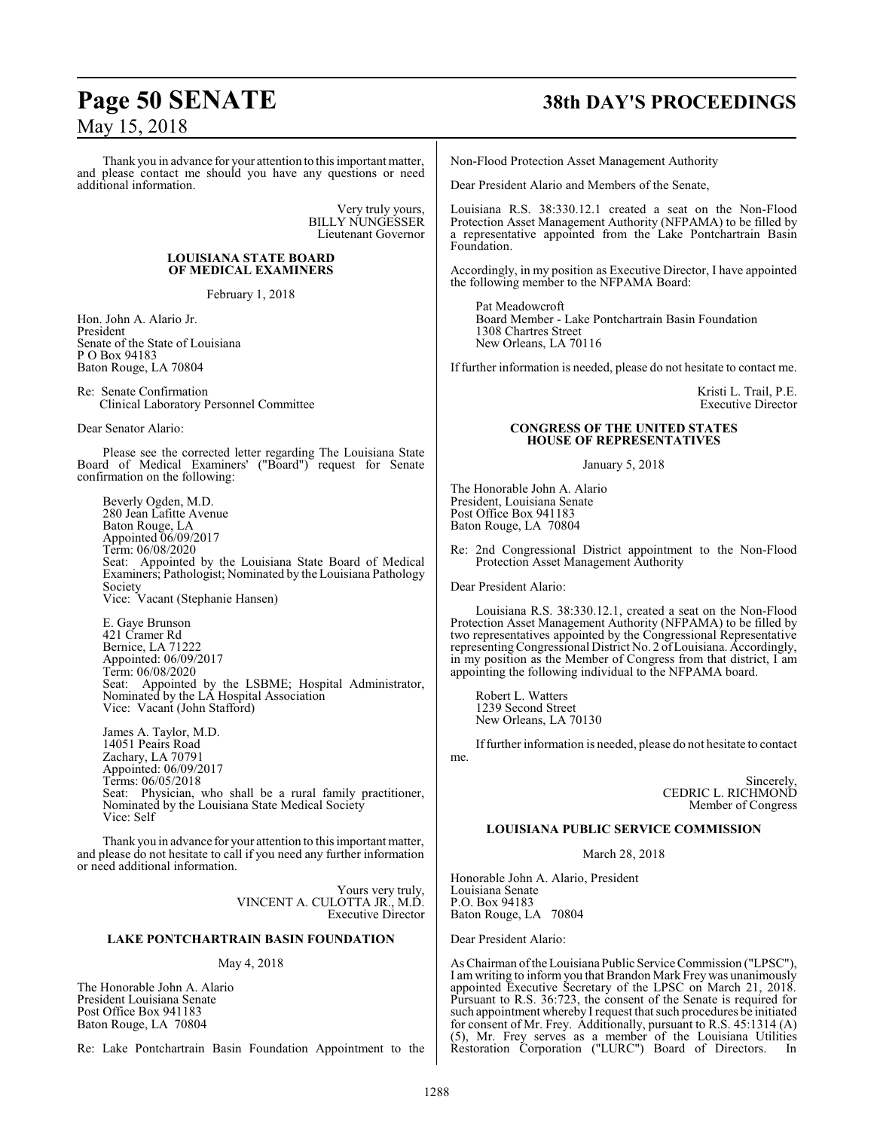Thank you in advance for your attention to this important matter, and please contact me should you have any questions or need additional information.

> Very truly yours, BILLY NUNGESSER Lieutenant Governor

#### **LOUISIANA STATE BOARD OF MEDICAL EXAMINERS**

February 1, 2018

Hon. John A. Alario Jr. President Senate of the State of Louisiana P O Box 94183 Baton Rouge, LA 70804

Re: Senate Confirmation Clinical Laboratory Personnel Committee

Dear Senator Alario:

Please see the corrected letter regarding The Louisiana State Board of Medical Examiners' ("Board") request for Senate confirmation on the following:

Beverly Ogden, M.D. 280 Jean Lafitte Avenue Baton Rouge, LA Appointed 06/09/2017 Term: 06/08/2020 Seat: Appointed by the Louisiana State Board of Medical Examiners; Pathologist; Nominated by the Louisiana Pathology Society Vice: Vacant (Stephanie Hansen)

E. Gaye Brunson 421 Cramer Rd Bernice, LA 71222 Appointed: 06/09/2017 Term: 06/08/2020 Seat: Appointed by the LSBME; Hospital Administrator, Nominated by the LA Hospital Association Vice: Vacant (John Stafford)

James A. Taylor, M.D. 14051 Peairs Road Zachary, LA 70791 Appointed: 06/09/2017 Terms: 06/05/2018 Seat: Physician, who shall be a rural family practitioner, Nominated by the Louisiana State Medical Society Vice: Self

Thank you in advance for your attention to this important matter, and please do not hesitate to call if you need any further information or need additional information.

> Yours very truly, VINCENT A. CULOTTA JR., M.D. Executive Director

#### **LAKE PONTCHARTRAIN BASIN FOUNDATION**

May 4, 2018

The Honorable John A. Alario President Louisiana Senate Post Office Box 941183 Baton Rouge, LA 70804

Re: Lake Pontchartrain Basin Foundation Appointment to the

# **Page 50 SENATE 38th DAY'S PROCEEDINGS**

Non-Flood Protection Asset Management Authority

Dear President Alario and Members of the Senate,

Louisiana R.S. 38:330.12.1 created a seat on the Non-Flood Protection Asset Management Authority (NFPAMA) to be filled by a representative appointed from the Lake Pontchartrain Basin Foundation.

Accordingly, in my position as Executive Director, I have appointed the following member to the NFPAMA Board:

Pat Meadowcroft Board Member - Lake Pontchartrain Basin Foundation 1308 Chartres Street New Orleans, LA 70116

If further information is needed, please do not hesitate to contact me.

Kristi L. Trail, P.E. Executive Director

#### **CONGRESS OF THE UNITED STATES HOUSE OF REPRESENTATIVES**

January 5, 2018

The Honorable John A. Alario President, Louisiana Senate Post Office Box 941183 Baton Rouge, LA 70804

Re: 2nd Congressional District appointment to the Non-Flood Protection Asset Management Authority

Dear President Alario:

Louisiana R.S. 38:330.12.1, created a seat on the Non-Flood Protection Asset Management Authority (NFPAMA) to be filled by two representatives appointed by the Congressional Representative representing Congressional District No. 2 of Louisiana. Accordingly, in my position as the Member of Congress from that district, I am appointing the following individual to the NFPAMA board.

Robert L. Watters 1239 Second Street New Orleans, LA 70130

Iffurther information is needed, please do not hesitate to contact me.

> Sincerely, CEDRIC L. RICHMOND Member of Congress

#### **LOUISIANA PUBLIC SERVICE COMMISSION**

March 28, 2018

Honorable John A. Alario, President Louisiana Senate P.O. Box 94183 Baton Rouge, LA 70804

Dear President Alario:

As Chairman ofthe Louisiana Public Service Commission ("LPSC"), I am writing to inform you that Brandon Mark Frey was unanimously appointed Executive Secretary of the LPSC on March 21, 2018. Pursuant to R.S. 36:723, the consent of the Senate is required for such appointment whereby I request that such procedures be initiated for consent of Mr. Frey. Additionally, pursuant to R.S. 45:1314 (A) (5), Mr. Frey serves as a member of the Louisiana Utilities Restoration Corporation ("LURC") Board of Directors. In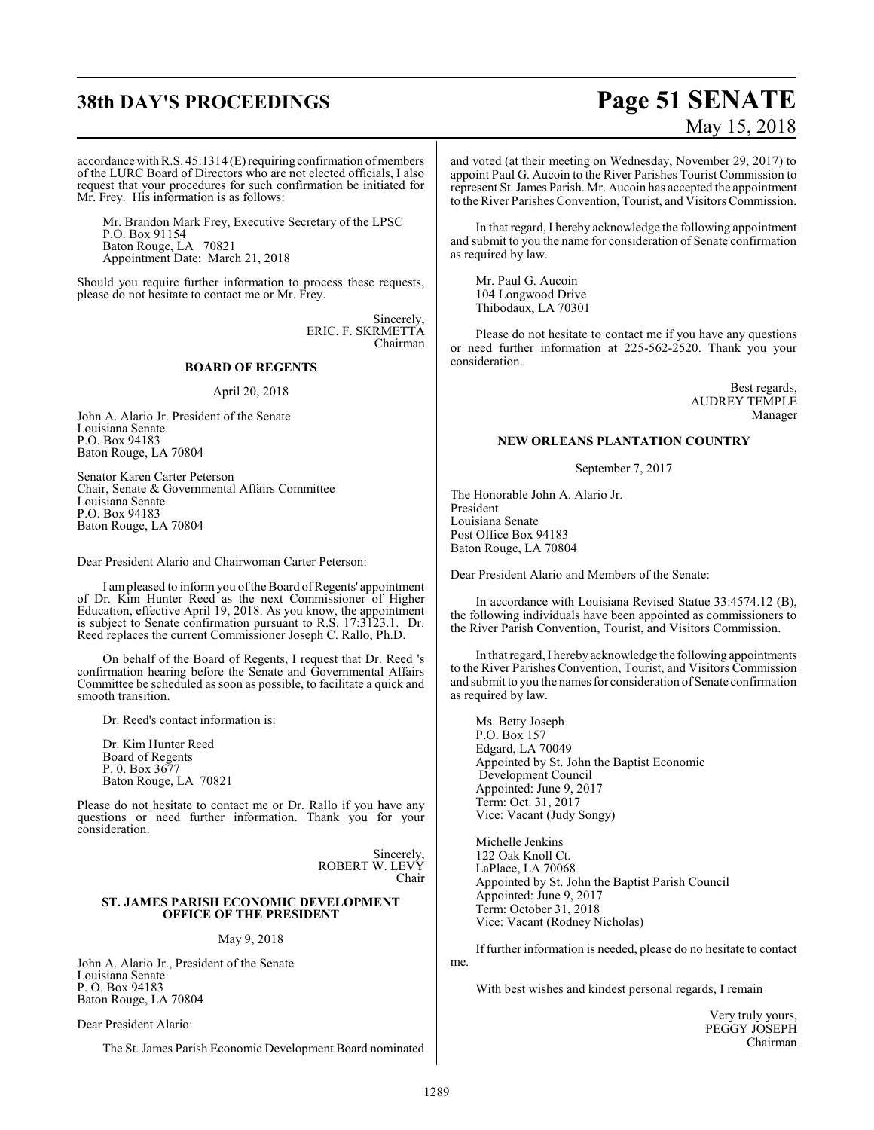# **38th DAY'S PROCEEDINGS Page 51 SENATE**

# May 15, 2018

accordance with R.S.  $45:1314$  (E) requiring confirmation of members of the LURC Board of Directors who are not elected officials, I also request that your procedures for such confirmation be initiated for Mr. Frey. His information is as follows:

Mr. Brandon Mark Frey, Executive Secretary of the LPSC P.O. Box 91154 Baton Rouge, LA 70821 Appointment Date: March 21, 2018

Should you require further information to process these requests, please do not hesitate to contact me or Mr. Frey.

> Sincerely, ERIC. F. SKRMETTA Chairman

#### **BOARD OF REGENTS**

#### April 20, 2018

John A. Alario Jr. President of the Senate Louisiana Senate P.O. Box 94183 Baton Rouge, LA 70804

Senator Karen Carter Peterson Chair, Senate & Governmental Affairs Committee Louisiana Senate P.O. Box 94183 Baton Rouge, LA 70804

Dear President Alario and Chairwoman Carter Peterson:

I am pleased to inform you of the Board of Regents' appointment of Dr. Kim Hunter Reed as the next Commissioner of Higher Education, effective April 19, 2018. As you know, the appointment is subject to Senate confirmation pursuant to R.S. 17:3123.1. Dr. Reed replaces the current Commissioner Joseph C. Rallo, Ph.D.

On behalf of the Board of Regents, I request that Dr. Reed 's confirmation hearing before the Senate and Governmental Affairs Committee be scheduled as soon as possible, to facilitate a quick and smooth transition.

Dr. Reed's contact information is:

Dr. Kim Hunter Reed Board of Regents P. 0. Box 3677 Baton Rouge, LA 70821

Please do not hesitate to contact me or Dr. Rallo if you have any questions or need further information. Thank you for your consideration.

> Sincerely, ROBERT W. LEVY Chair

#### **ST. JAMES PARISH ECONOMIC DEVELOPMENT OFFICE OF THE PRESIDENT**

#### May 9, 2018

John A. Alario Jr., President of the Senate Louisiana Senate P. O. Box 94183 Baton Rouge, LA 70804

Dear President Alario:

The St. James Parish Economic Development Board nominated

and voted (at their meeting on Wednesday, November 29, 2017) to appoint Paul G. Aucoin to the River Parishes Tourist Commission to represent St. James Parish. Mr. Aucoin has accepted the appointment to the River Parishes Convention, Tourist, and Visitors Commission.

In that regard, I hereby acknowledge the following appointment and submit to you the name for consideration of Senate confirmation as required by law.

Mr. Paul G. Aucoin 104 Longwood Drive Thibodaux, LA 70301

Please do not hesitate to contact me if you have any questions or need further information at 225-562-2520. Thank you your consideration.

> Best regards, AUDREY TEMPLE Manager

#### **NEW ORLEANS PLANTATION COUNTRY**

September 7, 2017

The Honorable John A. Alario Jr. President Louisiana Senate Post Office Box 94183 Baton Rouge, LA 70804

Dear President Alario and Members of the Senate:

In accordance with Louisiana Revised Statue 33:4574.12 (B), the following individuals have been appointed as commissioners to the River Parish Convention, Tourist, and Visitors Commission.

In that regard, I hereby acknowledge the following appointments to the River Parishes Convention, Tourist, and Visitors Commission and submit to you the names for consideration of Senate confirmation as required by law.

Ms. Betty Joseph P.O. Box 157 Edgard, LA 70049 Appointed by St. John the Baptist Economic Development Council Appointed: June 9, 2017 Term: Oct. 31, 2017 Vice: Vacant (Judy Songy)

Michelle Jenkins 122 Oak Knoll Ct. LaPlace, LA 70068 Appointed by St. John the Baptist Parish Council Appointed: June 9, 2017 Term: October 31, 2018 Vice: Vacant (Rodney Nicholas)

If further information is needed, please do no hesitate to contact me.

With best wishes and kindest personal regards, I remain

Very truly yours, PEGGY JOSEPH Chairman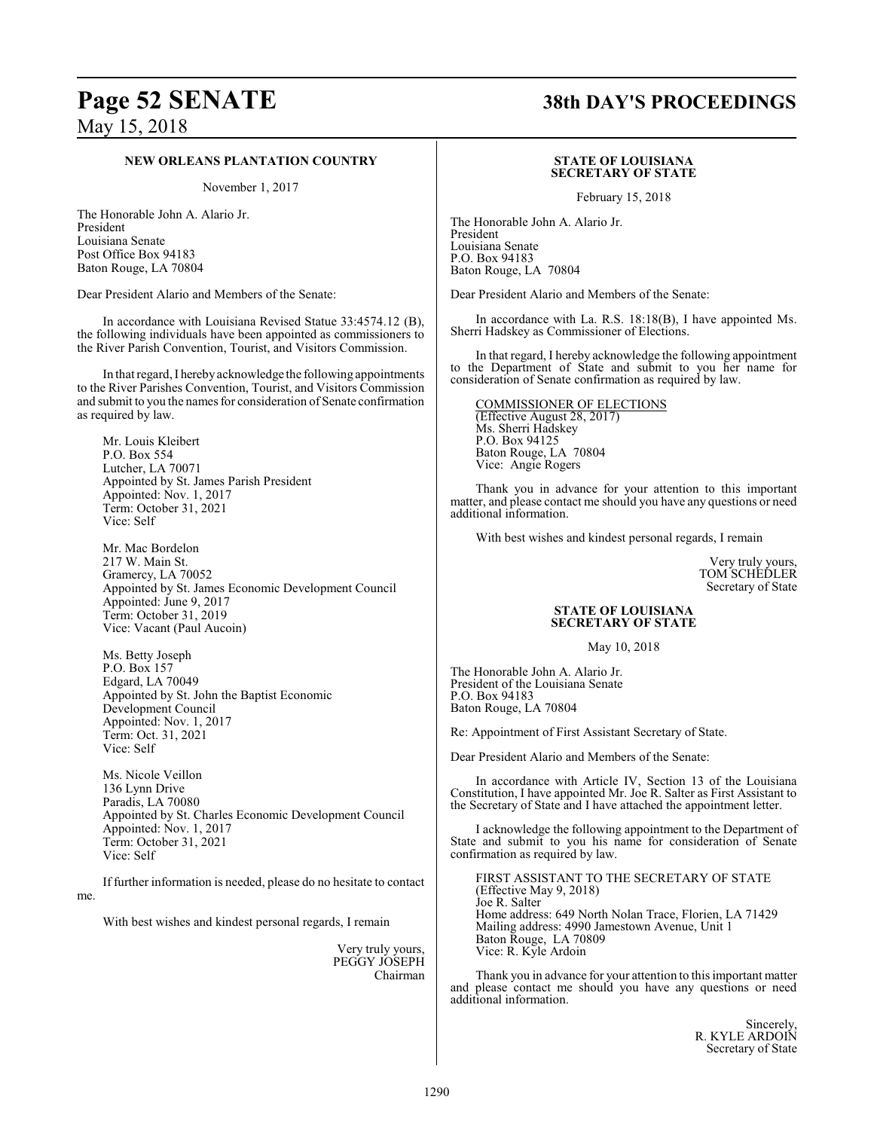## **Page 52 SENATE 38th DAY'S PROCEEDINGS**

#### **NEW ORLEANS PLANTATION COUNTRY**

November 1, 2017

The Honorable John A. Alario Jr. President Louisiana Senate Post Office Box 94183 Baton Rouge, LA 70804

Dear President Alario and Members of the Senate:

In accordance with Louisiana Revised Statue 33:4574.12 (B), the following individuals have been appointed as commissioners to the River Parish Convention, Tourist, and Visitors Commission.

In that regard, I hereby acknowledge the following appointments to the River Parishes Convention, Tourist, and Visitors Commission and submit to you the names for consideration of Senate confirmation as required by law.

Mr. Louis Kleibert P.O. Box 554 Lutcher, LA 70071 Appointed by St. James Parish President Appointed: Nov. 1, 2017 Term: October 31, 2021 Vice: Self

Mr. Mac Bordelon 217 W. Main St. Gramercy, LA 70052 Appointed by St. James Economic Development Council Appointed: June 9, 2017 Term: October 31, 2019 Vice: Vacant (Paul Aucoin)

Ms. Betty Joseph P.O. Box 157 Edgard, LA 70049 Appointed by St. John the Baptist Economic Development Council Appointed: Nov. 1, 2017 Term: Oct. 31, 2021 Vice: Self

Ms. Nicole Veillon 136 Lynn Drive Paradis, LA 70080 Appointed by St. Charles Economic Development Council Appointed: Nov. 1, 2017 Term: October 31, 2021 Vice: Self

If further information is needed, please do no hesitate to contact

With best wishes and kindest personal regards, I remain

me.

Very truly yours, PEGGY JOSEPH Chairman

#### **STATE OF LOUISIANA SECRETARY OF STATE**

February 15, 2018

The Honorable John A. Alario Jr. President Louisiana Senate P.O. Box 94183 Baton Rouge, LA 70804

Dear President Alario and Members of the Senate:

In accordance with La. R.S. 18:18(B), I have appointed Ms. Sherri Hadskey as Commissioner of Elections.

In that regard, I hereby acknowledge the following appointment to the Department of State and submit to you her name for consideration of Senate confirmation as required by law.

COMMISSIONER OF ELECTIONS (Effective August 28, 2017) Ms. Sherri Hadskey P.O. Box 94125 Baton Rouge, LA 70804 Vice: Angie Rogers

Thank you in advance for your attention to this important matter, and please contact me should you have any questions or need additional information.

With best wishes and kindest personal regards, I remain

Very truly yours, TOM SCHEDLER Secretary of State

#### **STATE OF LOUISIANA SECRETARY OF STATE**

May 10, 2018

The Honorable John A. Alario Jr. President of the Louisiana Senate P.O. Box 94183 Baton Rouge, LA 70804

Re: Appointment of First Assistant Secretary of State.

Dear President Alario and Members of the Senate:

In accordance with Article IV, Section 13 of the Louisiana Constitution, I have appointed Mr. Joe R. Salter as First Assistant to the Secretary of State and I have attached the appointment letter.

I acknowledge the following appointment to the Department of State and submit to you his name for consideration of Senate confirmation as required by law.

FIRST ASSISTANT TO THE SECRETARY OF STATE (Effective May 9, 2018) Joe R. Salter Home address: 649 North Nolan Trace, Florien, LA 71429 Mailing address: 4990 Jamestown Avenue, Unit 1 Baton Rouge, LA 70809 Vice: R. Kyle Ardoin

Thank you in advance for your attention to this important matter and please contact me should you have any questions or need additional information.

> Sincerely, R. KYLE ARDOIN Secretary of State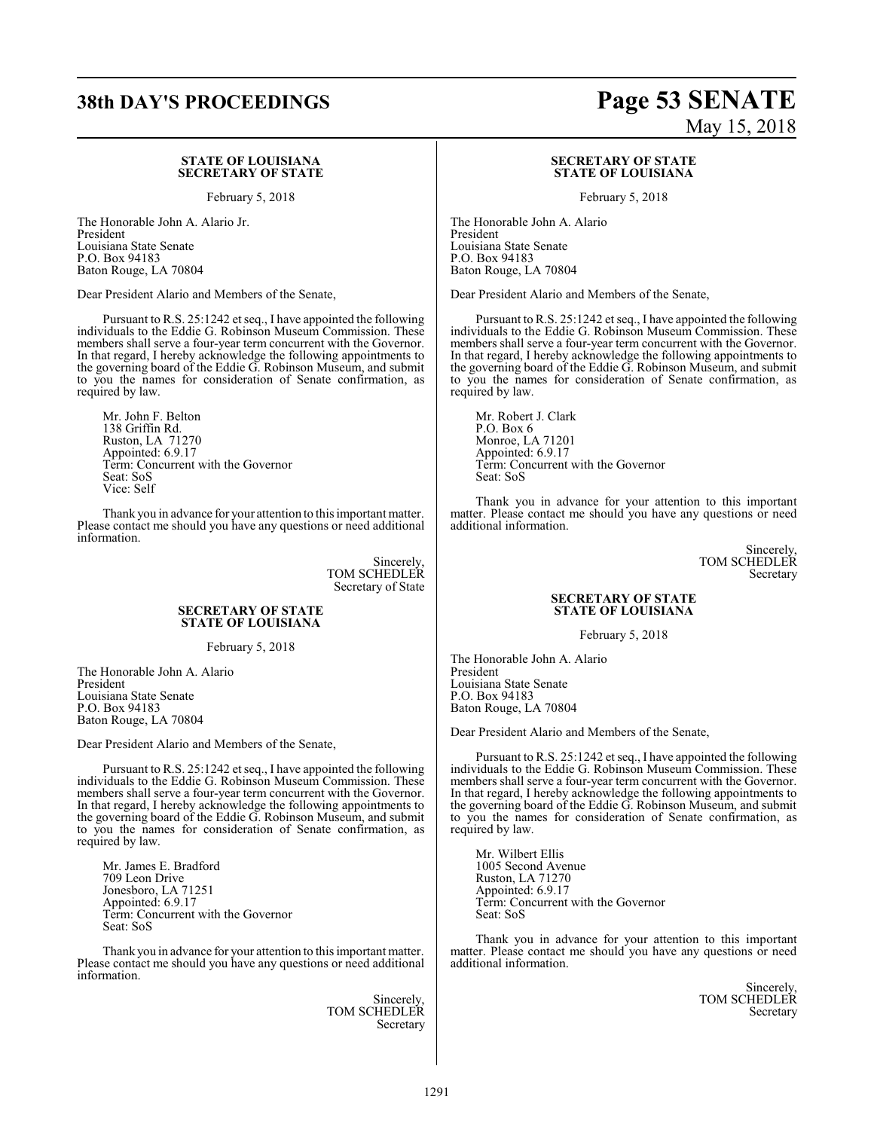#### **STATE OF LOUISIANA SECRETARY OF STATE**

February 5, 2018

The Honorable John A. Alario Jr. President Louisiana State Senate P.O. Box 94183 Baton Rouge, LA 70804

Dear President Alario and Members of the Senate,

Pursuant to R.S. 25:1242 et seq., I have appointed the following individuals to the Eddie G. Robinson Museum Commission. These members shall serve a four-year term concurrent with the Governor. In that regard, I hereby acknowledge the following appointments to the governing board of the Eddie G. Robinson Museum, and submit to you the names for consideration of Senate confirmation, as required by law.

Mr. John F. Belton 138 Griffin Rd. Ruston, LA 71270 Appointed: 6.9.17 Term: Concurrent with the Governor Seat: SoS Vice: Self

Thank you in advance for your attention to this important matter. Please contact me should you have any questions or need additional information.

> **Sincerely** TOM SCHEDLER Secretary of State

#### **SECRETARY OF STATE STATE OF LOUISIANA**

February 5, 2018

The Honorable John A. Alario President Louisiana State Senate P.O. Box 94183 Baton Rouge, LA 70804

Dear President Alario and Members of the Senate,

Pursuant to R.S. 25:1242 et seq., I have appointed the following individuals to the Eddie G. Robinson Museum Commission. These members shall serve a four-year term concurrent with the Governor. In that regard, I hereby acknowledge the following appointments to the governing board of the Eddie G. Robinson Museum, and submit to you the names for consideration of Senate confirmation, as required by law.

Mr. James E. Bradford 709 Leon Drive Jonesboro, LA 71251 Appointed: 6.9.17 Term: Concurrent with the Governor Seat: SoS

Thank you in advance for your attention to this important matter. Please contact me should you have any questions or need additional information.

> Sincerely, TOM SCHEDLER Secretary

# **38th DAY'S PROCEEDINGS Page 53 SENATE** May 15, 2018

#### **SECRETARY OF STATE STATE OF LOUISIANA**

February 5, 2018

The Honorable John A. Alario President Louisiana State Senate P.O. Box 94183 Baton Rouge, LA 70804

Dear President Alario and Members of the Senate,

Pursuant to R.S. 25:1242 et seq., I have appointed the following individuals to the Eddie G. Robinson Museum Commission. These members shall serve a four-year term concurrent with the Governor. In that regard, I hereby acknowledge the following appointments to the governing board of the Eddie G. Robinson Museum, and submit to you the names for consideration of Senate confirmation, as required by law.

Mr. Robert J. Clark P.O. Box 6 Monroe, LA 71201 Appointed: 6.9.17 Term: Concurrent with the Governor Seat: SoS

Thank you in advance for your attention to this important matter. Please contact me should you have any questions or need additional information.

> Sincerely, TOM SCHEDLER Secretary

#### **SECRETARY OF STATE STATE OF LOUISIANA**

February 5, 2018

The Honorable John A. Alario President Louisiana State Senate P.O. Box 94183 Baton Rouge, LA 70804

Dear President Alario and Members of the Senate,

Pursuant to R.S. 25:1242 et seq., I have appointed the following individuals to the Eddie G. Robinson Museum Commission. These members shall serve a four-year term concurrent with the Governor. In that regard, I hereby acknowledge the following appointments to the governing board of the Eddie G. Robinson Museum, and submit to you the names for consideration of Senate confirmation, as required by law.

Mr. Wilbert Ellis 1005 Second Avenue Ruston, LA 71270 Appointed: 6.9.17 Term: Concurrent with the Governor Seat: SoS

Thank you in advance for your attention to this important matter. Please contact me should you have any questions or need additional information.

> Sincerely, TOM SCHEDLER Secretary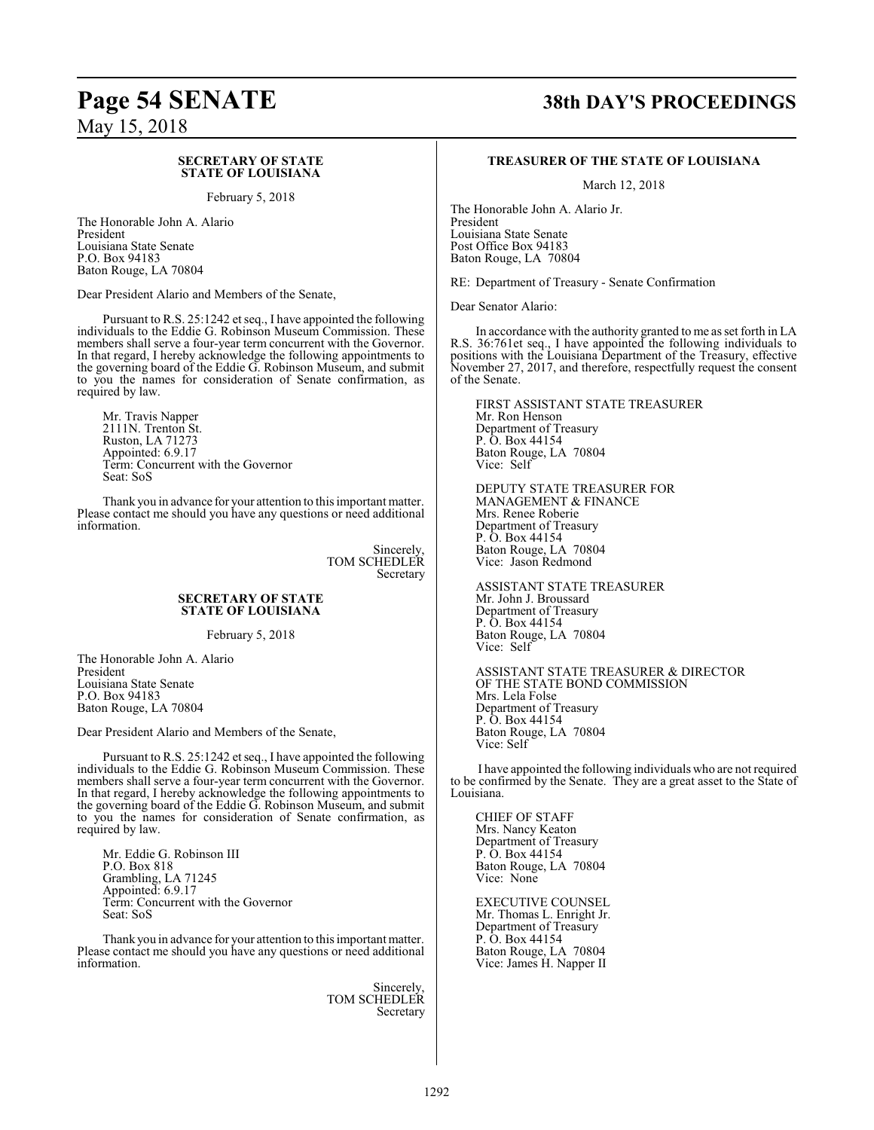# **SECRETARY OF STATE**

**STATE OF LOUISIANA**

February 5, 2018

The Honorable John A. Alario President Louisiana State Senate P.O. Box 94183 Baton Rouge, LA 70804

Dear President Alario and Members of the Senate,

Pursuant to R.S. 25:1242 et seq., I have appointed the following individuals to the Eddie G. Robinson Museum Commission. These members shall serve a four-year term concurrent with the Governor. In that regard, I hereby acknowledge the following appointments to the governing board of the Eddie G. Robinson Museum, and submit to you the names for consideration of Senate confirmation, as required by law.

Mr. Travis Napper 2111N. Trenton St. Ruston, LA 71273 Appointed: 6.9.17 Term: Concurrent with the Governor Seat: SoS

Thank you in advance for your attention to this important matter. Please contact me should you have any questions or need additional information.

> Sincerely, TOM SCHEDLER Secretary

#### **SECRETARY OF STATE STATE OF LOUISIANA**

February 5, 2018

The Honorable John A. Alario President Louisiana State Senate P.O. Box 94183 Baton Rouge, LA 70804

Dear President Alario and Members of the Senate,

Pursuant to R.S. 25:1242 et seq., I have appointed the following individuals to the Eddie G. Robinson Museum Commission. These members shall serve a four-year term concurrent with the Governor. In that regard, I hereby acknowledge the following appointments to the governing board of the Eddie G. Robinson Museum, and submit to you the names for consideration of Senate confirmation, as required by law.

Mr. Eddie G. Robinson III P.O. Box 818 Grambling, LA 71245 Appointed: 6.9.17 Term: Concurrent with the Governor Seat: SoS

Thank you in advance for your attention to this important matter. Please contact me should you have any questions or need additional information.

> Sincerely, TOM SCHEDLER Secretary

# **Page 54 SENATE 38th DAY'S PROCEEDINGS**

#### **TREASURER OF THE STATE OF LOUISIANA**

March 12, 2018

The Honorable John A. Alario Jr. President Louisiana State Senate Post Office Box 94183 Baton Rouge, LA 70804

RE: Department of Treasury - Senate Confirmation

Dear Senator Alario:

In accordance with the authority granted to me as set forth in LA R.S. 36:761et seq., I have appointed the following individuals to positions with the Louisiana Department of the Treasury, effective November 27, 2017, and therefore, respectfully request the consent of the Senate.

FIRST ASSISTANT STATE TREASURER Mr. Ron Henson Department of Treasury P. O. Box 44154 Baton Rouge, LA 70804 Vice: Self

DEPUTY STATE TREASURER FOR MANAGEMENT & FINANCE Mrs. Renee Roberie Department of Treasury P. O. Box 44154 Baton Rouge, LA 70804 Vice: Jason Redmond

ASSISTANT STATE TREASURER Mr. John J. Broussard Department of Treasury P. O. Box 44154 Baton Rouge, LA 70804 Vice: Self

ASSISTANT STATE TREASURER & DIRECTOR OF THE STATE BOND COMMISSION Mrs. Lela Folse Department of Treasury P. O. Box 44154 Baton Rouge, LA 70804 Vice: Self

I have appointed the following individuals who are not required to be confirmed by the Senate. They are a great asset to the State of Louisiana.

CHIEF OF STAFF Mrs. Nancy Keaton Department of Treasury P. O. Box 44154 Baton Rouge, LA 70804 Vice: None

EXECUTIVE COUNSEL Mr. Thomas L. Enright Jr. Department of Treasury P. O. Box 44154 Baton Rouge, LA 70804 Vice: James H. Napper II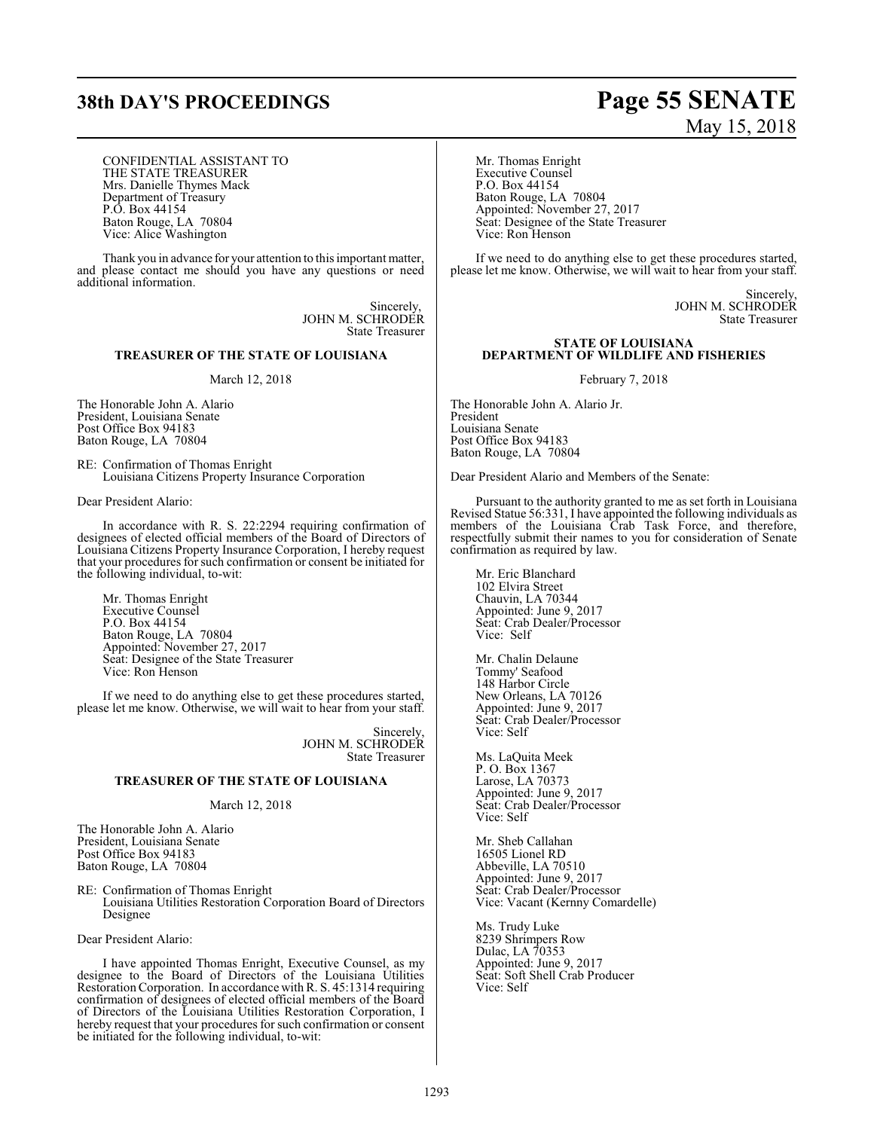# **38th DAY'S PROCEEDINGS Page 55 SENATE**

#### CONFIDENTIAL ASSISTANT TO THE STATE TREASURER Mrs. Danielle Thymes Mack Department of Treasury P.O. Box 44154 Baton Rouge, LA 70804 Vice: Alice Washington

Thank you in advance for your attention to this important matter, and please contact me should you have any questions or need additional information.

> Sincerely, JOHN M. SCHRODER State Treasurer

### **TREASURER OF THE STATE OF LOUISIANA**

March 12, 2018

The Honorable John A. Alario President, Louisiana Senate Post Office Box 94183 Baton Rouge, LA 70804

RE: Confirmation of Thomas Enright Louisiana Citizens Property Insurance Corporation

Dear President Alario:

In accordance with R. S. 22:2294 requiring confirmation of designees of elected official members of the Board of Directors of Louisiana Citizens Property Insurance Corporation, I hereby request that your procedures for such confirmation or consent be initiated for the following individual, to-wit:

Mr. Thomas Enright Executive Counsel P.O. Box 44154 Baton Rouge, LA 70804 Appointed: November 27, 2017 Seat: Designee of the State Treasurer Vice: Ron Henson

If we need to do anything else to get these procedures started, please let me know. Otherwise, we will wait to hear from your staff.

> Sincerely, JOHN M. SCHRODER State Treasurer

#### **TREASURER OF THE STATE OF LOUISIANA**

March 12, 2018

The Honorable John A. Alario President, Louisiana Senate Post Office Box 94183 Baton Rouge, LA 70804

RE: Confirmation of Thomas Enright Louisiana Utilities Restoration Corporation Board of Directors Designee

Dear President Alario:

I have appointed Thomas Enright, Executive Counsel, as my designee to the Board of Directors of the Louisiana Utilities Restoration Corporation. In accordance with R. S. 45:1314 requiring confirmation of designees of elected official members of the Board of Directors of the Louisiana Utilities Restoration Corporation, I hereby request that your procedures for such confirmation or consent be initiated for the following individual, to-wit:

# May 15, 2018

Mr. Thomas Enright Executive Counsel P.O. Box 44154 Baton Rouge, LA 70804 Appointed: November 27, 2017 Seat: Designee of the State Treasurer Vice: Ron Henson

If we need to do anything else to get these procedures started, please let me know. Otherwise, we will wait to hear from your staff.

> Sincerely, JOHN M. SCHRODER State Treasurer

#### **STATE OF LOUISIANA DEPARTMENT OF WILDLIFE AND FISHERIES**

February 7, 2018

The Honorable John A. Alario Jr. President Louisiana Senate Post Office Box 94183 Baton Rouge, LA 70804

Dear President Alario and Members of the Senate:

Pursuant to the authority granted to me as set forth in Louisiana Revised Statue 56:331, I have appointed the following individuals as members of the Louisiana Crab Task Force, and therefore, respectfully submit their names to you for consideration of Senate confirmation as required by law.

Mr. Eric Blanchard 102 Elvira Street Chauvin, LA 70344 Appointed: June 9, 2017 Seat: Crab Dealer/Processor Vice: Self

Mr. Chalin Delaune Tommy' Seafood 148 Harbor Circle New Orleans, LA 70126 Appointed: June 9, 2017 Seat: Crab Dealer/Processor Vice: Self

Ms. LaQuita Meek P. O. Box 1367 Larose, LA 70373 Appointed: June 9, 2017 Seat: Crab Dealer/Processor Vice: Self

Mr. Sheb Callahan 16505 Lionel RD Abbeville, LA 70510 Appointed: June 9, 2017 Seat: Crab Dealer/Processor Vice: Vacant (Kernny Comardelle)

Ms. Trudy Luke 8239 Shrimpers Row Dulac, LA 70353 Appointed: June 9, 2017 Seat: Soft Shell Crab Producer Vice: Self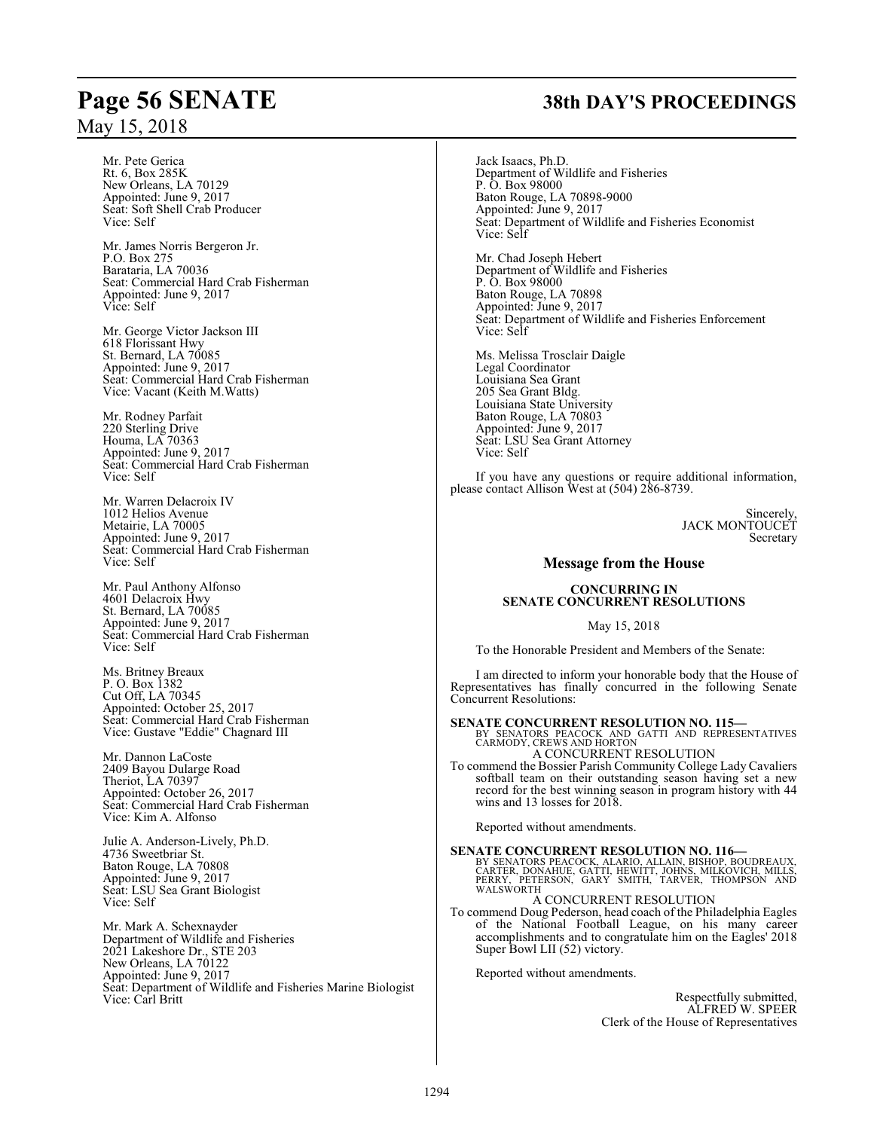Mr. Pete Gerica Rt. 6, Box 285K New Orleans, LA 70129 Appointed: June 9, 2017 Seat: Soft Shell Crab Producer Vice: Self

Mr. James Norris Bergeron Jr. P.O. Box 275 Barataria, LA 70036 Seat: Commercial Hard Crab Fisherman Appointed: June 9, 2017 Vice: Self

Mr. George Victor Jackson III 618 Florissant Hwy St. Bernard, LA 70085 Appointed: June 9, 2017 Seat: Commercial Hard Crab Fisherman Vice: Vacant (Keith M.Watts)

Mr. Rodney Parfait 220 Sterling Drive Houma, LA 70363 Appointed: June 9, 2017 Seat: Commercial Hard Crab Fisherman Vice: Self

Mr. Warren Delacroix IV 1012 Helios Avenue Metairie, LA 70005 Appointed: June 9, 2017 Seat: Commercial Hard Crab Fisherman Vice: Self

Mr. Paul Anthony Alfonso 4601 Delacroix Hwy St. Bernard, LA 70085 Appointed: June 9, 2017 Seat: Commercial Hard Crab Fisherman Vice: Self

Ms. Britney Breaux P. O. Box 1382 Cut Off, LA 70345 Appointed: October 25, 2017 Seat: Commercial Hard Crab Fisherman Vice: Gustave "Eddie" Chagnard III

Mr. Dannon LaCoste 2409 Bayou Dularge Road Theriot, LA 70397 Appointed: October 26, 2017 Seat: Commercial Hard Crab Fisherman Vice: Kim A. Alfonso

Julie A. Anderson-Lively, Ph.D. 4736 Sweetbriar St. Baton Rouge, LA 70808 Appointed: June 9, 2017 Seat: LSU Sea Grant Biologist Vice: Self

Mr. Mark A. Schexnayder Department of Wildlife and Fisheries 2021 Lakeshore Dr., STE 203 New Orleans, LA 70122 Appointed: June 9, 2017 Seat: Department of Wildlife and Fisheries Marine Biologist Vice: Carl Britt

# **Page 56 SENATE 38th DAY'S PROCEEDINGS**

Jack Isaacs, Ph.D. Department of Wildlife and Fisheries P. O. Box 98000 Baton Rouge, LA 70898-9000 Appointed: June 9, 2017 Seat: Department of Wildlife and Fisheries Economist Vice: Self

Mr. Chad Joseph Hebert Department of Wildlife and Fisheries P. O. Box 98000 Baton Rouge, LA 70898 Appointed: June 9, 2017 Seat: Department of Wildlife and Fisheries Enforcement Vice: Self

Ms. Melissa Trosclair Daigle Legal Coordinator Louisiana Sea Grant 205 Sea Grant Bldg. Louisiana State University Baton Rouge, LA 70803 Appointed: June 9, 2017 Seat: LSU Sea Grant Attorney Vice: Self

If you have any questions or require additional information, please contact Allison West at (504) 286-8739.

> Sincerely, JACK MONTOUCET Secretary

#### **Message from the House**

#### **CONCURRING IN SENATE CONCURRENT RESOLUTIONS**

#### May 15, 2018

To the Honorable President and Members of the Senate:

I am directed to inform your honorable body that the House of Representatives has finally concurred in the following Senate Concurrent Resolutions:

**SENATE CONCURRENT RESOLUTION NO. 115—**

BY SENATORS PEACOCK AND GATTI AND REPRESENTATIVES CARMODY, CREWS AND HORTON A CONCURRENT RESOLUTION

To commend the Bossier Parish Community College Lady Cavaliers softball team on their outstanding season having set a new record for the best winning season in program history with 44 wins and 13 losses for 2018.

Reported without amendments.

**SENATE CONCURRENT RESOLUTION NO. 116—**<br>BY SENATORS PEACOCK, ALARIO, ALLAIN, BISHOP, BOUDREAUX,<br>CARTER, DONAHUE, GATTI, HEWITT, JOHNS, MILKOVICH, MILLS,<br>PERRY, PETERSON, GARY SMITH, TARVER, THOMPSON AND<br>WALSWORTH

A CONCURRENT RESOLUTION To commend Doug Pederson, head coach of the Philadelphia Eagles of the National Football League, on his many career accomplishments and to congratulate him on the Eagles' 2018 Super Bowl LII (52) victory.

Reported without amendments.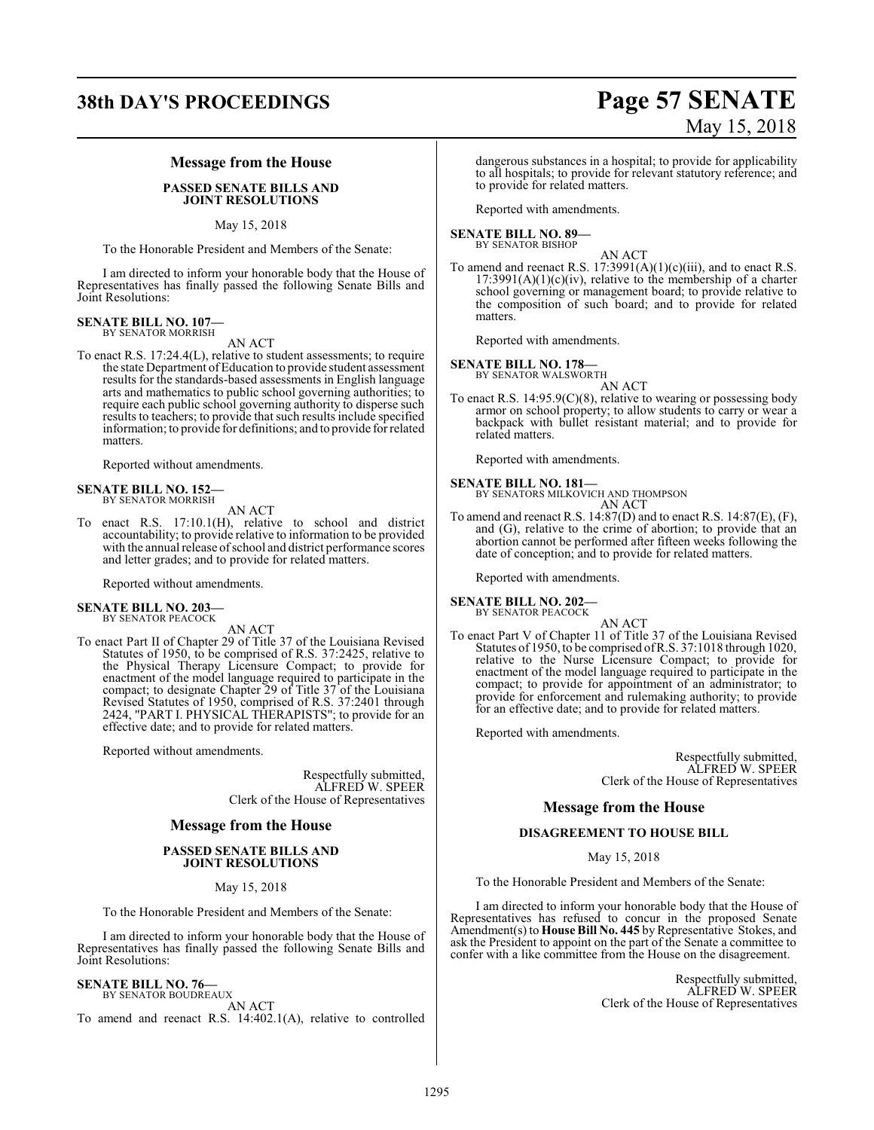## **38th DAY'S PROCEEDINGS Page 57 SENATE**

# May 15, 2018

#### **Message from the House**

#### **PASSED SENATE BILLS AND JOINT RESOLUTIONS**

May 15, 2018

To the Honorable President and Members of the Senate:

I am directed to inform your honorable body that the House of Representatives has finally passed the following Senate Bills and Joint Resolutions:

#### **SENATE BILL NO. 107—** BY SENATOR MORRISH

AN ACT

To enact R.S. 17:24.4(L), relative to student assessments; to require the state Department of Education to provide student assessment results for the standards-based assessments in English language arts and mathematics to public school governing authorities; to require each public school governing authority to disperse such results to teachers; to provide that such results include specified information; to provide for definitions; and to provide for related matters.

Reported without amendments.

#### **SENATE BILL NO. 152—** BY SENATOR MORRISH

AN ACT

To enact R.S. 17:10.1(H), relative to school and district accountability; to provide relative to information to be provided with the annual release ofschool and district performance scores and letter grades; and to provide for related matters.

Reported without amendments.

# **SENATE BILL NO. 203—** BY SENATOR PEACOCK

AN ACT

To enact Part II of Chapter 29 of Title 37 of the Louisiana Revised Statutes of 1950, to be comprised of R.S. 37:2425, relative to the Physical Therapy Licensure Compact; to provide for enactment of the model language required to participate in the compact; to designate Chapter 29 of Title 37 of the Louisiana Revised Statutes of 1950, comprised of R.S. 37:2401 through 2424, "PART I. PHYSICAL THERAPISTS"; to provide for an effective date; and to provide for related matters.

Reported without amendments.

Respectfully submitted, ALFRED W. SPEER Clerk of the House of Representatives

#### **Message from the House**

#### **PASSED SENATE BILLS AND JOINT RESOLUTIONS**

May 15, 2018

To the Honorable President and Members of the Senate:

I am directed to inform your honorable body that the House of Representatives has finally passed the following Senate Bills and Joint Resolutions:

## **SENATE BILL NO. 76—**

BY SENATOR BOUDREAUX AN ACT To amend and reenact R.S. 14:402.1(A), relative to controlled

dangerous substances in a hospital; to provide for applicability to all hospitals; to provide for relevant statutory reference; and to provide for related matters.

Reported with amendments.

## **SENATE BILL NO. 89—** BY SENATOR BISHOP

AN ACT

To amend and reenact R.S.  $17:3991(A)(1)(c)(iii)$ , and to enact R.S.  $17:3991(A)(1)(c)(iv)$ , relative to the membership of a charter school governing or management board; to provide relative to the composition of such board; and to provide for related matters.

Reported with amendments.

#### **SENATE BILL NO. 178—**

BY SENATOR WALSWORTH AN ACT

To enact R.S. 14:95.9(C)(8), relative to wearing or possessing body armor on school property; to allow students to carry or wear a backpack with bullet resistant material; and to provide for related matters.

Reported with amendments.

**SENATE BILL NO. 181—** BY SENATORS MILKOVICH AND THOMPSON AN ACT

To amend and reenact R.S. 14:87(D) and to enact R.S. 14:87(E), (F), and (G), relative to the crime of abortion; to provide that an abortion cannot be performed after fifteen weeks following the date of conception; and to provide for related matters.

Reported with amendments.

#### **SENATE BILL NO. 202—** BY SENATOR PEACOCK

AN ACT

To enact Part V of Chapter 11 of Title 37 of the Louisiana Revised Statutes of 1950, to be comprised ofR.S. 37:1018 through 1020, relative to the Nurse Licensure Compact; to provide for enactment of the model language required to participate in the compact; to provide for appointment of an administrator; to provide for enforcement and rulemaking authority; to provide for an effective date; and to provide for related matters.

Reported with amendments.

Respectfully submitted, ALFRED W. SPEER Clerk of the House of Representatives

### **Message from the House**

### **DISAGREEMENT TO HOUSE BILL**

May 15, 2018

To the Honorable President and Members of the Senate:

I am directed to inform your honorable body that the House of Representatives has refused to concur in the proposed Senate Amendment(s) to **House Bill No. 445** by Representative Stokes, and ask the President to appoint on the part of the Senate a committee to confer with a like committee from the House on the disagreement.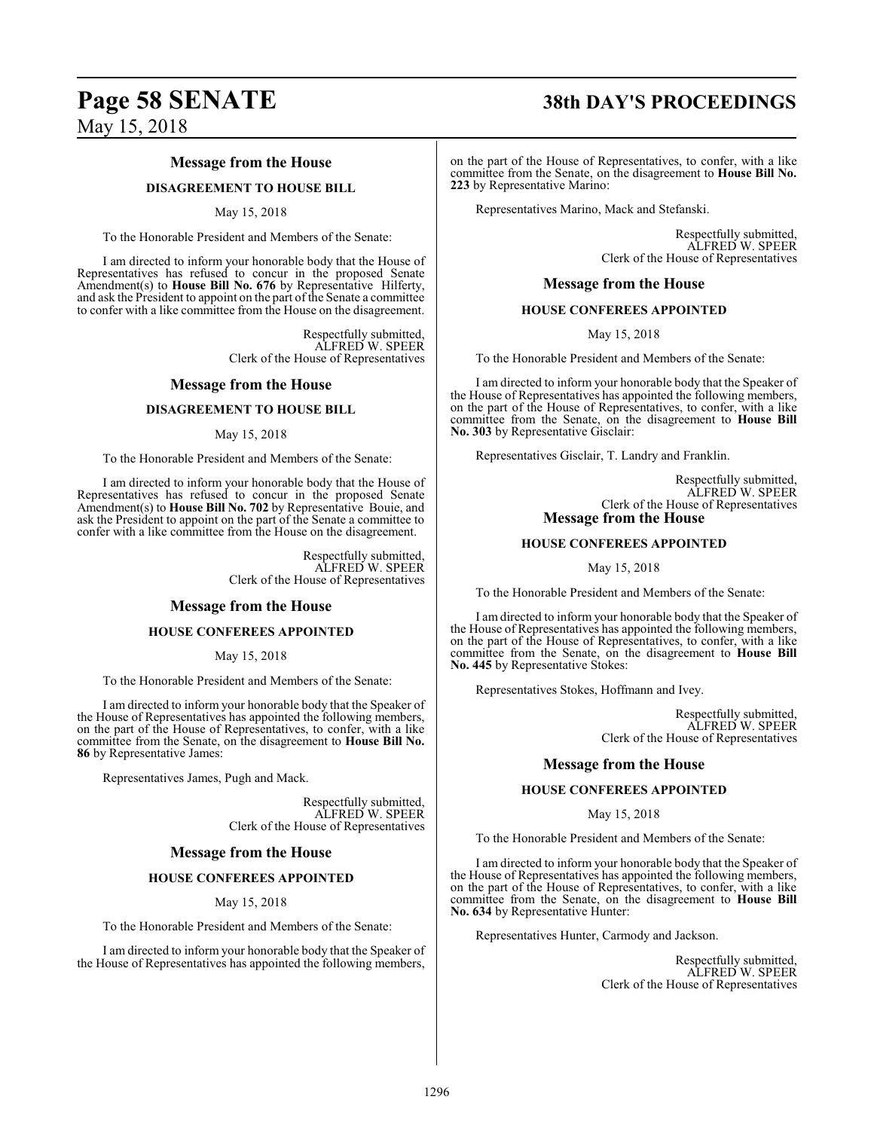# **Page 58 SENATE 38th DAY'S PROCEEDINGS**

May 15, 2018

## **Message from the House**

#### **DISAGREEMENT TO HOUSE BILL**

#### May 15, 2018

To the Honorable President and Members of the Senate:

I am directed to inform your honorable body that the House of Representatives has refused to concur in the proposed Senate Amendment(s) to **House Bill No. 676** by Representative Hilferty, and ask the President to appoint on the part of the Senate a committee to confer with a like committee from the House on the disagreement.

> Respectfully submitted, ALFRED W. SPEER Clerk of the House of Representatives

#### **Message from the House**

#### **DISAGREEMENT TO HOUSE BILL**

#### May 15, 2018

To the Honorable President and Members of the Senate:

I am directed to inform your honorable body that the House of Representatives has refused to concur in the proposed Senate Amendment(s) to **House Bill No. 702** by Representative Bouie, and ask the President to appoint on the part of the Senate a committee to confer with a like committee from the House on the disagreement.

> Respectfully submitted, ALFRED W. SPEER Clerk of the House of Representatives

#### **Message from the House**

#### **HOUSE CONFEREES APPOINTED**

May 15, 2018

To the Honorable President and Members of the Senate:

I am directed to inform your honorable body that the Speaker of the House of Representatives has appointed the following members, on the part of the House of Representatives, to confer, with a like committee from the Senate, on the disagreement to **House Bill No. 86** by Representative James:

Representatives James, Pugh and Mack.

Respectfully submitted, ALFRED W. SPEER Clerk of the House of Representatives

#### **Message from the House**

#### **HOUSE CONFEREES APPOINTED**

May 15, 2018

To the Honorable President and Members of the Senate:

I am directed to inform your honorable body that the Speaker of the House of Representatives has appointed the following members,

on the part of the House of Representatives, to confer, with a like committee from the Senate, on the disagreement to **House Bill No. 223** by Representative Marino:

Representatives Marino, Mack and Stefanski.

Respectfully submitted, ALFRED W. SPEER Clerk of the House of Representatives

#### **Message from the House**

#### **HOUSE CONFEREES APPOINTED**

May 15, 2018

To the Honorable President and Members of the Senate:

I am directed to inform your honorable body that the Speaker of the House of Representatives has appointed the following members, on the part of the House of Representatives, to confer, with a like committee from the Senate, on the disagreement to **House Bill No. 303** by Representative Gisclair:

Representatives Gisclair, T. Landry and Franklin.

Respectfully submitted, ALFRED W. SPEER Clerk of the House of Representatives **Message from the House**

#### **HOUSE CONFEREES APPOINTED**

May 15, 2018

To the Honorable President and Members of the Senate:

I am directed to inform your honorable body that the Speaker of the House of Representatives has appointed the following members, on the part of the House of Representatives, to confer, with a like committee from the Senate, on the disagreement to **House Bill No. 445** by Representative Stokes:

Representatives Stokes, Hoffmann and Ivey.

Respectfully submitted, ALFRED W. SPEER Clerk of the House of Representatives

#### **Message from the House**

#### **HOUSE CONFEREES APPOINTED**

#### May 15, 2018

To the Honorable President and Members of the Senate:

I am directed to inform your honorable body that the Speaker of the House of Representatives has appointed the following members, on the part of the House of Representatives, to confer, with a like committee from the Senate, on the disagreement to **House Bill No. 634** by Representative Hunter:

Representatives Hunter, Carmody and Jackson.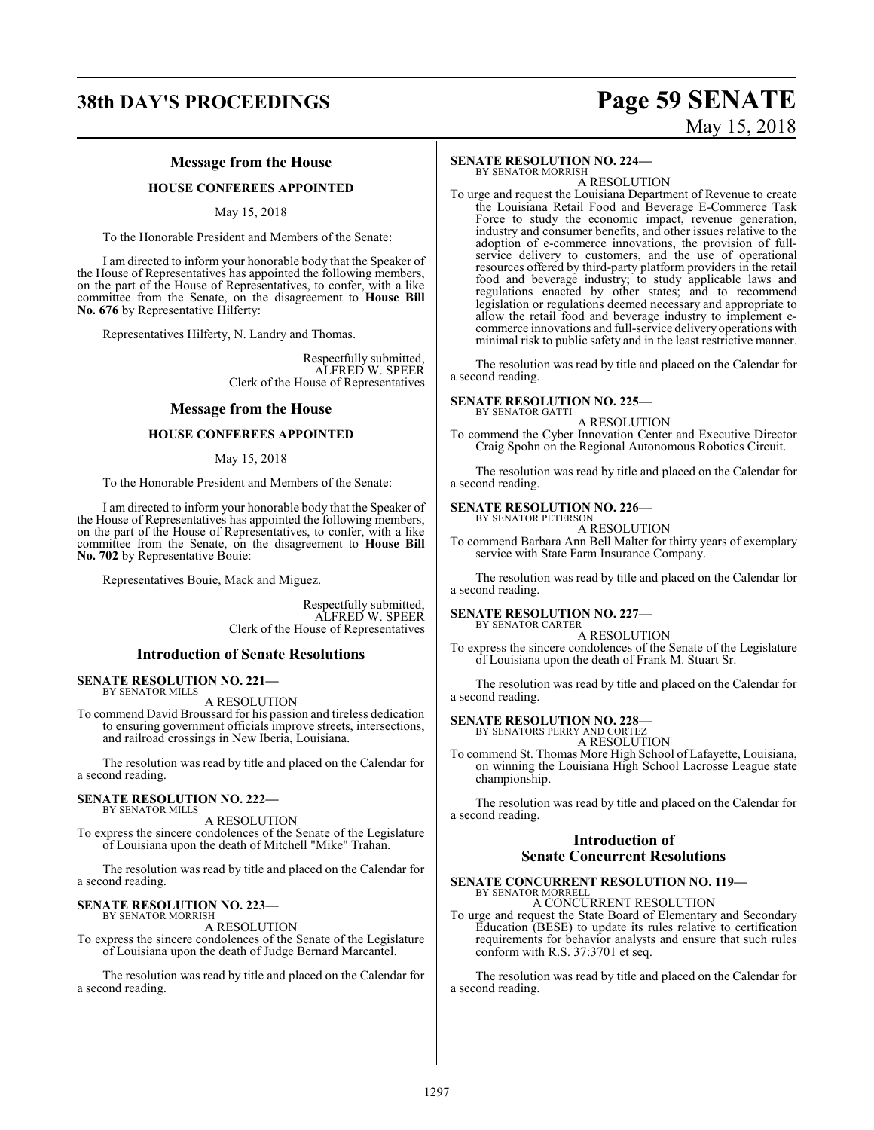# **38th DAY'S PROCEEDINGS Page 59 SENATE** May 15, 2018

#### **Message from the House**

#### **HOUSE CONFEREES APPOINTED**

May 15, 2018

To the Honorable President and Members of the Senate:

I am directed to inform your honorable body that the Speaker of the House of Representatives has appointed the following members, on the part of the House of Representatives, to confer, with a like committee from the Senate, on the disagreement to **House Bill No. 676** by Representative Hilferty:

Representatives Hilferty, N. Landry and Thomas.

Respectfully submitted, ALFRED W. SPEER Clerk of the House of Representatives

#### **Message from the House**

#### **HOUSE CONFEREES APPOINTED**

#### May 15, 2018

To the Honorable President and Members of the Senate:

I am directed to inform your honorable body that the Speaker of the House of Representatives has appointed the following members, on the part of the House of Representatives, to confer, with a like committee from the Senate, on the disagreement to **House Bill No. 702** by Representative Bouie:

Representatives Bouie, Mack and Miguez.

Respectfully submitted, ALFRED W. SPEER Clerk of the House of Representatives

#### **Introduction of Senate Resolutions**

**SENATE RESOLUTION NO. 221—** BY SENATOR MILLS

A RESOLUTION

To commend David Broussard for his passion and tireless dedication to ensuring government officials improve streets, intersections, and railroad crossings in New Iberia, Louisiana.

The resolution was read by title and placed on the Calendar for a second reading.

#### **SENATE RESOLUTION NO. 222—** BY SENATOR MILLS

A RESOLUTION

To express the sincere condolences of the Senate of the Legislature of Louisiana upon the death of Mitchell "Mike" Trahan.

The resolution was read by title and placed on the Calendar for a second reading.

#### **SENATE RESOLUTION NO. 223—**

BY SENATOR MORRISH A RESOLUTION

To express the sincere condolences of the Senate of the Legislature of Louisiana upon the death of Judge Bernard Marcantel.

The resolution was read by title and placed on the Calendar for a second reading.

#### **SENATE RESOLUTION NO. 224—**

BY SENATOR MORRISH A RESOLUTION

To urge and request the Louisiana Department of Revenue to create the Louisiana Retail Food and Beverage E-Commerce Task Force to study the economic impact, revenue generation, industry and consumer benefits, and other issues relative to the adoption of e-commerce innovations, the provision of fullservice delivery to customers, and the use of operational resources offered by third-party platform providers in the retail food and beverage industry; to study applicable laws and regulations enacted by other states; and to recommend legislation or regulations deemed necessary and appropriate to allow the retail food and beverage industry to implement ecommerce innovations and full-service delivery operations with minimal risk to public safety and in the least restrictive manner.

The resolution was read by title and placed on the Calendar for a second reading.

#### **SENATE RESOLUTION NO. 225—** BY SENATOR GATTI

A RESOLUTION

To commend the Cyber Innovation Center and Executive Director Craig Spohn on the Regional Autonomous Robotics Circuit.

The resolution was read by title and placed on the Calendar for a second reading.

#### **SENATE RESOLUTION NO. 226—**

BY SENATOR PETERSON A RESOLUTION

To commend Barbara Ann Bell Malter for thirty years of exemplary service with State Farm Insurance Company.

The resolution was read by title and placed on the Calendar for a second reading.

#### **SENATE RESOLUTION NO. 227—**

BY SENATOR CARTER A RESOLUTION

To express the sincere condolences of the Senate of the Legislature of Louisiana upon the death of Frank M. Stuart Sr.

The resolution was read by title and placed on the Calendar for a second reading.

#### **SENATE RESOLUTION NO. 228—**

BY SENATORS PERRY AND CORTEZ A RESOLUTION

To commend St. Thomas More High School of Lafayette, Louisiana, on winning the Louisiana High School Lacrosse League state championship.

The resolution was read by title and placed on the Calendar for a second reading.

#### **Introduction of Senate Concurrent Resolutions**

#### **SENATE CONCURRENT RESOLUTION NO. 119—** BY SENATOR MORRELL

A CONCURRENT RESOLUTION

To urge and request the State Board of Elementary and Secondary Education (BESE) to update its rules relative to certification requirements for behavior analysts and ensure that such rules conform with R.S. 37:3701 et seq.

The resolution was read by title and placed on the Calendar for a second reading.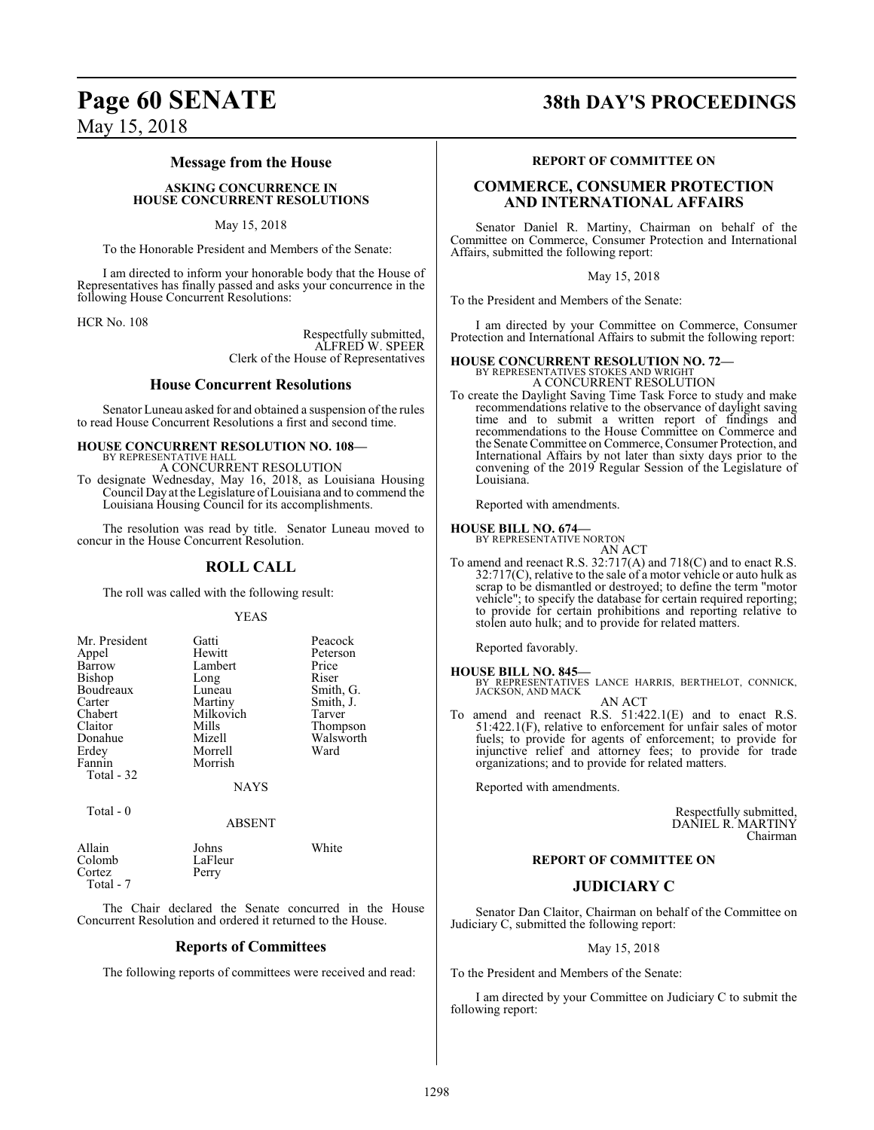#### **Message from the House**

#### **ASKING CONCURRENCE IN HOUSE CONCURRENT RESOLUTIONS**

#### May 15, 2018

To the Honorable President and Members of the Senate:

I am directed to inform your honorable body that the House of Representatives has finally passed and asks your concurrence in the following House Concurrent Resolutions:

HCR No. 108

Respectfully submitted, ALFRED W. SPEER Clerk of the House of Representatives

### **House Concurrent Resolutions**

Senator Luneau asked for and obtained a suspension of the rules to read House Concurrent Resolutions a first and second time.

#### **HOUSE CONCURRENT RESOLUTION NO. 108—** BY REPRESENTATIVE HALL

A CONCURRENT RESOLUTION

To designate Wednesday, May 16, 2018, as Louisiana Housing Council Day at the Legislature of Louisiana and to commend the Louisiana Housing Council for its accomplishments.

The resolution was read by title. Senator Luneau moved to concur in the House Concurrent Resolution.

#### **ROLL CALL**

The roll was called with the following result:

#### YEAS

| Mr. President | Gatti       | Peacock   |
|---------------|-------------|-----------|
| Appel         | Hewitt      | Peterson  |
| Barrow        | Lambert     | Price     |
| Bishop        | Long        | Riser     |
| Boudreaux     | Luneau      | Smith, G. |
| Carter        | Martiny     | Smith, J. |
| Chabert       | Milkovich   | Tarver    |
| Claitor       | Mills       | Thompson  |
| Donahue       | Mizell      | Walsworth |
| Erdey         | Morrell     | Ward      |
| Fannin        | Morrish     |           |
| Total - 32    |             |           |
|               | <b>NAYS</b> |           |
|               |             |           |

Total - 0

ABSENT

| Allain    | Johns   | White |
|-----------|---------|-------|
| Colomb    | LaFleur |       |
| Cortez    | Perry   |       |
| Total - 7 |         |       |

The Chair declared the Senate concurred in the House Concurrent Resolution and ordered it returned to the House.

#### **Reports of Committees**

The following reports of committees were received and read:

## **Page 60 SENATE 38th DAY'S PROCEEDINGS**

#### **REPORT OF COMMITTEE ON**

#### **COMMERCE, CONSUMER PROTECTION AND INTERNATIONAL AFFAIRS**

Senator Daniel R. Martiny, Chairman on behalf of the Committee on Commerce, Consumer Protection and International Affairs, submitted the following report:

May 15, 2018

To the President and Members of the Senate:

I am directed by your Committee on Commerce, Consumer Protection and International Affairs to submit the following report:

#### **HOUSE CONCURRENT RESOLUTION NO. 72—**

BY REPRESENTATIVES STOKES AND WRIGHT A CONCURRENT RESOLUTION

To create the Daylight Saving Time Task Force to study and make recommendations relative to the observance of daylight saving time and to submit a written report of findings and recommendations to the House Committee on Commerce and the Senate Committee on Commerce, Consumer Protection, and International Affairs by not later than sixty days prior to the convening of the 2019 Regular Session of the Legislature of Louisiana.

Reported with amendments.

# **HOUSE BILL NO. 674—** BY REPRESENTATIVE NORTON

AN ACT To amend and reenact R.S. 32:717(A) and 718(C) and to enact R.S. 32:717(C), relative to the sale of a motor vehicle or auto hulk as scrap to be dismantled or destroyed; to define the term "motor vehicle"; to specify the database for certain required reporting; to provide for certain prohibitions and reporting relative to stolen auto hulk; and to provide for related matters.

Reported favorably.

#### **HOUSE BILL NO. 845—**

BY REPRESENTATIVES LANCE HARRIS, BERTHELOT, CONNICK, JACKSON, AND MACK AN ACT

To amend and reenact R.S. 51:422.1(E) and to enact R.S. 51:422.1(F), relative to enforcement for unfair sales of motor fuels; to provide for agents of enforcement; to provide for injunctive relief and attorney fees; to provide for trade organizations; and to provide for related matters.

Reported with amendments.

Respectfully submitted, DANIEL R. MARTINY Chairman

#### **REPORT OF COMMITTEE ON**

## **JUDICIARY C**

Senator Dan Claitor, Chairman on behalf of the Committee on Judiciary C, submitted the following report:

May 15, 2018

To the President and Members of the Senate:

I am directed by your Committee on Judiciary C to submit the following report: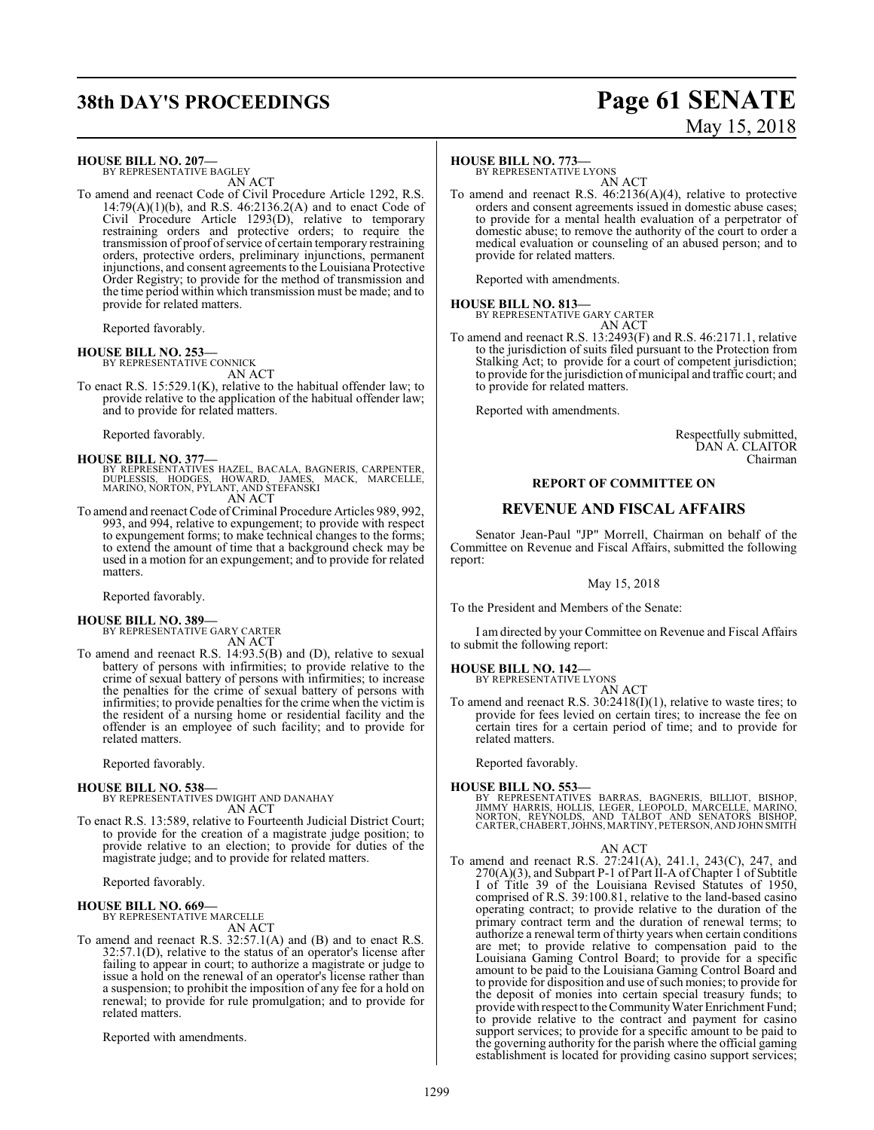# **38th DAY'S PROCEEDINGS Page 61 SENATE**

#### **HOUSE BILL NO. 207—**

BY REPRESENTATIVE BAGLEY AN ACT

To amend and reenact Code of Civil Procedure Article 1292, R.S. 14:79(A)(1)(b), and R.S. 46:2136.2(A) and to enact Code of Civil Procedure Article 1293(D), relative to temporary restraining orders and protective orders; to require the transmission of proof of service of certain temporary restraining orders, protective orders, preliminary injunctions, permanent injunctions, and consent agreements to the Louisiana Protective Order Registry; to provide for the method of transmission and the time period within which transmission must be made; and to provide for related matters.

Reported favorably.

**HOUSE BILL NO. 253—** BY REPRESENTATIVE CONNICK AN ACT

To enact R.S. 15:529.1(K), relative to the habitual offender law; to provide relative to the application of the habitual offender law; and to provide for related matters.

Reported favorably.

- **HOUSE BILL NO. 377—**<br>BY REPRESENTATIVES HAZEL, BACALA, BAGNERIS, CARPENTER,<br>DUPLESSIS, HODGES, HOWARD, JAMES, MACK, MARCELLE,<br>MARINO, NORTON, PYLANT, AND STEFANSKI AN ACT
- To amend and reenact Code of Criminal Procedure Articles 989, 992, 993, and 994, relative to expungement; to provide with respect to expungement forms; to make technical changes to the forms; to extend the amount of time that a background check may be used in a motion for an expungement; and to provide for related matters.

Reported favorably.

#### **HOUSE BILL NO. 389—**

BY REPRESENTATIVE GARY CARTER AN ACT

To amend and reenact R.S. 14:93.5(B) and (D), relative to sexual battery of persons with infirmities; to provide relative to the crime of sexual battery of persons with infirmities; to increase the penalties for the crime of sexual battery of persons with infirmities; to provide penalties for the crime when the victim is the resident of a nursing home or residential facility and the offender is an employee of such facility; and to provide for related matters.

Reported favorably.

#### **HOUSE BILL NO. 538—**

BY REPRESENTATIVES DWIGHT AND DANAHAY AN ACT

To enact R.S. 13:589, relative to Fourteenth Judicial District Court; to provide for the creation of a magistrate judge position; to provide relative to an election; to provide for duties of the magistrate judge; and to provide for related matters.

Reported favorably.

#### **HOUSE BILL NO. 669—**

BY REPRESENTATIVE MARCELLE AN ACT

To amend and reenact R.S. 32:57.1(A) and (B) and to enact R.S. 32:57.1(D), relative to the status of an operator's license after failing to appear in court; to authorize a magistrate or judge to issue a hold on the renewal of an operator's license rather than a suspension; to prohibit the imposition of any fee for a hold on renewal; to provide for rule promulgation; and to provide for related matters.

Reported with amendments.

### **HOUSE BILL NO. 773—**

BY REPRESENTATIVE LYONS AN ACT

To amend and reenact R.S. 46:2136(A)(4), relative to protective orders and consent agreements issued in domestic abuse cases; to provide for a mental health evaluation of a perpetrator of domestic abuse; to remove the authority of the court to order a medical evaluation or counseling of an abused person; and to provide for related matters.

Reported with amendments.

**HOUSE BILL NO. 813—** BY REPRESENTATIVE GARY CARTER AN ACT

To amend and reenact R.S. 13:2493(F) and R.S. 46:2171.1, relative to the jurisdiction of suits filed pursuant to the Protection from Stalking Act; to provide for a court of competent jurisdiction; to provide forthe jurisdiction of municipal and traffic court; and to provide for related matters.

Reported with amendments.

Respectfully submitted, DAN A. CLAITOR Chairman

#### **REPORT OF COMMITTEE ON**

#### **REVENUE AND FISCAL AFFAIRS**

Senator Jean-Paul "JP" Morrell, Chairman on behalf of the Committee on Revenue and Fiscal Affairs, submitted the following report:

#### May 15, 2018

To the President and Members of the Senate:

I am directed by your Committee on Revenue and Fiscal Affairs to submit the following report:

#### **HOUSE BILL NO. 142—**

BY REPRESENTATIVE LYONS

AN ACT To amend and reenact R.S. 30:2418(I)(1), relative to waste tires; to provide for fees levied on certain tires; to increase the fee on certain tires for a certain period of time; and to provide for related matters.

Reported favorably.

#### **HOUSE BILL NO. 553—**

BY REPRESENTATIVES BARRAS, BAGNERIS, BILLIOT, BISHOP,<br>JIMMY HARRIS, HOLLIS, LEGER, LEOPOLD, MARCELLE, MARINO,<br>NORTON, REYNOLDS, AND TALBOT AND SENATORS BISHOP,<br>CARTER,CHABERT,JOHNS,MARTINY,PETERSON,ANDJOHNSMITH

#### AN ACT

To amend and reenact R.S. 27:241(A), 241.1, 243(C), 247, and 270(A)(3), and Subpart P-1 of Part II-A of Chapter 1 of Subtitle I of Title 39 of the Louisiana Revised Statutes of 1950, comprised of R.S. 39:100.81, relative to the land-based casino operating contract; to provide relative to the duration of the primary contract term and the duration of renewal terms; to authorize a renewal term of thirty years when certain conditions are met; to provide relative to compensation paid to the Louisiana Gaming Control Board; to provide for a specific amount to be paid to the Louisiana Gaming Control Board and to provide for disposition and use ofsuch monies; to provide for the deposit of monies into certain special treasury funds; to provide with respect to the Community Water Enrichment Fund; to provide relative to the contract and payment for casino support services; to provide for a specific amount to be paid to the governing authority for the parish where the official gaming establishment is located for providing casino support services;

# May 15, 2018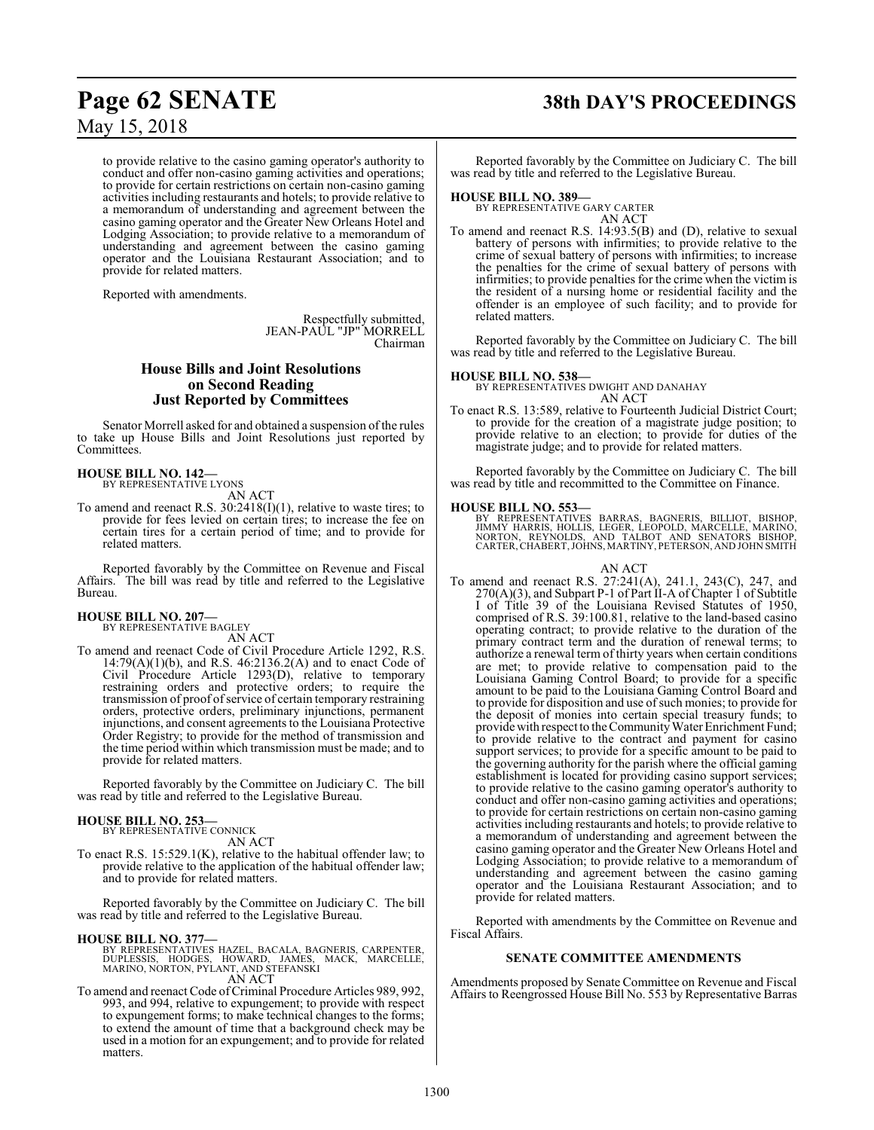to provide relative to the casino gaming operator's authority to conduct and offer non-casino gaming activities and operations; to provide for certain restrictions on certain non-casino gaming activities including restaurants and hotels; to provide relative to a memorandum of understanding and agreement between the casino gaming operator and the Greater New Orleans Hotel and Lodging Association; to provide relative to a memorandum of understanding and agreement between the casino gaming operator and the Louisiana Restaurant Association; and to provide for related matters.

Reported with amendments.

Respectfully submitted, JEAN-PAUL "JP" MORRELL Chairman

#### **House Bills and Joint Resolutions on Second Reading Just Reported by Committees**

Senator Morrell asked for and obtained a suspension of the rules to take up House Bills and Joint Resolutions just reported by Committees.

# **HOUSE BILL NO. 142—** BY REPRESENTATIVE LYONS

AN ACT

To amend and reenact R.S. 30:2418(I)(1), relative to waste tires; to provide for fees levied on certain tires; to increase the fee on certain tires for a certain period of time; and to provide for related matters.

Reported favorably by the Committee on Revenue and Fiscal Affairs. The bill was read by title and referred to the Legislative Bureau.

#### **HOUSE BILL NO. 207—**

BY REPRESENTATIVE BAGLEY AN ACT

To amend and reenact Code of Civil Procedure Article 1292, R.S.  $14:79(A)(1)(b)$ , and R.S.  $46:2136.2(A)$  and to enact Code of Civil Procedure Article 1293(D), relative to temporary restraining orders and protective orders; to require the transmission of proof of service of certain temporary restraining orders, protective orders, preliminary injunctions, permanent injunctions, and consent agreements to the Louisiana Protective Order Registry; to provide for the method of transmission and the time period within which transmission must be made; and to provide for related matters.

Reported favorably by the Committee on Judiciary C. The bill was read by title and referred to the Legislative Bureau.

#### **HOUSE BILL NO. 253—** BY REPRESENTATIVE CONNICK

AN ACT

To enact R.S. 15:529.1(K), relative to the habitual offender law; to provide relative to the application of the habitual offender law; and to provide for related matters.

Reported favorably by the Committee on Judiciary C. The bill was read by title and referred to the Legislative Bureau.

**HOUSE BILL NO. 377—**<br>BY REPRESENTATIVES HAZEL, BACALA, BAGNERIS, CARPENTER,<br>DUPLESSIS, HODGES, HOWARD, JAMES, MACK, MARCELLE,<br>MARINO, NORTON, PYLANT, AND STEFANSKI AN ACT

To amend and reenact Code ofCriminal Procedure Articles 989, 992, 993, and 994, relative to expungement; to provide with respect to expungement forms; to make technical changes to the forms; to extend the amount of time that a background check may be used in a motion for an expungement; and to provide for related matters.

# **Page 62 SENATE 38th DAY'S PROCEEDINGS**

Reported favorably by the Committee on Judiciary C. The bill was read by title and referred to the Legislative Bureau.

#### **HOUSE BILL NO. 389—**

BY REPRESENTATIVE GARY CARTER AN ACT

To amend and reenact R.S. 14:93.5(B) and (D), relative to sexual battery of persons with infirmities; to provide relative to the crime of sexual battery of persons with infirmities; to increase the penalties for the crime of sexual battery of persons with infirmities; to provide penalties for the crime when the victim is the resident of a nursing home or residential facility and the offender is an employee of such facility; and to provide for related matters.

Reported favorably by the Committee on Judiciary C. The bill was read by title and referred to the Legislative Bureau.

#### **HOUSE BILL NO. 538—**

BY REPRESENTATIVES DWIGHT AND DANAHAY AN ACT

To enact R.S. 13:589, relative to Fourteenth Judicial District Court; to provide for the creation of a magistrate judge position; to provide relative to an election; to provide for duties of the magistrate judge; and to provide for related matters.

Reported favorably by the Committee on Judiciary C. The bill was read by title and recommitted to the Committee on Finance.

#### **HOUSE BILL NO. 553—**

BY REPRESENTATIVES BARRAS, BAGNERIS, BILLIOT, BISHOP,<br>JIMMY HARRIS, HOLLIS, LEGER, LEOPOLD, MARCELLE, MARINO,<br>NORTON, REYNOLDS, AND TALBOT AND SENATORS BISHOP,<br>CARTER,CHABERT,JOHNS,MARTINY,PETERSON,ANDJOHNSMITH

AN ACT

To amend and reenact R.S. 27:241(A), 241.1, 243(C), 247, and 270(A)(3), and Subpart P-1 of Part II-A of Chapter 1 of Subtitle I of Title 39 of the Louisiana Revised Statutes of 1950, comprised of R.S. 39:100.81, relative to the land-based casino operating contract; to provide relative to the duration of the primary contract term and the duration of renewal terms; to authorize a renewal term of thirty years when certain conditions are met; to provide relative to compensation paid to the Louisiana Gaming Control Board; to provide for a specific amount to be paid to the Louisiana Gaming Control Board and to provide for disposition and use of such monies; to provide for the deposit of monies into certain special treasury funds; to provide with respect to the Community Water Enrichment Fund; to provide relative to the contract and payment for casino support services; to provide for a specific amount to be paid to the governing authority for the parish where the official gaming establishment is located for providing casino support services; to provide relative to the casino gaming operator's authority to conduct and offer non-casino gaming activities and operations; to provide for certain restrictions on certain non-casino gaming activities including restaurants and hotels; to provide relative to a memorandum of understanding and agreement between the casino gaming operator and the Greater New Orleans Hotel and Lodging Association; to provide relative to a memorandum of understanding and agreement between the casino gaming operator and the Louisiana Restaurant Association; and to provide for related matters.

Reported with amendments by the Committee on Revenue and Fiscal Affairs.

#### **SENATE COMMITTEE AMENDMENTS**

Amendments proposed by Senate Committee on Revenue and Fiscal Affairs to Reengrossed House Bill No. 553 by Representative Barras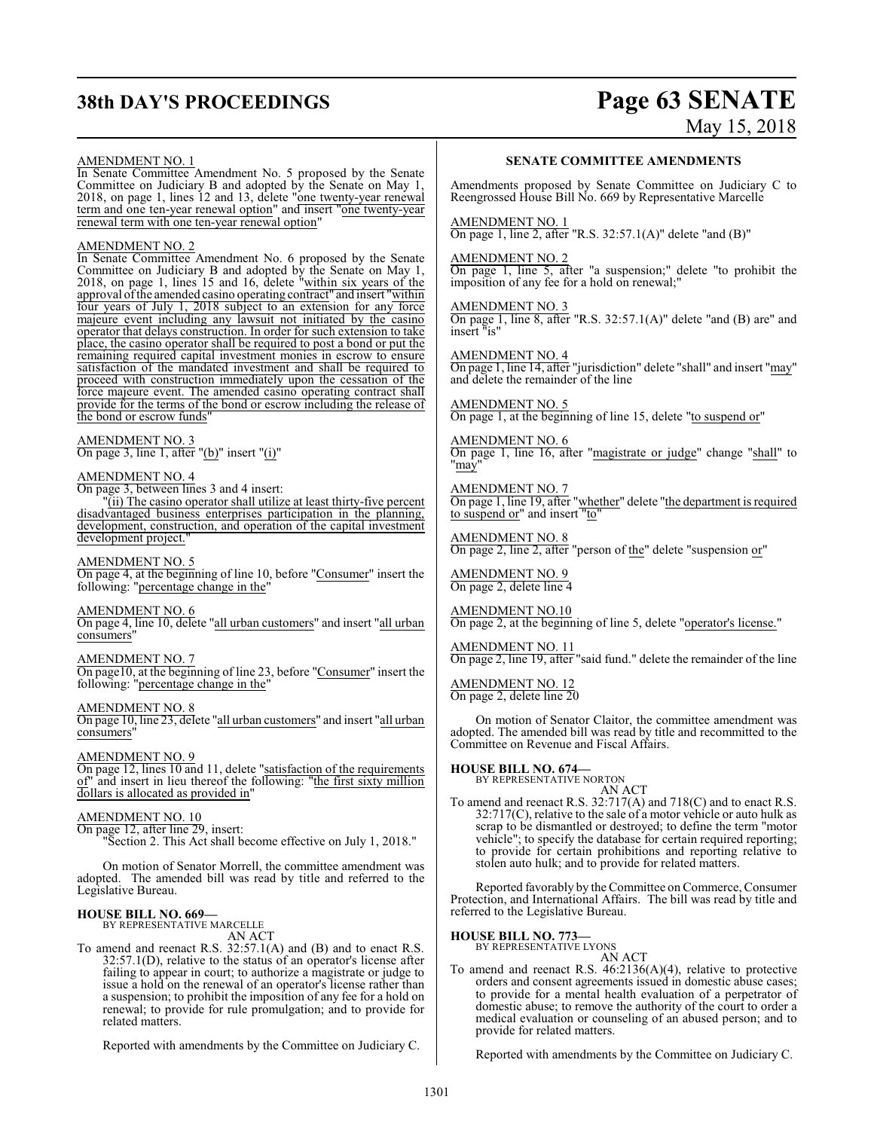# **38th DAY'S PROCEEDINGS Page 63 SENATE**

# May 15, 2018

#### AMENDMENT NO. 1

In Senate Committee Amendment No. 5 proposed by the Senate Committee on Judiciary B and adopted by the Senate on May 1, 2018, on page 1, lines 12 and 13, delete "one twenty-year renewal term and one ten-year renewal option" and insert "one twenty-year renewal term with one ten-year renewal option"

## AMENDMENT NO. 2

In Senate Committee Amendment No. 6 proposed by the Senate Committee on Judiciary B and adopted by the Senate on May 1, 2018, on page 1, lines 15 and 16, delete "within six years of the approval ofthe amended casino operating contract" and insert "within four years of July 1, 2018 subject to an extension for any force majeure event including any lawsuit not initiated by the casino operator that delays construction. In order for such extension to take place, the casino operator shall be required to post a bond or put the remaining required capital investment monies in escrow to ensure satisfaction of the mandated investment and shall be required to proceed with construction immediately upon the cessation of the force majeure event. The amended casino operating contract shall provide for the terms of the bond or escrow including the release of the bond or escrow funds"

AMENDMENT NO. 3 On page 3, line 1, after "(b)" insert "(i)"

#### AMENDMENT NO. 4

On page 3, between lines 3 and 4 insert:

"(ii) The casino operator shall utilize at least thirty-five percent disadvantaged business enterprises participation in the planning, development, construction, and operation of the capital investment development project."

#### AMENDMENT NO. 5

On page 4, at the beginning of line 10, before "Consumer" insert the following: "percentage change in the"

#### AMENDMENT NO. 6

On page 4, line 10, delete "all urban customers" and insert "all urban consumers"

#### AMENDMENT NO. 7

On page10, at the beginning of line 23, before "Consumer" insert the following: "percentage change in the"

#### AMENDMENT NO. 8

On page 10, line 23, delete "all urban customers" and insert "all urban consumers"

#### AMENDMENT NO. 9

On page 12, lines 10 and 11, delete "satisfaction of the requirements of" and insert in lieu thereof the following: "the first sixty million dollars is allocated as provided in"

#### AMENDMENT NO. 10

On page 12, after line 29, insert: "Section 2. This Act shall become effective on July 1, 2018."

On motion of Senator Morrell, the committee amendment was adopted. The amended bill was read by title and referred to the

#### **HOUSE BILL NO. 669—**

Legislative Bureau.

BY REPRESENTATIVE MARCELLE AN ACT

To amend and reenact R.S. 32:57.1(A) and (B) and to enact R.S. 32:57.1(D), relative to the status of an operator's license after failing to appear in court; to authorize a magistrate or judge to issue a hold on the renewal of an operator's license rather than a suspension; to prohibit the imposition of any fee for a hold on renewal; to provide for rule promulgation; and to provide for related matters.

Reported with amendments by the Committee on Judiciary C.

#### **SENATE COMMITTEE AMENDMENTS**

Amendments proposed by Senate Committee on Judiciary C to Reengrossed House Bill No. 669 by Representative Marcelle

#### AMENDMENT NO. 1

On page 1, line 2, after "R.S. 32:57.1(A)" delete "and (B)"

#### AMENDMENT NO. 2

On page 1, line 5, after "a suspension;" delete "to prohibit the imposition of any fee for a hold on renewal;"

AMENDMENT NO. 3 On page 1, line 8, after "R.S. 32:57.1(A)" delete "and (B) are" and insert "is"

AMENDMENT NO. 4 On page 1, line 14, after "jurisdiction" delete "shall" and insert "may" and delete the remainder of the line

AMENDMENT NO. 5 On page 1, at the beginning of line 15, delete "to suspend or"

AMENDMENT NO. 6 On page 1, line 16, after "magistrate or judge" change "shall" to "may

AMENDMENT NO. 7 On page 1, line 19, after "whether" delete "the department is required to suspend or" and insert "to"

AMENDMENT NO. 8 On page 2, line 2, after "person of the" delete "suspension or"

AMENDMENT NO. 9 On page 2, delete line 4

AMENDMENT NO.10 On page 2, at the beginning of line 5, delete "operator's license."

AMENDMENT NO. 11 On page 2, line 19, after "said fund." delete the remainder of the line

AMENDMENT NO. 12 On page 2, delete line 20

On motion of Senator Claitor, the committee amendment was adopted. The amended bill was read by title and recommitted to the Committee on Revenue and Fiscal Affairs.

#### **HOUSE BILL NO. 674—**

BY REPRESENTATIVE NORTON AN ACT

To amend and reenact R.S. 32:717(A) and 718(C) and to enact R.S. 32:717(C), relative to the sale of a motor vehicle or auto hulk as scrap to be dismantled or destroyed; to define the term "motor vehicle"; to specify the database for certain required reporting; to provide for certain prohibitions and reporting relative to stolen auto hulk; and to provide for related matters.

Reported favorably by the Committee on Commerce, Consumer Protection, and International Affairs. The bill was read by title and referred to the Legislative Bureau.

#### **HOUSE BILL NO. 773—** BY REPRESENTATIVE LYONS

AN ACT

To amend and reenact R.S. 46:2136(A)(4), relative to protective orders and consent agreements issued in domestic abuse cases; to provide for a mental health evaluation of a perpetrator of domestic abuse; to remove the authority of the court to order a medical evaluation or counseling of an abused person; and to provide for related matters.

Reported with amendments by the Committee on Judiciary C.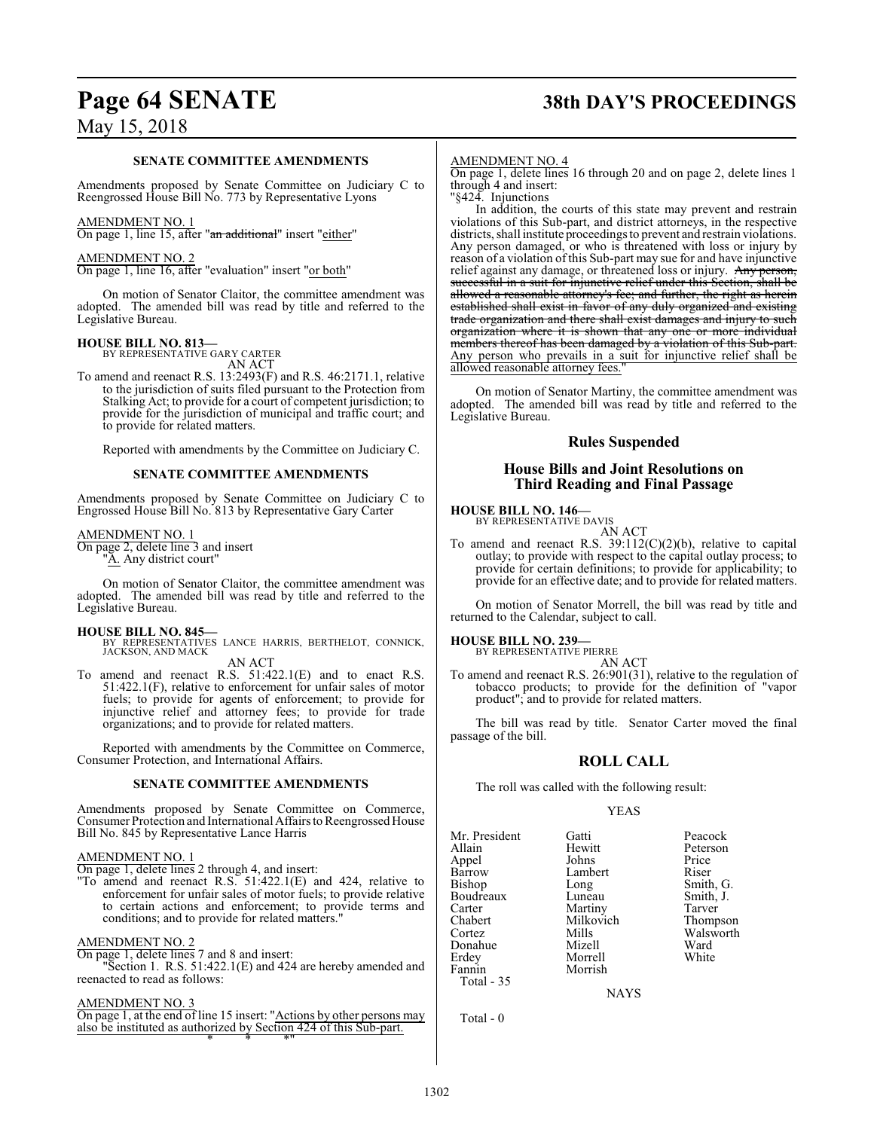# **Page 64 SENATE 38th DAY'S PROCEEDINGS**

## May 15, 2018

#### **SENATE COMMITTEE AMENDMENTS**

Amendments proposed by Senate Committee on Judiciary C to Reengrossed House Bill No. 773 by Representative Lyons

#### AMENDMENT NO. 1

On page 1, line 15, after "an additional" insert "either"

#### AMENDMENT NO. 2

On page 1, line 16, after "evaluation" insert "or both"

On motion of Senator Claitor, the committee amendment was adopted. The amended bill was read by title and referred to the Legislative Bureau.

# **HOUSE BILL NO. 813—** BY REPRESENTATIVE GARY CARTER

AN ACT

To amend and reenact R.S. 13:2493(F) and R.S. 46:2171.1, relative to the jurisdiction of suits filed pursuant to the Protection from Stalking Act; to provide for a court of competent jurisdiction; to provide for the jurisdiction of municipal and traffic court; and to provide for related matters.

Reported with amendments by the Committee on Judiciary C.

#### **SENATE COMMITTEE AMENDMENTS**

Amendments proposed by Senate Committee on Judiciary C to Engrossed House Bill No. 813 by Representative Gary Carter

AMENDMENT NO. 1 On page 2, delete line 3 and insert

"A. Any district court"

On motion of Senator Claitor, the committee amendment was adopted. The amended bill was read by title and referred to the Legislative Bureau.

#### **HOUSE BILL NO. 845—**

BY REPRESENTATIVES LANCE HARRIS, BERTHELOT, CONNICK, JACKSON, AND MACK

- AN ACT
- To amend and reenact R.S. 51:422.1(E) and to enact R.S. 51:422.1(F), relative to enforcement for unfair sales of motor fuels; to provide for agents of enforcement; to provide for injunctive relief and attorney fees; to provide for trade organizations; and to provide for related matters.

Reported with amendments by the Committee on Commerce, Consumer Protection, and International Affairs.

#### **SENATE COMMITTEE AMENDMENTS**

Amendments proposed by Senate Committee on Commerce, Consumer Protection and International Affairs to Reengrossed House Bill No. 845 by Representative Lance Harris

#### AMENDMENT NO. 1

On page 1, delete lines 2 through 4, and insert:

"To amend and reenact R.S. 51:422.1(E) and 424, relative to enforcement for unfair sales of motor fuels; to provide relative to certain actions and enforcement; to provide terms and conditions; and to provide for related matters."

#### AMENDMENT NO. 2

On page 1, delete lines 7 and 8 and insert:

"Section 1. R.S. 51:422.1(E) and 424 are hereby amended and reenacted to read as follows:

#### AMENDMENT NO. 3

On page 1, at the end of line 15 insert: "Actions by other persons may also be instituted as authorized by Section 424 of this Sub-part. \* \* \*"

#### AMENDMENT NO. 4

On page 1, delete lines 16 through 20 and on page 2, delete lines 1 through 4 and insert:

"§424. Injunctions In addition, the courts of this state may prevent and restrain violations of this Sub-part, and district attorneys, in the respective districts, shall institute proceedings to prevent and restrain violations. Any person damaged, or who is threatened with loss or injury by reason of a violation of this Sub-part may sue for and have injunctive relief against any damage, or threatened loss or injury. Any person, successful in a suit for injunctive relief under this Section, shall be allowed a reasonable attorney's fee; and further, the right as herein established shall exist in favor of any duly organized and existing trade organization and there shall exist damages and injury to such organization where it is shown that any one or more individual members thereof has been damaged by a violation of this Sub-part. Any person who prevails in a suit for injunctive relief shall be allowed reasonable attorney fees.

On motion of Senator Martiny, the committee amendment was adopted. The amended bill was read by title and referred to the Legislative Bureau.

### **Rules Suspended**

#### **House Bills and Joint Resolutions on Third Reading and Final Passage**

### **HOUSE BILL NO. 146—**

BY REPRESENTATIVE DAVIS AN ACT

To amend and reenact R.S. 39:112(C)(2)(b), relative to capital outlay; to provide with respect to the capital outlay process; to provide for certain definitions; to provide for applicability; to provide for an effective date; and to provide for related matters.

On motion of Senator Morrell, the bill was read by title and returned to the Calendar, subject to call.

**HOUSE BILL NO. 239—** BY REPRESENTATIVE PIERRE

AN ACT

To amend and reenact R.S. 26:901(31), relative to the regulation of tobacco products; to provide for the definition of "vapor product"; and to provide for related matters.

The bill was read by title. Senator Carter moved the final passage of the bill.

## **ROLL CALL**

The roll was called with the following result:

Morrish

#### YEAS

Mr. President Gatti Peacock Appel Johns Price<br>
Barrow Lambert Riser Barrow Lambert<br>Bishop Long Boudreaux Luneau Smith,<br>Carter Martiny Tarver Carter Martiny<br>Chabert Milkovi Chabert Milkovich Thompson Donahue Mizell Ward Erdey Morrell<br>Fannin Morrish Total - 35

Total - 0

Hewitt Peterson<br>
Johns Price Long Smith, G.<br>Luneau Smith, J. Mills Walsworth<br>
Mizell Ward

NAYS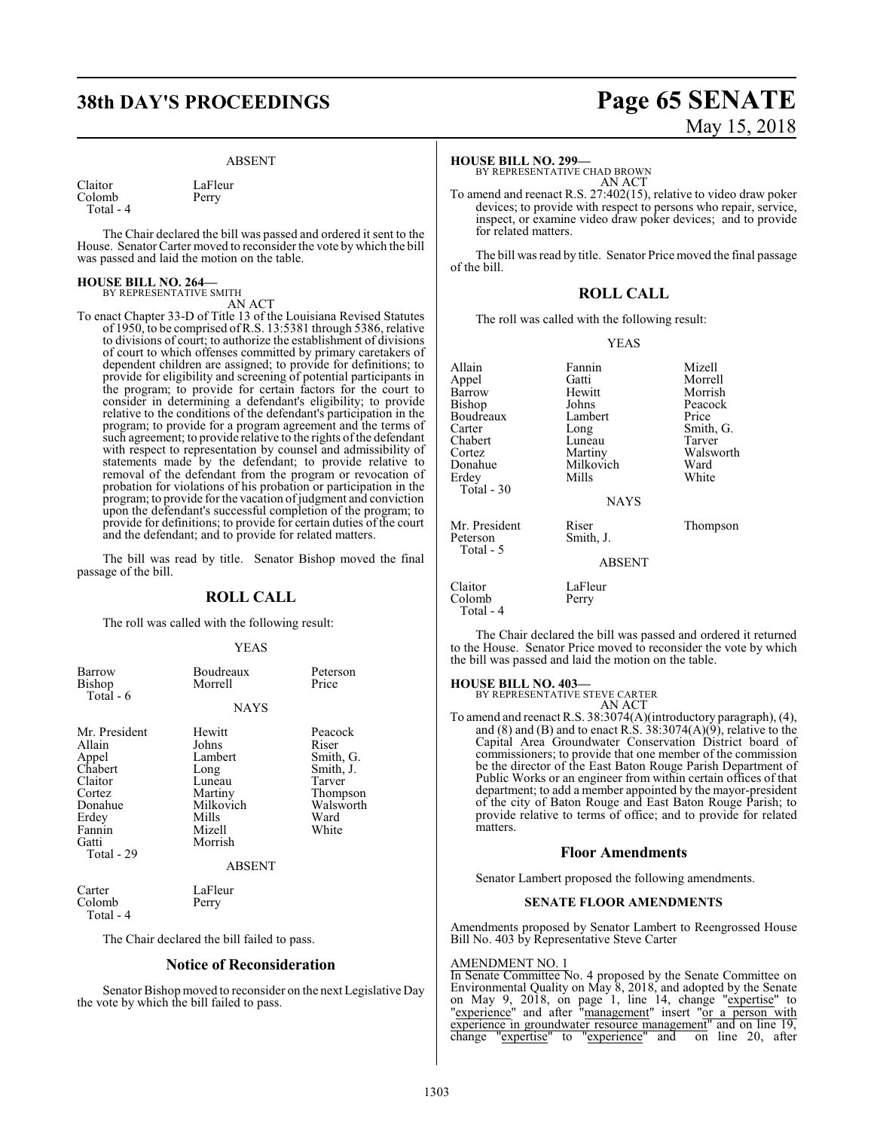# **38th DAY'S PROCEEDINGS Page 65 SENATE**

#### ABSENT

| Claitor   | LaFleur |
|-----------|---------|
| Colomb    | Perry   |
| Total - 4 |         |

The Chair declared the bill was passed and ordered it sent to the House. Senator Carter moved to reconsider the vote by which the bill was passed and laid the motion on the table.

#### **HOUSE BILL NO. 264—** BY REPRESENTATIVE SMITH

AN ACT

To enact Chapter 33-D of Title 13 of the Louisiana Revised Statutes of 1950, to be comprised ofR.S. 13:5381 through 5386, relative to divisions of court; to authorize the establishment of divisions of court to which offenses committed by primary caretakers of dependent children are assigned; to provide for definitions; to provide for eligibility and screening of potential participants in the program; to provide for certain factors for the court to consider in determining a defendant's eligibility; to provide relative to the conditions of the defendant's participation in the program; to provide for a program agreement and the terms of such agreement; to provide relative to the rights of the defendant with respect to representation by counsel and admissibility of statements made by the defendant; to provide relative to removal of the defendant from the program or revocation of probation for violations of his probation or participation in the program; to provide for the vacation ofjudgment and conviction upon the defendant's successful completion of the program; to provide for definitions; to provide for certain duties of the court and the defendant; and to provide for related matters.

The bill was read by title. Senator Bishop moved the final passage of the bill.

#### **ROLL CALL**

The roll was called with the following result:

#### YEAS

| Barrow<br>Bishop<br>Total - 6                                                                                         | <b>Boudreaux</b><br>Morrell<br><b>NAYS</b>                                                                          | Peterson<br>Price                                                                              |
|-----------------------------------------------------------------------------------------------------------------------|---------------------------------------------------------------------------------------------------------------------|------------------------------------------------------------------------------------------------|
| Mr. President<br>Allain<br>Appel<br>Chabert<br>Claitor<br>Cortez<br>Donahue<br>Erdey<br>Fannin<br>Gatti<br>Total - 29 | Hewitt<br>Johns<br>Lambert<br>Long<br>Luneau<br>Martiny<br>Milkovich<br>Mills<br>Mizell<br>Morrish<br><b>ABSENT</b> | Peacock<br>Riser<br>Smith, G.<br>Smith, J.<br>Tarver<br>Thompson<br>Walsworth<br>Ward<br>White |
| Carter<br>Colomb                                                                                                      | LaFleur<br>Perry                                                                                                    |                                                                                                |

Total - 4

The Chair declared the bill failed to pass.

#### **Notice of Reconsideration**

Senator Bishop moved to reconsider on the next Legislative Day the vote by which the bill failed to pass.

# May 15, 2018

#### **HOUSE BILL NO. 299—**

BY REPRESENTATIVE CHAD BROWN AN ACT

To amend and reenact R.S. 27:402(15), relative to video draw poker devices; to provide with respect to persons who repair, service, inspect, or examine video draw poker devices; and to provide for related matters.

The bill was read by title. Senator Price moved the final passage of the bill.

#### **ROLL CALL**

The roll was called with the following result:

#### YEAS

Allain Fannin Mizell Appel Gatti Morrell Bishop Johns Peacock<br>Boudreaux Lambert Price Boudreaux Lamb<br>Carter Long Chabert Luneau<br>
Cortez Martiny Cortez Martiny Walsworth **Erdey**  Total - 30 Mr. President Riser Thompson<br>Peterson Smith, J. Thompson Peterson Total - 5

Hewitt Morrish<br>Johns Peacock Long Smith, G.<br>Luneau Tarver Milkovich Ward<br>
Mills White

#### NAYS

ABSENT Claitor LaFleur<br>Colomb Perry

Colomb Total - 4

The Chair declared the bill was passed and ordered it returned to the House. Senator Price moved to reconsider the vote by which the bill was passed and laid the motion on the table.

**HOUSE BILL NO. 403—** BY REPRESENTATIVE STEVE CARTER AN ACT

To amend and reenact R.S. 38:3074(A)(introductory paragraph), (4), and  $(8)$  and  $(B)$  and to enact R.S. 38:3074 $(A)(9)$ , relative to the Capital Area Groundwater Conservation District board of commissioners; to provide that one member of the commission be the director of the East Baton Rouge Parish Department of Public Works or an engineer from within certain offices of that department; to add a member appointed by the mayor-president of the city of Baton Rouge and East Baton Rouge Parish; to provide relative to terms of office; and to provide for related matters.

#### **Floor Amendments**

Senator Lambert proposed the following amendments.

#### **SENATE FLOOR AMENDMENTS**

Amendments proposed by Senator Lambert to Reengrossed House Bill No. 403 by Representative Steve Carter

#### AMENDMENT NO. 1

In Senate Committee No. 4 proposed by the Senate Committee on Environmental Quality on May 8, 2018, and adopted by the Senate on May 9, 2018, on page 1, line 14, change "expertise" to "experience" and after "management" insert "or a person with experience in groundwater resource management" and on line 19, change "expertise" to "experience" and on line 20, after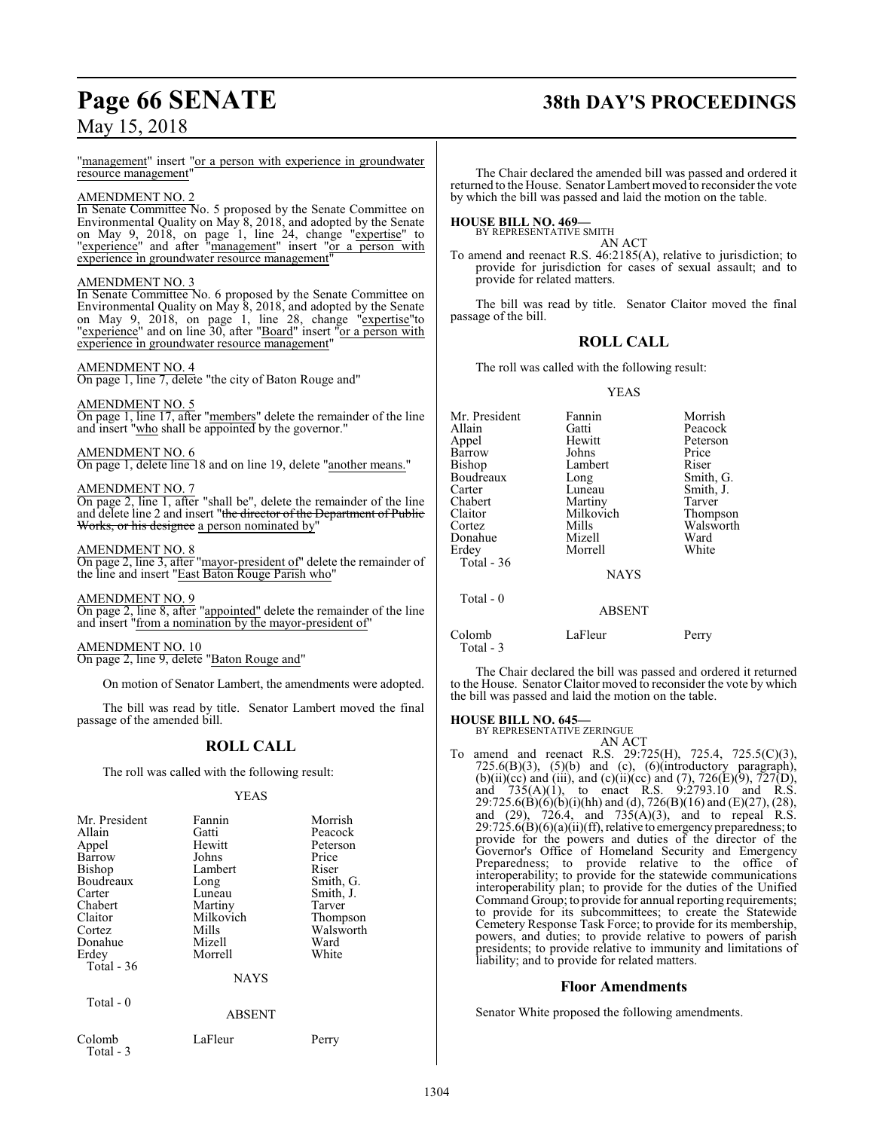# **Page 66 SENATE 38th DAY'S PROCEEDINGS**

May 15, 2018

"management" insert "or a person with experience in groundwater resource management"

## AMENDMENT NO. 2

In Senate Committee No. 5 proposed by the Senate Committee on Environmental Quality on May 8, 2018, and adopted by the Senate on May 9, 2018, on page 1, line 24, change "expertise" to "experience" and after "management" insert "or a person with experience in groundwater resource management"

#### AMENDMENT NO. 3

In Senate Committee No. 6 proposed by the Senate Committee on Environmental Quality on May 8, 2018, and adopted by the Senate on May 9, 2018, on page 1, line 28, change "expertise" to "experience" and on line 30, after "Board" insert "or a person with experience in groundwater resource management"

#### AMENDMENT NO. 4

On page 1, line 7, delete "the city of Baton Rouge and"

#### AMENDMENT NO. 5

On page 1, line 17, after "members" delete the remainder of the line and insert "who shall be appointed by the governor."

#### AMENDMENT NO. 6

On page 1, delete line 18 and on line 19, delete "another means."

#### AMENDMENT NO. 7

On page 2, line 1, after "shall be", delete the remainder of the line and delete line 2 and insert "the director of the Department of Public Works, or his designee a person nominated by"

#### AMENDMENT NO. 8

On page 2, line 3, after "mayor-president of" delete the remainder of the line and insert "East Baton Rouge Parish who"

#### AMENDMENT NO. 9

On page 2, line 8, after "appointed" delete the remainder of the line and insert "from a nomination by the mayor-president of"

#### AMENDMENT NO. 10 On page 2, line 9, delete "Baton Rouge and"

On motion of Senator Lambert, the amendments were adopted.

The bill was read by title. Senator Lambert moved the final passage of the amended bill.

## **ROLL CALL**

The roll was called with the following result:

#### YEAS

| Mr. President | Fannin        | Morrish   |
|---------------|---------------|-----------|
| Allain        | Gatti         | Peacock   |
| Appel         | Hewitt        | Peterson  |
| Barrow        | Johns         | Price     |
| Bishop        | Lambert       | Riser     |
| Boudreaux     | Long          | Smith, G. |
| Carter        | Luneau        | Smith, J. |
| Chabert       | Martiny       | Tarver    |
| Claitor       | Milkovich     | Thompson  |
| Cortez        | Mills         | Walsworth |
| Donahue       | Mizell        | Ward      |
| Erdey         | Morrell       | White     |
| Total - 36    |               |           |
|               | <b>NAYS</b>   |           |
| Total - 0     |               |           |
|               | <b>ABSENT</b> |           |
| Colomb        | LaFleur       | Perry     |

Total - 3

#### The Chair declared the amended bill was passed and ordered it returned to the House. Senator Lambert moved to reconsider the vote by which the bill was passed and laid the motion on the table.

#### **HOUSE BILL NO. 469—** BY REPRESENTATIVE SMITH

AN ACT

To amend and reenact R.S. 46:2185(A), relative to jurisdiction; to provide for jurisdiction for cases of sexual assault; and to provide for related matters.

The bill was read by title. Senator Claitor moved the final passage of the bill.

#### **ROLL CALL**

The roll was called with the following result:

#### YEAS

| Mr. President<br>Allain<br>Appel<br>Barrow<br>Bishop<br>Boudreaux<br>Carter<br>Chabert<br>Claitor | Fannin<br>Gatti<br>Hewitt<br>Johns<br>Lambert<br>Long<br>Luneau<br>Martiny<br>Milkovich | Morrish<br>Peacock<br>Peterson<br>Price<br>Riser<br>Smith, G.<br>Smith, J.<br>Tarver<br>Thompson |
|---------------------------------------------------------------------------------------------------|-----------------------------------------------------------------------------------------|--------------------------------------------------------------------------------------------------|
| Cortez                                                                                            | Mills                                                                                   | Walsworth                                                                                        |
| Donahue                                                                                           | Mizell                                                                                  | Ward                                                                                             |
| Erdey                                                                                             | Morrell                                                                                 | White                                                                                            |
| Total - 36                                                                                        |                                                                                         |                                                                                                  |
|                                                                                                   | <b>NAYS</b>                                                                             |                                                                                                  |
| Total $-0$                                                                                        |                                                                                         |                                                                                                  |
|                                                                                                   | <b>ABSENT</b>                                                                           |                                                                                                  |
| Colomb<br>Total - 3                                                                               | LaFleur                                                                                 | Perry                                                                                            |

The Chair declared the bill was passed and ordered it returned to the House. Senator Claitor moved to reconsider the vote by which the bill was passed and laid the motion on the table.

#### **HOUSE BILL NO. 645—**

BY REPRESENTATIVE ZERINGUE AN ACT

To amend and reenact R.S. 29:725(H), 725.4, 725.5(C)(3),  $725.6(B)(3)$ ,  $(5)(b)$  and  $(c)$ ,  $(6)(introducing) paragnah)$ , (b)(ii)(cc) and (iii), and (c)(ii)(cc) and (7),  $726(E)(9)$ ,  $727(D)$ , and  $735(A)(1)$ , to enact R.S.  $9:2793.10$  and R.S. 29:725.6(B)(6)(b)(i)(hh) and (d), 726(B)(16) and (E)(27), (28), and (29), 726.4, and 735(A)(3), and to repeal R.S.  $29:72\overline{5}.6(B)(6)(a)(ii)(ff)$ , relative to emergency preparedness; to provide for the powers and duties of the director of the Governor's Office of Homeland Security and Emergency Preparedness; to provide relative to the office of interoperability; to provide for the statewide communications interoperability plan; to provide for the duties of the Unified Command Group; to provide for annual reporting requirements; to provide for its subcommittees; to create the Statewide Cemetery Response Task Force; to provide for its membership, powers, and duties; to provide relative to powers of parish presidents; to provide relative to immunity and limitations of liability; and to provide for related matters.

#### **Floor Amendments**

Senator White proposed the following amendments.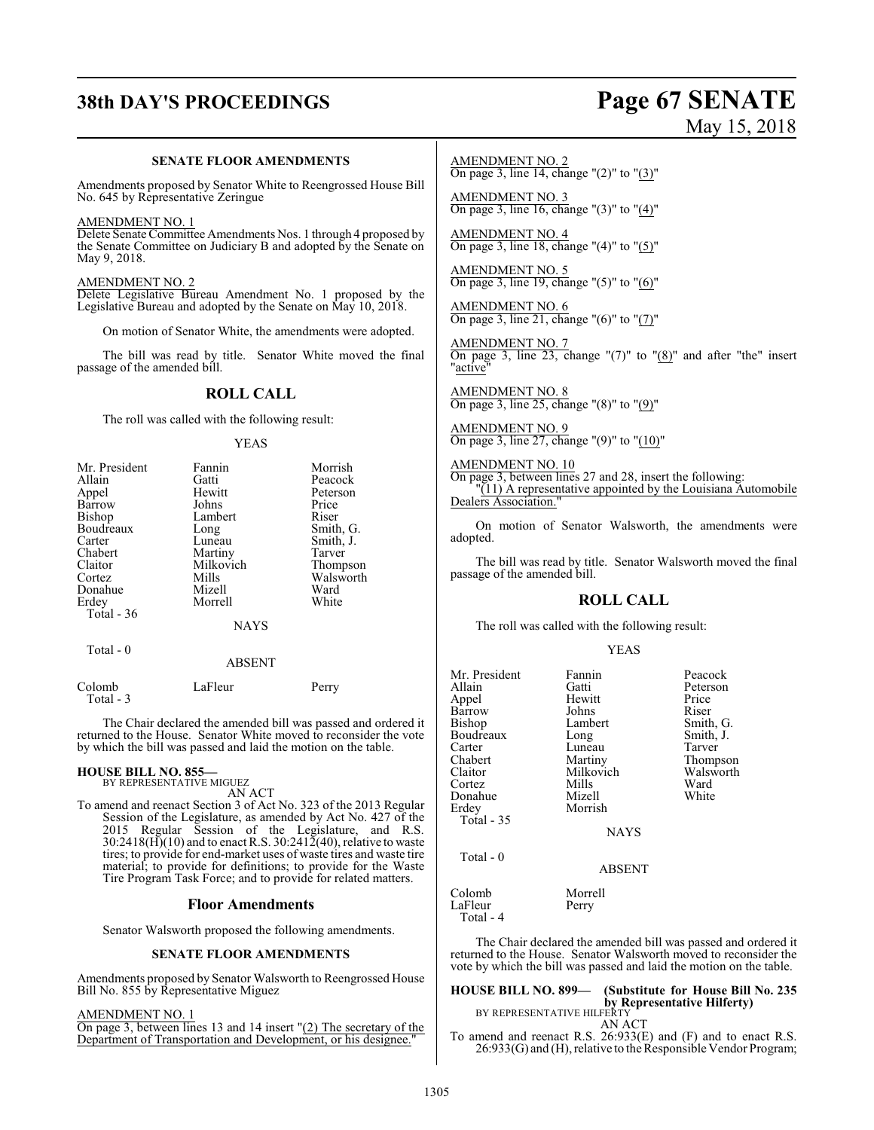# **38th DAY'S PROCEEDINGS Page 67 SENATE**

#### **SENATE FLOOR AMENDMENTS**

Amendments proposed by Senator White to Reengrossed House Bill No. 645 by Representative Zeringue

#### AMENDMENT NO. 1

Delete Senate Committee Amendments Nos. 1 through 4 proposed by the Senate Committee on Judiciary B and adopted by the Senate on May 9, 2018.

#### AMENDMENT NO. 2

Delete Legislative Bureau Amendment No. 1 proposed by the Legislative Bureau and adopted by the Senate on May 10, 2018.

On motion of Senator White, the amendments were adopted.

The bill was read by title. Senator White moved the final passage of the amended bill.

## **ROLL CALL**

The roll was called with the following result:

#### YEAS

| Mr. President | Fannin      | Morrish   |
|---------------|-------------|-----------|
| Allain        | Gatti       | Peacock   |
| Appel         | Hewitt      | Peterson  |
| Barrow        | Johns       | Price     |
| Bishop        | Lambert     | Riser     |
| Boudreaux     | Long        | Smith, G. |
| Carter        | Luneau      | Smith, J. |
| Chabert       | Martiny     | Tarver    |
| Claitor       | Milkovich   | Thompson  |
| Cortez        | Mills       | Walsworth |
| Donahue       | Mizell      | Ward      |
| Erdey         | Morrell     | White     |
| Total - 36    |             |           |
|               | <b>NAYS</b> |           |
| Total - 0     |             |           |
|               | ABSENT      |           |

| Colomb<br>Total - 3 | LaFleur | Perry |
|---------------------|---------|-------|
|                     |         |       |

The Chair declared the amended bill was passed and ordered it returned to the House. Senator White moved to reconsider the vote by which the bill was passed and laid the motion on the table.

#### **HOUSE BILL NO. 855—**

BY REPRESENTATIVE MIGUEZ AN ACT

To amend and reenact Section 3 of Act No. 323 of the 2013 Regular Session of the Legislature, as amended by Act No. 427 of the 2015 Regular Session of the Legislature, and R.S.  $30:2418$ (H) $(10)$  and to enact R.S.  $30:2412(40)$ , relative to waste tires; to provide for end-market uses of waste tires and waste tire material; to provide for definitions; to provide for the Waste Tire Program Task Force; and to provide for related matters.

#### **Floor Amendments**

Senator Walsworth proposed the following amendments.

#### **SENATE FLOOR AMENDMENTS**

Amendments proposed by Senator Walsworth to Reengrossed House Bill No. 855 by Representative Miguez

AMENDMENT NO. 1

On page 3, between lines 13 and 14 insert "(2) The secretary of the Department of Transportation and Development, or his designee."

# May 15, 2018

AMENDMENT NO. 2 On page 3, line 14, change "(2)" to "(3)"

AMENDMENT NO. 3

On page 3, line 16, change "(3)" to "(4)" AMENDMENT NO. 4 On page 3, line 18, change "(4)" to "(5)"

AMENDMENT NO. 5 On page 3, line 19, change "(5)" to "(6)"

AMENDMENT NO. 6 On page 3, line 21, change "(6)" to "(7)"

AMENDMENT NO. 7 On page 3, line  $23$ , change " $(7)$ " to " $(8)$ " and after "the" insert "<u>active</u>

AMENDMENT NO. 8 On page 3, line 25, change "(8)" to "(9)"

AMENDMENT NO. 9 On page 3, line 27, change "(9)" to "(10)"

AMENDMENT NO. 10 On page 3, between lines 27 and 28, insert the following:  $(11)$  A representative appointed by the Louisiana Automobile Dealers Association."

On motion of Senator Walsworth, the amendments were adopted.

The bill was read by title. Senator Walsworth moved the final passage of the amended bill.

### **ROLL CALL**

The roll was called with the following result:

#### YEAS

| Mr. President<br>Allain<br>Appel<br>Barrow<br>Bishop<br>Boudreaux<br>Carter<br>Chabert<br>Claitor | Fannin<br>Gatti<br>Hewitt<br>Johns<br>Lambert<br>Long<br>Luneau<br>Martiny<br>Milkovich<br>Mills | Peacock<br>Peterson<br>Price<br>Riser<br>Smith, G.<br>Smith, J.<br>Tarver<br>Thompson<br>Walsworth<br>Ward |
|---------------------------------------------------------------------------------------------------|--------------------------------------------------------------------------------------------------|------------------------------------------------------------------------------------------------------------|
| Cortez<br>Donahue<br>Erdev<br>Total - 35                                                          | Mizell<br>Morrish<br><b>NAYS</b>                                                                 | White                                                                                                      |
| Total - 0                                                                                         | <b>ABSENT</b>                                                                                    |                                                                                                            |
| Colomb<br>LaFleur<br>$T_{\alpha+1}$ $\uparrow$                                                    | Morrell<br>Perry                                                                                 |                                                                                                            |

Total - 4

The Chair declared the amended bill was passed and ordered it returned to the House. Senator Walsworth moved to reconsider the vote by which the bill was passed and laid the motion on the table.

## **HOUSE BILL NO. 899— (Substitute for House Bill No. 235 by Representative Hilferty)**<br>BY REPRESENTATIVE HILFERTY

AN ACT

To amend and reenact R.S. 26:933(E) and (F) and to enact R.S. 26:933(G) and (H), relative to the Responsible Vendor Program;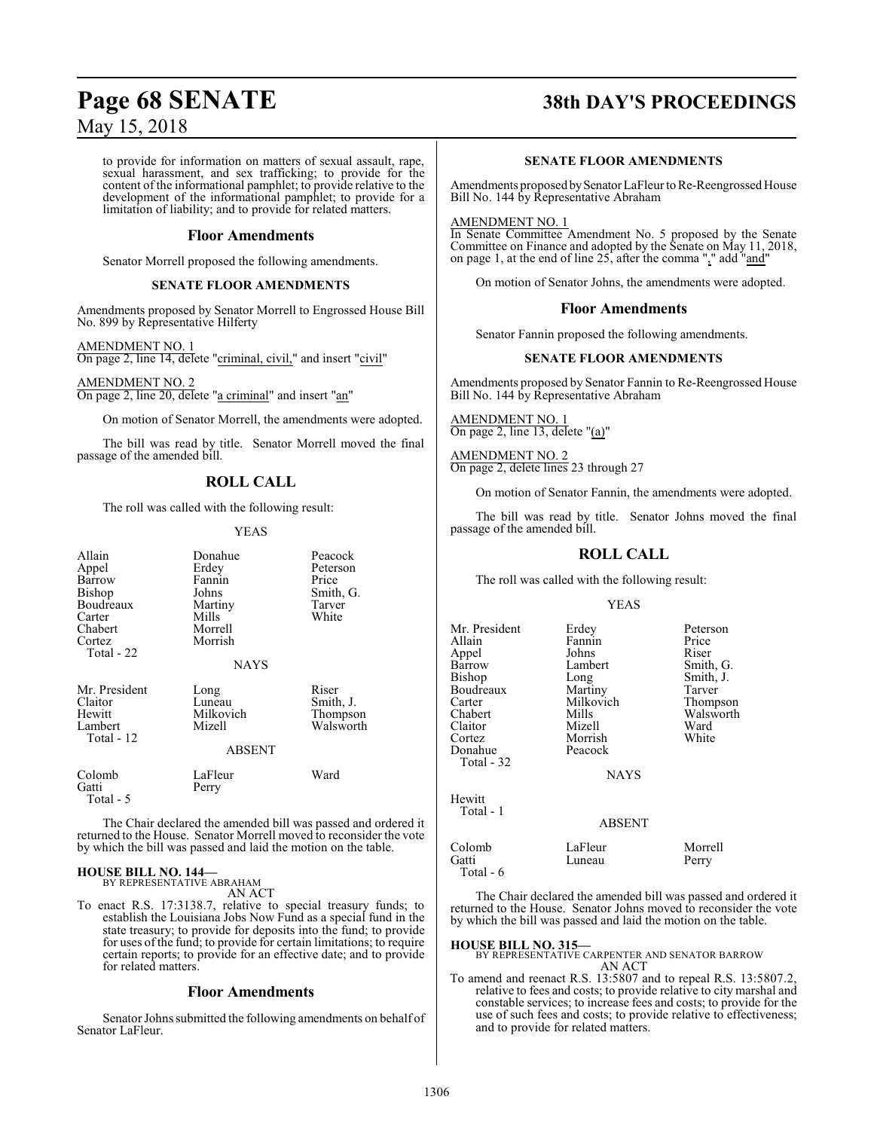to provide for information on matters of sexual assault, rape, sexual harassment, and sex trafficking; to provide for the content of the informational pamphlet; to provide relative to the development of the informational pamphlet; to provide for a limitation of liability; and to provide for related matters.

#### **Floor Amendments**

Senator Morrell proposed the following amendments.

#### **SENATE FLOOR AMENDMENTS**

Amendments proposed by Senator Morrell to Engrossed House Bill No. 899 by Representative Hilferty

AMENDMENT NO. 1 On page 2, line 14, delete "criminal, civil," and insert "civil"

AMENDMENT NO. 2 On page 2, line 20, delete "a criminal" and insert "an"

On motion of Senator Morrell, the amendments were adopted.

The bill was read by title. Senator Morrell moved the final passage of the amended bill.

## **ROLL CALL**

The roll was called with the following result:

#### YEAS

| Allain<br>Appel<br>Barrow<br>Bishop<br>Boudreaux<br>Carter<br>Chabert<br>Cortez<br>Total - 22 | Donahue<br>Erdey<br>Fannin<br>Johns<br>Martiny<br>Mills<br>Morrell<br>Morrish<br><b>NAYS</b> | Peacock<br>Peterson<br>Price<br>Smith, G.<br>Tarver<br>White |
|-----------------------------------------------------------------------------------------------|----------------------------------------------------------------------------------------------|--------------------------------------------------------------|
| Mr. President<br>Claitor<br>Hewitt<br>Lambert<br>Total - 12                                   | Long<br>Luneau<br>Milkovich<br>Mizell<br>ABSENT                                              | Riser<br>Smith, J.<br>Thompson<br>Walsworth                  |
| Colomb<br>Gatti<br>Total - 5                                                                  | LaFleur<br>Perry                                                                             | Ward                                                         |

The Chair declared the amended bill was passed and ordered it returned to the House. Senator Morrell moved to reconsider the vote by which the bill was passed and laid the motion on the table.

## **HOUSE BILL NO. 144—**

BY REPRESENTATIVE ABRAHAM AN ACT

To enact R.S. 17:3138.7, relative to special treasury funds; to establish the Louisiana Jobs Now Fund as a special fund in the state treasury; to provide for deposits into the fund; to provide for uses of the fund; to provide for certain limitations; to require certain reports; to provide for an effective date; and to provide for related matters.

#### **Floor Amendments**

Senator Johns submitted the following amendments on behalf of Senator LaFleur.

# **Page 68 SENATE 38th DAY'S PROCEEDINGS**

#### **SENATE FLOOR AMENDMENTS**

Amendments proposed by Senator LaFleur to Re-Reengrossed House Bill No. 144 by Representative Abraham

#### AMENDMENT NO. 1

In Senate Committee Amendment No. 5 proposed by the Senate Committee on Finance and adopted by the Senate on May 11, 2018, on page 1, at the end of line 25, after the comma "," add "and"

On motion of Senator Johns, the amendments were adopted.

#### **Floor Amendments**

Senator Fannin proposed the following amendments.

#### **SENATE FLOOR AMENDMENTS**

Amendments proposed by Senator Fannin to Re-Reengrossed House Bill No. 144 by Representative Abraham

AMENDMENT NO. 1 On page 2, line 13, delete "(a)"

AMENDMENT NO. 2 On page 2, delete lines 23 through 27

On motion of Senator Fannin, the amendments were adopted.

The bill was read by title. Senator Johns moved the final passage of the amended bill.

### **ROLL CALL**

The roll was called with the following result:

#### YEAS

Mr. President Erdey Peterson<br>
Allain Fannin Price Fannin<br>Johns Appel Johns Riser Barrow Lambert Smith, G.<br>Bishop Long Smith, J. Long Smith, J.<br>Martiny Tarver Boudreaux Martiny Tarver<br>Carter Milkovich Thompson Carter Milkovich<br>Chabert Mills Chabert Mills Walsworth Claitor Mizell Ward<br>Cortez Morrish White Morrish<br>Peacock Donahue Total - 32 **NAYS** Hewitt Total - 1 ABSENT

Colomb LaFleur Morrell<br>Gatti Luneau Perry Luneau

The Chair declared the amended bill was passed and ordered it returned to the House. Senator Johns moved to reconsider the vote by which the bill was passed and laid the motion on the table.

#### **HOUSE BILL NO. 315—**

Total - 6

BY REPRESENTATIVE CARPENTER AND SENATOR BARROW AN ACT

To amend and reenact R.S. 13:5807 and to repeal R.S. 13:5807.2, relative to fees and costs; to provide relative to city marshal and constable services; to increase fees and costs; to provide for the use of such fees and costs; to provide relative to effectiveness; and to provide for related matters.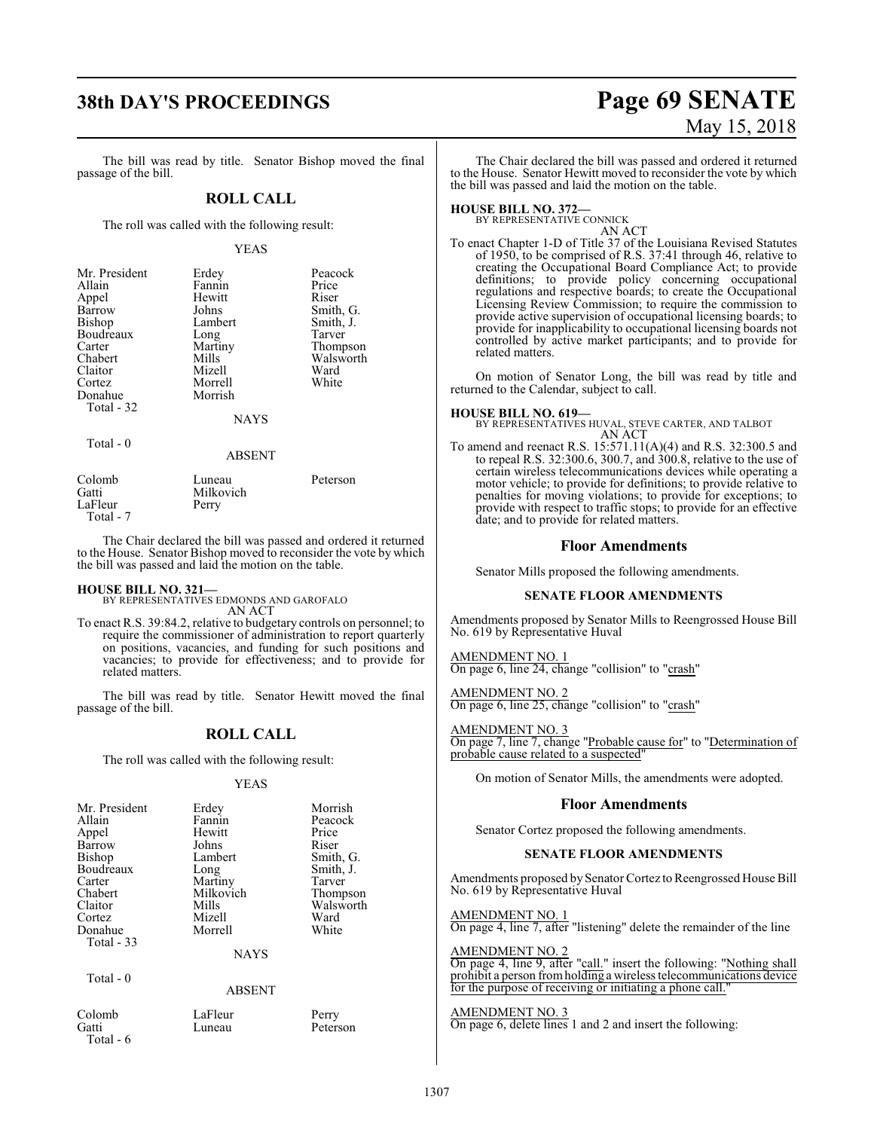# **38th DAY'S PROCEEDINGS Page 69 SENATE**

#### The bill was read by title. Senator Bishop moved the final passage of the bill.

#### **ROLL CALL**

The roll was called with the following result:

#### YEAS

| Mr. President | Erdey   | Peacock   |
|---------------|---------|-----------|
| Allain        | Fannin  | Price     |
| Appel         | Hewitt  | Riser     |
| Barrow        | Johns   | Smith, G. |
| <b>Bishop</b> | Lambert | Smith, J. |
| Boudreaux     | Long    | Tarver    |
| Carter        | Martiny | Thompson  |
| Chabert       | Mills   | Walsworth |
| Claitor       | Mizell  | Ward      |
| Cortez        | Morrell | White     |
| Donahue       | Morrish |           |
| Total - 32    |         |           |
|               | NAYS    |           |

Total - 0

#### ABSENT

| Colomb    | Luneau    | Peterson |
|-----------|-----------|----------|
| Gatti     | Milkovich |          |
| LaFleur   | Perry     |          |
| Total - 7 |           |          |

The Chair declared the bill was passed and ordered it returned to the House. Senator Bishop moved to reconsider the vote by which the bill was passed and laid the motion on the table.

**HOUSE BILL NO. 321—** BY REPRESENTATIVES EDMONDS AND GAROFALO AN ACT

To enact R.S. 39:84.2, relative to budgetary controls on personnel; to require the commissioner of administration to report quarterly on positions, vacancies, and funding for such positions and vacancies; to provide for effectiveness; and to provide for related matters.

The bill was read by title. Senator Hewitt moved the final passage of the bill.

#### **ROLL CALL**

The roll was called with the following result:

#### YEAS

| Mr. President<br>Allain<br>Appel<br>Barrow<br>Bishop<br>Boudreaux<br>Carter<br>Chabert<br>Claitor<br>Cortez | Erdey<br>Fannin<br>Hewitt<br>Johns<br>Lambert<br>Long<br>Martiny<br>Milkovich<br>Mills<br>Mizell | Morrish<br>Peacock<br>Price<br>Riser<br>Smith, G.<br>Smith, J.<br>Tarver<br>Thompson<br>Walsworth<br>Ward |
|-------------------------------------------------------------------------------------------------------------|--------------------------------------------------------------------------------------------------|-----------------------------------------------------------------------------------------------------------|
|                                                                                                             |                                                                                                  |                                                                                                           |
| Donahue                                                                                                     | Morrell                                                                                          | White                                                                                                     |
| Total - 33                                                                                                  | <b>NAYS</b>                                                                                      |                                                                                                           |

Total - 0

#### ABSENT

Total - 6

Colomb LaFleur Perry<br>
Gatti Luneau Peters Peterson

# May 15, 2018

The Chair declared the bill was passed and ordered it returned to the House. Senator Hewitt moved to reconsider the vote by which the bill was passed and laid the motion on the table.

**HOUSE BILL NO. 372—** BY REPRESENTATIVE CONNICK AN ACT

To enact Chapter 1-D of Title 37 of the Louisiana Revised Statutes of 1950, to be comprised of R.S. 37:41 through 46, relative to creating the Occupational Board Compliance Act; to provide definitions; to provide policy concerning occupational regulations and respective boards; to create the Occupational Licensing Review Commission; to require the commission to provide active supervision of occupational licensing boards; to provide for inapplicability to occupational licensing boards not controlled by active market participants; and to provide for related matters.

On motion of Senator Long, the bill was read by title and returned to the Calendar, subject to call.

**HOUSE BILL NO. 619—** BY REPRESENTATIVES HUVAL, STEVE CARTER, AND TALBOT AN ACT

To amend and reenact R.S. 15:571.11(A)(4) and R.S. 32:300.5 and to repeal R.S. 32:300.6, 300.7, and 300.8, relative to the use of certain wireless telecommunications devices while operating a motor vehicle; to provide for definitions; to provide relative to penalties for moving violations; to provide for exceptions; to provide with respect to traffic stops; to provide for an effective date; and to provide for related matters.

#### **Floor Amendments**

Senator Mills proposed the following amendments.

#### **SENATE FLOOR AMENDMENTS**

Amendments proposed by Senator Mills to Reengrossed House Bill No. 619 by Representative Huval

AMENDMENT NO. 1 On page 6, line 24, change "collision" to "crash"

AMENDMENT NO. 2 On page 6, line 25, change "collision" to "crash"

AMENDMENT NO. 3 On page 7, line 7, change "Probable cause for" to "Determination of probable cause related to a suspected"

On motion of Senator Mills, the amendments were adopted.

#### **Floor Amendments**

Senator Cortez proposed the following amendments.

#### **SENATE FLOOR AMENDMENTS**

Amendments proposed by Senator Cortez to Reengrossed House Bill No. 619 by Representative Huval

AMENDMENT NO. 1 On page 4, line 7, after "listening" delete the remainder of the line

#### AMENDMENT NO. 2

On page 4, line 9, after "call." insert the following: "Nothing shall prohibit a person fromholding a wireless telecommunications device for the purpose of receiving or initiating a phone call."

#### AMENDMENT NO. 3

On page 6, delete lines 1 and 2 and insert the following: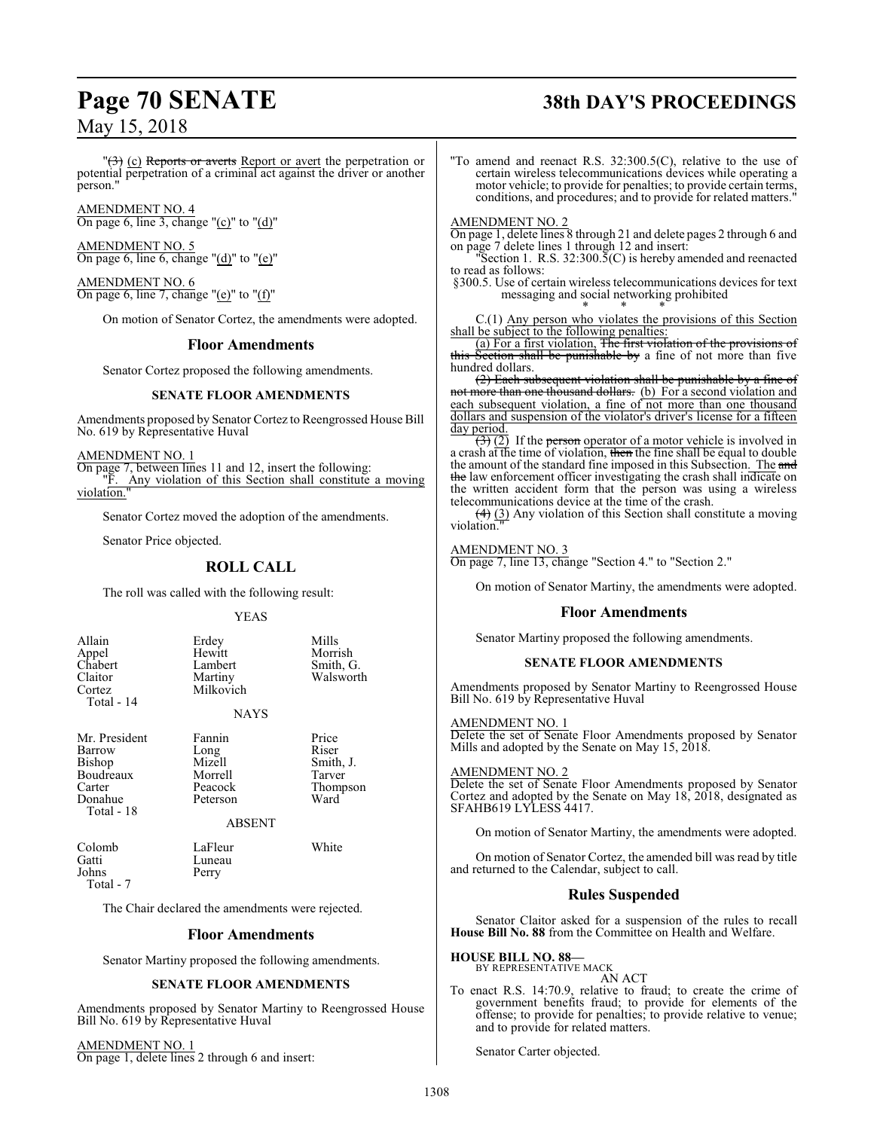#### $'(\hat{\theta})$  (c) Reports or averts Report or avert the perpetration or potential perpetration of a criminal act against the driver or another person."

AMENDMENT NO. 4 On page 6, line 3, change " $(c)$ " to " $(d)$ "

AMENDMENT NO. 5 On page 6, line 6, change " $(d)$ " to " $(e)$ "

AMENDMENT NO. 6 On page 6, line 7, change "(e)" to " $(f)$ "

On motion of Senator Cortez, the amendments were adopted.

### **Floor Amendments**

Senator Cortez proposed the following amendments.

#### **SENATE FLOOR AMENDMENTS**

Amendments proposed by Senator Cortez to Reengrossed House Bill No. 619 by Representative Huval

AMENDMENT NO. 1

On page 7, between lines 11 and 12, insert the following: "F. Any violation of this Section shall constitute a moving violation.

Senator Cortez moved the adoption of the amendments.

Senator Price objected.

## **ROLL CALL**

The roll was called with the following result:

#### YEAS

| Allain<br>Appel<br>Chabert<br>Claitor<br>Cortez<br>Total - 14 | Erdey<br>Hewitt<br>Lambert<br>Martiny<br>Milkovich<br><b>NAYS</b> | Mills<br>Morrish<br>Smith, G.<br>Walsworth |
|---------------------------------------------------------------|-------------------------------------------------------------------|--------------------------------------------|
|                                                               |                                                                   |                                            |

| Mr. President | Fannin        | Price     |
|---------------|---------------|-----------|
| Barrow        | Long          | Riser     |
| Bishop        | Mizell        | Smith, J. |
| Boudreaux     | Morrell       | Tarver    |
| Carter        | Peacock       | Thompson  |
| Donahue       | Peterson      | Ward      |
| Total - 18    |               |           |
|               | <b>ABSENT</b> |           |
|               |               |           |

Johns Total - 7

Colomb LaFleur White<br>
Luneau Luneau White Luneau<br>Perry

The Chair declared the amendments were rejected.

### **Floor Amendments**

Senator Martiny proposed the following amendments.

#### **SENATE FLOOR AMENDMENTS**

Amendments proposed by Senator Martiny to Reengrossed House Bill No. 619 by Representative Huval

AMENDMENT NO. 1 On page 1, delete lines 2 through 6 and insert:

# **Page 70 SENATE 38th DAY'S PROCEEDINGS**

"To amend and reenact R.S. 32:300.5(C), relative to the use of certain wireless telecommunications devices while operating a motor vehicle; to provide for penalties; to provide certain terms, conditions, and procedures; and to provide for related matters."

AMENDMENT NO. 2

On page 1, delete lines 8 through 21 and delete pages 2 through 6 and on page 7 delete lines 1 through 12 and insert:

"Section 1. R.S.  $32:300.\overline{5}(C)$  is hereby amended and reenacted to read as follows:

§300.5. Use of certain wireless telecommunications devices for text messaging and social networking prohibited \* \* \*

C.(1) Any person who violates the provisions of this Section shall be subject to the following penalties:

(a) For a first violation, The first violation of the provisions of this Section shall be punishable by a fine of not more than five hundred dollars.

(2) Each subsequent violation shall be punishable by a fine of not more than one thousand dollars. (b) For a second violation and each subsequent violation, a fine of not more than one thousand dollars and suspension of the violator's driver's license for a fifteen day period.

 $\overline{(3)(2)}$  If the person operator of a motor vehicle is involved in a crash at the time of violation, then the fine shall be equal to double the amount of the standard fine imposed in this Subsection. The and the law enforcement officer investigating the crash shall indicate on the written accident form that the person was using a wireless telecommunications device at the time of the crash.

 $\left(\frac{4}{3}\right)$  Any violation of this Section shall constitute a moving violation.

#### AMENDMENT NO. 3

On page 7, line 13, change "Section 4." to "Section 2."

On motion of Senator Martiny, the amendments were adopted.

#### **Floor Amendments**

Senator Martiny proposed the following amendments.

#### **SENATE FLOOR AMENDMENTS**

Amendments proposed by Senator Martiny to Reengrossed House Bill No. 619 by Representative Huval

AMENDMENT NO. 1 Delete the set of Senate Floor Amendments proposed by Senator Mills and adopted by the Senate on May 15, 2018.

AMENDMENT NO. 2 Delete the set of Senate Floor Amendments proposed by Senator Cortez and adopted by the Senate on May 18, 2018, designated as SFAHB619 LYLESS 4417.

On motion of Senator Martiny, the amendments were adopted.

On motion of Senator Cortez, the amended bill was read by title and returned to the Calendar, subject to call.

### **Rules Suspended**

Senator Claitor asked for a suspension of the rules to recall House Bill No. 88 from the Committee on Health and Welfare.

#### **HOUSE BILL NO. 88—**

BY REPRESENTATIVE MACK AN ACT

To enact R.S. 14:70.9, relative to fraud; to create the crime of government benefits fraud; to provide for elements of the offense; to provide for penalties; to provide relative to venue; and to provide for related matters.

Senator Carter objected.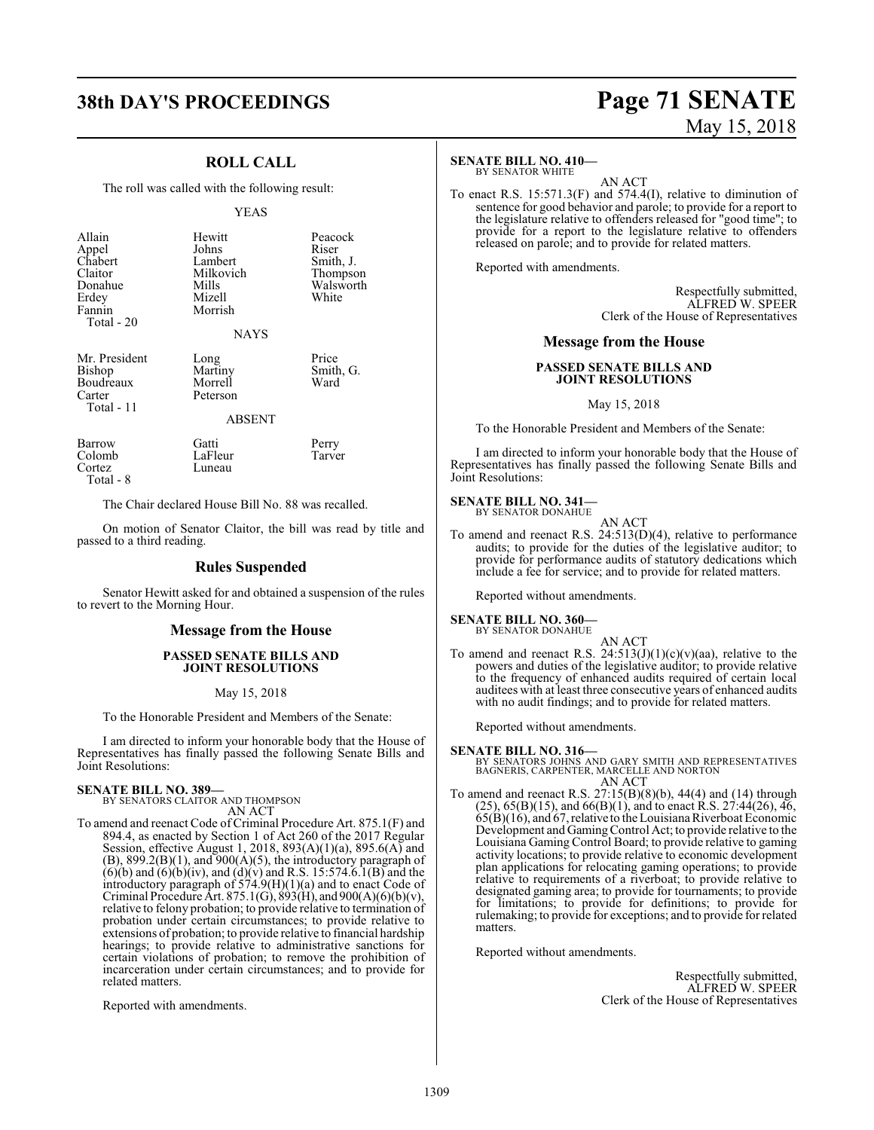## **38th DAY'S PROCEEDINGS Page 71 SENATE**

## **ROLL CALL**

The roll was called with the following result:

YEAS

| Allain<br>Appel<br>Chabert<br>Claitor<br>Donahue<br>Erdey<br>Fannin<br>Total $-20$ | Hewitt<br>Johns<br>Lambert<br>Milkovich<br>Mills<br>Mizell<br>Morrish<br><b>NAYS</b> | Peacock<br>Riser<br>Smith, J.<br>Thompson<br>Walsworth<br>White |
|------------------------------------------------------------------------------------|--------------------------------------------------------------------------------------|-----------------------------------------------------------------|
| Mr. President<br>Bishop<br>Boudreaux<br>Carter<br>Total - 11                       | Long<br>Martiny<br>Morrell<br>Peterson<br><b>ABSENT</b>                              | Price<br>Smith, G.<br>Ward                                      |
| Barrow<br>Colomb<br>Cortez                                                         | Gatti<br>LaFleur<br>Luneau                                                           | Perry<br>Tarver                                                 |

Total - 8

The Chair declared House Bill No. 88 was recalled.

On motion of Senator Claitor, the bill was read by title and passed to a third reading.

#### **Rules Suspended**

Senator Hewitt asked for and obtained a suspension of the rules to revert to the Morning Hour.

#### **Message from the House**

#### **PASSED SENATE BILLS AND JOINT RESOLUTIONS**

May 15, 2018

To the Honorable President and Members of the Senate:

I am directed to inform your honorable body that the House of Representatives has finally passed the following Senate Bills and Joint Resolutions:

**SENATE BILL NO. 389—** BY SENATORS CLAITOR AND THOMPSON AN ACT

To amend and reenact Code of Criminal Procedure Art. 875.1(F) and 894.4, as enacted by Section 1 of Act 260 of the 2017 Regular Session, effective August 1, 2018, 893(A)(1)(a), 895.6(A) and  $(B)$ , 899.2 $(B)(1)$ , and 900 $(A)(5)$ , the introductory paragraph of  $(6)(b)$  and  $(6)(b)(iv)$ , and  $(d)(v)$  and R.S. 15:574.6.1(B) and the introductory paragraph of 574.9(H)(1)(a) and to enact Code of Criminal Procedure Art. 875.1(G),  $893$ (H), and  $900(A)(6)(b)(v)$ , relative to felony probation; to provide relative to termination of probation under certain circumstances; to provide relative to extensions of probation; to provide relative to financial hardship hearings; to provide relative to administrative sanctions for certain violations of probation; to remove the prohibition of incarceration under certain circumstances; and to provide for related matters.

Reported with amendments.

# May 15, 2018

#### **SENATE BILL NO. 410—**

BY SENATOR WHITE AN ACT

To enact R.S. 15:571.3(F) and 574.4(I), relative to diminution of sentence for good behavior and parole; to provide for a report to the legislature relative to offenders released for "good time"; to provide for a report to the legislature relative to offenders released on parole; and to provide for related matters.

Reported with amendments.

Respectfully submitted, ALFRED W. SPEER Clerk of the House of Representatives

#### **Message from the House**

#### **PASSED SENATE BILLS AND JOINT RESOLUTIONS**

May 15, 2018

To the Honorable President and Members of the Senate:

I am directed to inform your honorable body that the House of Representatives has finally passed the following Senate Bills and Joint Resolutions:

## **SENATE BILL NO. 341—** BY SENATOR DONAHUE

| ALIUE |        |
|-------|--------|
|       | AN ACT |

To amend and reenact R.S. 24:513(D)(4), relative to performance audits; to provide for the duties of the legislative auditor; to provide for performance audits of statutory dedications which include a fee for service; and to provide for related matters.

Reported without amendments.

#### **SENATE BILL NO. 360—**

BY SENATOR DONAHUE

AN ACT To amend and reenact R.S.  $24:513(J)(1)(c)(v)(aa)$ , relative to the powers and duties of the legislative auditor; to provide relative to the frequency of enhanced audits required of certain local auditees with at least three consecutive years of enhanced audits with no audit findings; and to provide for related matters.

Reported without amendments.

**SENATE BILL NO. 316—**<br>BY SENATORS JOHNS AND GARY SMITH AND REPRESENTATIVES<br>BAGNERIS, CARPENTER, MARCELLE AND NORTON<br>AN ACT

To amend and reenact R.S. 27:15(B)(8)(b), 44(4) and (14) through  $(25)$ , 65(B)(15), and 66(B)(1), and to enact R.S. 27:44(26), 46, 65(B)(16), and 67, relative to the Louisiana Riverboat Economic Development and GamingControl Act; to provide relative to the Louisiana Gaming Control Board; to provide relative to gaming activity locations; to provide relative to economic development plan applications for relocating gaming operations; to provide relative to requirements of a riverboat; to provide relative to designated gaming area; to provide for tournaments; to provide for limitations; to provide for definitions; to provide for rulemaking; to provide for exceptions; and to provide for related matters.

Reported without amendments.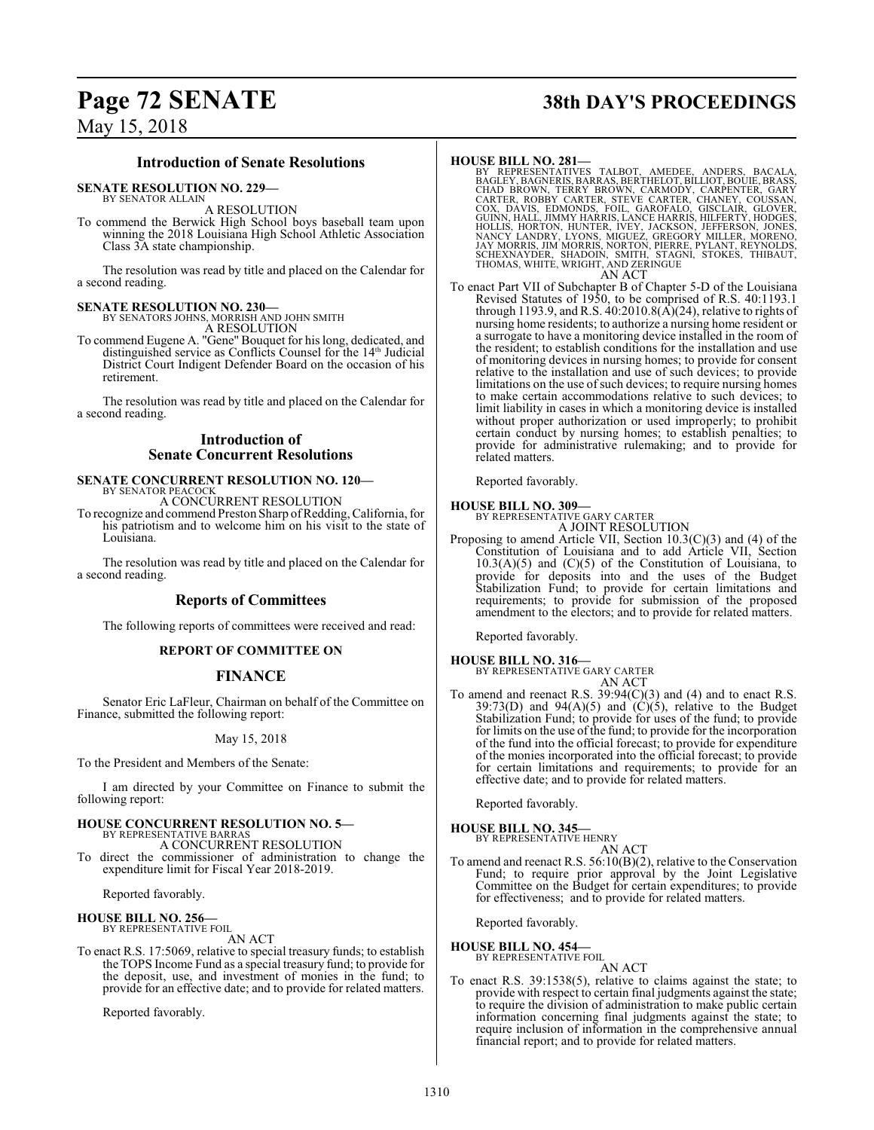# **Page 72 SENATE 38th DAY'S PROCEEDINGS**

May 15, 2018

#### **Introduction of Senate Resolutions**

**SENATE RESOLUTION NO. 229—**

BY SENATOR ALLAIN

A RESOLUTION

To commend the Berwick High School boys baseball team upon winning the 2018 Louisiana High School Athletic Association Class 3A state championship.

The resolution was read by title and placed on the Calendar for a second reading.

# **SENATE RESOLUTION NO. 230—** BY SENATORS JOHNS, MORRISH AND JOHN SMITH

A RESOLUTION

To commend Eugene A. "Gene" Bouquet for his long, dedicated, and distinguished service as Conflicts Counsel for the 14<sup>th</sup> Judicial District Court Indigent Defender Board on the occasion of his retirement.

The resolution was read by title and placed on the Calendar for a second reading.

#### **Introduction of Senate Concurrent Resolutions**

#### **SENATE CONCURRENT RESOLUTION NO. 120—** BY SENATOR PEACOCK A CONCURRENT RESOLUTION

To recognize and commend Preston Sharp of Redding, California, for his patriotism and to welcome him on his visit to the state of Louisiana.

The resolution was read by title and placed on the Calendar for a second reading.

### **Reports of Committees**

The following reports of committees were received and read:

#### **REPORT OF COMMITTEE ON**

### **FINANCE**

Senator Eric LaFleur, Chairman on behalf of the Committee on Finance, submitted the following report:

#### May 15, 2018

To the President and Members of the Senate:

I am directed by your Committee on Finance to submit the following report:

### **HOUSE CONCURRENT RESOLUTION NO. 5—**

BY REPRESENTATIVE BARRAS

A CONCURRENT RESOLUTION To direct the commissioner of administration to change the expenditure limit for Fiscal Year 2018-2019.

Reported favorably.

# **HOUSE BILL NO. 256—** BY REPRESENTATIVE FOIL

#### AN ACT

To enact R.S. 17:5069, relative to special treasury funds; to establish the TOPS Income Fund as a special treasury fund; to provide for the deposit, use, and investment of monies in the fund; to provide for an effective date; and to provide for related matters.

Reported favorably.

- **HOUSE BILL NO. 281—**<br>BY REPRESENTATIVES TALBOT, AMEDEE, ANDERS, BACALA,<br>BAGLEY, BAGNERIS, BARRAS, BERTHELOT, BILLIOT, BOUIE, BRASS,<br>CHAD BROWN, TERRY BROWN, CARMODY, CARPENTER, GARY<br>CARTER, ROBBY CARTER, STEVE CARTER, CHA
	- AN ACT
- To enact Part VII of Subchapter B of Chapter 5-D of the Louisiana Revised Statutes of 1950, to be comprised of R.S. 40:1193.1 through 1193.9, and R.S.  $40:2010.8(A)(24)$ , relative to rights of nursing home residents; to authorize a nursing home resident or a surrogate to have a monitoring device installed in the room of the resident; to establish conditions for the installation and use of monitoring devices in nursing homes; to provide for consent relative to the installation and use of such devices; to provide limitations on the use of such devices; to require nursing homes to make certain accommodations relative to such devices; to limit liability in cases in which a monitoring device is installed without proper authorization or used improperly; to prohibit certain conduct by nursing homes; to establish penalties; to provide for administrative rulemaking; and to provide for related matters.

## Reported favorably.

**HOUSE BILL NO. 309—** BY REPRESENTATIVE GARY CARTER

A JOINT RESOLUTION

Proposing to amend Article VII, Section 10.3(C)(3) and (4) of the Constitution of Louisiana and to add Article VII, Section  $10.3(A)(5)$  and  $(C)(5)$  of the Constitution of Louisiana, to provide for deposits into and the uses of the Budget Stabilization Fund; to provide for certain limitations and requirements; to provide for submission of the proposed amendment to the electors; and to provide for related matters.

Reported favorably.

### **HOUSE BILL NO. 316—**

BY REPRESENTATIVE GARY CARTER AN ACT

To amend and reenact R.S.  $39:94(C)(3)$  and (4) and to enact R.S. 39:73(D) and 94(A)(5) and  $(C)(5)$ , relative to the Budget Stabilization Fund; to provide for uses of the fund; to provide for limits on the use of the fund; to provide for the incorporation of the fund into the official forecast; to provide for expenditure of the monies incorporated into the official forecast; to provide for certain limitations and requirements; to provide for an effective date; and to provide for related matters.

Reported favorably.

### **HOUSE BILL NO. 345—**

BY REPRESENTATIVE HENRY AN ACT

To amend and reenact R.S. 56:10(B)(2), relative to the Conservation Fund; to require prior approval by the Joint Legislative Committee on the Budget for certain expenditures; to provide for effectiveness; and to provide for related matters.

Reported favorably.

**HOUSE BILL NO. 454—** BY REPRESENTATIVE FOIL

AN ACT

To enact R.S. 39:1538(5), relative to claims against the state; to provide with respect to certain final judgments against the state; to require the division of administration to make public certain information concerning final judgments against the state; to require inclusion of information in the comprehensive annual financial report; and to provide for related matters.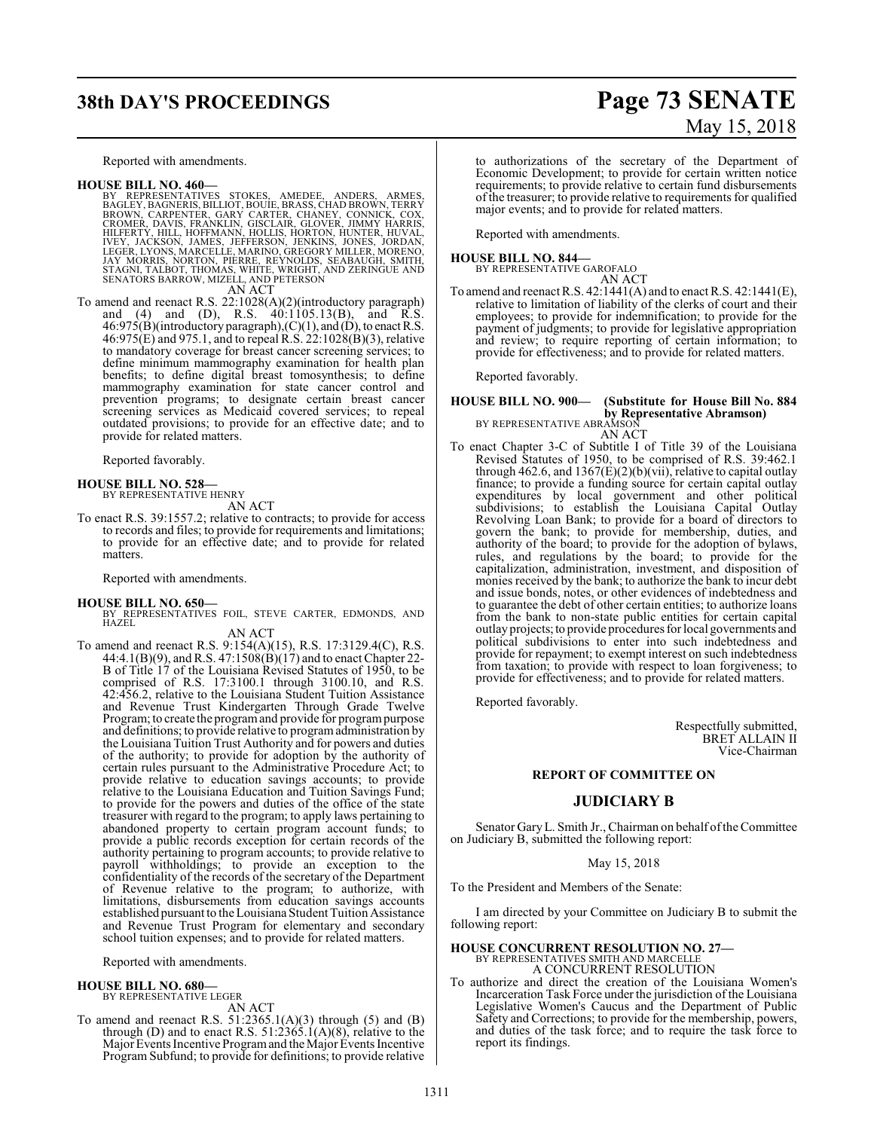# **38th DAY'S PROCEEDINGS Page 73 SENATE**

Reported with amendments.

### **HOUSE BILL NO. 460—**

BY REPRESENTATIVES STOKES, AMEDEE, ANDERS, ARMES, BAGIEY, BAGNERIS, BILLIOT, BOUIE, BRASS, CHAD BROWN, TERRY CARTER, CHANGY, CONNICK, COX, CROMER, DAVIS, FRANKLIN, GISCLAIR, GLOVER, JIMMY HARRIS, HILFERTY, HILL, HOFFMANN,

To amend and reenact R.S. 22:1028(A)(2)(introductory paragraph) and (4) and (D), R.S. 40:1105.13(B), and R.S.  $46:975(B)$ (introductory paragraph),(C)(1), and (D), to enact R.S. 46:975(E) and 975.1, and to repeal R.S. 22:1028(B)(3), relative to mandatory coverage for breast cancer screening services; to define minimum mammography examination for health plan benefits; to define digital breast tomosynthesis; to define mammography examination for state cancer control and prevention programs; to designate certain breast cancer screening services as Medicaid covered services; to repeal outdated provisions; to provide for an effective date; and to provide for related matters.

Reported favorably.

#### **HOUSE BILL NO. 528—** BY REPRESENTATIVE HENRY

AN ACT

To enact R.S. 39:1557.2; relative to contracts; to provide for access to records and files; to provide for requirements and limitations; to provide for an effective date; and to provide for related matters.

Reported with amendments.

**HOUSE BILL NO. 650—** BY REPRESENTATIVES FOIL, STEVE CARTER, EDMONDS, AND HAZEL AN ACT

To amend and reenact R.S. 9:154(A)(15), R.S. 17:3129.4(C), R.S. 44:4.1(B)(9), and R.S. 47:1508(B)(17) and to enact Chapter 22- B of Title 17 of the Louisiana Revised Statutes of 1950, to be comprised of R.S. 17:3100.1 through 3100.10, and R.S. 42:456.2, relative to the Louisiana Student Tuition Assistance and Revenue Trust Kindergarten Through Grade Twelve Program; to create the program and provide for program purpose and definitions; to provide relative to programadministration by the Louisiana Tuition Trust Authority and for powers and duties of the authority; to provide for adoption by the authority of certain rules pursuant to the Administrative Procedure Act; to provide relative to education savings accounts; to provide relative to the Louisiana Education and Tuition Savings Fund; to provide for the powers and duties of the office of the state treasurer with regard to the program; to apply laws pertaining to abandoned property to certain program account funds; to provide a public records exception for certain records of the authority pertaining to program accounts; to provide relative to payroll withholdings; to provide an exception to the confidentiality of the records of the secretary of the Department of Revenue relative to the program; to authorize, with limitations, disbursements from education savings accounts established pursuant to the Louisiana Student Tuition Assistance and Revenue Trust Program for elementary and secondary school tuition expenses; and to provide for related matters.

Reported with amendments.

### **HOUSE BILL NO. 680—** BY REPRESENTATIVE LEGER

AN ACT To amend and reenact R.S.  $51:2365.1(A)(3)$  through  $(5)$  and  $(B)$ through (D) and to enact R.S.  $51:2365.1(A)(8)$ , relative to the Major Events Incentive Program and the Major Events Incentive Program Subfund; to provide for definitions; to provide relative

# May 15, 2018

to authorizations of the secretary of the Department of Economic Development; to provide for certain written notice requirements; to provide relative to certain fund disbursements of the treasurer; to provide relative to requirements for qualified major events; and to provide for related matters.

Reported with amendments.

**HOUSE BILL NO. 844—** BY REPRESENTATIVE GAROFALO AN ACT

To amend and reenact R.S. 42:1441(A) and to enact R.S. 42:1441(E), relative to limitation of liability of the clerks of court and their employees; to provide for indemnification; to provide for the payment of judgments; to provide for legislative appropriation and review; to require reporting of certain information; to provide for effectiveness; and to provide for related matters.

Reported favorably.

### **HOUSE BILL NO. 900— (Substitute for House Bill No. 884 by Representative Abramson)**<br>BY REPRESENTATIVE ABRAMSON AN ACT

To enact Chapter 3-C of Subtitle I of Title 39 of the Louisiana Revised Statutes of 1950, to be comprised of R.S. 39:462.1 through 462.6, and  $1367(E)(2)(b)(vii)$ , relative to capital outlay finance; to provide a funding source for certain capital outlay expenditures by local government and other political subdivisions; to establish the Louisiana Capital Outlay Revolving Loan Bank; to provide for a board of directors to govern the bank; to provide for membership, duties, and authority of the board; to provide for the adoption of bylaws, rules, and regulations by the board; to provide for the capitalization, administration, investment, and disposition of monies received by the bank; to authorize the bank to incur debt and issue bonds, notes, or other evidences of indebtedness and to guarantee the debt of other certain entities; to authorize loans from the bank to non-state public entities for certain capital outlay projects;to provide procedures for local governments and political subdivisions to enter into such indebtedness and provide for repayment; to exempt interest on such indebtedness from taxation; to provide with respect to loan forgiveness; to provide for effectiveness; and to provide for related matters.

Reported favorably.

Respectfully submitted, BRET ALLAIN II Vice-Chairman

### **REPORT OF COMMITTEE ON**

### **JUDICIARY B**

Senator GaryL. Smith Jr., Chairman on behalf ofthe Committee on Judiciary B, submitted the following report:

May 15, 2018

To the President and Members of the Senate:

I am directed by your Committee on Judiciary B to submit the following report:

### **HOUSE CONCURRENT RESOLUTION NO. 27—** BY REPRESENTATIVES SMITH AND MARCELLE A CONCURRENT RESOLUTION

To authorize and direct the creation of the Louisiana Women's Incarceration Task Force under the jurisdiction of the Louisiana Legislative Women's Caucus and the Department of Public Safety and Corrections; to provide for the membership, powers, and duties of the task force; and to require the task force to report its findings.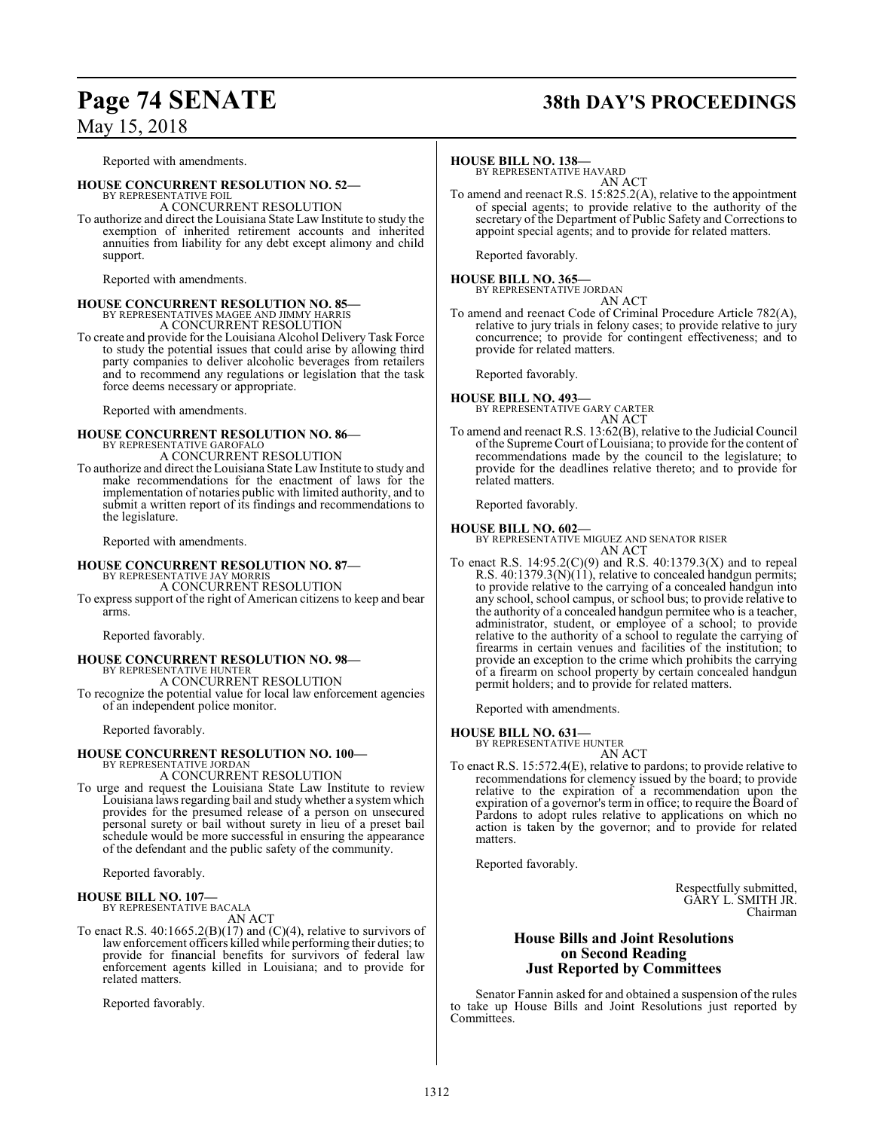## **Page 74 SENATE 38th DAY'S PROCEEDINGS**

Reported with amendments.

**HOUSE CONCURRENT RESOLUTION NO. 52—** BY REPRESENTATIVE FOIL

A CONCURRENT RESOLUTION

To authorize and direct the Louisiana State Law Institute to study the exemption of inherited retirement accounts and inherited annuities from liability for any debt except alimony and child support.

Reported with amendments.

**HOUSE CONCURRENT RESOLUTION NO. 85—**<br>BY REPRESENTATIVES MAGEE AND JIMMY HARRIS<br>A CONCURRENT RESOLUTION

To create and provide for the Louisiana Alcohol Delivery Task Force to study the potential issues that could arise by allowing third party companies to deliver alcoholic beverages from retailers and to recommend any regulations or legislation that the task force deems necessary or appropriate.

Reported with amendments.

**HOUSE CONCURRENT RESOLUTION NO. 86—** BY REPRESENTATIVE GAROFALO A CONCURRENT RESOLUTION

To authorize and direct the Louisiana State Law Institute to study and make recommendations for the enactment of laws for the implementation of notaries public with limited authority, and to submit a written report of its findings and recommendations to the legislature.

Reported with amendments.

**HOUSE CONCURRENT RESOLUTION NO. 87—**

BY REPRESENTATIVE JAY MORRIS A CONCURRENT RESOLUTION

To express support of the right of American citizens to keep and bear arms.

Reported favorably.

# **HOUSE CONCURRENT RESOLUTION NO. 98—** BY REPRESENTATIVE HUNTER

A CONCURRENT RESOLUTION To recognize the potential value for local law enforcement agencies of an independent police monitor.

Reported favorably.

# **HOUSE CONCURRENT RESOLUTION NO. 100—** BY REPRESENTATIVE JORDAN

A CONCURRENT RESOLUTION

To urge and request the Louisiana State Law Institute to review Louisiana laws regarding bail and studywhether a systemwhich provides for the presumed release of a person on unsecured personal surety or bail without surety in lieu of a preset bail schedule would be more successful in ensuring the appearance of the defendant and the public safety of the community.

Reported favorably.

# **HOUSE BILL NO. 107—** BY REPRESENTATIVE BACALA AN ACT

To enact R.S.  $40:1665.2(B)(17)$  and  $(C)(4)$ , relative to survivors of law enforcement officers killed while performing their duties; to provide for financial benefits for survivors of federal law enforcement agents killed in Louisiana; and to provide for related matters.

Reported favorably.

### **HOUSE BILL NO. 138—**

BY REPRESENTATIVE HAVARD AN ACT

To amend and reenact R.S. 15:825.2(A), relative to the appointment of special agents; to provide relative to the authority of the secretary of the Department of Public Safety and Corrections to appoint special agents; and to provide for related matters.

Reported favorably.

### **HOUSE BILL NO. 365—** BY REPRESENTATIVE JORDAN

AN ACT

To amend and reenact Code of Criminal Procedure Article 782(A), relative to jury trials in felony cases; to provide relative to jury concurrence; to provide for contingent effectiveness; and to provide for related matters.

Reported favorably.

### **HOUSE BILL NO. 493—** BY REPRESENTATIVE GARY CARTER AN ACT

To amend and reenact R.S. 13:62(B), relative to the Judicial Council of the Supreme Court of Louisiana; to provide for the content of recommendations made by the council to the legislature; to provide for the deadlines relative thereto; and to provide for related matters.

Reported favorably.

### **HOUSE BILL NO. 602—**

BY REPRESENTATIVE MIGUEZ AND SENATOR RISER AN ACT

To enact R.S. 14:95.2(C)(9) and R.S. 40:1379.3(X) and to repeal R.S.  $40:1379.3(N)(11)$ , relative to concealed handgun permits; to provide relative to the carrying of a concealed handgun into any school, school campus, or school bus; to provide relative to the authority of a concealed handgun permitee who is a teacher, administrator, student, or employee of a school; to provide relative to the authority of a school to regulate the carrying of firearms in certain venues and facilities of the institution; to provide an exception to the crime which prohibits the carrying of a firearm on school property by certain concealed handgun permit holders; and to provide for related matters.

Reported with amendments.

### **HOUSE BILL NO. 631—**

BY REPRESENTATIVE HUNTER

AN ACT To enact R.S. 15:572.4(E), relative to pardons; to provide relative to recommendations for clemency issued by the board; to provide relative to the expiration of a recommendation upon the expiration of a governor's term in office; to require the Board of Pardons to adopt rules relative to applications on which no action is taken by the governor; and to provide for related matters.

Reported favorably.

Respectfully submitted, GARY L. SMITH JR. Chairman

### **House Bills and Joint Resolutions on Second Reading Just Reported by Committees**

Senator Fannin asked for and obtained a suspension of the rules to take up House Bills and Joint Resolutions just reported by Committees.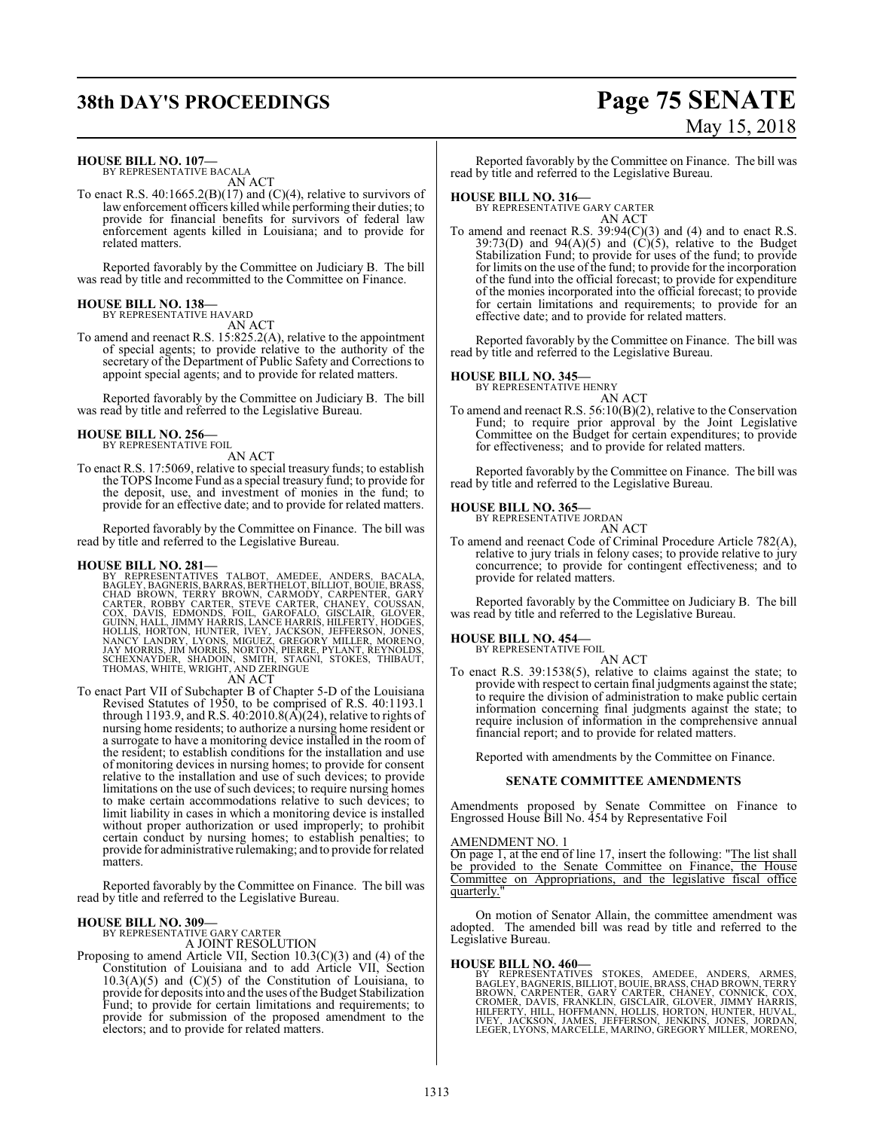# **38th DAY'S PROCEEDINGS Page 75 SENATE**

### **HOUSE BILL NO. 107—**

BY REPRESENTATIVE BACALA AN ACT

To enact R.S.  $40:1665.2(B)(17)$  and  $(C)(4)$ , relative to survivors of lawenforcement officers killed while performing their duties; to provide for financial benefits for survivors of federal law enforcement agents killed in Louisiana; and to provide for related matters.

Reported favorably by the Committee on Judiciary B. The bill was read by title and recommitted to the Committee on Finance.

#### **HOUSE BILL NO. 138—** BY REPRESENTATIVE HAVARD

AN ACT

To amend and reenact R.S. 15:825.2(A), relative to the appointment of special agents; to provide relative to the authority of the secretary of the Department of Public Safety and Corrections to appoint special agents; and to provide for related matters.

Reported favorably by the Committee on Judiciary B. The bill was read by title and referred to the Legislative Bureau.

# **HOUSE BILL NO. 256—** BY REPRESENTATIVE FOIL

AN ACT

To enact R.S. 17:5069, relative to special treasury funds; to establish the TOPS Income Fund as a special treasury fund; to provide for the deposit, use, and investment of monies in the fund; to provide for an effective date; and to provide for related matters.

Reported favorably by the Committee on Finance. The bill was read by title and referred to the Legislative Bureau.

### **HOUSE BILL NO. 281—**

BY REPRESENTATIVES TALBOT, AMEDEE, ANDERS, BACALA, BAGLEY, BAGNERIS, BARRAS, BERTHELOT, BILLIOT, BOUIE, BRASS, CHAD BROWN, TERRY BROWN, CARMODY, CARPENTER, GARY<br>CARTER, ROBBY CARTER, STEVE CARTER, CHANEY, COUSSAN,<br>COX, DAVIS, EDMONDS, FOIL, GAROFALO, GISCLAIR, GLOVER,<br>GUINN, HALL, JIMMY HARRIS, LANCE HARRIS, HILFERTY, HODGES,<br>HOLLI

To enact Part VII of Subchapter B of Chapter 5-D of the Louisiana Revised Statutes of 1950, to be comprised of R.S. 40:1193.1 through 1193.9, and R.S. 40:2010.8(A)(24), relative to rights of nursing home residents; to authorize a nursing home resident or a surrogate to have a monitoring device installed in the room of the resident; to establish conditions for the installation and use of monitoring devices in nursing homes; to provide for consent relative to the installation and use of such devices; to provide limitations on the use of such devices; to require nursing homes to make certain accommodations relative to such devices; to limit liability in cases in which a monitoring device is installed without proper authorization or used improperly; to prohibit certain conduct by nursing homes; to establish penalties; to provide for administrative rulemaking; and to provide forrelated matters.

Reported favorably by the Committee on Finance. The bill was read by title and referred to the Legislative Bureau.

### **HOUSE BILL NO. 309—**

BY REPRESENTATIVE GARY CARTER

A JOINT RESOLUTION

Proposing to amend Article VII, Section 10.3(C)(3) and (4) of the Constitution of Louisiana and to add Article VII, Section  $10.3(A)(5)$  and  $(C)(5)$  of the Constitution of Louisiana, to provide for deposits into and the uses ofthe Budget Stabilization Fund; to provide for certain limitations and requirements; to provide for submission of the proposed amendment to the electors; and to provide for related matters.

# May 15, 2018

Reported favorably by the Committee on Finance. The bill was read by title and referred to the Legislative Bureau.

### **HOUSE BILL NO. 316—**

BY REPRESENTATIVE GARY CARTER AN ACT

To amend and reenact R.S.  $39:94(C)(3)$  and (4) and to enact R.S. 39:73(D) and 94(A)(5) and  $(C)(5)$ , relative to the Budget Stabilization Fund; to provide for uses of the fund; to provide for limits on the use of the fund; to provide for the incorporation of the fund into the official forecast; to provide for expenditure of the monies incorporated into the official forecast; to provide for certain limitations and requirements; to provide for an effective date; and to provide for related matters.

Reported favorably by the Committee on Finance. The bill was read by title and referred to the Legislative Bureau.

### **HOUSE BILL NO. 345—**

BY REPRESENTATIVE HENRY

AN ACT

To amend and reenact R.S. 56:10(B)(2), relative to the Conservation Fund; to require prior approval by the Joint Legislative Committee on the Budget for certain expenditures; to provide for effectiveness; and to provide for related matters.

Reported favorably by the Committee on Finance. The bill was read by title and referred to the Legislative Bureau.

### **HOUSE BILL NO. 365—**

BY REPRESENTATIVE JORDAN AN ACT

To amend and reenact Code of Criminal Procedure Article 782(A), relative to jury trials in felony cases; to provide relative to jury concurrence; to provide for contingent effectiveness; and to provide for related matters.

Reported favorably by the Committee on Judiciary B. The bill was read by title and referred to the Legislative Bureau.

### **HOUSE BILL NO. 454—**

BY REPRESENTATIVE FOIL

AN ACT To enact R.S. 39:1538(5), relative to claims against the state; to provide with respect to certain final judgments against the state; to require the division of administration to make public certain information concerning final judgments against the state; to require inclusion of information in the comprehensive annual financial report; and to provide for related matters.

Reported with amendments by the Committee on Finance.

### **SENATE COMMITTEE AMENDMENTS**

Amendments proposed by Senate Committee on Finance to Engrossed House Bill No. 454 by Representative Foil

### AMENDMENT NO. 1

On page 1, at the end of line 17, insert the following: "The list shall be provided to the Senate Committee on Finance, the House Committee on Appropriations, and the legislative fiscal office quarterly.

On motion of Senator Allain, the committee amendment was adopted. The amended bill was read by title and referred to the Legislative Bureau.

### **HOUSE BILL NO. 460—**

BY REPRESENTATIVES STOKES, AMEDEE, ANDERS, ARMES,<br>BAGLEY,BAGNERIS,BILLIOT,BOUÏE,BRASS,CHADBROWN,TERRY<br>BROWN,CARPENTER,GARY CARTER,CHANEY,CONNICK,COX,<br>CROMER,DAVIS,FRANKLIN,GISCLAIR,GLOVER,JIMMY HARRIS,<br>HILFERTY,HILL,HOFFMA LEGER, LYONS, MARCELLE, MARINO, GREGORY MILLER, MORENO,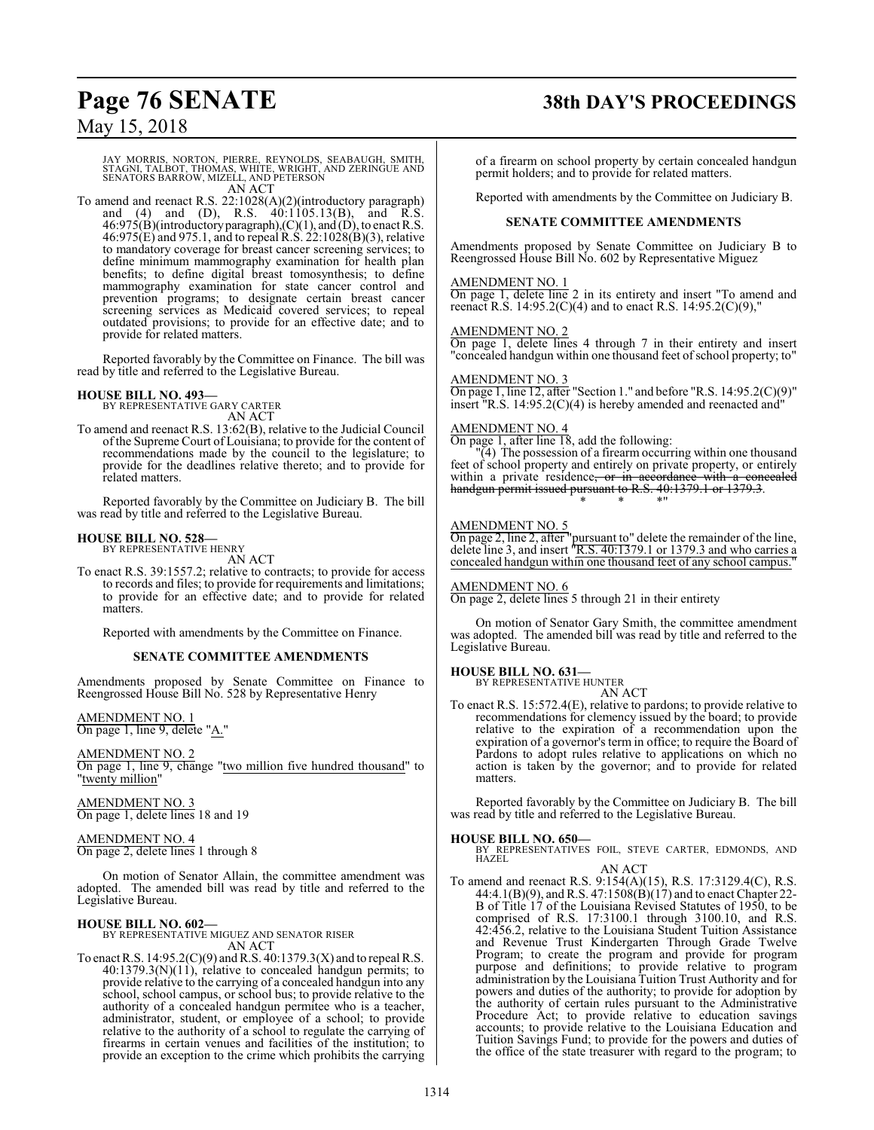### **Page 76 SENATE 38th DAY'S PROCEEDINGS**

### May 15, 2018

JAY MORRIS, NORTON, PIERRE, REYNOLDS, SEABAUGH, SMITH, STAGNI, TALBOT, THOMAS, WHITE, WRIGHT, AND ZERINGUE AND SENATORS BARROW, MIZELL, AND PETERSON AN ACT

To amend and reenact R.S. 22:1028(A)(2)(introductory paragraph) and (4) and (D), R.S. 40:1105.13(B), and R.S.  $46:975(B)$ (introductory paragraph),(C)(1), and (D), to enact R.S. 46:975(E) and 975.1, and to repeal R.S. 22:1028(B)(3), relative to mandatory coverage for breast cancer screening services; to define minimum mammography examination for health plan benefits; to define digital breast tomosynthesis; to define mammography examination for state cancer control and prevention programs; to designate certain breast cancer screening services as Medicaid covered services; to repeal outdated provisions; to provide for an effective date; and to provide for related matters.

Reported favorably by the Committee on Finance. The bill was read by title and referred to the Legislative Bureau.

### **HOUSE BILL NO. 493—**

BY REPRESENTATIVE GARY CARTER AN ACT

To amend and reenact R.S. 13:62(B), relative to the Judicial Council of the Supreme Court of Louisiana; to provide for the content of recommendations made by the council to the legislature; to provide for the deadlines relative thereto; and to provide for related matters.

Reported favorably by the Committee on Judiciary B. The bill was read by title and referred to the Legislative Bureau.

### **HOUSE BILL NO. 528—**

BY REPRESENTATIVE HENRY AN ACT

To enact R.S. 39:1557.2; relative to contracts; to provide for access to records and files; to provide for requirements and limitations; to provide for an effective date; and to provide for related matters.

Reported with amendments by the Committee on Finance.

### **SENATE COMMITTEE AMENDMENTS**

Amendments proposed by Senate Committee on Finance to Reengrossed House Bill No. 528 by Representative Henry

AMENDMENT NO. 1 On page 1, line 9, delete "A."

AMENDMENT NO. 2

On page 1, line 9, change "two million five hundred thousand" to "twenty million"

AMENDMENT NO. 3 On page 1, delete lines 18 and 19

### AMENDMENT NO. 4

On page 2, delete lines 1 through 8

On motion of Senator Allain, the committee amendment was adopted. The amended bill was read by title and referred to the Legislative Bureau.

**HOUSE BILL NO. 602—** BY REPRESENTATIVE MIGUEZ AND SENATOR RISER AN ACT

To enact R.S.  $14:95.2(C)(9)$  and R.S.  $40:1379.3(X)$  and to repeal R.S. 40:1379.3(N)(11), relative to concealed handgun permits; to provide relative to the carrying of a concealed handgun into any school, school campus, or school bus; to provide relative to the authority of a concealed handgun permitee who is a teacher, administrator, student, or employee of a school; to provide relative to the authority of a school to regulate the carrying of firearms in certain venues and facilities of the institution; to provide an exception to the crime which prohibits the carrying

of a firearm on school property by certain concealed handgun permit holders; and to provide for related matters.

Reported with amendments by the Committee on Judiciary B.

### **SENATE COMMITTEE AMENDMENTS**

Amendments proposed by Senate Committee on Judiciary B to Reengrossed House Bill No. 602 by Representative Miguez

### AMENDMENT NO. 1

On page 1, delete line 2 in its entirety and insert "To amend and reenact R.S. 14:95.2(C)(4) and to enact R.S. 14:95.2(C)(9),

### AMENDMENT NO. 2

On page 1, delete lines 4 through 7 in their entirety and insert "concealed handgun within one thousand feet of school property; to"

### AMENDMENT NO. 3

On page 1, line 12, after "Section 1." and before "R.S. 14:95.2(C)(9)" insert "R.S. 14:95.2(C)(4) is hereby amended and reenacted and"

### AMENDMENT NO. 4

On page 1, after line 18, add the following:

"(4) The possession of a firearm occurring within one thousand feet of school property and entirely on private property, or entirely within a private residence<del>, or in accordance with a concealed</del> handgun permit issued pursuant to R.S. 40:1379.1 or 1379.3. \* \* \*"

### AMENDMENT NO. 5

On page 2, line 2, after "pursuant to" delete the remainder of the line, delete line 3, and insert "R.S. 40:1379.1 or 1379.3 and who carries a concealed handgun within one thousand feet of any school campus."

AMENDMENT NO. 6

On page 2, delete lines 5 through 21 in their entirety

On motion of Senator Gary Smith, the committee amendment was adopted. The amended bill was read by title and referred to the Legislative Bureau.

# **HOUSE BILL NO. 631—** BY REPRESENTATIVE HUNTER

AN ACT

To enact R.S. 15:572.4(E), relative to pardons; to provide relative to recommendations for clemency issued by the board; to provide relative to the expiration of a recommendation upon the expiration of a governor's term in office; to require the Board of Pardons to adopt rules relative to applications on which no action is taken by the governor; and to provide for related matters.

Reported favorably by the Committee on Judiciary B. The bill was read by title and referred to the Legislative Bureau.

### **HOUSE BILL NO. 650—**

BY REPRESENTATIVES FOIL, STEVE CARTER, EDMONDS, AND **HAZEL** AN ACT

To amend and reenact R.S. 9:154(A)(15), R.S. 17:3129.4(C), R.S. 44:4.1(B)(9), andR.S. 47:1508(B)(17) and to enact Chapter 22- B of Title 17 of the Louisiana Revised Statutes of 1950, to be comprised of R.S. 17:3100.1 through 3100.10, and R.S. 42:456.2, relative to the Louisiana Student Tuition Assistance and Revenue Trust Kindergarten Through Grade Twelve Program; to create the program and provide for program purpose and definitions; to provide relative to program administration by the Louisiana Tuition Trust Authority and for powers and duties of the authority; to provide for adoption by the authority of certain rules pursuant to the Administrative Procedure Act; to provide relative to education savings accounts; to provide relative to the Louisiana Education and Tuition Savings Fund; to provide for the powers and duties of the office of the state treasurer with regard to the program; to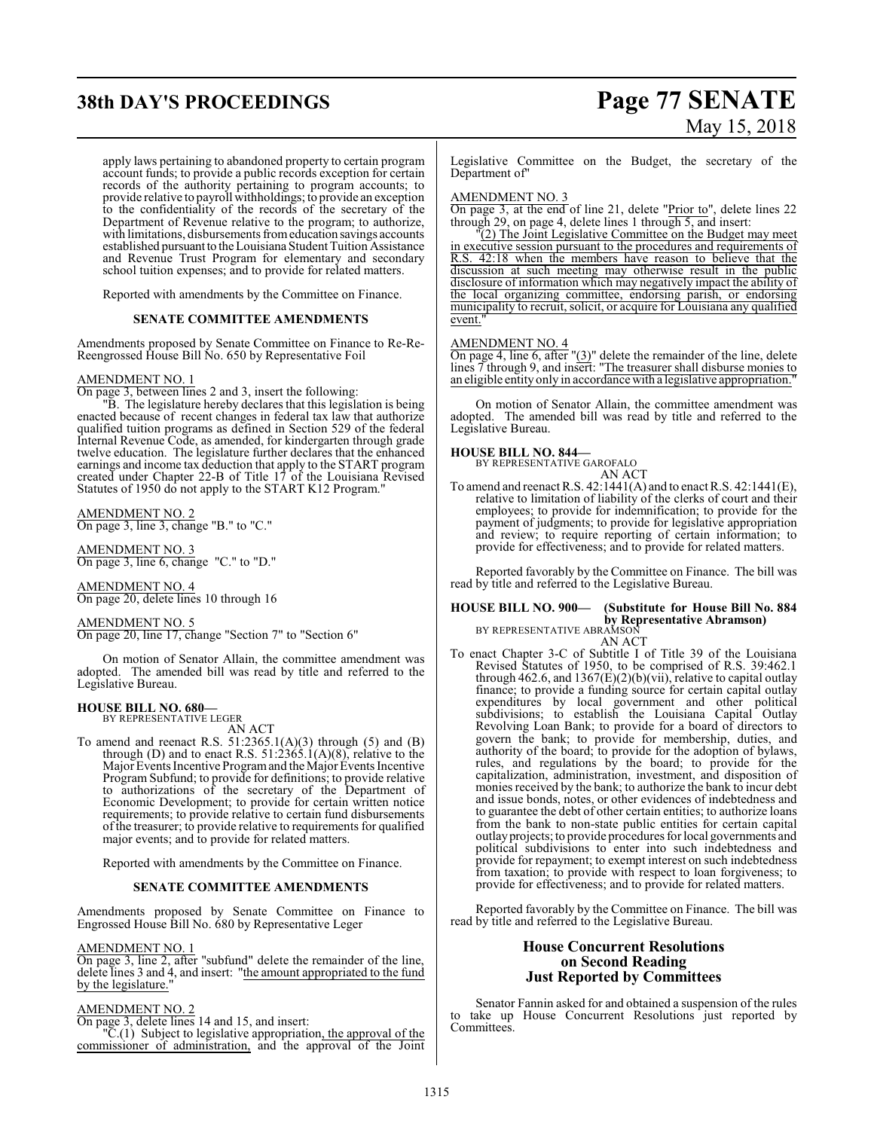# **38th DAY'S PROCEEDINGS Page 77 SENATE**

# May 15, 2018

apply laws pertaining to abandoned property to certain program account funds; to provide a public records exception for certain records of the authority pertaining to program accounts; to provide relative to payroll withholdings; to provide an exception to the confidentiality of the records of the secretary of the Department of Revenue relative to the program; to authorize, with limitations, disbursements fromeducation savings accounts established pursuant to the Louisiana Student Tuition Assistance and Revenue Trust Program for elementary and secondary school tuition expenses; and to provide for related matters.

Reported with amendments by the Committee on Finance.

### **SENATE COMMITTEE AMENDMENTS**

Amendments proposed by Senate Committee on Finance to Re-Re-Reengrossed House Bill No. 650 by Representative Foil

### AMENDMENT NO. 1

On page 3, between lines 2 and 3, insert the following:

"B. The legislature hereby declares that this legislation is being enacted because of recent changes in federal tax law that authorize qualified tuition programs as defined in Section 529 of the federal Internal Revenue Code, as amended, for kindergarten through grade twelve education. The legislature further declares that the enhanced earnings and income tax deduction that apply to the START program created under Chapter 22-B of Title 17 of the Louisiana Revised Statutes of 1950 do not apply to the START K12 Program."

AMENDMENT NO. 2 On page 3, line 3, change "B." to "C."

AMENDMENT NO. 3 On page 3, line 6, change "C." to "D."

AMENDMENT NO. 4 On page 20, delete lines 10 through 16

AMENDMENT NO. 5

On page 20, line 17, change "Section 7" to "Section 6"

On motion of Senator Allain, the committee amendment was adopted. The amended bill was read by title and referred to the Legislative Bureau.

### **HOUSE BILL NO. 680—**

BY REPRESENTATIVE LEGER AN ACT

To amend and reenact R.S.  $51:2365.1(A)(3)$  through  $(5)$  and  $(B)$ through (D) and to enact R.S.  $51:2365.1(A)(8)$ , relative to the Major Events Incentive Program and the Major Events Incentive Program Subfund; to provide for definitions; to provide relative to authorizations of the secretary of the Department of Economic Development; to provide for certain written notice requirements; to provide relative to certain fund disbursements of the treasurer; to provide relative to requirements for qualified major events; and to provide for related matters.

Reported with amendments by the Committee on Finance.

### **SENATE COMMITTEE AMENDMENTS**

Amendments proposed by Senate Committee on Finance to Engrossed House Bill No. 680 by Representative Leger

### AMENDMENT NO. 1

On page 3, line 2, after "subfund" delete the remainder of the line, delete lines 3 and 4, and insert: "the amount appropriated to the fund by the legislature.

### AMENDMENT NO. 2

On page 3, delete lines 14 and 15, and insert:

"C.(1) Subject to legislative appropriation, the approval of the commissioner of administration, and the approval of the Joint Legislative Committee on the Budget, the secretary of the Department of"

### AMENDMENT NO. 3

On page 3, at the end of line 21, delete "Prior to", delete lines 22 through 29, on page 4, delete lines 1 through 5, and insert:

 $\overline{C(2)}$  The Joint Legislative Committee on the Budget may meet in executive session pursuant to the procedures and requirements of  $\overline{R.S.}$  42:18 when the members have reason to believe that the 42:18 when the members have reason to believe that the discussion at such meeting may otherwise result in the public disclosure of information which may negatively impact the ability of the local organizing committee, endorsing parish, or endorsing municipality to recruit, solicit, or acquire for Louisiana any qualified event.

### AMENDMENT NO. 4

On page 4, line 6, after  $\frac{1}{3}$ " delete the remainder of the line, delete lines 7 through 9, and insert: "The treasurer shall disburse monies to an eligible entity only in accordance with a legislative appropriation."

On motion of Senator Allain, the committee amendment was adopted. The amended bill was read by title and referred to the Legislative Bureau.

### **HOUSE BILL NO. 844—**

BY REPRESENTATIVE GAROFALO AN ACT

To amend and reenact R.S. 42:1441(A) and to enact R.S. 42:1441(E), relative to limitation of liability of the clerks of court and their employees; to provide for indemnification; to provide for the payment of judgments; to provide for legislative appropriation and review; to require reporting of certain information; to provide for effectiveness; and to provide for related matters.

Reported favorably by the Committee on Finance. The bill was read by title and referred to the Legislative Bureau.

### **HOUSE BILL NO. 900— (Substitute for House Bill No. 884**

**by Representative Abramson)**<br>BY REPRESENTATIVE ABRAMSON

- AN ACT
- To enact Chapter 3-C of Subtitle I of Title 39 of the Louisiana Revised Statutes of 1950, to be comprised of R.S. 39:462.1 through 462.6, and  $1367(E)(2)(b)(vii)$ , relative to capital outlay finance; to provide a funding source for certain capital outlay expenditures by local government and other political subdivisions; to establish the Louisiana Capital Outlay Revolving Loan Bank; to provide for a board of directors to govern the bank; to provide for membership, duties, and authority of the board; to provide for the adoption of bylaws, rules, and regulations by the board; to provide for the capitalization, administration, investment, and disposition of monies received by the bank; to authorize the bank to incur debt and issue bonds, notes, or other evidences of indebtedness and to guarantee the debt of other certain entities; to authorize loans from the bank to non-state public entities for certain capital outlayprojects; to provide procedures for local governments and political subdivisions to enter into such indebtedness and provide for repayment; to exempt interest on such indebtedness from taxation; to provide with respect to loan forgiveness; to provide for effectiveness; and to provide for related matters.

Reported favorably by the Committee on Finance. The bill was read by title and referred to the Legislative Bureau.

### **House Concurrent Resolutions on Second Reading Just Reported by Committees**

Senator Fannin asked for and obtained a suspension of the rules to take up House Concurrent Resolutions just reported by Committees.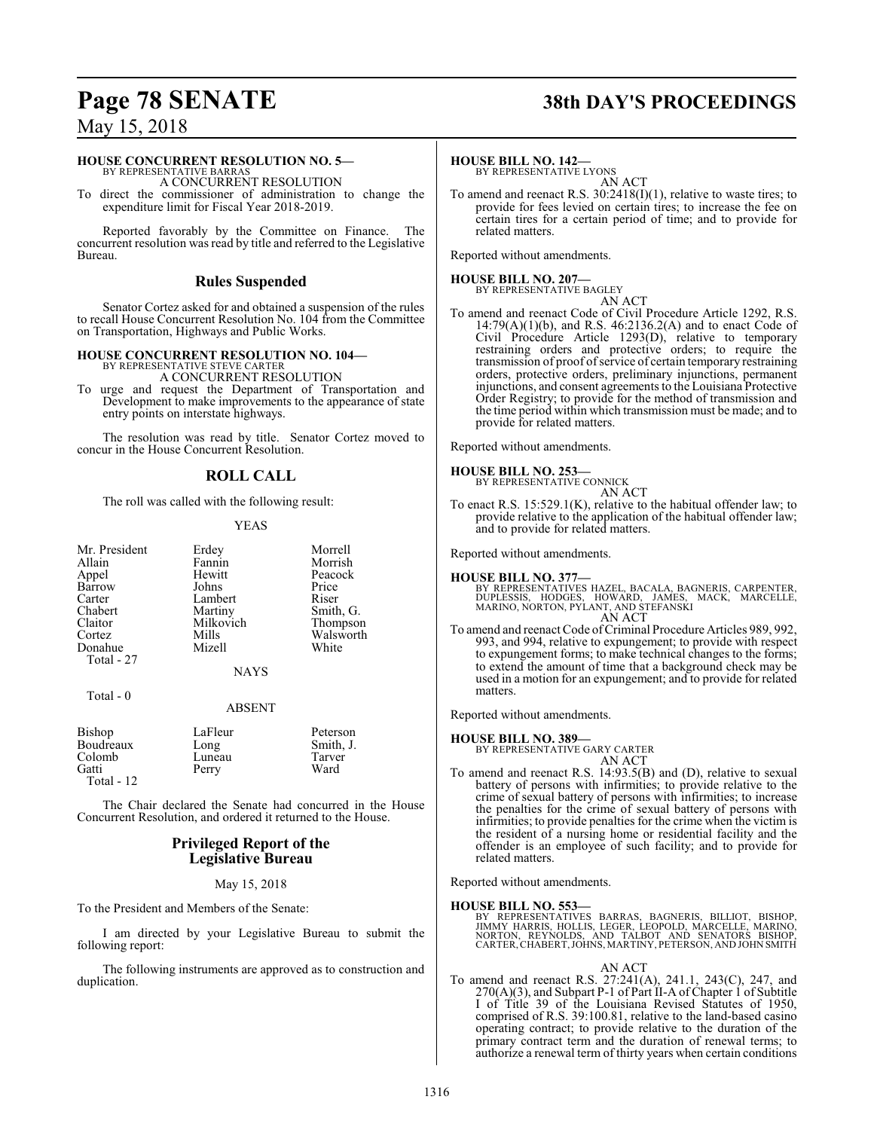## **Page 78 SENATE 38th DAY'S PROCEEDINGS**

May 15, 2018

### **HOUSE CONCURRENT RESOLUTION NO. 5—**

BY REPRESENTATIVE BARRAS A CONCURRENT RESOLUTION

To direct the commissioner of administration to change the expenditure limit for Fiscal Year 2018-2019.

Reported favorably by the Committee on Finance. The concurrent resolution was read by title and referred to the Legislative Bureau.

### **Rules Suspended**

Senator Cortez asked for and obtained a suspension of the rules to recall House Concurrent Resolution No. 104 from the Committee on Transportation, Highways and Public Works.

### **HOUSE CONCURRENT RESOLUTION NO. 104—**

BY REPRESENTATIVE STEVE CARTER

A CONCURRENT RESOLUTION

To urge and request the Department of Transportation and Development to make improvements to the appearance of state entry points on interstate highways.

The resolution was read by title. Senator Cortez moved to concur in the House Concurrent Resolution.

### **ROLL CALL**

The roll was called with the following result:

### YEAS

| Mr. President | Erdey       | Morrell   |
|---------------|-------------|-----------|
| Allain        | Fannin      | Morrish   |
| Appel         | Hewitt      | Peacock   |
| Barrow        | Johns       | Price     |
| Carter        | Lambert     | Riser     |
| Chabert       | Martiny     | Smith, G. |
| Claitor       | Milkovich   | Thompson  |
| Cortez        | Mills       | Walsworth |
| Donahue       | Mizell      | White     |
| Total - 27    |             |           |
|               | <b>NAYS</b> |           |
|               |             |           |

Total - 0

### ABSENT

| Bishop<br>Boudreaux<br>Colomb<br>Gatti<br>Total - $12$ | LaFleur<br>Long<br>Luneau<br>Perry | Peterson<br>Smith, J.<br>Tarver<br>Ward |
|--------------------------------------------------------|------------------------------------|-----------------------------------------|
|                                                        |                                    |                                         |

The Chair declared the Senate had concurred in the House Concurrent Resolution, and ordered it returned to the House.

### **Privileged Report of the Legislative Bureau**

### May 15, 2018

To the President and Members of the Senate:

I am directed by your Legislative Bureau to submit the following report:

The following instruments are approved as to construction and duplication.

### **HOUSE BILL NO. 142—**

BY REPRESENTATIVE LYONS AN ACT

To amend and reenact R.S. 30:2418(I)(1), relative to waste tires; to provide for fees levied on certain tires; to increase the fee on certain tires for a certain period of time; and to provide for related matters.

Reported without amendments.

### **HOUSE BILL NO. 207—** BY REPRESENTATIVE BAGLEY

AN ACT

To amend and reenact Code of Civil Procedure Article 1292, R.S. 14:79(A)(1)(b), and R.S. 46:2136.2(A) and to enact Code of Civil Procedure Article 1293(D), relative to temporary restraining orders and protective orders; to require the transmission of proof of service of certain temporary restraining orders, protective orders, preliminary injunctions, permanent injunctions, and consent agreements to the Louisiana Protective Order Registry; to provide for the method of transmission and the time period within which transmission must be made; and to provide for related matters.

Reported without amendments.

### **HOUSE BILL NO. 253—**

BY REPRESENTATIVE CONNICK AN ACT

To enact R.S. 15:529.1(K), relative to the habitual offender law; to provide relative to the application of the habitual offender law; and to provide for related matters.

Reported without amendments.

**HOUSE BILL NO. 377—**<br>BY REPRESENTATIVES HAZEL, BACALA, BAGNERIS, CARPENTER,<br>DUPLESSIS, HODGES, HOWARD, JAMES, MACK, MARCELLE,<br>MARINO, NORTON, PYLANT, AND STEFANSKI AN ACT

To amend and reenact Code of Criminal Procedure Articles 989, 992, 993, and 994, relative to expungement; to provide with respect to expungement forms; to make technical changes to the forms; to extend the amount of time that a background check may be used in a motion for an expungement; and to provide for related matters.

Reported without amendments.

**HOUSE BILL NO. 389—** BY REPRESENTATIVE GARY CARTER AN ACT

To amend and reenact R.S. 14:93.5(B) and (D), relative to sexual battery of persons with infirmities; to provide relative to the crime of sexual battery of persons with infirmities; to increase the penalties for the crime of sexual battery of persons with infirmities; to provide penalties for the crime when the victim is the resident of a nursing home or residential facility and the offender is an employee of such facility; and to provide for related matters.

Reported without amendments.

### **HOUSE BILL NO. 553—**

BY REPRESENTATIVES BARRAS, BAGNERIS, BILLIOT, BISHOP,<br>JIMMY HARRIS, HOLLIS, LEGER, LEOPOLD, MARCELLE, MARINO,<br>NORTON, REYNOLDS, AND TALBOT AND SENATORS BISHOP,<br>CARTER,CHABERT,JOHNS,MARTINY,PETERSON,ANDJOHNSMITH

### AN ACT

To amend and reenact R.S. 27:241(A), 241.1, 243(C), 247, and 270(A)(3), and Subpart P-1 of Part II-A of Chapter 1 of Subtitle I of Title 39 of the Louisiana Revised Statutes of 1950, comprised of R.S. 39:100.81, relative to the land-based casino operating contract; to provide relative to the duration of the primary contract term and the duration of renewal terms; to authorize a renewal term of thirty years when certain conditions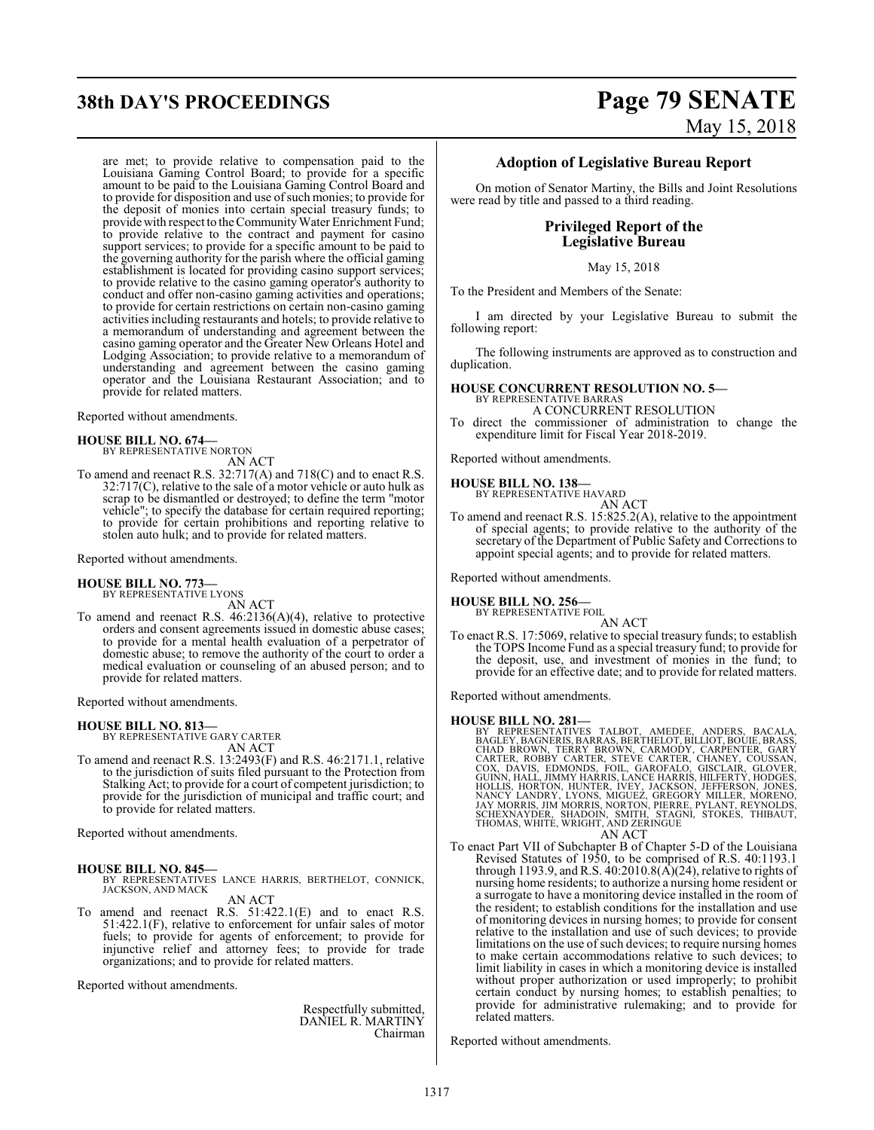# **38th DAY'S PROCEEDINGS Page 79 SENATE**

# May 15, 2018

are met; to provide relative to compensation paid to the Louisiana Gaming Control Board; to provide for a specific amount to be paid to the Louisiana Gaming Control Board and to provide for disposition and use ofsuch monies; to provide for the deposit of monies into certain special treasury funds; to provide with respect to the Community Water Enrichment Fund; to provide relative to the contract and payment for casino support services; to provide for a specific amount to be paid to the governing authority for the parish where the official gaming establishment is located for providing casino support services; to provide relative to the casino gaming operator's authority to conduct and offer non-casino gaming activities and operations; to provide for certain restrictions on certain non-casino gaming activities including restaurants and hotels; to provide relative to a memorandum of understanding and agreement between the casino gaming operator and the Greater New Orleans Hotel and Lodging Association; to provide relative to a memorandum of understanding and agreement between the casino gaming operator and the Louisiana Restaurant Association; and to provide for related matters.

Reported without amendments.

#### **HOUSE BILL NO. 674—** BY REPRESENTATIVE NORTON

AN ACT

To amend and reenact R.S. 32:717(A) and 718(C) and to enact R.S. 32:717(C), relative to the sale of a motor vehicle or auto hulk as scrap to be dismantled or destroyed; to define the term "motor vehicle"; to specify the database for certain required reporting; to provide for certain prohibitions and reporting relative to stolen auto hulk; and to provide for related matters.

Reported without amendments.

### **HOUSE BILL NO. 773—** BY REPRESENTATIVE LYONS

AN ACT

To amend and reenact R.S. 46:2136(A)(4), relative to protective orders and consent agreements issued in domestic abuse cases; to provide for a mental health evaluation of a perpetrator of domestic abuse; to remove the authority of the court to order a medical evaluation or counseling of an abused person; and to provide for related matters.

Reported without amendments.

**HOUSE BILL NO. 813—** BY REPRESENTATIVE GARY CARTER

- AN ACT
- To amend and reenact R.S. 13:2493(F) and R.S. 46:2171.1, relative to the jurisdiction of suits filed pursuant to the Protection from Stalking Act; to provide for a court of competent jurisdiction; to provide for the jurisdiction of municipal and traffic court; and to provide for related matters.

Reported without amendments.

### **HOUSE BILL NO. 845—**

BY REPRESENTATIVES LANCE HARRIS, BERTHELOT, CONNICK, JACKSON, AND MACK AN ACT

To amend and reenact R.S. 51:422.1(E) and to enact R.S. 51:422.1(F), relative to enforcement for unfair sales of motor fuels; to provide for agents of enforcement; to provide for injunctive relief and attorney fees; to provide for trade organizations; and to provide for related matters.

Reported without amendments.

Respectfully submitted, DANIEL R. MARTINY Chairman

### **Adoption of Legislative Bureau Report**

On motion of Senator Martiny, the Bills and Joint Resolutions were read by title and passed to a third reading.

### **Privileged Report of the Legislative Bureau**

### May 15, 2018

To the President and Members of the Senate:

I am directed by your Legislative Bureau to submit the following report:

The following instruments are approved as to construction and duplication.

# **HOUSE CONCURRENT RESOLUTION NO. 5—** BY REPRESENTATIVE BARRAS

A CONCURRENT RESOLUTION

To direct the commissioner of administration to change the expenditure limit for Fiscal Year 2018-2019.

Reported without amendments.

## **HOUSE BILL NO. 138—** BY REPRESENTATIVE HAVARD

AN ACT To amend and reenact R.S. 15:825.2(A), relative to the appointment of special agents; to provide relative to the authority of the secretary of the Department of Public Safety and Corrections to appoint special agents; and to provide for related matters.

Reported without amendments.

### **HOUSE BILL NO. 256—**

BY REPRESENTATIVE FOIL AN ACT

To enact R.S. 17:5069, relative to special treasury funds; to establish the TOPS Income Fund as a special treasury fund; to provide for the deposit, use, and investment of monies in the fund; to provide for an effective date; and to provide for related matters.

Reported without amendments.

**HOUSE BILL NO. 281—**<br>BY REPRESENTATIVES TALBOT, AMEDEE, ANDERS, BACALA,<br>BAGLEY, BAGNERIS, BARRAS, BERTHELOT, BILLIOT, BOUIE, BRASS,<br>CHAD BROWN, TERRY BROWN, CARMODY, CARPENTER, GARY<br>CARTER, ROBBY CARTER, STEVE CARTER, CHA AN ACT

To enact Part VII of Subchapter B of Chapter 5-D of the Louisiana Revised Statutes of 1950, to be comprised of R.S. 40:1193.1 through 1193.9, and R.S.  $40:2010.8(A)(24)$ , relative to rights of nursing home residents; to authorize a nursing home resident or a surrogate to have a monitoring device installed in the room of the resident; to establish conditions for the installation and use of monitoring devices in nursing homes; to provide for consent relative to the installation and use of such devices; to provide limitations on the use of such devices; to require nursing homes to make certain accommodations relative to such devices; to limit liability in cases in which a monitoring device is installed without proper authorization or used improperly; to prohibit certain conduct by nursing homes; to establish penalties; to provide for administrative rulemaking; and to provide for related matters.

Reported without amendments.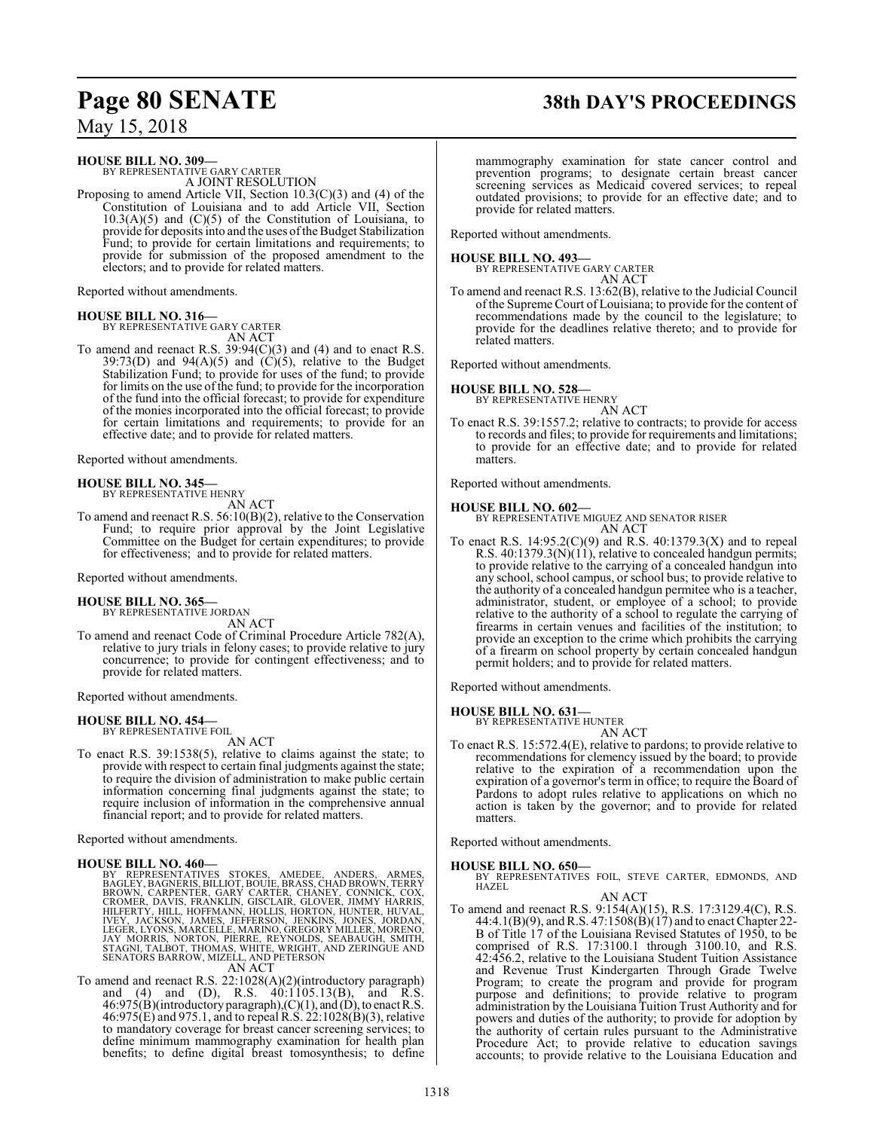# **Page 80 SENATE 38th DAY'S PROCEEDINGS**

May 15, 2018

### **HOUSE BILL NO. 309—**

BY REPRESENTATIVE GARY CARTER A JOINT RESOLUTION

Proposing to amend Article VII, Section 10.3(C)(3) and (4) of the Constitution of Louisiana and to add Article VII, Section  $10.3(A)(5)$  and  $(C)(5)$  of the Constitution of Louisiana, to provide for deposits into and the uses ofthe Budget Stabilization Fund; to provide for certain limitations and requirements; to provide for submission of the proposed amendment to the electors; and to provide for related matters.

Reported without amendments.

### **HOUSE BILL NO. 316—**

BY REPRESENTATIVE GARY CARTER AN ACT

To amend and reenact R.S. 39:94(C)(3) and (4) and to enact R.S. 39:73(D) and 94(A)(5) and  $(C)(5)$ , relative to the Budget Stabilization Fund; to provide for uses of the fund; to provide for limits on the use of the fund; to provide for the incorporation of the fund into the official forecast; to provide for expenditure of the monies incorporated into the official forecast; to provide for certain limitations and requirements; to provide for an effective date; and to provide for related matters.

Reported without amendments.

# **HOUSE BILL NO. 345—** BY REPRESENTATIVE HENRY

AN ACT

To amend and reenact R.S. 56:10(B)(2), relative to the Conservation Fund; to require prior approval by the Joint Legislative Committee on the Budget for certain expenditures; to provide for effectiveness; and to provide for related matters.

Reported without amendments.

### **HOUSE BILL NO. 365—**

BY REPRESENTATIVE JORDAN AN ACT

To amend and reenact Code of Criminal Procedure Article 782(A), relative to jury trials in felony cases; to provide relative to jury concurrence; to provide for contingent effectiveness; and to provide for related matters.

Reported without amendments.

### **HOUSE BILL NO. 454—**

BY REPRESENTATIVE FOIL AN ACT

To enact R.S. 39:1538(5), relative to claims against the state; to provide with respect to certain final judgments against the state; to require the division of administration to make public certain information concerning final judgments against the state; to require inclusion of information in the comprehensive annual financial report; and to provide for related matters.

Reported without amendments.

HOUSE BILL NO. 460—<br>BY REPRESENTATIVES STOKES, AMEDEE, ANDERS, ARMES, BAGLEY, BAGNERS, BILLIOT, BOUIE, BRASS, CHAD BROWN, TERRY<br>BROWN, CARPENTER, GARY CARTER, CHANEY, CONNICK, COX,<br>CROMER, DAVIS, FRANKLIN, GISCLAIR, GIOVER

To amend and reenact R.S. 22:1028(A)(2)(introductory paragraph) and (4) and (D), R.S. 40:1105.13(B), and R.S.  $46:975(B)$ (introductory paragraph),(C)(1), and (D), to enact R.S. 46:975(E) and 975.1, and to repeal R.S. 22:1028(B)(3), relative to mandatory coverage for breast cancer screening services; to define minimum mammography examination for health plan benefits; to define digital breast tomosynthesis; to define

mammography examination for state cancer control and prevention programs; to designate certain breast cancer screening services as Medicaid covered services; to repeal outdated provisions; to provide for an effective date; and to provide for related matters.

Reported without amendments.

**HOUSE BILL NO. 493—** BY REPRESENTATIVE GARY CARTER AN ACT

To amend and reenact R.S. 13:62(B), relative to the Judicial Council of the Supreme Court of Louisiana; to provide for the content of recommendations made by the council to the legislature; to provide for the deadlines relative thereto; and to provide for related matters.

Reported without amendments.

### **HOUSE BILL NO. 528—**

BY REPRESENTATIVE HENRY AN ACT

To enact R.S. 39:1557.2; relative to contracts; to provide for access to records and files; to provide for requirements and limitations; to provide for an effective date; and to provide for related matters.

Reported without amendments.

### **HOUSE BILL NO. 602—**

BY REPRESENTATIVE MIGUEZ AND SENATOR RISER AN ACT

To enact R.S.  $14:95.2(C)(9)$  and R.S.  $40:1379.3(X)$  and to repeal R.S.  $40:1379.3(N)(11)$ , relative to concealed handgun permits; to provide relative to the carrying of a concealed handgun into any school, school campus, or school bus; to provide relative to the authority of a concealed handgun permitee who is a teacher, administrator, student, or employee of a school; to provide relative to the authority of a school to regulate the carrying of firearms in certain venues and facilities of the institution; to provide an exception to the crime which prohibits the carrying of a firearm on school property by certain concealed handgun permit holders; and to provide for related matters.

Reported without amendments.

**HOUSE BILL NO. 631—**

BY REPRESENTATIVE HUNTER

AN ACT To enact R.S. 15:572.4(E), relative to pardons; to provide relative to recommendations for clemency issued by the board; to provide relative to the expiration of a recommendation upon the expiration of a governor's term in office; to require the Board of Pardons to adopt rules relative to applications on which no action is taken by the governor; and to provide for related matters.

Reported without amendments.

### **HOUSE BILL NO. 650—**

BY REPRESENTATIVES FOIL, STEVE CARTER, EDMONDS, AND HAZEL AN ACT

To amend and reenact R.S. 9:154(A)(15), R.S. 17:3129.4(C), R.S. 44:4.1(B)(9), and R.S. 47:1508(B)(17) and to enact Chapter 22-B of Title 17 of the Louisiana Revised Statutes of 1950, to be comprised of R.S. 17:3100.1 through 3100.10, and R.S. 42:456.2, relative to the Louisiana Student Tuition Assistance and Revenue Trust Kindergarten Through Grade Twelve Program; to create the program and provide for program purpose and definitions; to provide relative to program administration by the Louisiana Tuition Trust Authority and for powers and duties of the authority; to provide for adoption by the authority of certain rules pursuant to the Administrative Procedure Act; to provide relative to education savings accounts; to provide relative to the Louisiana Education and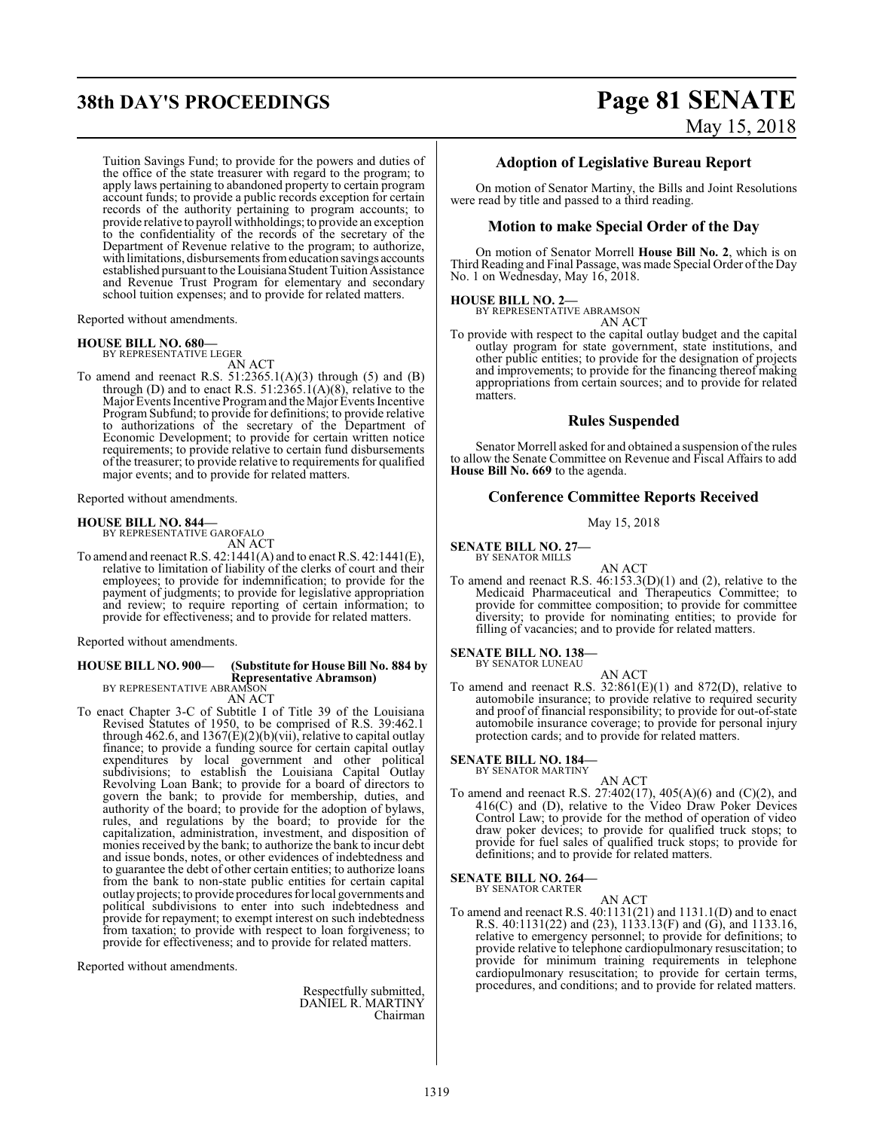# **38th DAY'S PROCEEDINGS Page 81 SENATE**

# May 15, 2018

Tuition Savings Fund; to provide for the powers and duties of the office of the state treasurer with regard to the program; to apply laws pertaining to abandoned property to certain program account funds; to provide a public records exception for certain records of the authority pertaining to program accounts; to provide relative to payroll withholdings; to provide an exception to the confidentiality of the records of the secretary of the Department of Revenue relative to the program; to authorize, with limitations, disbursements fromeducation savings accounts established pursuant to the Louisiana Student Tuition Assistance and Revenue Trust Program for elementary and secondary school tuition expenses; and to provide for related matters.

Reported without amendments.

### **HOUSE BILL NO. 680—** BY REPRESENTATIVE LEGER

AN ACT

To amend and reenact R.S.  $51:2365.1(A)(3)$  through  $(5)$  and  $(B)$ through (D) and to enact R.S.  $51:2365.1(A)(8)$ , relative to the Major Events Incentive Program and the Major Events Incentive Program Subfund; to provide for definitions; to provide relative to authorizations of the secretary of the Department of Economic Development; to provide for certain written notice requirements; to provide relative to certain fund disbursements of the treasurer; to provide relative to requirements for qualified major events; and to provide for related matters.

Reported without amendments.

### **HOUSE BILL NO. 844—**

BY REPRESENTATIVE GAROFALO AN ACT

To amend and reenact R.S. 42:1441(A) and to enact R.S. 42:1441(E), relative to limitation of liability of the clerks of court and their employees; to provide for indemnification; to provide for the payment of judgments; to provide for legislative appropriation and review; to require reporting of certain information; to provide for effectiveness; and to provide for related matters.

Reported without amendments.

### **HOUSE BILL NO. 900— (Substitute for House Bill No. 884 by Representative Abramson)** BY REPRESENTATIVE ABRAMSON

AN ACT

To enact Chapter 3-C of Subtitle I of Title 39 of the Louisiana Revised Statutes of 1950, to be comprised of R.S. 39:462.1 through 462.6, and 1367(E)(2)(b)(vii), relative to capital outlay finance; to provide a funding source for certain capital outlay expenditures by local government and other political subdivisions; to establish the Louisiana Capital Outlay Revolving Loan Bank; to provide for a board of directors to govern the bank; to provide for membership, duties, and authority of the board; to provide for the adoption of bylaws, rules, and regulations by the board; to provide for the capitalization, administration, investment, and disposition of monies received by the bank; to authorize the bank to incur debt and issue bonds, notes, or other evidences of indebtedness and to guarantee the debt of other certain entities; to authorize loans from the bank to non-state public entities for certain capital outlay projects; to provide procedures forlocal governments and political subdivisions to enter into such indebtedness and provide for repayment; to exempt interest on such indebtedness from taxation; to provide with respect to loan forgiveness; to provide for effectiveness; and to provide for related matters.

Reported without amendments.

Respectfully submitted, DANIEL R. MARTINY Chairman

### **Adoption of Legislative Bureau Report**

On motion of Senator Martiny, the Bills and Joint Resolutions were read by title and passed to a third reading.

### **Motion to make Special Order of the Day**

On motion of Senator Morrell **House Bill No. 2**, which is on Third Reading and Final Passage, was made Special Order ofthe Day No. 1 on Wednesday, May 16, 2018.

### **HOUSE BILL NO. 2—**

BY REPRESENTATIVE ABRAMSON AN ACT

To provide with respect to the capital outlay budget and the capital outlay program for state government, state institutions, and other public entities; to provide for the designation of projects and improvements; to provide for the financing thereof making appropriations from certain sources; and to provide for related matters.

### **Rules Suspended**

Senator Morrell asked for and obtained a suspension of the rules to allow the Senate Committee on Revenue and Fiscal Affairs to add **House Bill No. 669** to the agenda.

### **Conference Committee Reports Received**

May 15, 2018

**SENATE BILL NO. 27—** BY SENATOR MILLS

AN ACT

To amend and reenact R.S.  $46:153.3(D)(1)$  and (2), relative to the Medicaid Pharmaceutical and Therapeutics Committee; to provide for committee composition; to provide for committee diversity; to provide for nominating entities; to provide for filling of vacancies; and to provide for related matters.

#### **SENATE BILL NO. 138—** BY SENATOR LUNEAU

AN ACT To amend and reenact R.S.  $32:861(E)(1)$  and  $872(D)$ , relative to automobile insurance; to provide relative to required security and proof of financial responsibility; to provide for out-of-state automobile insurance coverage; to provide for personal injury protection cards; and to provide for related matters.

**SENATE BILL NO. 184—**

BY SENATOR MARTINY

AN ACT To amend and reenact R.S. 27:402(17), 405(A)(6) and (C)(2), and 416(C) and (D), relative to the Video Draw Poker Devices Control Law; to provide for the method of operation of video draw poker devices; to provide for qualified truck stops; to provide for fuel sales of qualified truck stops; to provide for definitions; and to provide for related matters.

### **SENATE BILL NO. 264—** BY SENATOR CARTER

AN ACT

To amend and reenact R.S. 40:1131(21) and 1131.1(D) and to enact R.S. 40:1131(22) and (23), 1133.13(F) and (G), and 1133.16, relative to emergency personnel; to provide for definitions; to provide relative to telephone cardiopulmonary resuscitation; to provide for minimum training requirements in telephone cardiopulmonary resuscitation; to provide for certain terms, procedures, and conditions; and to provide for related matters.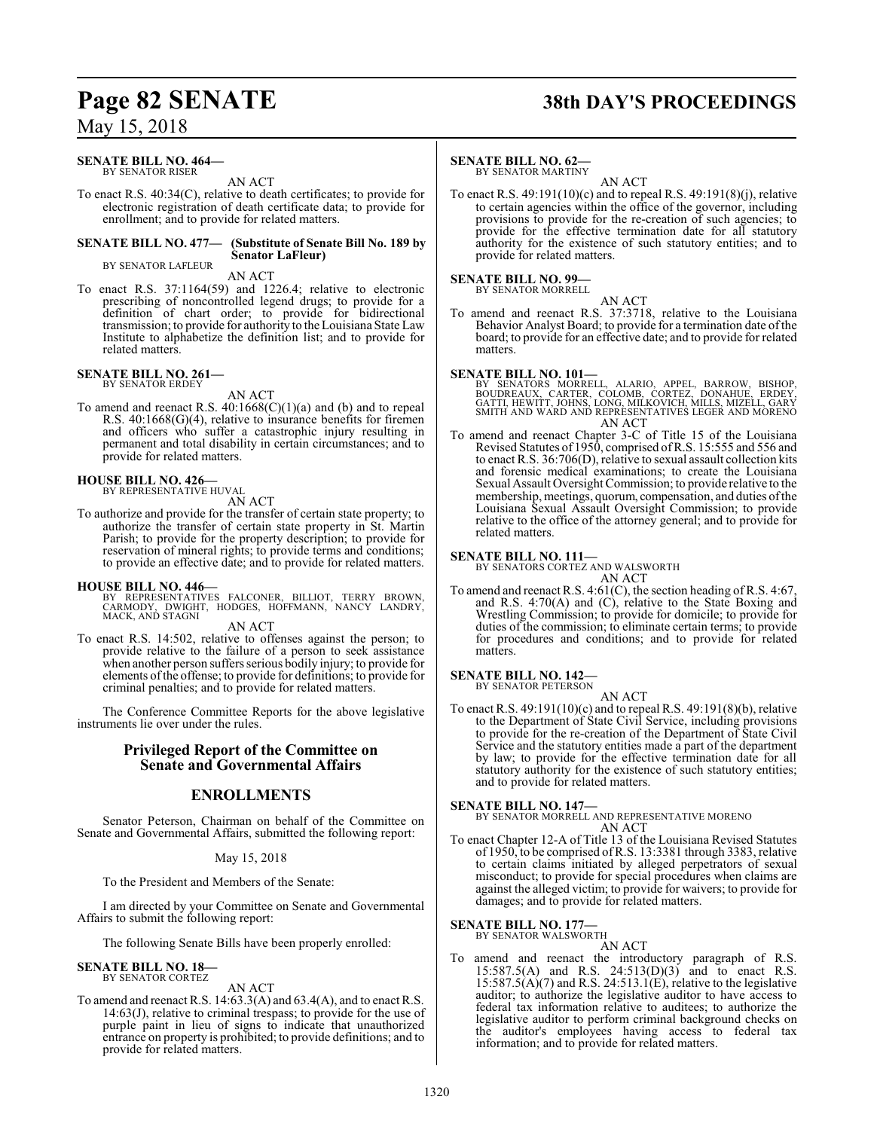# **Page 82 SENATE 38th DAY'S PROCEEDINGS**

May 15, 2018

### **SENATE BILL NO. 464—** BY SENATOR RISER

AN ACT

To enact R.S. 40:34(C), relative to death certificates; to provide for electronic registration of death certificate data; to provide for enrollment; and to provide for related matters.

### **SENATE BILL NO. 477— (Substitute of Senate Bill No. 189 by Senator LaFleur)**

BY SENATOR LAFLEUR

AN ACT

To enact R.S. 37:1164(59) and 1226.4; relative to electronic prescribing of noncontrolled legend drugs; to provide for a definition of chart order; to provide for bidirectional transmission; to provide for authority to the Louisiana State Law Institute to alphabetize the definition list; and to provide for related matters.

#### **SENATE BILL NO. 261—** BY SENATOR ERDEY

AN ACT

To amend and reenact R.S. 40:1668(C)(1)(a) and (b) and to repeal R.S. 40:1668(G)(4), relative to insurance benefits for firemen and officers who suffer a catastrophic injury resulting in permanent and total disability in certain circumstances; and to provide for related matters.

### **HOUSE BILL NO. 426—** BY REPRESENTATIVE HUVAL

AN ACT

To authorize and provide for the transfer of certain state property; to authorize the transfer of certain state property in St. Martin Parish; to provide for the property description; to provide for reservation of mineral rights; to provide terms and conditions; to provide an effective date; and to provide for related matters.

### **HOUSE BILL NO. 446—**

BY REPRESENTATIVES FALCONER, BILLIOT, TERRY BROWN, CARMODY, DWIGHT, HODGES, HOFFMANN, NANCY LANDRY, MACK, AND STAGNI

### AN ACT

To enact R.S. 14:502, relative to offenses against the person; to provide relative to the failure of a person to seek assistance when another person suffers serious bodily injury; to provide for elements ofthe offense; to provide for definitions; to provide for criminal penalties; and to provide for related matters.

The Conference Committee Reports for the above legislative instruments lie over under the rules.

### **Privileged Report of the Committee on Senate and Governmental Affairs**

### **ENROLLMENTS**

Senator Peterson, Chairman on behalf of the Committee on Senate and Governmental Affairs, submitted the following report:

### May 15, 2018

To the President and Members of the Senate:

I am directed by your Committee on Senate and Governmental Affairs to submit the following report:

The following Senate Bills have been properly enrolled:

#### **SENATE BILL NO. 18—** BY SENATOR CORTEZ

AN ACT

To amend and reenact R.S. 14:63.3(A) and 63.4(A), and to enact R.S. 14:63(J), relative to criminal trespass; to provide for the use of purple paint in lieu of signs to indicate that unauthorized entrance on property is prohibited; to provide definitions; and to provide for related matters.

### **SENATE BILL NO. 62—**

BY SENATOR MARTINY

AN ACT To enact R.S. 49:191(10)(c) and to repeal R.S. 49:191(8)(j), relative to certain agencies within the office of the governor, including provisions to provide for the re-creation of such agencies; to provide for the effective termination date for all statutory authority for the existence of such statutory entities; and to provide for related matters.

# **SENATE BILL NO. 99—** BY SENATOR MORRELL

AN ACT

To amend and reenact R.S. 37:3718, relative to the Louisiana Behavior Analyst Board; to provide for a termination date of the board; to provide for an effective date; and to provide for related matters.

### **SENATE BILL NO. 101—**

BY SENATORS MORRELL, ALARIO, APPEL, BARROW, BISHOP,<br>BOUDREAUX, CARTER, COLOMB, CORTEZ, DONAHUE, ERDEY,<br>GATTI,HEWITT,JOHNS,LONG,MILKOVICH,MILLS,MIZELL,GARY<br>SMITH AND WARD AND REPRESENTATIVES LEGER AND MORENO AN ACT

To amend and reenact Chapter 3-C of Title 15 of the Louisiana Revised Statutes of 1950, comprised ofR.S. 15:555 and 556 and to enact R.S. 36:706(D), relative to sexual assault collection kits and forensic medical examinations; to create the Louisiana Sexual Assault Oversight Commission; to provide relative to the membership, meetings, quorum, compensation, and duties ofthe Louisiana Sexual Assault Oversight Commission; to provide relative to the office of the attorney general; and to provide for related matters.

### **SENATE BILL NO. 111—**

BY SENATORS CORTEZ AND WALSWORTH

- AN ACT
- To amend and reenact R.S. 4:61(C), the section heading of R.S. 4:67, and R.S. 4:70(A) and (C), relative to the State Boxing and Wrestling Commission; to provide for domicile; to provide for duties of the commission; to eliminate certain terms; to provide for procedures and conditions; and to provide for related matters.

### **SENATE BILL NO. 142—**<br>BY SENATOR PETERSON

AN ACT

To enact R.S. 49:191(10)(c) and to repeal R.S. 49:191(8)(b), relative to the Department of State Civil Service, including provisions to provide for the re-creation of the Department of State Civil Service and the statutory entities made a part of the department by law; to provide for the effective termination date for all statutory authority for the existence of such statutory entities; and to provide for related matters.

### **SENATE BILL NO. 147—**

BY SENATOR MORRELL AND REPRESENTATIVE MORENO AN ACT

To enact Chapter 12-A of Title 13 of the Louisiana Revised Statutes of 1950, to be comprised ofR.S. 13:3381 through 3383, relative to certain claims initiated by alleged perpetrators of sexual misconduct; to provide for special procedures when claims are against the alleged victim; to provide for waivers; to provide for damages; and to provide for related matters.

# **SENATE BILL NO. 177—**<br>BY SENATOR WALSWORTH

### AN ACT

To amend and reenact the introductory paragraph of R.S. 15:587.5(A) and R.S. 24:513(D)(3) and to enact R.S.  $15:587.5(A)(7)$  and R.S. 24:513.1(E), relative to the legislative auditor; to authorize the legislative auditor to have access to federal tax information relative to auditees; to authorize the legislative auditor to perform criminal background checks on the auditor's employees having access to federal tax information; and to provide for related matters.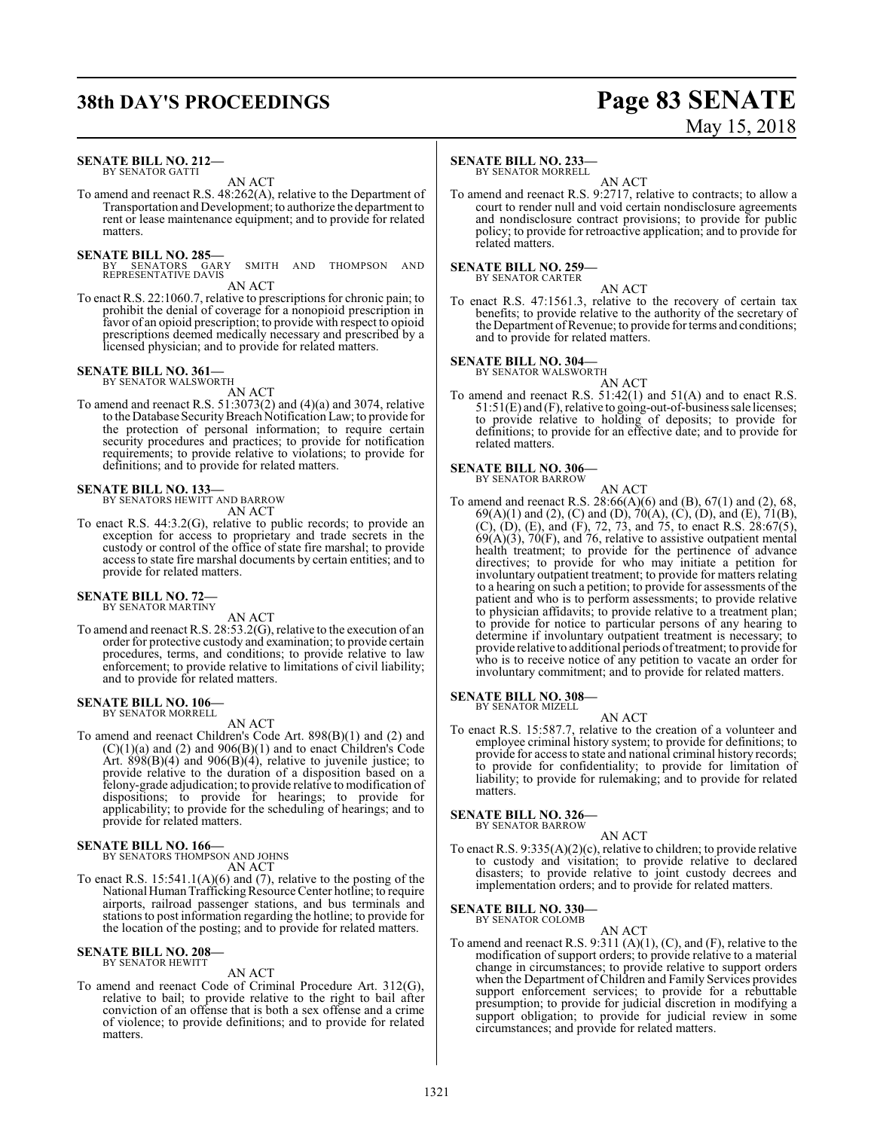# **38th DAY'S PROCEEDINGS Page 83 SENATE**

### **SENATE BILL NO. 212—** BY SENATOR GATTI

AN ACT

To amend and reenact R.S. 48:262(A), relative to the Department of Transportation and Development; to authorize the department to rent or lease maintenance equipment; and to provide for related matters.

- **SENATE BILL NO. 285—**<br>BY SENATORS GARY SMITH AND THOMPSON AND<br>REPRESENTATIVE DAVIS AN ACT
- To enact R.S. 22:1060.7, relative to prescriptions for chronic pain; to prohibit the denial of coverage for a nonopioid prescription in favor of an opioid prescription; to provide with respect to opioid prescriptions deemed medically necessary and prescribed by a licensed physician; and to provide for related matters.

### **SENATE BILL NO. 361—** BY SENATOR WALSWORTH

AN ACT

To amend and reenact R.S. 51:3073(2) and (4)(a) and 3074, relative to the Database Security Breach Notification Law; to provide for the protection of personal information; to require certain security procedures and practices; to provide for notification requirements; to provide relative to violations; to provide for definitions; and to provide for related matters.

### **SENATE BILL NO. 133—** BY SENATORS HEWITT AND BARROW

AN ACT

To enact R.S. 44:3.2(G), relative to public records; to provide an exception for access to proprietary and trade secrets in the custody or control of the office of state fire marshal; to provide access to state fire marshal documents by certain entities; and to provide for related matters.

### **SENATE BILL NO. 72—** BY SENATOR MARTINY

AN ACT

To amend and reenact R.S. 28:53.2(G), relative to the execution of an order for protective custody and examination; to provide certain procedures, terms, and conditions; to provide relative to law enforcement; to provide relative to limitations of civil liability; and to provide for related matters.

#### **SENATE BILL NO. 106—** BY SENATOR MORRELL

AN ACT

To amend and reenact Children's Code Art. 898(B)(1) and (2) and  $(C)(1)(a)$  and  $(2)$  and  $906(B)(1)$  and to enact Children's Code Art.  $898(B)(4)$  and  $906(B)(4)$ , relative to juvenile justice; to provide relative to the duration of a disposition based on a felony-grade adjudication; to provide relative to modification of dispositions; to provide for hearings; to provide for applicability; to provide for the scheduling of hearings; and to provide for related matters.

### **SENATE BILL NO. 166—** BY SENATORS THOMPSON AND JOHNS

AN ACT

To enact R.S.  $15:541.1(A)(6)$  and (7), relative to the posting of the National Human Trafficking Resource Center hotline; to require airports, railroad passenger stations, and bus terminals and stations to post information regarding the hotline; to provide for

#### **SENATE BILL NO. 208—** BY SENATOR HEWITT

AN ACT

the location of the posting; and to provide for related matters.

To amend and reenact Code of Criminal Procedure Art. 312(G), relative to bail; to provide relative to the right to bail after conviction of an offense that is both a sex offense and a crime of violence; to provide definitions; and to provide for related matters.

### **SENATE BILL NO. 233—**

BY SENATOR MORRELL

AN ACT To amend and reenact R.S. 9:2717, relative to contracts; to allow a court to render null and void certain nondisclosure agreements and nondisclosure contract provisions; to provide for public policy; to provide for retroactive application; and to provide for related matters.

**SENATE BILL NO. 259—** BY SENATOR CARTER

AN ACT

To enact R.S. 47:1561.3, relative to the recovery of certain tax benefits; to provide relative to the authority of the secretary of the Department of Revenue; to provide for terms and conditions; and to provide for related matters.

### **SENATE BILL NO. 304—**

- BY SENATOR WALSWORTH
- AN ACT To amend and reenact R.S. 51:42(1) and 51(A) and to enact R.S. 51:51(E) and (F), relative to going-out-of-business sale licenses; to provide relative to holding of deposits; to provide for definitions; to provide for an effective date; and to provide for related matters.

### **SENATE BILL NO. 306—** BY SENATOR BARROW

AN ACT

To amend and reenact R.S. 28:66(A)(6) and (B), 67(1) and (2), 68,  $69(A)(1)$  and (2), (C) and (D),  $70(A)$ , (C), (D), and (E),  $71(B)$ ,  $(C)$ ,  $(D)$ ,  $(E)$ , and  $(F)$ , 72, 73, and 75, to enact R.S. 28:67(5),  $69(A)(3)$ ,  $70(F)$ , and 76, relative to assistive outpatient mental health treatment; to provide for the pertinence of advance directives; to provide for who may initiate a petition for involuntary outpatient treatment; to provide for matters relating to a hearing on such a petition; to provide for assessments of the patient and who is to perform assessments; to provide relative to physician affidavits; to provide relative to a treatment plan; to provide for notice to particular persons of any hearing to determine if involuntary outpatient treatment is necessary; to provide relative to additional periods oftreatment; to provide for who is to receive notice of any petition to vacate an order for involuntary commitment; and to provide for related matters.

### **SENATE BILL NO. 308—** BY SENATOR MIZELL

AN ACT

To enact R.S. 15:587.7, relative to the creation of a volunteer and employee criminal history system; to provide for definitions; to provide for access to state and national criminal history records; to provide for confidentiality; to provide for limitation of liability; to provide for rulemaking; and to provide for related matters.

### **SENATE BILL NO. 326—**

BY SENATOR BARROW

AN ACT To enact R.S. 9:335(A)(2)(c), relative to children; to provide relative to custody and visitation; to provide relative to declared disasters; to provide relative to joint custody decrees and implementation orders; and to provide for related matters.

### **SENATE BILL NO. 330—** BY SENATOR COLOMB

AN ACT To amend and reenact R.S. 9:311 (A)(1), (C), and (F), relative to the

modification of support orders; to provide relative to a material change in circumstances; to provide relative to support orders when the Department of Children and Family Services provides support enforcement services; to provide for a rebuttable presumption; to provide for judicial discretion in modifying a support obligation; to provide for judicial review in some circumstances; and provide for related matters.

# May 15, 2018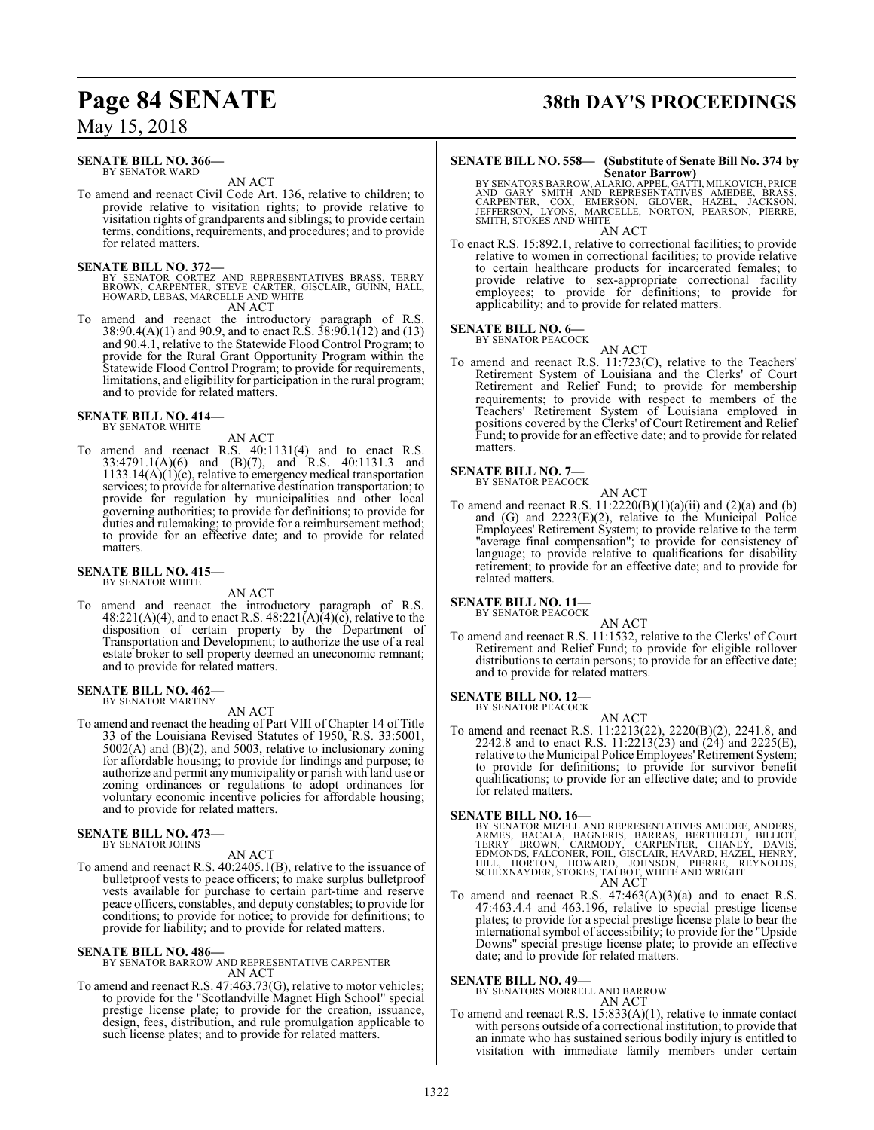#### **SENATE BILL NO. 366—** BY SENATOR WARD

AN ACT

To amend and reenact Civil Code Art. 136, relative to children; to provide relative to visitation rights; to provide relative to visitation rights of grandparents and siblings; to provide certain terms, conditions, requirements, and procedures; and to provide for related matters.

### **SENATE BILL NO. 372—**

- BY SENATOR CORTEZ AND REPRESENTATIVES BRASS, TERRY<br>BROWN, CARPENTER, STEVE CARTER, GISCLAIR, GUINN, HALL,<br>HOWARD,LEBAS,MARCELLE AND WHITE AN ACT
- To amend and reenact the introductory paragraph of R.S. 38:90.4(A)(1) and 90.9, and to enact R.S. 38:90.1(12) and (13) and 90.4.1, relative to the Statewide Flood Control Program; to provide for the Rural Grant Opportunity Program within the Statewide Flood Control Program; to provide for requirements, limitations, and eligibility for participation in the rural program; and to provide for related matters.

### **SENATE BILL NO. 414—**

BY SENATOR WHITE

### AN ACT

To amend and reenact R.S. 40:1131(4) and to enact R.S. 33:4791.1(A)(6) and (B)(7), and R.S. 40:1131.3 and  $1133.14(A)(1)(c)$ , relative to emergency medical transportation services; to provide for alternative destination transportation; to provide for regulation by municipalities and other local governing authorities; to provide for definitions; to provide for duties and rulemaking; to provide for a reimbursement method; to provide for an effective date; and to provide for related matters.

### **SENATE BILL NO. 415—** BY SENATOR WHITE

AN ACT

To amend and reenact the introductory paragraph of R.S. 48:221(A)(4), and to enact R.S. 48:221(A)(4)(c), relative to the disposition of certain property by the Department of Transportation and Development; to authorize the use of a real estate broker to sell property deemed an uneconomic remnant; and to provide for related matters.

### **SENATE BILL NO. 462—** BY SENATOR MARTINY

### AN ACT

To amend and reenact the heading of Part VIII of Chapter 14 of Title 33 of the Louisiana Revised Statutes of 1950, R.S. 33:5001, 5002(A) and (B)(2), and 5003, relative to inclusionary zoning for affordable housing; to provide for findings and purpose; to authorize and permit any municipality or parish with land use or zoning ordinances or regulations to adopt ordinances for voluntary economic incentive policies for affordable housing; and to provide for related matters.

### **SENATE BILL NO. 473—** BY SENATOR JOHNS

### AN ACT

To amend and reenact R.S. 40:2405.1(B), relative to the issuance of bulletproof vests to peace officers; to make surplus bulletproof vests available for purchase to certain part-time and reserve peace officers, constables, and deputy constables; to provide for conditions; to provide for notice; to provide for definitions; to provide for liability; and to provide for related matters.

### **SENATE BILL NO. 486—**

BY SENATOR BARROW AND REPRESENTATIVE CARPENTER AN ACT

To amend and reenact R.S. 47:463.73(G), relative to motor vehicles; to provide for the "Scotlandville Magnet High School" special prestige license plate; to provide for the creation, issuance, design, fees, distribution, and rule promulgation applicable to such license plates; and to provide for related matters.

# **Page 84 SENATE 38th DAY'S PROCEEDINGS**

### **SENATE BILL NO. 558— (Substitute of Senate Bill No. 374 by**

**Senator Barrow)** BY SENATORS BARROW, ALARIO, APPEL, GATTI, MILKOVICH, PRICE<br>AND GARY SMITH AND REPRESENTATIVES AMEDEE, BRASS,<br>CARPENTER, COX, EMERSON, GLOVER, HAZEL, JACKSON,<br>JEFFERSON, LYONS, MARCELLE, NORTON, PEARSON, PIERRE,<br>SMITH, STOK

### AN ACT

To enact R.S. 15:892.1, relative to correctional facilities; to provide relative to women in correctional facilities; to provide relative to certain healthcare products for incarcerated females; to provide relative to sex-appropriate correctional facility employees; to provide for definitions; to provide for applicability; and to provide for related matters.

### **SENATE BILL NO. 6—** BY SENATOR PEACOCK

AN ACT

To amend and reenact R.S. 11:723(C), relative to the Teachers' Retirement System of Louisiana and the Clerks' of Court Retirement and Relief Fund; to provide for membership requirements; to provide with respect to members of the Teachers' Retirement System of Louisiana employed in positions covered by the Clerks' of Court Retirement and Relief Fund; to provide for an effective date; and to provide for related matters.

### **SENATE BILL NO. 7—**<br>BY SENATOR PEACOCK

AN ACT

To amend and reenact R.S.  $11:2220(B)(1)(a)(ii)$  and  $(2)(a)$  and  $(b)$ and (G) and 2223(E)(2), relative to the Municipal Police Employees' Retirement System; to provide relative to the term "average final compensation"; to provide for consistency of language; to provide relative to qualifications for disability retirement; to provide for an effective date; and to provide for related matters.

#### **SENATE BILL NO. 11—** BY SENATOR PEACOCK

AN ACT

To amend and reenact R.S. 11:1532, relative to the Clerks' of Court Retirement and Relief Fund; to provide for eligible rollover distributions to certain persons; to provide for an effective date; and to provide for related matters.

### **SENATE BILL NO. 12—** BY SENATOR PEACOCK

AN ACT

To amend and reenact R.S. 11:2213(22), 2220(B)(2), 2241.8, and 2242.8 and to enact R.S. 11:2213(23) and (24) and 2225(E), relative to the Municipal Police Employees'Retirement System; to provide for definitions; to provide for survivor benefit qualifications; to provide for an effective date; and to provide for related matters.

**SENATE BILL NO. 16—** BY SENATOR MIZELL AND REPRESENTATIVES AMEDEE, ANDERS, ARMES, BACALA, BAGNERIS, BARRAS, BERTHELOT, BILLIOT,<br>TERRY BROWN, CARMODY, CARPENTER, CHANEY, DAVIS,<br>EDMONDS,FALCONER,FOIL,GISCLAIR,HAVARD,HAZEL,HENRY,<br>HILL, HORTON, HOWARD, JOHNSON, PIERRE, REYNOLDS,<br>SCHEXNAYDER,STOKES,TA AN ACT

To amend and reenact R.S. 47:463(A)(3)(a) and to enact R.S. 47:463.4.4 and 463.196, relative to special prestige license plates; to provide for a special prestige license plate to bear the international symbol of accessibility; to provide for the "Upside Downs" special prestige license plate; to provide an effective date; and to provide for related matters.

## **SENATE BILL NO. 49—** BY SENATORS MORRELL AND BARROW

AN ACT

To amend and reenact R.S. 15:833(A)(1), relative to inmate contact with persons outside of a correctional institution; to provide that an inmate who has sustained serious bodily injury is entitled to visitation with immediate family members under certain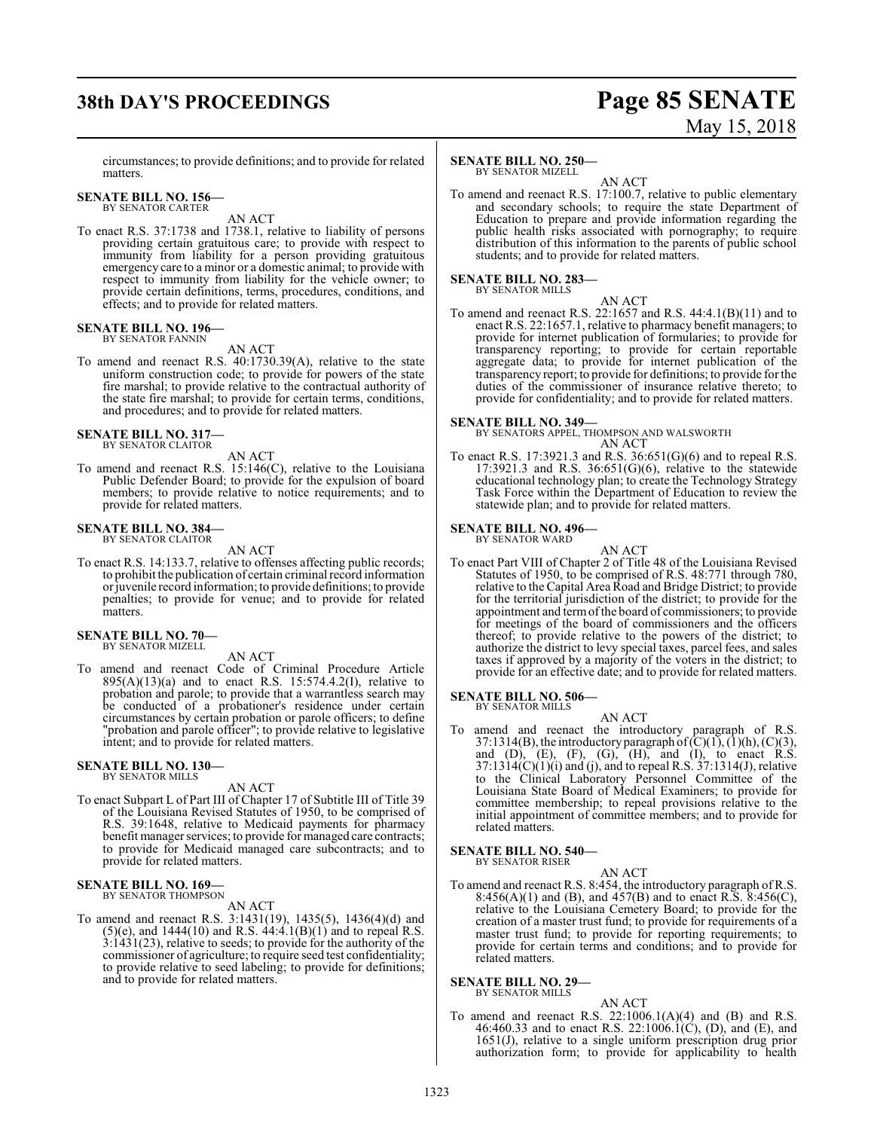# **38th DAY'S PROCEEDINGS Page 85 SENATE**

# May 15, 2018

circumstances; to provide definitions; and to provide for related matters.

#### **SENATE BILL NO. 156—** BY SENATOR CARTER

AN ACT

To enact R.S. 37:1738 and 1738.1, relative to liability of persons providing certain gratuitous care; to provide with respect to immunity from liability for a person providing gratuitous emergency care to a minor or a domestic animal; to provide with respect to immunity from liability for the vehicle owner; to provide certain definitions, terms, procedures, conditions, and effects; and to provide for related matters.

#### **SENATE BILL NO. 196—** BY SENATOR FANNIN

AN ACT

To amend and reenact R.S. 40:1730.39(A), relative to the state uniform construction code; to provide for powers of the state fire marshal; to provide relative to the contractual authority of the state fire marshal; to provide for certain terms, conditions, and procedures; and to provide for related matters.

# **SENATE BILL NO. 317—** BY SENATOR CLAITOR

AN ACT

To amend and reenact R.S. 15:146(C), relative to the Louisiana Public Defender Board; to provide for the expulsion of board members; to provide relative to notice requirements; and to provide for related matters.

### **SENATE BILL NO. 384—** BY SENATOR CLAITOR

AN ACT

To enact R.S. 14:133.7, relative to offenses affecting public records; to prohibit the publication of certain criminal record information orjuvenile record information; to provide definitions; to provide penalties; to provide for venue; and to provide for related matters.

#### **SENATE BILL NO. 70—** BY SENATOR MIZELL

AN ACT

To amend and reenact Code of Criminal Procedure Article  $895(A)(13)(a)$  and to enact R.S. 15:574.4.2(I), relative to probation and parole; to provide that a warrantless search may be conducted of a probationer's residence under certain circumstances by certain probation or parole officers; to define "probation and parole officer"; to provide relative to legislative intent; and to provide for related matters.

## **SENATE BILL NO. 130—** BY SENATOR MILLS

AN ACT

To enact Subpart L of Part III of Chapter 17 of Subtitle III of Title 39 of the Louisiana Revised Statutes of 1950, to be comprised of R.S. 39:1648, relative to Medicaid payments for pharmacy benefit manager services; to provide for managed care contracts; to provide for Medicaid managed care subcontracts; and to provide for related matters.

#### **SENATE BILL NO. 169—** BY SENATOR THOMPSON

AN ACT

To amend and reenact R.S. 3:1431(19), 1435(5), 1436(4)(d) and  $(5)(e)$ , and 1444(10) and R.S. 44:4.1(B)(1) and to repeal R.S. 3:1431(23), relative to seeds; to provide for the authority of the commissioner of agriculture; to require seed test confidentiality; to provide relative to seed labeling; to provide for definitions; and to provide for related matters.

### **SENATE BILL NO. 250—**

BY SENATOR MIZELL

AN ACT To amend and reenact R.S. 17:100.7, relative to public elementary and secondary schools; to require the state Department of Education to prepare and provide information regarding the public health risks associated with pornography; to require distribution of this information to the parents of public school students; and to provide for related matters.

# **SENATE BILL NO. 283—** BY SENATOR MILLS

AN ACT

To amend and reenact R.S. 22:1657 and R.S. 44:4.1(B)(11) and to enact R.S. 22:1657.1, relative to pharmacy benefit managers; to provide for internet publication of formularies; to provide for transparency reporting; to provide for certain reportable aggregate data; to provide for internet publication of the transparency report; to provide for definitions; to provide for the duties of the commissioner of insurance relative thereto; to provide for confidentiality; and to provide for related matters.

**SENATE BILL NO. 349—** BY SENATORS APPEL, THOMPSON AND WALSWORTH AN ACT

To enact R.S. 17:3921.3 and R.S. 36:651(G)(6) and to repeal R.S. 17:3921.3 and R.S. 36:651(G)(6), relative to the statewide educational technology plan; to create the Technology Strategy Task Force within the Department of Education to review the statewide plan; and to provide for related matters.

### **SENATE BILL NO. 496—**

BY SENATOR WARD

- AN ACT
- To enact Part VIII of Chapter 2 of Title 48 of the Louisiana Revised Statutes of 1950, to be comprised of R.S. 48:771 through 780, relative to the Capital Area Road and Bridge District; to provide for the territorial jurisdiction of the district; to provide for the appointment and termofthe board of commissioners; to provide for meetings of the board of commissioners and the officers thereof; to provide relative to the powers of the district; to authorize the district to levy special taxes, parcel fees, and sales taxes if approved by a majority of the voters in the district; to provide for an effective date; and to provide for related matters.

### **SENATE BILL NO. 506—** BY SENATOR MILLS

AN ACT

To amend and reenact the introductory paragraph of R.S. 37:1314(B), the introductory paragraph of  $(C)(1)$ ,  $(1)(h)$ ,  $(C)(3)$ , and  $(D)$ ,  $(E)$ ,  $(F)$ ,  $(G)$ ,  $(H)$ , and  $(I)$ , to enact R.S. 37:1314(C)(1)(i) and (j), and to repeal R.S. 37:1314(J), relative to the Clinical Laboratory Personnel Committee of the Louisiana State Board of Medical Examiners; to provide for committee membership; to repeal provisions relative to the initial appointment of committee members; and to provide for related matters.

#### **SENATE BILL NO. 540—** BY SENATOR RISER

AN ACT To amend and reenact R.S. 8:454, the introductory paragraph of R.S. 8:456(A)(1) and (B), and 457(B) and to enact R.S.  $8:456(C)$ , relative to the Louisiana Cemetery Board; to provide for the creation of a master trust fund; to provide for requirements of a master trust fund; to provide for reporting requirements; to provide for certain terms and conditions; and to provide for related matters.

#### **SENATE BILL NO. 29—** BY SENATOR MILLS

AN ACT To amend and reenact R.S.  $22:1006.1(A)(4)$  and  $(B)$  and R.S. 46:460.33 and to enact R.S. 22:1006.1(C), (D), and (E), and 1651(J), relative to a single uniform prescription drug prior authorization form; to provide for applicability to health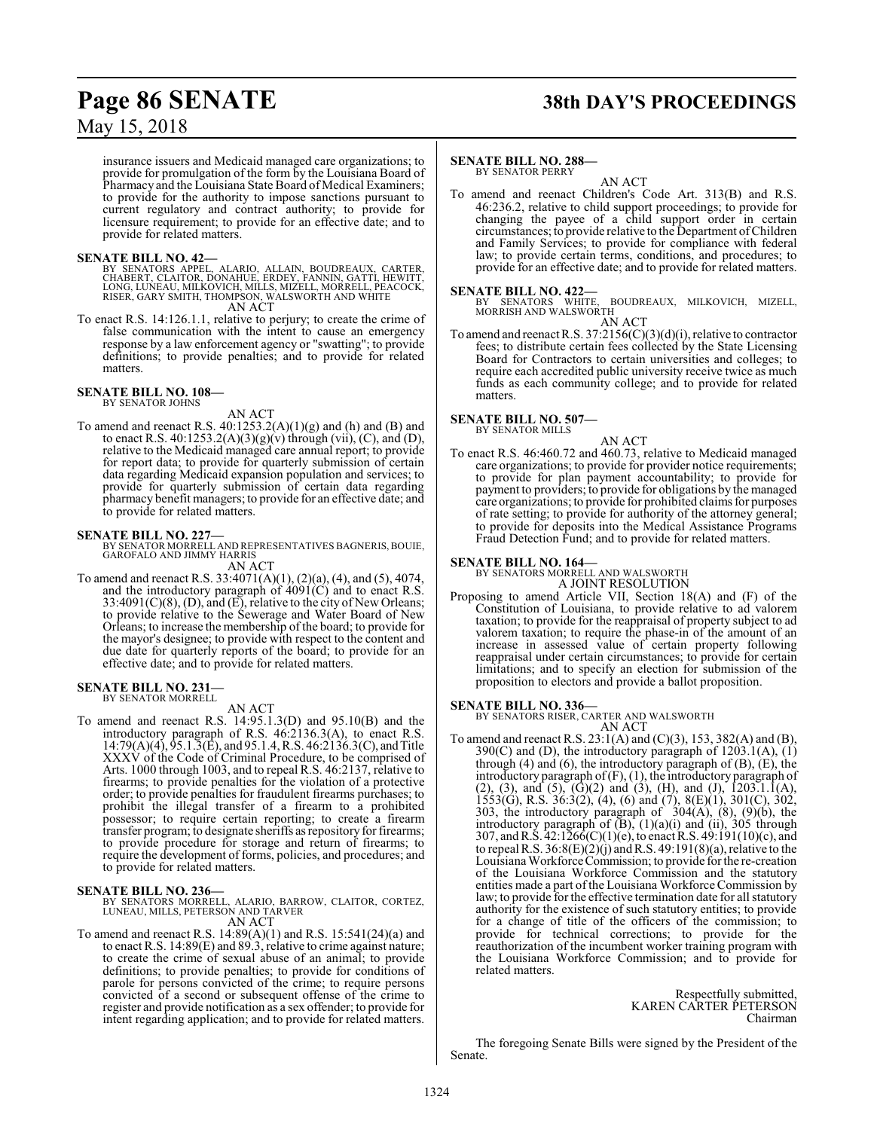# **Page 86 SENATE 38th DAY'S PROCEEDINGS**

### May 15, 2018

insurance issuers and Medicaid managed care organizations; to provide for promulgation of the form by the Louisiana Board of Pharmacy and the Louisiana State Board of Medical Examiners; to provide for the authority to impose sanctions pursuant to current regulatory and contract authority; to provide for licensure requirement; to provide for an effective date; and to provide for related matters.

**SENATE BILL NO. 42—**<br>BY SENATORS APPEL, ALARIO, ALLAIN, BOUDREAUX, CARTER, CLAITOR, DONAHUE, ERDEY, FANNIN, GATTI, HEWITT,<br>LONG, LUNEAU, MILKOVICH, MILLS, MIZELL, MORRELL, PEACOCK,<br>RISER, GARY SMITH, THOMPSON, WALSWORTH A AN ACT

To enact R.S. 14:126.1.1, relative to perjury; to create the crime of false communication with the intent to cause an emergency response by a law enforcement agency or "swatting"; to provide definitions; to provide penalties; and to provide for related matters.

## **SENATE BILL NO. 108—** BY SENATOR JOHNS

AN ACT

To amend and reenact R.S. 40:1253.2(A)(1)(g) and (h) and (B) and to enact R.S.  $40:1253.2(A)(3)(g)(v)$  through (vii), (C), and (D), relative to the Medicaid managed care annual report; to provide for report data; to provide for quarterly submission of certain data regarding Medicaid expansion population and services; to provide for quarterly submission of certain data regarding pharmacy benefit managers; to provide for an effective date; and to provide for related matters.

### **SENATE BILL NO. 227—**

BY SENATOR MORRELL AND REPRESENTATIVES BAGNERIS, BOUIE, GAROFALO AND JIMMY HARRIS

AN ACT

To amend and reenact R.S. 33:4071(A)(1), (2)(a), (4), and (5), 4074, and the introductory paragraph of  $4091(C)$  and to enact R.S.  $33:4091(C)(8)$ , (D), and (E), relative to the city of New Orleans; to provide relative to the Sewerage and Water Board of New Orleans; to increase the membership of the board; to provide for the mayor's designee; to provide with respect to the content and due date for quarterly reports of the board; to provide for an effective date; and to provide for related matters.

#### **SENATE BILL NO. 231—** BY SENATOR MORRELL

AN ACT

To amend and reenact R.S. 14:95.1.3(D) and 95.10(B) and the introductory paragraph of R.S. 46:2136.3(A), to enact R.S.  $14:79(A)(4)$ ,  $95.1.\overline{3}(\overline{E})$ , and  $95.1.4$ , R.S.  $46:2136.3(C)$ , and Title XXXV of the Code of Criminal Procedure, to be comprised of Arts. 1000 through 1003, and to repeal R.S. 46:2137, relative to firearms; to provide penalties for the violation of a protective order; to provide penalties for fraudulent firearms purchases; to prohibit the illegal transfer of a firearm to a prohibited possessor; to require certain reporting; to create a firearm transfer program; to designate sheriffs as repository for firearms; to provide procedure for storage and return of firearms; to require the development of forms, policies, and procedures; and to provide for related matters.

**SENATE BILL NO. 236—** BY SENATORS MORRELL, ALARIO, BARROW, CLAITOR, CORTEZ, LUNEAU, MILLS, PETERSON AND TARVER

AN ACT

To amend and reenact R.S. 14:89(A)(1) and R.S. 15:541(24)(a) and to enact R.S. 14:89(E) and 89.3, relative to crime against nature; to create the crime of sexual abuse of an animal; to provide definitions; to provide penalties; to provide for conditions of parole for persons convicted of the crime; to require persons convicted of a second or subsequent offense of the crime to register and provide notification as a sex offender; to provide for intent regarding application; and to provide for related matters.

### **SENATE BILL NO. 288—**

BY SENATOR PERRY AN ACT

To amend and reenact Children's Code Art. 313(B) and R.S. 46:236.2, relative to child support proceedings; to provide for changing the payee of a child support order in certain circumstances; to provide relative to the Department ofChildren and Family Services; to provide for compliance with federal law; to provide certain terms, conditions, and procedures; to provide for an effective date; and to provide for related matters.

**SENATE BILL NO. 422—**<br>BY SENATORS WHITE, BOUDREAUX, MILKOVICH, MIZELL,<br>MORRISH AND WALSWORTH AN ACT

To amend and reenact R.S. 37:2156(C)(3)(d)(i), relative to contractor fees; to distribute certain fees collected by the State Licensing Board for Contractors to certain universities and colleges; to require each accredited public university receive twice as much funds as each community college; and to provide for related matters.

#### **SENATE BILL NO. 507—** BY SENATOR MILLS

AN ACT

To enact R.S. 46:460.72 and 460.73, relative to Medicaid managed care organizations; to provide for provider notice requirements; to provide for plan payment accountability; to provide for payment to providers; to provide for obligations by the managed care organizations; to provide for prohibited claims for purposes of rate setting; to provide for authority of the attorney general; to provide for deposits into the Medical Assistance Programs Fraud Detection Fund; and to provide for related matters.

**SENATE BILL NO. 164—** BY SENATORS MORRELL AND WALSWORTH A JOINT RESOLUTION

Proposing to amend Article VII, Section 18(A) and (F) of the Constitution of Louisiana, to provide relative to ad valorem taxation; to provide for the reappraisal of property subject to ad valorem taxation; to require the phase-in of the amount of an increase in assessed value of certain property following reappraisal under certain circumstances; to provide for certain limitations; and to specify an election for submission of the proposition to electors and provide a ballot proposition.

**SENATE BILL NO. 336—** BY SENATORS RISER, CARTER AND WALSWORTH AN ACT

To amend and reenact R.S. 23:1(A) and (C)(3), 153, 382(A) and (B),  $390(C)$  and (D), the introductory paragraph of  $1203.1(A)$ ,  $(1)$ through  $(4)$  and  $(6)$ , the introductory paragraph of  $(B)$ ,  $(E)$ , the introductory paragraph of(F), (1), the introductory paragraph of (2), (3), and (5), (G)(2) and (3), (H), and (J),  $[203.1.1(A),$ 1553(G), R.S. 36:3(2), (4), (6) and (7), 8(E)(1), 301(C), 302, 303, the introductory paragraph of  $304(A)$ ,  $(8)$ ,  $(9)(b)$ , the introductory paragraph of  $(B)$ ,  $(1)(a)(i)$  and  $(ii)$ , 305 through 307, andR.S. 42:1266(C)(1)(e), to enact R.S. 49:191(10)(c), and to repeal R.S.  $36:8(E)(2)(j)$  and R.S.  $49:191(8)(a)$ , relative to the Louisiana WorkforceCommission; to provide for the re-creation of the Louisiana Workforce Commission and the statutory entities made a part of the Louisiana Workforce Commission by law; to provide for the effective termination date for all statutory authority for the existence of such statutory entities; to provide for a change of title of the officers of the commission; to provide for technical corrections; to provide for the reauthorization of the incumbent worker training program with the Louisiana Workforce Commission; and to provide for related matters.

> Respectfully submitted, KAREN CARTER PETERSON Chairman

The foregoing Senate Bills were signed by the President of the Senate.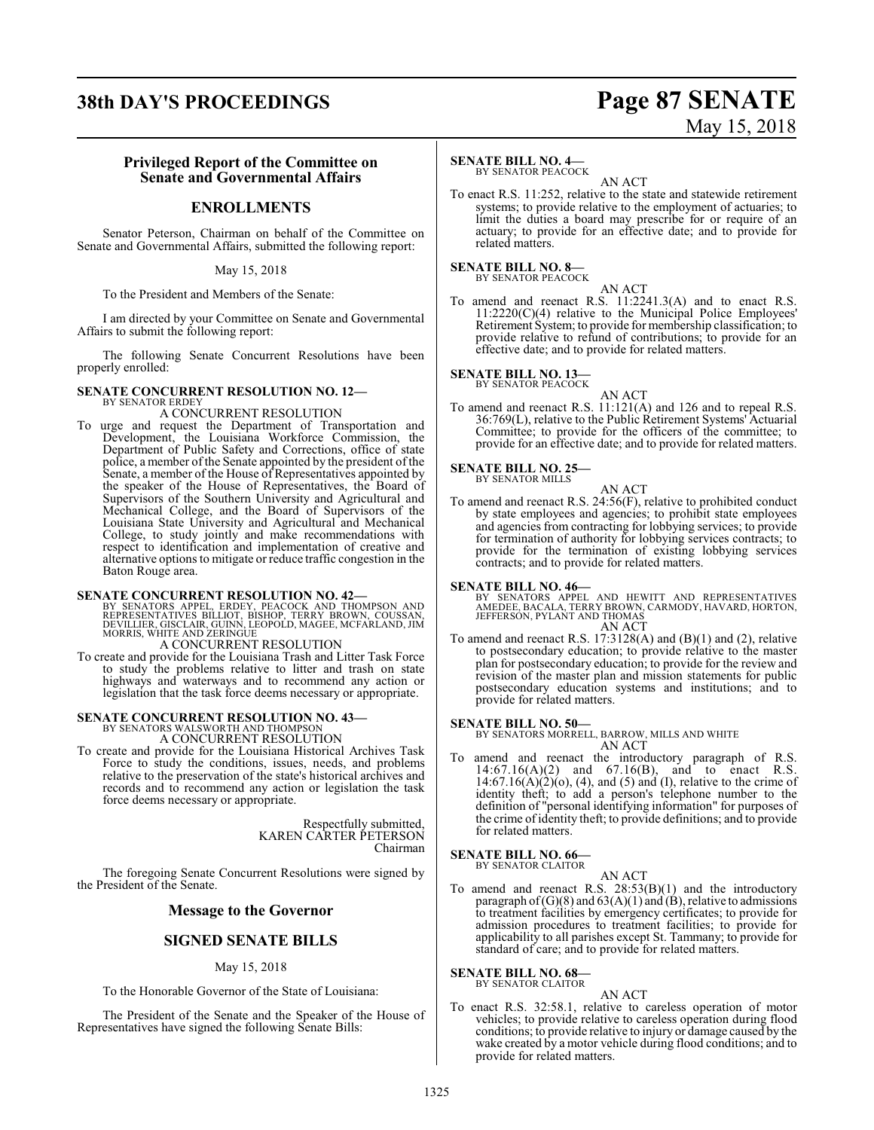### **38th DAY'S PROCEEDINGS Page 87 SENATE**

# May 15, 2018

### **Privileged Report of the Committee on Senate and Governmental Affairs**

### **ENROLLMENTS**

Senator Peterson, Chairman on behalf of the Committee on Senate and Governmental Affairs, submitted the following report:

May 15, 2018

To the President and Members of the Senate:

I am directed by your Committee on Senate and Governmental Affairs to submit the following report:

The following Senate Concurrent Resolutions have been properly enrolled:

### **SENATE CONCURRENT RESOLUTION NO. 12—**

#### BY SENATOR ERDEY A CONCURRENT RESOLUTION

To urge and request the Department of Transportation and Development, the Louisiana Workforce Commission, the Department of Public Safety and Corrections, office of state police, a member of the Senate appointed by the president of the Senate, a member of the House of Representatives appointed by the speaker of the House of Representatives, the Board of Supervisors of the Southern University and Agricultural and Mechanical College, and the Board of Supervisors of the Louisiana State University and Agricultural and Mechanical College, to study jointly and make recommendations with respect to identification and implementation of creative and alternative options to mitigate or reduce traffic congestion in the Baton Rouge area.

### **SENATE CONCURRENT RESOLUTION NO. 42—**

BY SENATORS APPEL, ERDEY, PEACOCK AND THOMPSON AND<br>REPRESENTATIVES BILLIOT, BISHOP, TERRY BROWN, COUSSAN,<br>DEVILLIER, GISCLAIR, GUINN, LEOPOLD, MAGEE, MCFARLAND, JIM<br>MORRIS, WHITE AND ZERINGUE<br>A CONCURRENT RESOLUTION

To create and provide for the Louisiana Trash and Litter Task Force to study the problems relative to litter and trash on state highways and waterways and to recommend any action or legislation that the task force deems necessary or appropriate.

### **SENATE CONCURRENT RESOLUTION NO. 43—**

BY SENATORS WALSWORTH AND THOMPSON

- A CONCURRENT RESOLUTION
- To create and provide for the Louisiana Historical Archives Task Force to study the conditions, issues, needs, and problems relative to the preservation of the state's historical archives and records and to recommend any action or legislation the task force deems necessary or appropriate.

Respectfully submitted, KAREN CARTER PETERSON Chairman

The foregoing Senate Concurrent Resolutions were signed by the President of the Senate.

### **Message to the Governor**

### **SIGNED SENATE BILLS**

### May 15, 2018

To the Honorable Governor of the State of Louisiana:

The President of the Senate and the Speaker of the House of Representatives have signed the following Senate Bills:

### **SENATE BILL NO. 4—**

BY SENATOR PEACOCK

AN ACT To enact R.S. 11:252, relative to the state and statewide retirement systems; to provide relative to the employment of actuaries; to limit the duties a board may prescribe for or require of an actuary; to provide for an effective date; and to provide for related matters.

#### **SENATE BILL NO. 8—** BY SENATOR PEACOCK

AN ACT

To amend and reenact R.S. 11:2241.3(A) and to enact R.S. 11:2220(C)(4) relative to the Municipal Police Employees' Retirement System; to provide for membership classification; to provide relative to refund of contributions; to provide for an effective date; and to provide for related matters.

### **SENATE BILL NO. 13—**

BY SENATOR PEACOCK

AN ACT To amend and reenact R.S. 11:121(A) and 126 and to repeal R.S. 36:769(L), relative to the Public Retirement Systems' Actuarial Committee; to provide for the officers of the committee; to provide for an effective date; and to provide for related matters.

## **SENATE BILL NO. 25—** BY SENATOR MILLS

AN ACT

To amend and reenact R.S. 24:56(F), relative to prohibited conduct by state employees and agencies; to prohibit state employees and agencies from contracting for lobbying services; to provide for termination of authority for lobbying services contracts; to provide for the termination of existing lobbying services contracts; and to provide for related matters.

### **SENATE BILL NO. 46—**

BY SENATORS APPEL AND HEWITT AND REPRESENTATIVES<br>AMEDEE, BACALA, TERRY BROWN, CARMODY, HAVARD, HORTON,<br>JEFFERSON, PYLANT AND THOMAS AN ACT

To amend and reenact R.S. 17:3128(A) and (B)(1) and (2), relative to postsecondary education; to provide relative to the master plan for postsecondary education; to provide for the review and revision of the master plan and mission statements for public postsecondary education systems and institutions; and to provide for related matters.

**SENATE BILL NO. 50—** BY SENATORS MORRELL, BARROW, MILLS AND WHITE AN ACT

To amend and reenact the introductory paragraph of R.S. 14:67.16(A)(2) and 67.16(B), and to enact R.S.  $14:67.16(A)(2)(0)$ , (4), and (5) and (I), relative to the crime of identity theft; to add a person's telephone number to the definition of "personal identifying information" for purposes of the crime of identity theft; to provide definitions; and to provide for related matters.

#### **SENATE BILL NO. 66—** BY SENATOR CLAITOR

AN ACT To amend and reenact R.S. 28:53(B)(1) and the introductory paragraph of  $(G)(8)$  and  $63(A)(1)$  and  $(B)$ , relative to admissions to treatment facilities by emergency certificates; to provide for admission procedures to treatment facilities; to provide for applicability to all parishes except St. Tammany; to provide for standard of care; and to provide for related matters.

### **SENATE BILL NO. 68—** BY SENATOR CLAITOR

### AN ACT

To enact R.S. 32:58.1, relative to careless operation of motor vehicles; to provide relative to careless operation during flood conditions; to provide relative to injury or damage caused by the wake created by a motor vehicle during flood conditions; and to provide for related matters.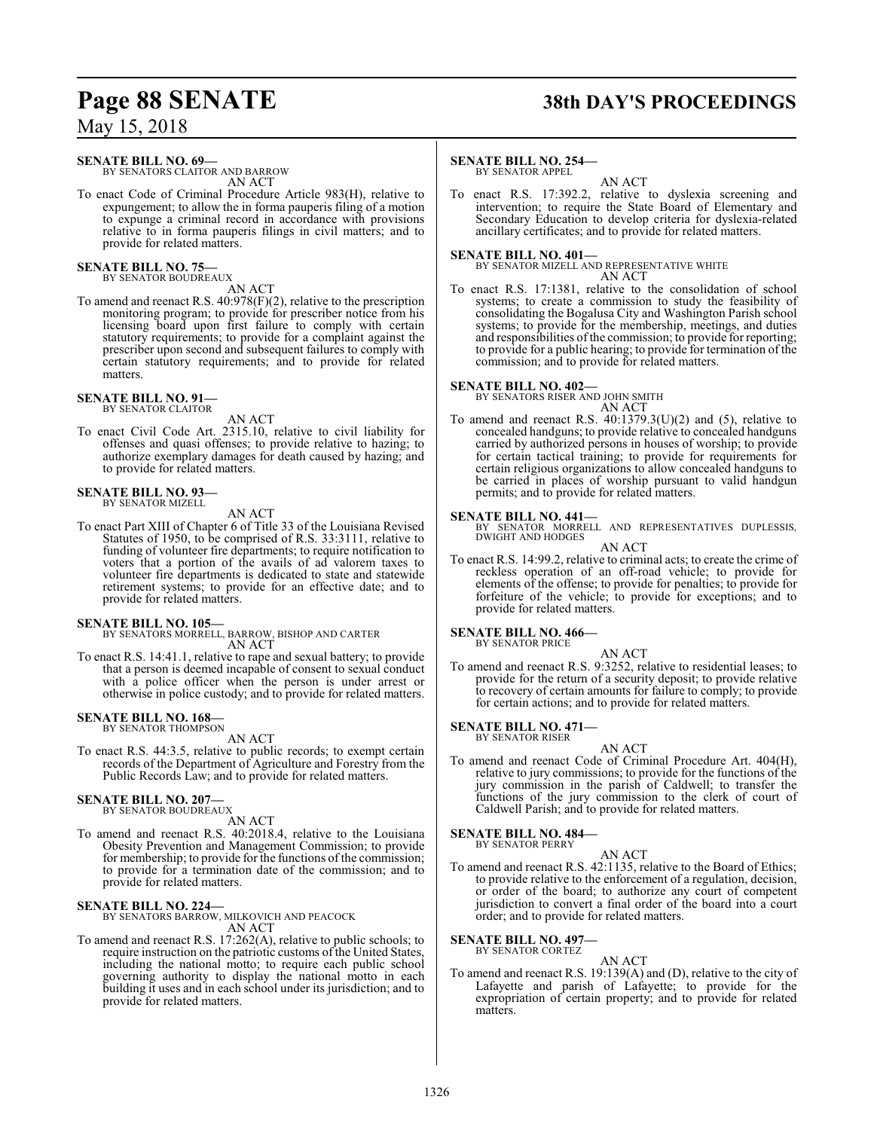### **SENATE BILL NO. 69—**

BY SENATORS CLAITOR AND BARROW AN ACT

To enact Code of Criminal Procedure Article 983(H), relative to expungement; to allow the in forma pauperis filing of a motion to expunge a criminal record in accordance with provisions relative to in forma pauperis filings in civil matters; and to provide for related matters.

**SENATE BILL NO. 75—** BY SENATOR BOUDREAUX

AN ACT

To amend and reenact R.S. 40:978(F)(2), relative to the prescription monitoring program; to provide for prescriber notice from his licensing board upon first failure to comply with certain statutory requirements; to provide for a complaint against the prescriber upon second and subsequent failures to comply with certain statutory requirements; and to provide for related matters.

**SENATE BILL NO. 91—** BY SENATOR CLAITOR

AN ACT

To enact Civil Code Art. 2315.10, relative to civil liability for offenses and quasi offenses; to provide relative to hazing; to authorize exemplary damages for death caused by hazing; and to provide for related matters.

### **SENATE BILL NO. 93—** BY SENATOR MIZELL

AN ACT

To enact Part XIII of Chapter 6 of Title 33 of the Louisiana Revised Statutes of 1950, to be comprised of R.S. 33:3111, relative to funding of volunteer fire departments; to require notification to voters that a portion of the avails of ad valorem taxes to volunteer fire departments is dedicated to state and statewide retirement systems; to provide for an effective date; and to provide for related matters.

**SENATE BILL NO. 105—** BY SENATORS MORRELL, BARROW, BISHOP AND CARTER AN ACT

To enact R.S. 14:41.1, relative to rape and sexual battery; to provide that a person is deemed incapable of consent to sexual conduct with a police officer when the person is under arrest or otherwise in police custody; and to provide for related matters.

### **SENATE BILL NO. 168—** BY SENATOR THOMPSON

AN ACT

To enact R.S. 44:3.5, relative to public records; to exempt certain records of the Department of Agriculture and Forestry from the Public Records Law; and to provide for related matters.

# **SENATE BILL NO. 207—** BY SENATOR BOUDREAUX

AN ACT

To amend and reenact R.S. 40:2018.4, relative to the Louisiana Obesity Prevention and Management Commission; to provide for membership; to provide for the functions of the commission; to provide for a termination date of the commission; and to provide for related matters.

### **SENATE BILL NO. 224—**

BY SENATORS BARROW, MILKOVICH AND PEACOCK AN ACT

To amend and reenact R.S. 17:262(A), relative to public schools; to require instruction on the patriotic customs of the United States, including the national motto; to require each public school governing authority to display the national motto in each building it uses and in each school under its jurisdiction; and to provide for related matters.

# **Page 88 SENATE 38th DAY'S PROCEEDINGS**

### **SENATE BILL NO. 254—**

BY SENATOR APPEL AN ACT

To enact R.S. 17:392.2, relative to dyslexia screening and intervention; to require the State Board of Elementary and Secondary Education to develop criteria for dyslexia-related ancillary certificates; and to provide for related matters.

**SENATE BILL NO. 401—** BY SENATOR MIZELL AND REPRESENTATIVE WHITE

AN ACT

To enact R.S. 17:1381, relative to the consolidation of school systems; to create a commission to study the feasibility of consolidating the Bogalusa City and Washington Parish school systems; to provide for the membership, meetings, and duties and responsibilities of the commission; to provide for reporting; to provide for a public hearing; to provide for termination of the commission; and to provide for related matters.

### **SENATE BILL NO. 402—**

BY SENATORS RISER AND JOHN SMITH

- AN ACT To amend and reenact R.S. 40:1379.3(U)(2) and (5), relative to concealed handguns; to provide relative to concealed handguns carried by authorized persons in houses of worship; to provide for certain tactical training; to provide for requirements for certain religious organizations to allow concealed handguns to
- be carried in places of worship pursuant to valid handgun permits; and to provide for related matters.

**SENATE BILL NO. 441—**<br>BY SENATOR MORRELL AND REPRESENTATIVES DUPLESSIS,<br>DWIGHT AND HODGES

AN ACT To enact R.S. 14:99.2, relative to criminal acts; to create the crime of reckless operation of an off-road vehicle; to provide for elements of the offense; to provide for penalties; to provide for forfeiture of the vehicle; to provide for exceptions; and to

### **SENATE BILL NO. 466—**

provide for related matters.

BY SENATOR PRICE

- AN ACT
- To amend and reenact R.S. 9:3252, relative to residential leases; to provide for the return of a security deposit; to provide relative to recovery of certain amounts for failure to comply; to provide for certain actions; and to provide for related matters.

### **SENATE BILL NO. 471—**

BY SENATOR RISER AN ACT

To amend and reenact Code of Criminal Procedure Art. 404(H), relative to jury commissions; to provide for the functions of the jury commission in the parish of Caldwell; to transfer the functions of the jury commission to the clerk of court of Caldwell Parish; and to provide for related matters.

**SENATE BILL NO. 484—** BY SENATOR PERRY

AN ACT

To amend and reenact R.S. 42:1135, relative to the Board of Ethics; to provide relative to the enforcement of a regulation, decision, or order of the board; to authorize any court of competent jurisdiction to convert a final order of the board into a court order; and to provide for related matters.

### **SENATE BILL NO. 497—**

BY SENATOR CORTEZ

AN ACT To amend and reenact R.S. 19:139(A) and (D), relative to the city of Lafayette and parish of Lafayette; to provide for the expropriation of certain property; and to provide for related matters.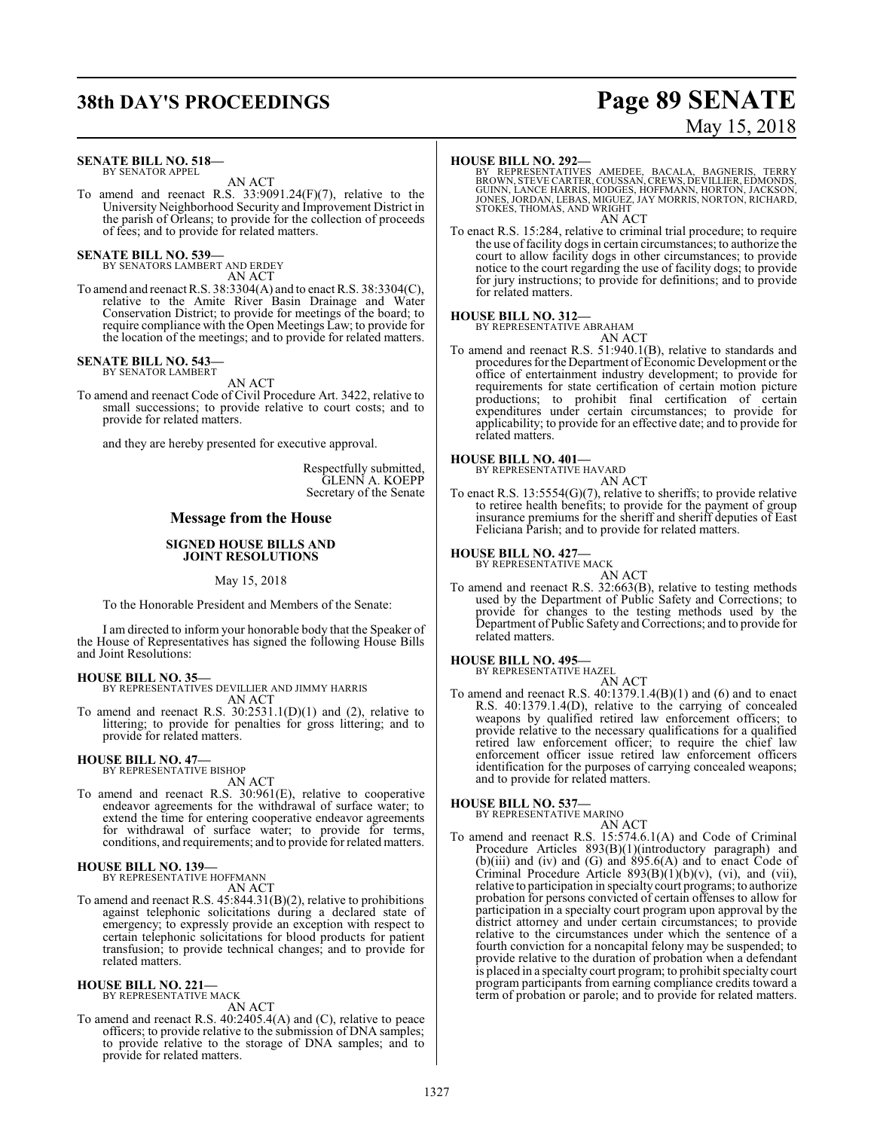# **38th DAY'S PROCEEDINGS Page 89 SENATE**

#### **SENATE BILL NO. 518—** BY SENATOR APPEL

AN ACT

To amend and reenact R.S. 33:9091.24(F)(7), relative to the University Neighborhood Security and Improvement District in the parish of Orleans; to provide for the collection of proceeds of fees; and to provide for related matters.

**SENATE BILL NO. 539—**

BY SENATORS LAMBERT AND ERDEY AN ACT

To amend and reenact R.S. 38:3304(A) and to enact R.S. 38:3304(C), relative to the Amite River Basin Drainage and Water Conservation District; to provide for meetings of the board; to require compliance with the Open Meetings Law; to provide for the location of the meetings; and to provide for related matters.

#### **SENATE BILL NO. 543** BY SENATOR LAMBERT

AN ACT

To amend and reenact Code of Civil Procedure Art. 3422, relative to small successions; to provide relative to court costs; and to provide for related matters.

and they are hereby presented for executive approval.

Respectfully submitted, GLENN A. KOEPP Secretary of the Senate

### **Message from the House**

### **SIGNED HOUSE BILLS AND JOINT RESOLUTIONS**

### May 15, 2018

To the Honorable President and Members of the Senate:

I am directed to inform your honorable body that the Speaker of the House of Representatives has signed the following House Bills and Joint Resolutions:

### **HOUSE BILL NO. 35—**

BY REPRESENTATIVES DEVILLIER AND JIMMY HARRIS AN ACT

To amend and reenact R.S.  $30:2531.1(D)(1)$  and (2), relative to littering; to provide for penalties for gross littering; and to provide for related matters.

### **HOUSE BILL NO. 47—**

BY REPRESENTATIVE BISHOP AN ACT

To amend and reenact R.S. 30:961(E), relative to cooperative endeavor agreements for the withdrawal of surface water; to extend the time for entering cooperative endeavor agreements for withdrawal of surface water; to provide for terms, conditions, and requirements; and to provide for related matters.

#### **HOUSE BILL NO. 139—** BY REPRESENTATIVE HOFFMANN

AN ACT

To amend and reenact R.S. 45:844.31(B)(2), relative to prohibitions against telephonic solicitations during a declared state of emergency; to expressly provide an exception with respect to certain telephonic solicitations for blood products for patient transfusion; to provide technical changes; and to provide for related matters.

### **HOUSE BILL NO. 221—** BY REPRESENTATIVE MACK

AN ACT

To amend and reenact R.S. 40:2405.4(A) and (C), relative to peace officers; to provide relative to the submission of DNA samples; to provide relative to the storage of DNA samples; and to provide for related matters.

### **HOUSE BILL NO. 292—**

BY REPRESENTATIVES AMEDEE, BACALA, BAGNERIS, TERRY<br>BROWN, STEVE CARTER, COUSSAN, CREWS, DEVILLIER, EDMONDS,<br>GUINN, LANCE HARRIS, HODGES, HOFFMANN, HORTON, JACKSON,<br>JONES, JORDAN, LEBAS, MIGUEZ, JAY MORRIS, NORTON, RICHARD, STOKES, THOMAS, AND WRIGHT AN ACT

To enact R.S. 15:284, relative to criminal trial procedure; to require the use of facility dogs in certain circumstances; to authorize the court to allow facility dogs in other circumstances; to provide notice to the court regarding the use of facility dogs; to provide for jury instructions; to provide for definitions; and to provide for related matters.

### **HOUSE BILL NO. 312—**

BY REPRESENTATIVE ABRAHAM

- AN ACT
- To amend and reenact R.S. 51:940.1(B), relative to standards and procedures for the Department of Economic Development or the office of entertainment industry development; to provide for requirements for state certification of certain motion picture productions; to prohibit final certification of certain expenditures under certain circumstances; to provide for applicability; to provide for an effective date; and to provide for related matters.

### **HOUSE BILL NO. 401—**

BY REPRESENTATIVE HAVARD AN ACT

To enact R.S. 13:5554(G)(7), relative to sheriffs; to provide relative to retiree health benefits; to provide for the payment of group insurance premiums for the sheriff and sheriff deputies of East Feliciana Parish; and to provide for related matters.

### **HOUSE BILL NO. 427—** BY REPRESENTATIVE MACK

AN ACT To amend and reenact R.S. 32:663(B), relative to testing methods used by the Department of Public Safety and Corrections; to provide for changes to the testing methods used by the Department of Public Safety and Corrections; and to provide for related matters.

### **HOUSE BILL NO. 495—**

BY REPRESENTATIVE HAZEL AN ACT

To amend and reenact R.S. 40:1379.1.4(B)(1) and (6) and to enact R.S. 40:1379.1.4(D), relative to the carrying of concealed weapons by qualified retired law enforcement officers; to provide relative to the necessary qualifications for a qualified retired law enforcement officer; to require the chief law enforcement officer issue retired law enforcement officers identification for the purposes of carrying concealed weapons; and to provide for related matters.

# **HOUSE BILL NO. 537—** BY REPRESENTATIVE MARINO

- AN ACT
- To amend and reenact R.S. 15:574.6.1(A) and Code of Criminal Procedure Articles 893(B)(1)(introductory paragraph) and (b)(iii) and (iv) and (G) and  $\frac{895.6}{A}$  and to enact Code of Criminal Procedure Article  $893(B)(1)(b)(v)$ , (vi), and (vii), relative to participation in specialty court programs; to authorize probation for persons convicted of certain offenses to allow for participation in a specialty court program upon approval by the district attorney and under certain circumstances; to provide relative to the circumstances under which the sentence of a fourth conviction for a noncapital felony may be suspended; to provide relative to the duration of probation when a defendant is placed in a specialty court program; to prohibit specialty court program participants from earning compliance credits toward a term of probation or parole; and to provide for related matters.

# May 15, 2018